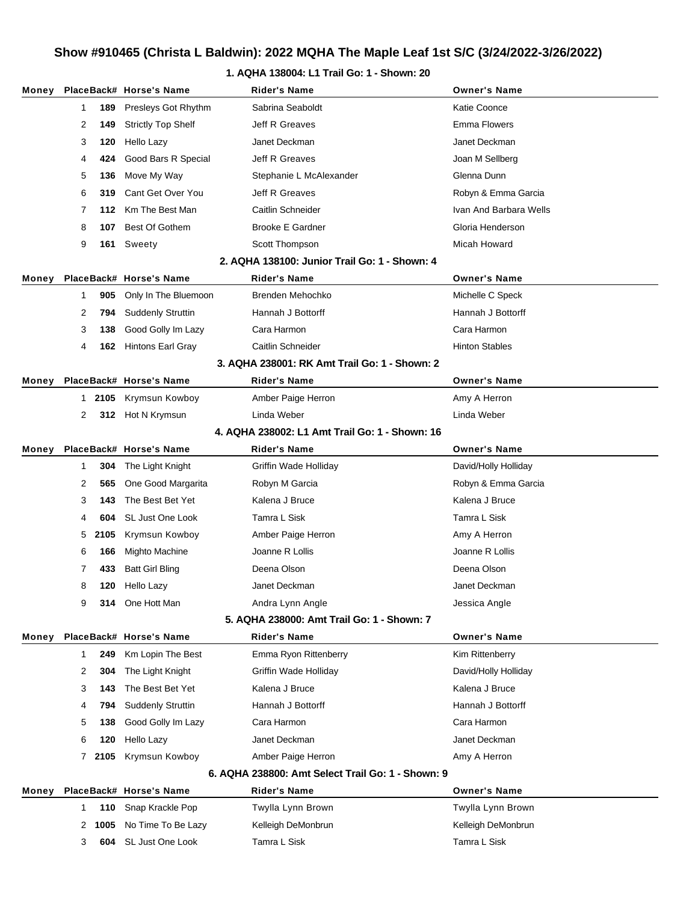### **1. AQHA 138004: L1 Trail Go: 1 - Shown: 20**

| Money |              |                                                | PlaceBack# Horse's Name   | <b>Rider's Name</b>                               | <b>Owner's Name</b>    |  |  |  |
|-------|--------------|------------------------------------------------|---------------------------|---------------------------------------------------|------------------------|--|--|--|
|       | 1            | 189                                            | Presleys Got Rhythm       | Sabrina Seaboldt                                  | Katie Coonce           |  |  |  |
|       | 2            | 149                                            | <b>Strictly Top Shelf</b> | <b>Jeff R Greaves</b>                             | <b>Emma Flowers</b>    |  |  |  |
|       | 3            | 120                                            | Hello Lazy                | Janet Deckman                                     | Janet Deckman          |  |  |  |
|       | 4            | 424                                            | Good Bars R Special       | Jeff R Greaves                                    | Joan M Sellberg        |  |  |  |
|       | 5            | 136                                            | Move My Way               | Stephanie L McAlexander                           | Glenna Dunn            |  |  |  |
|       | 6            | 319                                            | Cant Get Over You         | Jeff R Greaves                                    | Robyn & Emma Garcia    |  |  |  |
|       | 7            | 112                                            | Km The Best Man           | Caitlin Schneider                                 | Ivan And Barbara Wells |  |  |  |
|       | 8            | 107                                            | Best Of Gothem            | <b>Brooke E Gardner</b>                           | Gloria Henderson       |  |  |  |
|       | 9            | 161                                            | Sweety                    | Scott Thompson                                    | Micah Howard           |  |  |  |
|       |              |                                                |                           | 2. AQHA 138100: Junior Trail Go: 1 - Shown: 4     |                        |  |  |  |
| Money |              |                                                | PlaceBack# Horse's Name   | Rider's Name                                      | <b>Owner's Name</b>    |  |  |  |
|       | 1            | 905                                            | Only In The Bluemoon      | Brenden Mehochko                                  | Michelle C Speck       |  |  |  |
|       | 2            | 794                                            | <b>Suddenly Struttin</b>  | Hannah J Bottorff                                 | Hannah J Bottorff      |  |  |  |
|       | 3            | 138                                            | Good Golly Im Lazy        | Cara Harmon                                       | Cara Harmon            |  |  |  |
|       | 4            | 162                                            | <b>Hintons Earl Gray</b>  | Caitlin Schneider                                 | <b>Hinton Stables</b>  |  |  |  |
|       |              |                                                |                           | 3. AQHA 238001: RK Amt Trail Go: 1 - Shown: 2     |                        |  |  |  |
| Money |              |                                                | PlaceBack# Horse's Name   | Rider's Name                                      | <b>Owner's Name</b>    |  |  |  |
|       |              | 1 2105                                         | Krymsun Kowboy            | Amber Paige Herron                                | Amy A Herron           |  |  |  |
|       | 2            |                                                | 312 Hot N Krymsun         | Linda Weber                                       | Linda Weber            |  |  |  |
|       |              | 4. AQHA 238002: L1 Amt Trail Go: 1 - Shown: 16 |                           |                                                   |                        |  |  |  |
| Money |              |                                                | PlaceBack# Horse's Name   | Rider's Name                                      | <b>Owner's Name</b>    |  |  |  |
|       | 1            | 304                                            | The Light Knight          | Griffin Wade Holliday                             | David/Holly Holliday   |  |  |  |
|       | 2            | 565                                            | One Good Margarita        | Robyn M Garcia                                    | Robyn & Emma Garcia    |  |  |  |
|       | 3            | 143                                            | The Best Bet Yet          | Kalena J Bruce                                    | Kalena J Bruce         |  |  |  |
|       | 4            | 604                                            | SL Just One Look          | Tamra L Sisk                                      | Tamra L Sisk           |  |  |  |
|       | 5            | 2105                                           | Krymsun Kowboy            | Amber Paige Herron                                | Amy A Herron           |  |  |  |
|       | 6            | 166                                            | Mighto Machine            | Joanne R Lollis                                   | Joanne R Lollis        |  |  |  |
|       | 7            | 433                                            | <b>Batt Girl Bling</b>    | Deena Olson                                       | Deena Olson            |  |  |  |
|       | 8            | 120                                            | Hello Lazy                | Janet Deckman                                     | Janet Deckman          |  |  |  |
|       | 9            |                                                | <b>314</b> One Hott Man   | Andra Lynn Angle                                  | Jessica Angle          |  |  |  |
|       |              |                                                |                           | 5. AQHA 238000: Amt Trail Go: 1 - Shown: 7        |                        |  |  |  |
| Money |              |                                                | PlaceBack# Horse's Name   | <b>Rider's Name</b>                               | <b>Owner's Name</b>    |  |  |  |
|       | 1            | 249                                            | Km Lopin The Best         | Emma Ryon Rittenberry                             | Kim Rittenberry        |  |  |  |
|       | 2            | 304                                            | The Light Knight          | Griffin Wade Holliday                             | David/Holly Holliday   |  |  |  |
|       | 3            | 143                                            | The Best Bet Yet          | Kalena J Bruce                                    | Kalena J Bruce         |  |  |  |
|       | 4            | 794                                            | <b>Suddenly Struttin</b>  | Hannah J Bottorff                                 | Hannah J Bottorff      |  |  |  |
|       | 5            | 138                                            | Good Golly Im Lazy        | Cara Harmon                                       | Cara Harmon            |  |  |  |
|       | 6            | 120                                            | Hello Lazy                | Janet Deckman                                     | Janet Deckman          |  |  |  |
|       | $\mathbf{7}$ | 2105                                           | Krymsun Kowboy            | Amber Paige Herron                                | Amy A Herron           |  |  |  |
|       |              |                                                |                           | 6. AQHA 238800: Amt Select Trail Go: 1 - Shown: 9 |                        |  |  |  |
| Money |              |                                                | PlaceBack# Horse's Name   | Rider's Name                                      | <b>Owner's Name</b>    |  |  |  |
|       | 1            | 110                                            | Snap Krackle Pop          | Twylla Lynn Brown                                 | Twylla Lynn Brown      |  |  |  |
|       | 2            | 1005                                           | No Time To Be Lazy        | Kelleigh DeMonbrun                                | Kelleigh DeMonbrun     |  |  |  |
|       | 3            | 604                                            | SL Just One Look          | Tamra L Sisk                                      | Tamra L Sisk           |  |  |  |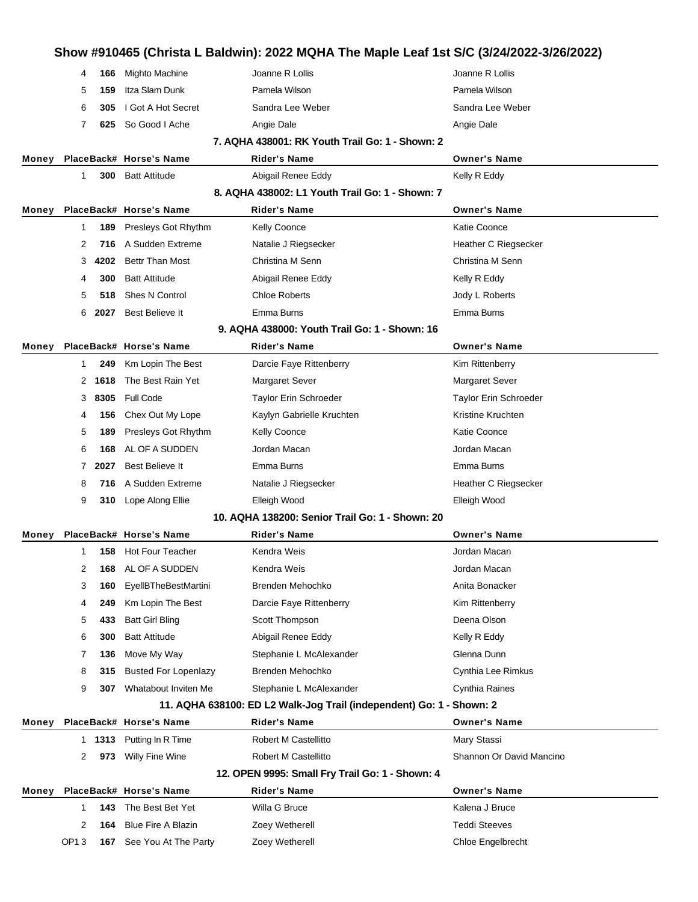# **Show #910465 (Christa L Baldwin): 2022 MQHA The Maple Leaf 1st S/C (3/24/2022-3/26/2022) 166** Mighto Machine Joanne R Lollis Joanne R Lollis **159** Itza Slam Dunk Pamela Wilson Pamela Wilson **305** I Got A Hot Secret Sandra Lee Weber Sandra Lee Weber **625** So Good I Ache **Angie Dale** Angie Dale **Angie Dale** Angie Dale **7. AQHA 438001: RK Youth Trail Go: 1 - Shown: 2 Money PlaceBack# Horse's Name Rider's Name Owner's Name 300** Batt Attitude **Abigail Renee Eddy Abigail Renee Eddy Kelly R Eddy 8. AQHA 438002: L1 Youth Trail Go: 1 - Shown: 7 Money PlaceBack# Horse's Name Rider's Name Owner's Name 189** Presleys Got Rhythm Kelly Coonce Katie Coonce Katie Coonce 2 716 A Sudden Extreme **Natalie J Riegsecker Heather C Riegsecker 4202** Bettr Than Most Christina M Senn Christina M Senn **300** Batt Attitude **Abigail Renee Eddy Kelly R Eddy** Kelly R Eddy **518** Shes N Control Chloe Roberts Jody L Roberts **2027** Best Believe It Emma Burns Emma Burns **9. AQHA 438000: Youth Trail Go: 1 - Shown: 16 Money PlaceBack# Horse's Name Rider's Name Owner's Name 249** Km Lopin The Best **Darcie Faye Rittenberry Constant Constant Constant Area** Kim Rittenberry **1618** The Best Rain Yet Margaret Sever Margaret Sever Margaret Sever **8305** Full Code Taylor Erin Schroeder Taylor Erin Schroeder **156** Chex Out My Lope Kaylyn Gabrielle Kruchten Kristine Kruchten **189** Presleys Got Rhythm Kelly Coonce **Katie Coonce** Katie Coonce **168** AL OF A SUDDEN Jordan Macan Jordan Macan **2027** Best Believe It Emma Burns Emma Burns 8 716 A Sudden Extreme **Natalie J Riegsecker** Heather C Riegsecker **310** Lope Along Ellie **Elleigh Wood** Elleigh Wood Elleigh Wood **10. AQHA 138200: Senior Trail Go: 1 - Shown: 20 Money PlaceBack# Horse's Name Rider's Name Owner's Name 158** Hot Four Teacher **Macan Communist Communist Communist Communist Communist Communist Communist Communist Communist Communist Communist Communist Communist Communist Communist Communist Communist Communist Communist 168** AL OF A SUDDEN Kendra Weis **Communist Communist Communist Communist Communist Communist Communist Communist Communist Communist Communist Communist Communist Communist Communist Communist Communist Communist Commun 160** EyellBTheBestMartini Brenden Mehochko **Anita Bonacker** Anita Bonacker **249** Km Lopin The Best **Darcie Faye Rittenberry Constant Constant Constant Area** Kim Rittenberry **433** Batt Girl Bling Scott Thompson **Scott Thompson** Deena Olson **300** Batt Attitude **Abigail Renee Eddy Kelly R Eddy** Kelly R Eddy **136** Move My Way **Stephanie L McAlexander** Glenna Dunn **315** Busted For Lopenlazy Brenden Mehochko **Cynthia Lee Rimkus** Cynthia Lee Rimkus **307** Whatabout Inviten Me Stephanie L McAlexander **Cynthia Raines 11. AQHA 638100: ED L2 Walk-Jog Trail (independent) Go: 1 - Shown: 2 Money PlaceBack# Horse's Name Rider's Name Owner's Name 1313** Putting In R Time **Robert M Castellitto** Mary Stassi **973** Willy Fine Wine **Robert M Castellitto** Shannon Or David Mancino **12. OPEN 9995: Small Fry Trail Go: 1 - Shown: 4 Money PlaceBack# Horse's Name Rider's Name Owner's Name 143** The Best Bet Yet **Willa G Bruce Communist Communist Communist Communist Communist Communist Communist Communist Communist Communist Communist Communist Communist Communist Communist Communist Communist Communist Co 164** Blue Fire A Blazin **Zoey Wetherell Teddi Steeves** OP1 3 **167** See You At The Party Zoey Wetherell Chloe Engelbrecht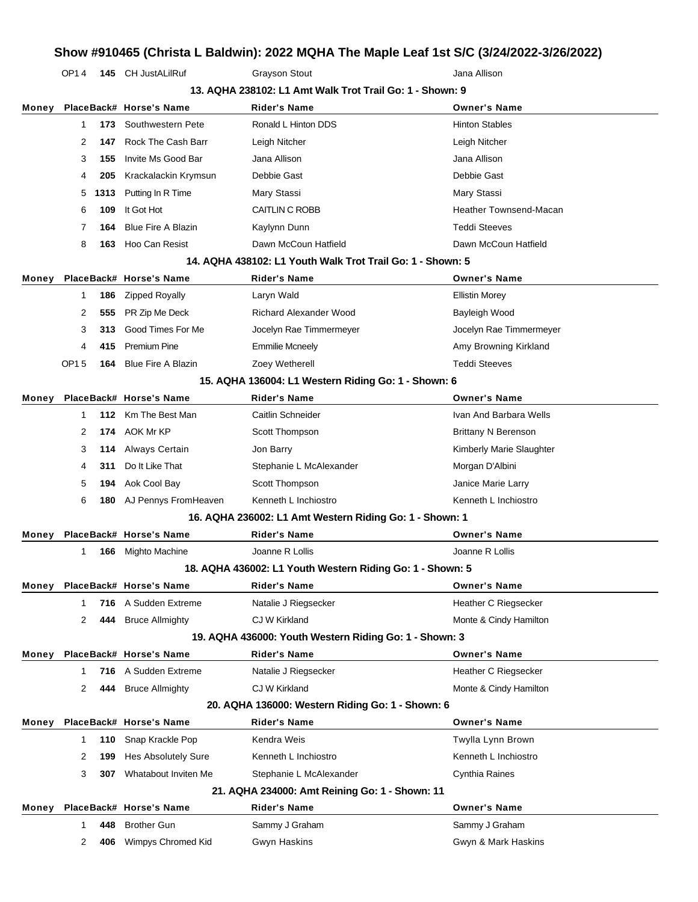OP1 4 **145** CH JustALilRuf Grayson Stout Grayson Stout Jana Allison

|       | 13. AQHA 238102: L1 Amt Walk Trot Trail Go: 1 - Shown: 9 |      |                            |                                                            |                               |  |
|-------|----------------------------------------------------------|------|----------------------------|------------------------------------------------------------|-------------------------------|--|
| Money |                                                          |      | PlaceBack# Horse's Name    | <b>Rider's Name</b>                                        | <b>Owner's Name</b>           |  |
|       | 1                                                        | 173  | Southwestern Pete          | Ronald L Hinton DDS                                        | <b>Hinton Stables</b>         |  |
|       | 2                                                        | 147  | Rock The Cash Barr         | Leigh Nitcher                                              | Leigh Nitcher                 |  |
|       | 3                                                        | 155  | Invite Ms Good Bar         | Jana Allison                                               | Jana Allison                  |  |
|       | 4                                                        | 205  | Krackalackin Krymsun       | Debbie Gast                                                | Debbie Gast                   |  |
|       | 5                                                        | 1313 | Putting In R Time          | Mary Stassi                                                | Mary Stassi                   |  |
|       | 6                                                        | 109  | It Got Hot                 | CAITLIN C ROBB                                             | <b>Heather Townsend-Macan</b> |  |
|       | 7                                                        | 164  | <b>Blue Fire A Blazin</b>  | Kaylynn Dunn                                               | <b>Teddi Steeves</b>          |  |
|       | 8                                                        | 163  | Hoo Can Resist             | Dawn McCoun Hatfield                                       | Dawn McCoun Hatfield          |  |
|       |                                                          |      |                            | 14. AQHA 438102: L1 Youth Walk Trot Trail Go: 1 - Shown: 5 |                               |  |
| Money |                                                          |      | PlaceBack# Horse's Name    | Rider's Name                                               | <b>Owner's Name</b>           |  |
|       | 1                                                        | 186  | <b>Zipped Royally</b>      | Laryn Wald                                                 | <b>Ellistin Morey</b>         |  |
|       | 2                                                        | 555  | PR Zip Me Deck             | <b>Richard Alexander Wood</b>                              | Bayleigh Wood                 |  |
|       | 3                                                        | 313  | Good Times For Me          | Jocelyn Rae Timmermeyer                                    | Jocelyn Rae Timmermeyer       |  |
|       | 4                                                        | 415  | <b>Premium Pine</b>        | <b>Emmilie Mcneely</b>                                     | Amy Browning Kirkland         |  |
|       | OP15                                                     | 164  | <b>Blue Fire A Blazin</b>  | Zoey Wetherell                                             | <b>Teddi Steeves</b>          |  |
|       |                                                          |      |                            | 15. AQHA 136004: L1 Western Riding Go: 1 - Shown: 6        |                               |  |
| Money |                                                          |      | PlaceBack# Horse's Name    | <b>Rider's Name</b>                                        | <b>Owner's Name</b>           |  |
|       | $\mathbf 1$                                              | 112  | Km The Best Man            | Caitlin Schneider                                          | Ivan And Barbara Wells        |  |
|       | 2                                                        | 174  | AOK Mr KP                  | Scott Thompson                                             | <b>Brittany N Berenson</b>    |  |
|       | 3                                                        | 114  | Always Certain             | Jon Barry                                                  | Kimberly Marie Slaughter      |  |
|       | 4                                                        | 311  | Do It Like That            | Stephanie L McAlexander                                    | Morgan D'Albini               |  |
|       | 5                                                        | 194  | Aok Cool Bay               | Scott Thompson                                             | Janice Marie Larry            |  |
|       | 6                                                        | 180  | AJ Pennys FromHeaven       | Kenneth L Inchiostro                                       | Kenneth L Inchiostro          |  |
|       |                                                          |      |                            | 16. AQHA 236002: L1 Amt Western Riding Go: 1 - Shown: 1    |                               |  |
| Money |                                                          |      | PlaceBack# Horse's Name    | <b>Rider's Name</b>                                        | <b>Owner's Name</b>           |  |
|       | 1                                                        | 166  | Mighto Machine             | Joanne R Lollis                                            | Joanne R Lollis               |  |
|       |                                                          |      |                            | 18. AQHA 436002: L1 Youth Western Riding Go: 1 - Shown: 5  |                               |  |
| Money |                                                          |      | PlaceBack# Horse's Name    | Rider's Name                                               | <b>Owner's Name</b>           |  |
|       | 1                                                        |      | 716 A Sudden Extreme       | Natalie J Riegsecker                                       | Heather C Riegsecker          |  |
|       | 2                                                        | 444  | <b>Bruce Allmighty</b>     | CJ W Kirkland                                              | Monte & Cindy Hamilton        |  |
|       |                                                          |      |                            | 19. AQHA 436000: Youth Western Riding Go: 1 - Shown: 3     |                               |  |
| Money |                                                          |      | PlaceBack# Horse's Name    | <b>Rider's Name</b>                                        | <b>Owner's Name</b>           |  |
|       | 1                                                        | 716  | A Sudden Extreme           | Natalie J Riegsecker                                       | Heather C Riegsecker          |  |
|       | 2                                                        | 444  | <b>Bruce Allmighty</b>     | CJ W Kirkland                                              | Monte & Cindy Hamilton        |  |
|       |                                                          |      |                            | 20. AQHA 136000: Western Riding Go: 1 - Shown: 6           |                               |  |
| Money |                                                          |      | PlaceBack# Horse's Name    | <b>Rider's Name</b>                                        | <b>Owner's Name</b>           |  |
|       | 1                                                        | 110  | Snap Krackle Pop           | Kendra Weis                                                | Twylla Lynn Brown             |  |
|       | 2                                                        | 199  | <b>Hes Absolutely Sure</b> | Kenneth L Inchiostro                                       | Kenneth L Inchiostro          |  |
|       | 3                                                        | 307  | Whatabout Inviten Me       | Stephanie L McAlexander                                    | Cynthia Raines                |  |
|       |                                                          |      |                            | 21. AQHA 234000: Amt Reining Go: 1 - Shown: 11             |                               |  |
| Money |                                                          |      | PlaceBack# Horse's Name    | <b>Rider's Name</b>                                        | <b>Owner's Name</b>           |  |
|       | 1                                                        | 448  | <b>Brother Gun</b>         | Sammy J Graham                                             | Sammy J Graham                |  |
|       | 2                                                        | 406  | Wimpys Chromed Kid         | Gwyn Haskins                                               | Gwyn & Mark Haskins           |  |
|       |                                                          |      |                            |                                                            |                               |  |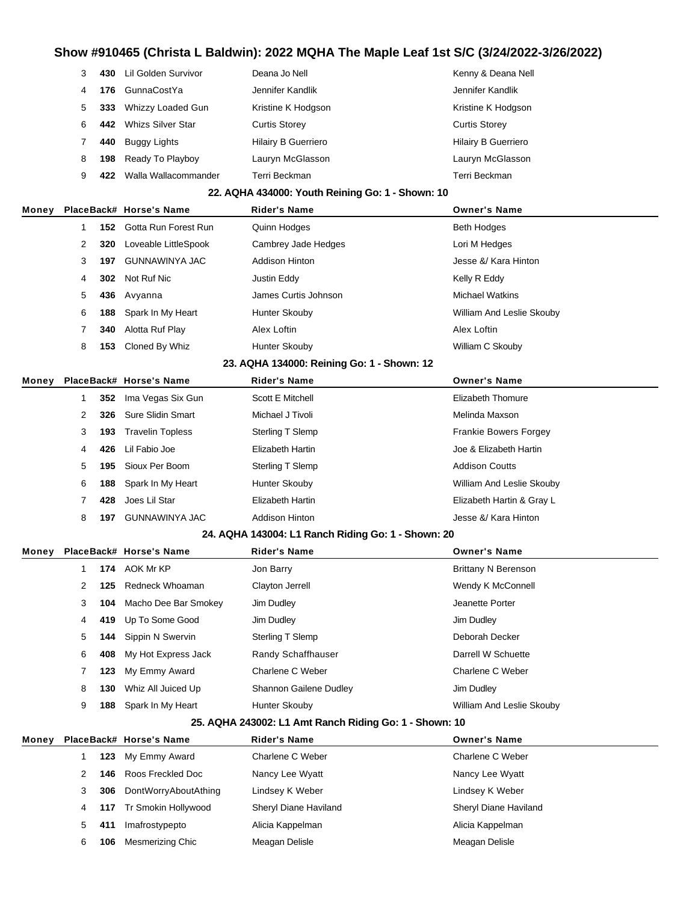| 3 | 430 | Lil Golden Survivor  | Deana Jo Nell              | Kenny & Deana Nell         |
|---|-----|----------------------|----------------------------|----------------------------|
| 4 | 176 | <b>GunnaCostYa</b>   | Jennifer Kandlik           | Jennifer Kandlik           |
| 5 | 333 | Whizzy Loaded Gun    | Kristine K Hodgson         | Kristine K Hodgson         |
| 6 | 442 | Whizs Silver Star    | <b>Curtis Storey</b>       | <b>Curtis Storey</b>       |
|   | 440 | Buggy Lights         | <b>Hilairy B Guerriero</b> | <b>Hilairy B Guerriero</b> |
| 8 | 198 | Ready To Playboy     | Lauryn McGlasson           | Lauryn McGlasson           |
| 9 | 422 | Walla Wallacommander | Terri Beckman              | Terri Beckman              |

#### **22. AQHA 434000: Youth Reining Go: 1 - Shown: 10**

| Money |   |     | PlaceBack# Horse's Name  | <b>Rider's Name</b>   | <b>Owner's Name</b>       |
|-------|---|-----|--------------------------|-----------------------|---------------------------|
|       |   |     | 152 Gotta Run Forest Run | Quinn Hodges          | <b>Beth Hodges</b>        |
|       | 2 | 320 | Loveable LittleSpook     | Cambrey Jade Hedges   | Lori M Hedges             |
|       | 3 | 197 | GUNNAWINYA JAC           | <b>Addison Hinton</b> | Jesse &/ Kara Hinton      |
|       | 4 | 302 | Not Ruf Nic              | Justin Eddy           | Kelly R Eddy              |
|       | 5 |     | 436 Avyanna              | James Curtis Johnson  | <b>Michael Watkins</b>    |
|       | 6 | 188 | Spark In My Heart        | Hunter Skouby         | William And Leslie Skouby |
|       |   | 340 | Alotta Ruf Play          | Alex Loftin           | Alex Loftin               |
|       | 8 | 153 | Cloned By Whiz           | Hunter Skouby         | William C Skouby          |
|       |   |     |                          |                       |                           |

#### **23. AQHA 134000: Reining Go: 1 - Shown: 12**

| Monev |   |     | PlaceBack# Horse's Name | <b>Rider's Name</b>   | <b>Owner's Name</b>          |
|-------|---|-----|-------------------------|-----------------------|------------------------------|
|       |   |     | 352 Ima Vegas Six Gun   | Scott E Mitchell      | Elizabeth Thomure            |
|       |   |     | 326 Sure Slidin Smart   | Michael J Tivoli      | Melinda Maxson               |
|       | 3 | 193 | <b>Travelin Topless</b> | Sterling T Slemp      | <b>Frankie Bowers Forgey</b> |
|       | 4 | 426 | Lil Fabio Joe           | Elizabeth Hartin      | Joe & Elizabeth Hartin       |
|       | 5 | 195 | Sioux Per Boom          | Sterling T Slemp      | <b>Addison Coutts</b>        |
|       | 6 | 188 | Spark In My Heart       | Hunter Skouby         | William And Leslie Skouby    |
|       |   | 428 | Joes Lil Star           | Elizabeth Hartin      | Elizabeth Hartin & Gray L    |
|       | 8 | 197 | GUNNAWINYA JAC          | <b>Addison Hinton</b> | Jesse &/ Kara Hinton         |

#### **24. AQHA 143004: L1 Ranch Riding Go: 1 - Shown: 20**

| Monev |   |     | PlaceBack# Horse's Name | <b>Rider's Name</b>           | <b>Owner's Name</b>       |
|-------|---|-----|-------------------------|-------------------------------|---------------------------|
|       |   |     | 174 AOK Mr KP           | Jon Barry                     | Brittany N Berenson       |
|       |   | 125 | Redneck Whoaman         | Clayton Jerrell               | Wendy K McConnell         |
|       | 3 | 104 | Macho Dee Bar Smokey    | Jim Dudley                    | Jeanette Porter           |
|       | 4 |     | 419 Up To Some Good     | Jim Dudley                    | Jim Dudley                |
|       | 5 |     | 144 Sippin N Swervin    | Sterling T Slemp              | Deborah Decker            |
|       | 6 | 408 | My Hot Express Jack     | Randy Schaffhauser            | Darrell W Schuette        |
|       |   | 123 | My Emmy Award           | Charlene C Weber              | Charlene C Weber          |
|       | 8 | 130 | Whiz All Juiced Up      | <b>Shannon Gailene Dudley</b> | Jim Dudley                |
|       | 9 | 188 | Spark In My Heart       | Hunter Skouby                 | William And Leslie Skouby |

#### **25. AQHA 243002: L1 Amt Ranch Riding Go: 1 - Shown: 10**

| Monev |    |     | PlaceBack# Horse's Name | <b>Rider's Name</b>   | <b>Owner's Name</b>   |
|-------|----|-----|-------------------------|-----------------------|-----------------------|
|       |    |     | 123 My Emmy Award       | Charlene C Weber      | Charlene C Weber      |
|       |    |     | 146 Roos Freckled Doc   | Nancy Lee Wyatt       | Nancy Lee Wyatt       |
|       |    | 306 | DontWorryAboutAthing    | Lindsey K Weber       | Lindsey K Weber       |
|       | 4  |     | 117 Tr Smokin Hollywood | Sheryl Diane Haviland | Sheryl Diane Haviland |
|       | 5. | 411 | Imafrostypepto          | Alicia Kappelman      | Alicia Kappelman      |
|       | 6  | 106 | Mesmerizing Chic        | Meagan Delisle        | Meagan Delisle        |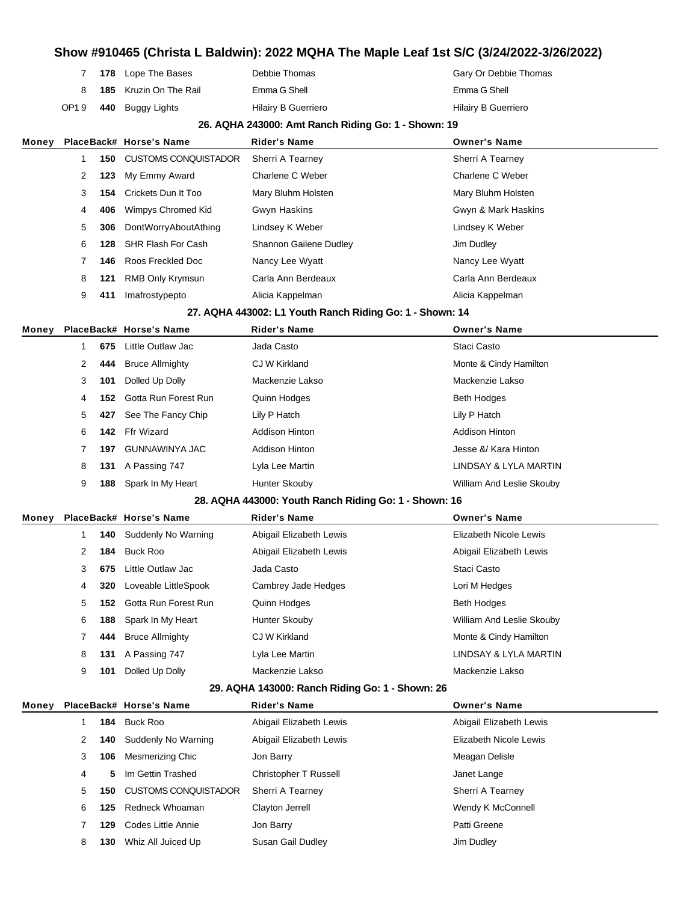|      | 7 178 Lope The Bases          | Debbie Thomas              | Gary Or Debbie Thomas |
|------|-------------------------------|----------------------------|-----------------------|
|      | <b>185</b> Kruzin On The Rail | Emma G Shell               | Emma G Shell          |
| OP19 | 440 Buggy Lights              | <b>Hilairy B Guerriero</b> | Hilairy B Guerriero   |

#### **26. AQHA 243000: Amt Ranch Riding Go: 1 - Shown: 19**

| Money |   |     | PlaceBack# Horse's Name     | <b>Rider's Name</b>                                      | <b>Owner's Name</b>    |
|-------|---|-----|-----------------------------|----------------------------------------------------------|------------------------|
|       | 1 | 150 | <b>CUSTOMS CONQUISTADOR</b> | Sherri A Tearney                                         | Sherri A Tearney       |
|       | 2 | 123 | My Emmy Award               | Charlene C Weber                                         | Charlene C Weber       |
|       | 3 | 154 | Crickets Dun It Too         | Mary Bluhm Holsten                                       | Mary Bluhm Holsten     |
|       | 4 | 406 | Wimpys Chromed Kid          | Gwyn Haskins                                             | Gwyn & Mark Haskins    |
|       | 5 | 306 | DontWorryAboutAthing        | Lindsey K Weber                                          | Lindsey K Weber        |
|       | 6 | 128 | <b>SHR Flash For Cash</b>   | Shannon Gailene Dudley                                   | Jim Dudley             |
|       | 7 | 146 | Roos Freckled Doc           | Nancy Lee Wyatt                                          | Nancy Lee Wyatt        |
|       | 8 | 121 | RMB Only Krymsun            | Carla Ann Berdeaux                                       | Carla Ann Berdeaux     |
|       | 9 | 411 | Imafrostypepto              | Alicia Kappelman                                         | Alicia Kappelman       |
|       |   |     |                             | 27. AQHA 443002: L1 Youth Ranch Riding Go: 1 - Shown: 14 |                        |
| Money |   |     | PlaceBack# Horse's Name     | <b>Rider's Name</b>                                      | <b>Owner's Name</b>    |
|       | 1 | 675 | Little Outlaw Jac           | Jada Casto                                               | Staci Casto            |
|       | 2 | 444 | <b>Bruce Allmighty</b>      | CJ W Kirkland                                            | Monte & Cindy Hamilton |
|       | 3 | 101 | Dolled Up Dolly             | Mackenzie Lakso                                          | Mackenzie Lakso        |
|       | 4 | 152 | Gotta Run Forest Run        | Quinn Hodges                                             | <b>Beth Hodges</b>     |
|       | 5 | 427 | See The Fancy Chip          | Lily P Hatch                                             | Lily P Hatch           |
|       | 6 | 142 | Ffr Wizard                  | <b>Addison Hinton</b>                                    | <b>Addison Hinton</b>  |

**197** GUNNAWINYA JAC Addison Hinton Addison Hinton Jesse &/ Kara Hinton **131** A Passing 747 Lyla Lee Martin LINDSAY & LYLA MARTIN **188** Spark In My Heart Hunter Skouby **William And Leslie Skouby** William And Leslie Skouby

#### **28. AQHA 443000: Youth Ranch Riding Go: 1 - Shown: 16**

| Money |   |     | PlaceBack# Horse's Name        | <b>Rider's Name</b>     | <b>Owner's Name</b>       |
|-------|---|-----|--------------------------------|-------------------------|---------------------------|
|       |   |     | <b>140</b> Suddenly No Warning | Abigail Elizabeth Lewis | Elizabeth Nicole Lewis    |
|       | 2 | 184 | Buck Roo                       | Abigail Elizabeth Lewis | Abigail Elizabeth Lewis   |
|       | 3 | 675 | Little Outlaw Jac              | Jada Casto              | Staci Casto               |
|       | 4 | 320 | Loveable LittleSpook           | Cambrey Jade Hedges     | Lori M Hedges             |
|       | 5 | 152 | Gotta Run Forest Run           | Quinn Hodges            | <b>Beth Hodges</b>        |
|       | 6 | 188 | Spark In My Heart              | Hunter Skouby           | William And Leslie Skouby |
|       |   | 444 | <b>Bruce Allmighty</b>         | CJ W Kirkland           | Monte & Cindy Hamilton    |
|       | 8 |     | 131 A Passing 747              | Lyla Lee Martin         | LINDSAY & LYLA MARTIN     |
|       | 9 | 101 | Dolled Up Dolly                | Mackenzie Lakso         | Mackenzie Lakso           |

#### **29. AQHA 143000: Ranch Riding Go: 1 - Shown: 26**

| Money |   |     | PlaceBack# Horse's Name     | <b>Rider's Name</b>     | <b>Owner's Name</b>     |
|-------|---|-----|-----------------------------|-------------------------|-------------------------|
|       |   |     | 184 Buck Roo                | Abigail Elizabeth Lewis | Abigail Elizabeth Lewis |
|       | 2 |     | 140 Suddenly No Warning     | Abigail Elizabeth Lewis | Elizabeth Nicole Lewis  |
|       | 3 | 106 | Mesmerizing Chic            | Jon Barry               | Meagan Delisle          |
|       | 4 | 5.  | Im Gettin Trashed           | Christopher T Russell   | Janet Lange             |
|       | 5 | 150 | <b>CUSTOMS CONQUISTADOR</b> | Sherri A Tearney        | Sherri A Tearney        |
|       | 6 | 125 | Redneck Whoaman             | Clayton Jerrell         | Wendy K McConnell       |
|       |   |     | 129 Codes Little Annie      | Jon Barry               | Patti Greene            |
|       | 8 | 130 | Whiz All Juiced Up          | Susan Gail Dudley       | Jim Dudley              |
|       |   |     |                             |                         |                         |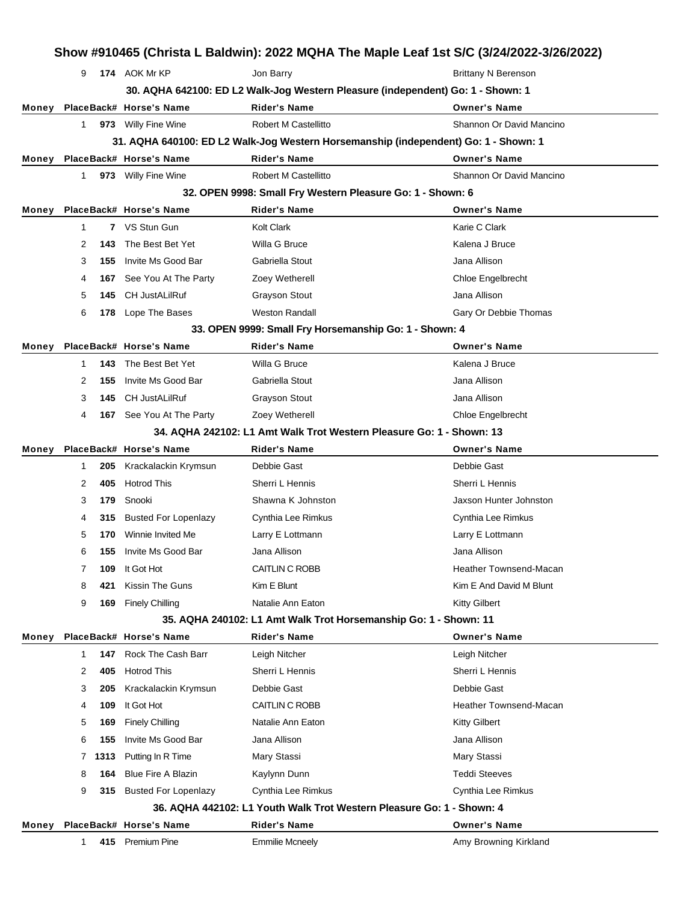| Show #910465 (Christa L Baldwin): 2022 MQHA The Maple Leaf 1st S/C (3/24/2022-3/26/2022) |              |      |                             |                                                                                     |                               |  |
|------------------------------------------------------------------------------------------|--------------|------|-----------------------------|-------------------------------------------------------------------------------------|-------------------------------|--|
|                                                                                          | 9            |      | 174 AOK Mr KP               | Jon Barry                                                                           | <b>Brittany N Berenson</b>    |  |
|                                                                                          |              |      |                             | 30. AQHA 642100: ED L2 Walk-Jog Western Pleasure (independent) Go: 1 - Shown: 1     |                               |  |
| Money                                                                                    |              |      | PlaceBack# Horse's Name     | Rider's Name                                                                        | <b>Owner's Name</b>           |  |
|                                                                                          | $\mathbf{1}$ |      | 973 Willy Fine Wine         | Robert M Castellitto                                                                | Shannon Or David Mancino      |  |
|                                                                                          |              |      |                             | 31. AQHA 640100: ED L2 Walk-Jog Western Horsemanship (independent) Go: 1 - Shown: 1 |                               |  |
| Money                                                                                    |              |      | PlaceBack# Horse's Name     | <b>Rider's Name</b>                                                                 | <b>Owner's Name</b>           |  |
|                                                                                          | 1            |      | 973 Willy Fine Wine         | Robert M Castellitto                                                                | Shannon Or David Mancino      |  |
|                                                                                          |              |      |                             | 32. OPEN 9998: Small Fry Western Pleasure Go: 1 - Shown: 6                          |                               |  |
| Money                                                                                    |              |      | PlaceBack# Horse's Name     | <b>Rider's Name</b>                                                                 | <b>Owner's Name</b>           |  |
|                                                                                          | $\mathbf{1}$ |      | 7 VS Stun Gun               | Kolt Clark                                                                          | Karie C Clark                 |  |
|                                                                                          | 2            | 143  | The Best Bet Yet            | Willa G Bruce                                                                       | Kalena J Bruce                |  |
|                                                                                          | 3            | 155  | Invite Ms Good Bar          | Gabriella Stout                                                                     | Jana Allison                  |  |
|                                                                                          | 4            | 167  | See You At The Party        | Zoey Wetherell                                                                      | Chloe Engelbrecht             |  |
|                                                                                          | 5            | 145  | <b>CH JustALilRuf</b>       | <b>Grayson Stout</b>                                                                | Jana Allison                  |  |
|                                                                                          | 6            | 178  | Lope The Bases              | <b>Weston Randall</b>                                                               | Gary Or Debbie Thomas         |  |
|                                                                                          |              |      |                             | 33. OPEN 9999: Small Fry Horsemanship Go: 1 - Shown: 4                              |                               |  |
| Money                                                                                    |              |      | PlaceBack# Horse's Name     | <b>Rider's Name</b>                                                                 | <b>Owner's Name</b>           |  |
|                                                                                          | $\mathbf 1$  | 143  | The Best Bet Yet            | Willa G Bruce                                                                       | Kalena J Bruce                |  |
|                                                                                          | 2            | 155  | Invite Ms Good Bar          | Gabriella Stout                                                                     | Jana Allison                  |  |
|                                                                                          | 3            | 145  | <b>CH JustALilRuf</b>       | <b>Grayson Stout</b>                                                                | Jana Allison                  |  |
|                                                                                          | 4            |      | 167 See You At The Party    | Zoey Wetherell                                                                      | Chloe Engelbrecht             |  |
|                                                                                          |              |      |                             | 34. AQHA 242102: L1 Amt Walk Trot Western Pleasure Go: 1 - Shown: 13                |                               |  |
| Money                                                                                    |              |      | PlaceBack# Horse's Name     | <b>Rider's Name</b>                                                                 | <b>Owner's Name</b>           |  |
|                                                                                          | 1            | 205  | Krackalackin Krymsun        | Debbie Gast                                                                         | Debbie Gast                   |  |
|                                                                                          | 2            | 405  | <b>Hotrod This</b>          | Sherri L Hennis                                                                     | Sherri L Hennis               |  |
|                                                                                          | 3            | 179  | Snooki                      | Shawna K Johnston                                                                   | Jaxson Hunter Johnston        |  |
|                                                                                          | 4            | 315  | <b>Busted For Lopenlazy</b> | Cynthia Lee Rimkus                                                                  | Cynthia Lee Rimkus            |  |
|                                                                                          | 5            | 170  | Winnie Invited Me           | Larry E Lottmann                                                                    | Larry E Lottmann              |  |
|                                                                                          | 6            | 155  | Invite Ms Good Bar          | Jana Allison                                                                        | Jana Allison                  |  |
|                                                                                          | 7            | 109  | It Got Hot                  | CAITLIN C ROBB                                                                      | <b>Heather Townsend-Macan</b> |  |
|                                                                                          | 8            | 421  | Kissin The Guns             | Kim E Blunt                                                                         | Kim E And David M Blunt       |  |
|                                                                                          | 9            | 169  | <b>Finely Chilling</b>      | Natalie Ann Eaton                                                                   | <b>Kitty Gilbert</b>          |  |
|                                                                                          |              |      |                             | 35. AQHA 240102: L1 Amt Walk Trot Horsemanship Go: 1 - Shown: 11                    |                               |  |
| Money                                                                                    |              |      | PlaceBack# Horse's Name     | <b>Rider's Name</b>                                                                 | <b>Owner's Name</b>           |  |
|                                                                                          | 1            | 147  | Rock The Cash Barr          | Leigh Nitcher                                                                       | Leigh Nitcher                 |  |
|                                                                                          | 2            | 405  | <b>Hotrod This</b>          | Sherri L Hennis                                                                     | Sherri L Hennis               |  |
|                                                                                          | 3            | 205  | Krackalackin Krymsun        | Debbie Gast                                                                         | Debbie Gast                   |  |
|                                                                                          | 4            | 109  | It Got Hot                  | CAITLIN C ROBB                                                                      | <b>Heather Townsend-Macan</b> |  |
|                                                                                          | 5            | 169  | <b>Finely Chilling</b>      | Natalie Ann Eaton                                                                   | <b>Kitty Gilbert</b>          |  |
|                                                                                          | 6            | 155  | Invite Ms Good Bar          | Jana Allison                                                                        | Jana Allison                  |  |
|                                                                                          | $7^{\circ}$  | 1313 | Putting In R Time           | Mary Stassi                                                                         | Mary Stassi                   |  |
|                                                                                          | 8            | 164  | <b>Blue Fire A Blazin</b>   | Kaylynn Dunn                                                                        | <b>Teddi Steeves</b>          |  |
|                                                                                          | 9            | 315  | <b>Busted For Lopenlazy</b> | Cynthia Lee Rimkus                                                                  | Cynthia Lee Rimkus            |  |
|                                                                                          |              |      |                             | 36. AQHA 442102: L1 Youth Walk Trot Western Pleasure Go: 1 - Shown: 4               |                               |  |
| Money                                                                                    |              |      | PlaceBack# Horse's Name     | <b>Rider's Name</b>                                                                 | <b>Owner's Name</b>           |  |
|                                                                                          | $\mathbf{1}$ | 415  | Premium Pine                | <b>Emmilie Mcneely</b>                                                              | Amy Browning Kirkland         |  |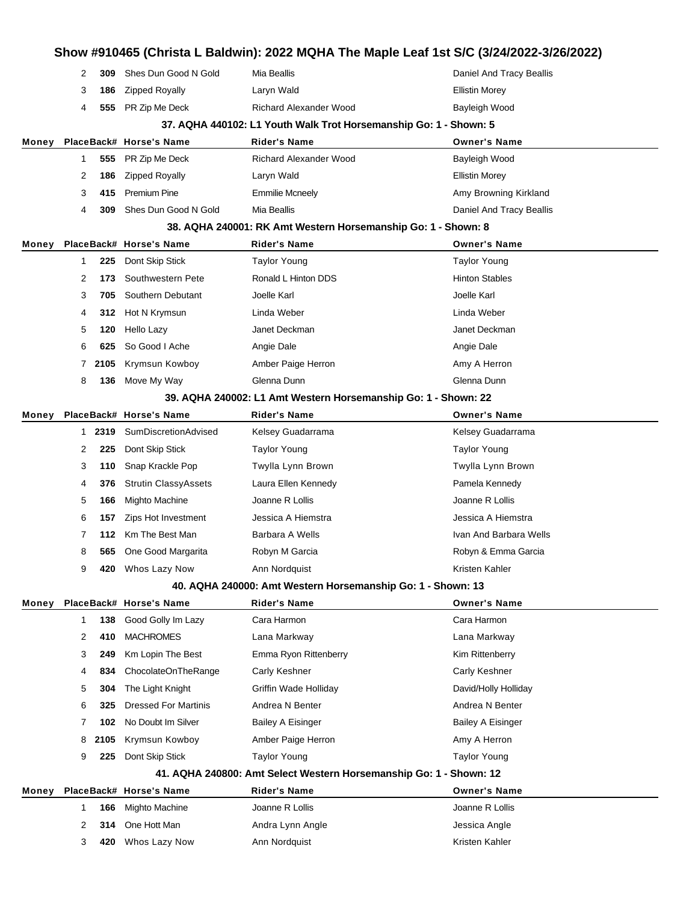|       |   |      |                             |                                                                    | Show #910465 (Christa L Baldwin): 2022 MQHA The Maple Leaf 1st S/C (3/24/2022-3/26/2022) |
|-------|---|------|-----------------------------|--------------------------------------------------------------------|------------------------------------------------------------------------------------------|
|       | 2 | 309  | Shes Dun Good N Gold        | Mia Beallis                                                        | Daniel And Tracy Beallis                                                                 |
|       | 3 | 186  | <b>Zipped Royally</b>       | Laryn Wald                                                         | <b>Ellistin Morey</b>                                                                    |
|       | 4 | 555  | PR Zip Me Deck              | <b>Richard Alexander Wood</b>                                      | Bayleigh Wood                                                                            |
|       |   |      |                             | 37. AQHA 440102: L1 Youth Walk Trot Horsemanship Go: 1 - Shown: 5  |                                                                                          |
| Money |   |      | PlaceBack# Horse's Name     | <b>Rider's Name</b>                                                | <b>Owner's Name</b>                                                                      |
|       | 1 | 555  | PR Zip Me Deck              | <b>Richard Alexander Wood</b>                                      | Bayleigh Wood                                                                            |
|       | 2 | 186  | <b>Zipped Royally</b>       | Laryn Wald                                                         | <b>Ellistin Morey</b>                                                                    |
|       | 3 | 415  | <b>Premium Pine</b>         | <b>Emmilie Mcneely</b>                                             | Amy Browning Kirkland                                                                    |
|       | 4 | 309  | Shes Dun Good N Gold        | Mia Beallis                                                        | Daniel And Tracy Beallis                                                                 |
|       |   |      |                             | 38. AQHA 240001: RK Amt Western Horsemanship Go: 1 - Shown: 8      |                                                                                          |
| Money |   |      | PlaceBack# Horse's Name     | Rider's Name                                                       | <b>Owner's Name</b>                                                                      |
|       | 1 | 225  | Dont Skip Stick             | <b>Taylor Young</b>                                                | <b>Taylor Young</b>                                                                      |
|       | 2 | 173  | Southwestern Pete           | Ronald L Hinton DDS                                                | <b>Hinton Stables</b>                                                                    |
|       | 3 | 705  | Southern Debutant           | Joelle Karl                                                        | Joelle Karl                                                                              |
|       | 4 | 312  | Hot N Krymsun               | Linda Weber                                                        | Linda Weber                                                                              |
|       | 5 | 120  | Hello Lazy                  | Janet Deckman                                                      | Janet Deckman                                                                            |
|       | 6 | 625  | So Good I Ache              | Angie Dale                                                         | Angie Dale                                                                               |
|       | 7 | 2105 | Krymsun Kowboy              | Amber Paige Herron                                                 | Amy A Herron                                                                             |
|       | 8 | 136  | Move My Way                 | Glenna Dunn                                                        | Glenna Dunn                                                                              |
|       |   |      |                             | 39. AQHA 240002: L1 Amt Western Horsemanship Go: 1 - Shown: 22     |                                                                                          |
| Money |   |      | PlaceBack# Horse's Name     | <b>Rider's Name</b>                                                | <b>Owner's Name</b>                                                                      |
|       | 1 | 2319 | SumDiscretionAdvised        | Kelsey Guadarrama                                                  | Kelsey Guadarrama                                                                        |
|       | 2 | 225  | Dont Skip Stick             | <b>Taylor Young</b>                                                | <b>Taylor Young</b>                                                                      |
|       | 3 | 110  | Snap Krackle Pop            | Twylla Lynn Brown                                                  | Twylla Lynn Brown                                                                        |
|       | 4 | 376  | <b>Strutin ClassyAssets</b> | Laura Ellen Kennedy                                                | Pamela Kennedy                                                                           |
|       | 5 | 166  | Mighto Machine              | Joanne R Lollis                                                    | Joanne R Lollis                                                                          |
|       | 6 | 157  | Zips Hot Investment         | Jessica A Hiemstra                                                 | Jessica A Hiemstra                                                                       |
|       | 7 | 112  | Km The Best Man             | Barbara A Wells                                                    | Ivan And Barbara Wells                                                                   |
|       | 8 | 565  | One Good Margarita          | Robyn M Garcia                                                     | Robyn & Emma Garcia                                                                      |
|       | 9 | 420  | Whos Lazy Now               | Ann Nordquist                                                      | Kristen Kahler                                                                           |
|       |   |      |                             | 40. AQHA 240000: Amt Western Horsemanship Go: 1 - Shown: 13        |                                                                                          |
| Money |   |      | PlaceBack# Horse's Name     | <b>Rider's Name</b>                                                | <b>Owner's Name</b>                                                                      |
|       | 1 | 138  | Good Golly Im Lazy          | Cara Harmon                                                        | Cara Harmon                                                                              |
|       | 2 | 410  | <b>MACHROMES</b>            | Lana Markway                                                       | Lana Markway                                                                             |
|       | 3 | 249  | Km Lopin The Best           | Emma Ryon Rittenberry                                              | Kim Rittenberry                                                                          |
|       | 4 | 834  | ChocolateOnTheRange         | Carly Keshner                                                      | Carly Keshner                                                                            |
|       | 5 | 304  | The Light Knight            | Griffin Wade Holliday                                              | David/Holly Holliday                                                                     |
|       | 6 | 325  | <b>Dressed For Martinis</b> | Andrea N Benter                                                    | Andrea N Benter                                                                          |
|       | 7 | 102  | No Doubt Im Silver          | <b>Bailey A Eisinger</b>                                           | <b>Bailey A Eisinger</b>                                                                 |
|       | 8 | 2105 | Krymsun Kowboy              | Amber Paige Herron                                                 | Amy A Herron                                                                             |
|       | 9 | 225  | Dont Skip Stick             | Taylor Young                                                       | <b>Taylor Young</b>                                                                      |
|       |   |      |                             | 41. AQHA 240800: Amt Select Western Horsemanship Go: 1 - Shown: 12 |                                                                                          |
| Money |   |      | PlaceBack# Horse's Name     | <b>Rider's Name</b>                                                | <b>Owner's Name</b>                                                                      |
|       | 1 | 166  | Mighto Machine              | Joanne R Lollis                                                    | Joanne R Lollis                                                                          |
|       | 2 | 314  | One Hott Man                | Andra Lynn Angle                                                   | Jessica Angle                                                                            |
|       | 3 | 420  | Whos Lazy Now               | Ann Nordquist                                                      | Kristen Kahler                                                                           |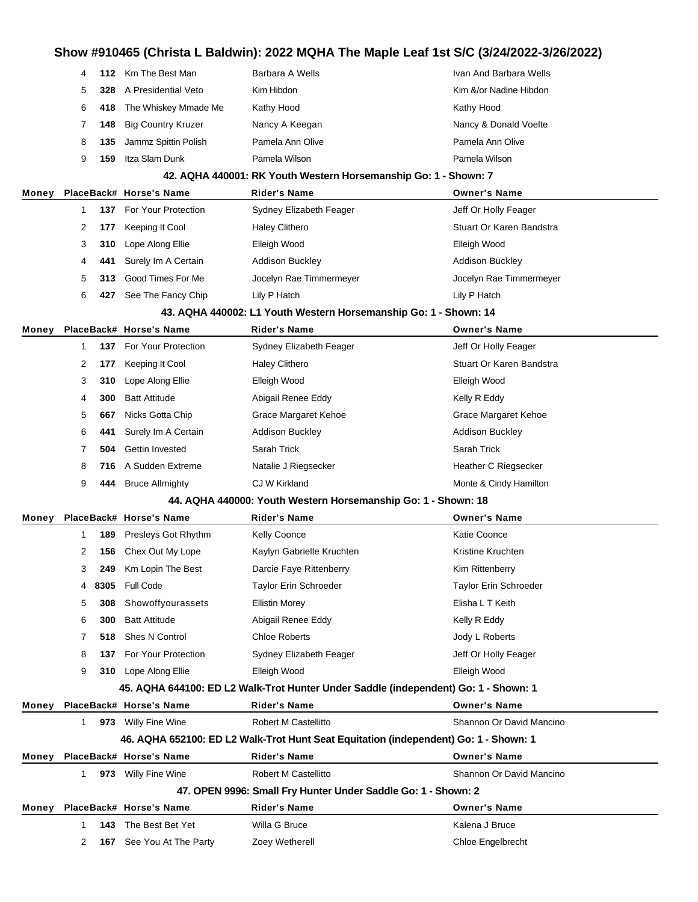|       | 4            | 112 | Km The Best Man           | Barbara A Wells                                                                      | Ivan And Barbara Wells   |
|-------|--------------|-----|---------------------------|--------------------------------------------------------------------------------------|--------------------------|
|       | 5            | 328 | A Presidential Veto       | Kim Hibdon                                                                           | Kim &/or Nadine Hibdon   |
|       | 6            | 418 | The Whiskey Mmade Me      | Kathy Hood                                                                           | Kathy Hood               |
|       | 7            | 148 | <b>Big Country Kruzer</b> | Nancy A Keegan                                                                       | Nancy & Donald Voelte    |
|       | 8            | 135 | Jammz Spittin Polish      | Pamela Ann Olive                                                                     | Pamela Ann Olive         |
|       | 9            | 159 | Itza Slam Dunk            | Pamela Wilson                                                                        | Pamela Wilson            |
|       |              |     |                           | 42. AQHA 440001: RK Youth Western Horsemanship Go: 1 - Shown: 7                      |                          |
| Money |              |     | PlaceBack# Horse's Name   | <b>Rider's Name</b>                                                                  | <b>Owner's Name</b>      |
|       | $\mathbf{1}$ |     | 137 For Your Protection   | Sydney Elizabeth Feager                                                              | Jeff Or Holly Feager     |
|       | 2            | 177 | Keeping It Cool           | <b>Haley Clithero</b>                                                                | Stuart Or Karen Bandstra |
|       | 3            | 310 | Lope Along Ellie          | Elleigh Wood                                                                         | Elleigh Wood             |
|       | 4            | 441 | Surely Im A Certain       | <b>Addison Buckley</b>                                                               | <b>Addison Buckley</b>   |
|       | 5            | 313 | Good Times For Me         | Jocelyn Rae Timmermeyer                                                              | Jocelyn Rae Timmermeyer  |
|       | 6            | 427 | See The Fancy Chip        | Lily P Hatch                                                                         | Lily P Hatch             |
|       |              |     |                           | 43. AQHA 440002: L1 Youth Western Horsemanship Go: 1 - Shown: 14                     |                          |
| Money |              |     | PlaceBack# Horse's Name   | <b>Rider's Name</b>                                                                  | <b>Owner's Name</b>      |
|       | 1            | 137 | For Your Protection       | Sydney Elizabeth Feager                                                              | Jeff Or Holly Feager     |
|       | 2            | 177 | Keeping It Cool           | <b>Haley Clithero</b>                                                                | Stuart Or Karen Bandstra |
|       | 3            | 310 | Lope Along Ellie          | Elleigh Wood                                                                         | Elleigh Wood             |
|       | 4            | 300 | <b>Batt Attitude</b>      | Abigail Renee Eddy                                                                   | Kelly R Eddy             |
|       | 5            | 667 | Nicks Gotta Chip          | Grace Margaret Kehoe                                                                 | Grace Margaret Kehoe     |
|       | 6            | 441 | Surely Im A Certain       | <b>Addison Buckley</b>                                                               | <b>Addison Buckley</b>   |
|       | 7            | 504 | Gettin Invested           | Sarah Trick                                                                          | Sarah Trick              |
|       | 8            | 716 | A Sudden Extreme          | Natalie J Riegsecker                                                                 | Heather C Riegsecker     |
|       | 9            | 444 | <b>Bruce Allmighty</b>    | CJ W Kirkland                                                                        | Monte & Cindy Hamilton   |
|       |              |     |                           | 44. AQHA 440000: Youth Western Horsemanship Go: 1 - Shown: 18                        |                          |
| Money |              |     | PlaceBack# Horse's Name   | <b>Rider's Name</b>                                                                  | <b>Owner's Name</b>      |
|       | 1            | 189 | Presleys Got Rhythm       | <b>Kelly Coonce</b>                                                                  | Katie Coonce             |
|       | 2            | 156 | Chex Out My Lope          | Kaylyn Gabrielle Kruchten                                                            | Kristine Kruchten        |
|       | 3            | 249 | Km Lopin The Best         | Darcie Faye Rittenberry                                                              | Kim Rittenberry          |
|       | 4            |     | 8305 Full Code            | Taylor Erin Schroeder                                                                | Taylor Erin Schroeder    |
|       | 5            | 308 | Showoffyourassets         | <b>Ellistin Morey</b>                                                                | Elisha L T Keith         |
|       | 6            | 300 | <b>Batt Attitude</b>      | Abigail Renee Eddy                                                                   | Kelly R Eddy             |
|       | 7            | 518 | Shes N Control            | <b>Chloe Roberts</b>                                                                 | Jody L Roberts           |
|       | 8            | 137 | For Your Protection       | Sydney Elizabeth Feager                                                              | Jeff Or Holly Feager     |
|       | 9            |     | 310 Lope Along Ellie      | Elleigh Wood                                                                         | Elleigh Wood             |
|       |              |     |                           | 45. AQHA 644100: ED L2 Walk-Trot Hunter Under Saddle (independent) Go: 1 - Shown: 1  |                          |
| Money |              |     | PlaceBack# Horse's Name   | <b>Rider's Name</b>                                                                  | <b>Owner's Name</b>      |
|       |              |     | 1 973 Willy Fine Wine     | Robert M Castellitto                                                                 | Shannon Or David Mancino |
|       |              |     |                           | 46. AQHA 652100: ED L2 Walk-Trot Hunt Seat Equitation (independent) Go: 1 - Shown: 1 |                          |
| Money |              |     | PlaceBack# Horse's Name   | <b>Rider's Name</b>                                                                  | <b>Owner's Name</b>      |
|       | $1 \quad$    |     | 973 Willy Fine Wine       | Robert M Castellitto                                                                 | Shannon Or David Mancino |
|       |              |     |                           | 47. OPEN 9996: Small Fry Hunter Under Saddle Go: 1 - Shown: 2                        |                          |
| Money |              |     | PlaceBack# Horse's Name   | <b>Rider's Name</b>                                                                  | <b>Owner's Name</b>      |
|       | 1            | 143 | The Best Bet Yet          | Willa G Bruce                                                                        | Kalena J Bruce           |
|       | 2            |     | 167 See You At The Party  | Zoey Wetherell                                                                       | Chloe Engelbrecht        |
|       |              |     |                           |                                                                                      |                          |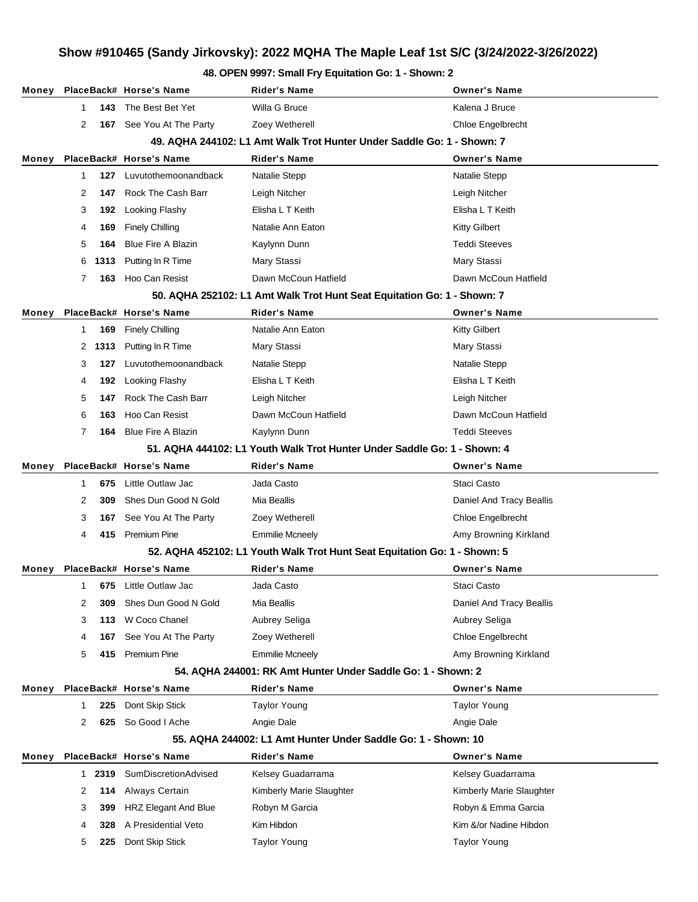#### **48. OPEN 9997: Small Fry Equitation Go: 1 - Shown: 2**

|       |             |      | Money PlaceBack# Horse's Name     | Rider's Name                                                                         | <b>Owner's Name</b>      |
|-------|-------------|------|-----------------------------------|--------------------------------------------------------------------------------------|--------------------------|
|       | $\mathbf 1$ | 143  | The Best Bet Yet                  | Willa G Bruce                                                                        | Kalena J Bruce           |
|       | 2           | 167  | See You At The Party              | Zoey Wetherell                                                                       | Chloe Engelbrecht        |
|       |             |      |                                   | 49. AQHA 244102: L1 Amt Walk Trot Hunter Under Saddle Go: 1 - Shown: 7               |                          |
| Money |             |      | PlaceBack# Horse's Name           | Rider's Name                                                                         | <b>Owner's Name</b>      |
|       | $\mathbf 1$ | 127  | Luvutothemoonandback              | Natalie Stepp                                                                        | Natalie Stepp            |
|       | 2           | 147  | Rock The Cash Barr                | Leigh Nitcher                                                                        | Leigh Nitcher            |
|       | 3           | 192  | Looking Flashy                    | Elisha L T Keith                                                                     | Elisha L T Keith         |
|       | 4           | 169  | <b>Finely Chilling</b>            | Natalie Ann Eaton                                                                    | <b>Kitty Gilbert</b>     |
|       | 5           | 164  | <b>Blue Fire A Blazin</b>         | Kaylynn Dunn                                                                         | <b>Teddi Steeves</b>     |
|       | 6           | 1313 | Putting In R Time                 | Mary Stassi                                                                          | Mary Stassi              |
|       | 7           | 163  | Hoo Can Resist                    | Dawn McCoun Hatfield                                                                 | Dawn McCoun Hatfield     |
|       |             |      |                                   | 50. AQHA 252102: L1 Amt Walk Trot Hunt Seat Equitation Go: 1 - Shown: 7              |                          |
| Money |             |      | PlaceBack# Horse's Name           | <b>Rider's Name</b>                                                                  | <b>Owner's Name</b>      |
|       | 1           | 169  | <b>Finely Chilling</b>            | Natalie Ann Eaton                                                                    | <b>Kitty Gilbert</b>     |
|       | 2           | 1313 | Putting In R Time                 | Mary Stassi                                                                          | Mary Stassi              |
|       | 3           | 127  | Luvutothemoonandback              | Natalie Stepp                                                                        | Natalie Stepp            |
|       | 4           | 192  | Looking Flashy                    | Elisha L T Keith                                                                     | Elisha L T Keith         |
|       | 5           | 147  | Rock The Cash Barr                | Leigh Nitcher                                                                        | Leigh Nitcher            |
|       | 6           | 163  | Hoo Can Resist                    | Dawn McCoun Hatfield                                                                 | Dawn McCoun Hatfield     |
|       | 7           | 164  | <b>Blue Fire A Blazin</b>         | Kaylynn Dunn                                                                         | <b>Teddi Steeves</b>     |
|       |             |      |                                   | 51, AQHA 444102: L1 Youth Walk Trot Hunter Under Saddle Go: 1 - Shown: 4             |                          |
| Money |             |      | PlaceBack# Horse's Name           | <b>Rider's Name</b>                                                                  | <b>Owner's Name</b>      |
|       | 1           | 675  | Little Outlaw Jac                 | Jada Casto                                                                           | Staci Casto              |
|       | 2           | 309  | Shes Dun Good N Gold              | Mia Beallis                                                                          | Daniel And Tracy Beallis |
|       | 3           | 167  | See You At The Party              | Zoey Wetherell                                                                       | Chloe Engelbrecht        |
|       | 4           | 415  | Premium Pine                      | <b>Emmilie Mcneely</b>                                                               | Amy Browning Kirkland    |
|       |             |      |                                   | 52. AQHA 452102: L1 Youth Walk Trot Hunt Seat Equitation Go: 1 - Shown: 5            |                          |
| Money |             |      | PlaceBack# Horse's Name           | <b>Rider's Name</b>                                                                  | <b>Owner's Name</b>      |
|       | 1.          |      | 675 Little Outlaw Jac             | Jada Casto                                                                           | Staci Casto              |
|       | 2           | 309  | Shes Dun Good N Gold              | Mia Beallis                                                                          | Daniel And Tracy Beallis |
|       | 3           | 113  | W Coco Chanel                     | Aubrey Seliga                                                                        | Aubrey Seliga            |
|       | 4           | 167  | See You At The Party              | Zoey Wetherell                                                                       | Chloe Engelbrecht        |
|       | 5           | 415  | Premium Pine                      | <b>Emmilie Mcneely</b>                                                               | Amy Browning Kirkland    |
|       |             |      |                                   | 54. AQHA 244001: RK Amt Hunter Under Saddle Go: 1 - Shown: 2                         |                          |
| Money |             |      | PlaceBack# Horse's Name           | <b>Rider's Name</b>                                                                  | <b>Owner's Name</b>      |
|       | 1           | 225  | Dont Skip Stick<br>So Good I Ache | <b>Taylor Young</b>                                                                  | Taylor Young             |
|       | 2           | 625  |                                   | Angie Dale                                                                           | Angie Dale               |
|       |             |      | PlaceBack# Horse's Name           | 55. AQHA 244002: L1 Amt Hunter Under Saddle Go: 1 - Shown: 10<br><b>Rider's Name</b> | <b>Owner's Name</b>      |
| Money | 1           | 2319 | SumDiscretionAdvised              | Kelsey Guadarrama                                                                    | Kelsey Guadarrama        |
|       | 2           | 114  | Always Certain                    | Kimberly Marie Slaughter                                                             | Kimberly Marie Slaughter |
|       | 3           | 399  | <b>HRZ Elegant And Blue</b>       | Robyn M Garcia                                                                       | Robyn & Emma Garcia      |
|       | 4           | 328  | A Presidential Veto               | Kim Hibdon                                                                           | Kim &/or Nadine Hibdon   |
|       | 5           | 225  | Dont Skip Stick                   | <b>Taylor Young</b>                                                                  | <b>Taylor Young</b>      |
|       |             |      |                                   |                                                                                      |                          |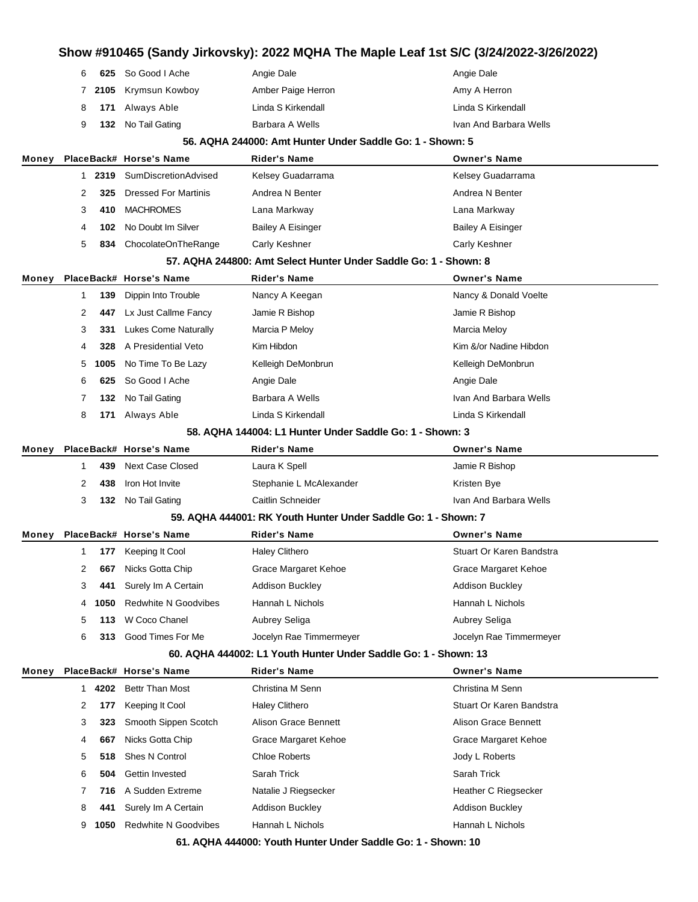|       | 6 |      | 625 So Good I Ache          | Angie Dale                                                       | Angie Dale                  |
|-------|---|------|-----------------------------|------------------------------------------------------------------|-----------------------------|
|       | 7 | 2105 | Krymsun Kowboy              | Amber Paige Herron                                               | Amy A Herron                |
|       | 8 | 171  | Always Able                 | Linda S Kirkendall                                               | Linda S Kirkendall          |
|       | 9 | 132  | No Tail Gating              | Barbara A Wells                                                  | Ivan And Barbara Wells      |
|       |   |      |                             | 56. AQHA 244000: Amt Hunter Under Saddle Go: 1 - Shown: 5        |                             |
| Money |   |      | PlaceBack# Horse's Name     | Rider's Name                                                     | <b>Owner's Name</b>         |
|       | 1 | 2319 | SumDiscretionAdvised        | Kelsey Guadarrama                                                | Kelsey Guadarrama           |
|       | 2 | 325  | <b>Dressed For Martinis</b> | Andrea N Benter                                                  | Andrea N Benter             |
|       | 3 | 410  | <b>MACHROMES</b>            | Lana Markway                                                     | Lana Markway                |
|       | 4 | 102  | No Doubt Im Silver          | <b>Bailey A Eisinger</b>                                         | <b>Bailey A Eisinger</b>    |
|       | 5 | 834  | ChocolateOnTheRange         | Carly Keshner                                                    | Carly Keshner               |
|       |   |      |                             | 57. AQHA 244800: Amt Select Hunter Under Saddle Go: 1 - Shown: 8 |                             |
| Money |   |      | PlaceBack# Horse's Name     | Rider's Name                                                     | <b>Owner's Name</b>         |
|       | 1 | 139  | Dippin Into Trouble         | Nancy A Keegan                                                   | Nancy & Donald Voelte       |
|       | 2 | 447  | Lx Just Callme Fancy        | Jamie R Bishop                                                   | Jamie R Bishop              |
|       | 3 | 331  | <b>Lukes Come Naturally</b> | Marcia P Meloy                                                   | Marcia Meloy                |
|       | 4 | 328  | A Presidential Veto         | Kim Hibdon                                                       | Kim &/or Nadine Hibdon      |
|       | 5 | 1005 | No Time To Be Lazy          | Kelleigh DeMonbrun                                               | Kelleigh DeMonbrun          |
|       | 6 | 625  | So Good I Ache              | Angie Dale                                                       | Angie Dale                  |
|       | 7 | 132  | No Tail Gating              | Barbara A Wells                                                  | Ivan And Barbara Wells      |
|       | 8 | 171  | Always Able                 | Linda S Kirkendall                                               | Linda S Kirkendall          |
|       |   |      |                             | 58. AQHA 144004: L1 Hunter Under Saddle Go: 1 - Shown: 3         |                             |
| Money |   |      | PlaceBack# Horse's Name     | <b>Rider's Name</b>                                              | <b>Owner's Name</b>         |
|       | 1 | 439  | <b>Next Case Closed</b>     | Laura K Spell                                                    | Jamie R Bishop              |
|       | 2 | 438  | Iron Hot Invite             | Stephanie L McAlexander                                          | Kristen Bye                 |
|       | 3 | 132  | No Tail Gating              | Caitlin Schneider                                                | Ivan And Barbara Wells      |
|       |   |      |                             | 59. AQHA 444001: RK Youth Hunter Under Saddle Go: 1 - Shown: 7   |                             |
| Money |   |      | PlaceBack# Horse's Name     | Rider's Name                                                     | <b>Owner's Name</b>         |
|       | 1 | 177  | Keeping It Cool             | <b>Haley Clithero</b>                                            | Stuart Or Karen Bandstra    |
|       | 2 |      | 667 Nicks Gotta Chip        | Grace Margaret Kehoe                                             | Grace Margaret Kehoe        |
|       | 3 | 441  | Surely Im A Certain         | <b>Addison Buckley</b>                                           | <b>Addison Buckley</b>      |
|       | 4 | 1050 | <b>Redwhite N Goodvibes</b> | Hannah L Nichols                                                 | Hannah L Nichols            |
|       | 5 | 113  | W Coco Chanel               | Aubrey Seliga                                                    | Aubrey Seliga               |
|       | 6 | 313  | Good Times For Me           | Jocelyn Rae Timmermeyer                                          | Jocelyn Rae Timmermeyer     |
|       |   |      |                             | 60. AQHA 444002: L1 Youth Hunter Under Saddle Go: 1 - Shown: 13  |                             |
| Money |   |      | PlaceBack# Horse's Name     | <b>Rider's Name</b>                                              | <b>Owner's Name</b>         |
|       | 1 | 4202 | <b>Bettr Than Most</b>      | Christina M Senn                                                 | Christina M Senn            |
|       | 2 | 177  | Keeping It Cool             | <b>Haley Clithero</b>                                            | Stuart Or Karen Bandstra    |
|       | 3 | 323  | Smooth Sippen Scotch        | Alison Grace Bennett                                             | <b>Alison Grace Bennett</b> |
|       | 4 | 667  | Nicks Gotta Chip            | Grace Margaret Kehoe                                             | Grace Margaret Kehoe        |
|       | 5 | 518  | Shes N Control              | <b>Chloe Roberts</b>                                             | Jody L Roberts              |
|       | 6 | 504  | Gettin Invested             | Sarah Trick                                                      | Sarah Trick                 |
|       | 7 | 716  | A Sudden Extreme            | Natalie J Riegsecker                                             | Heather C Riegsecker        |
|       | 8 | 441  | Surely Im A Certain         | <b>Addison Buckley</b>                                           | <b>Addison Buckley</b>      |
|       | 9 | 1050 | <b>Redwhite N Goodvibes</b> | Hannah L Nichols                                                 | Hannah L Nichols            |
|       |   |      |                             | 61. AQHA 444000: Youth Hunter Under Saddle Go: 1 - Shown: 10     |                             |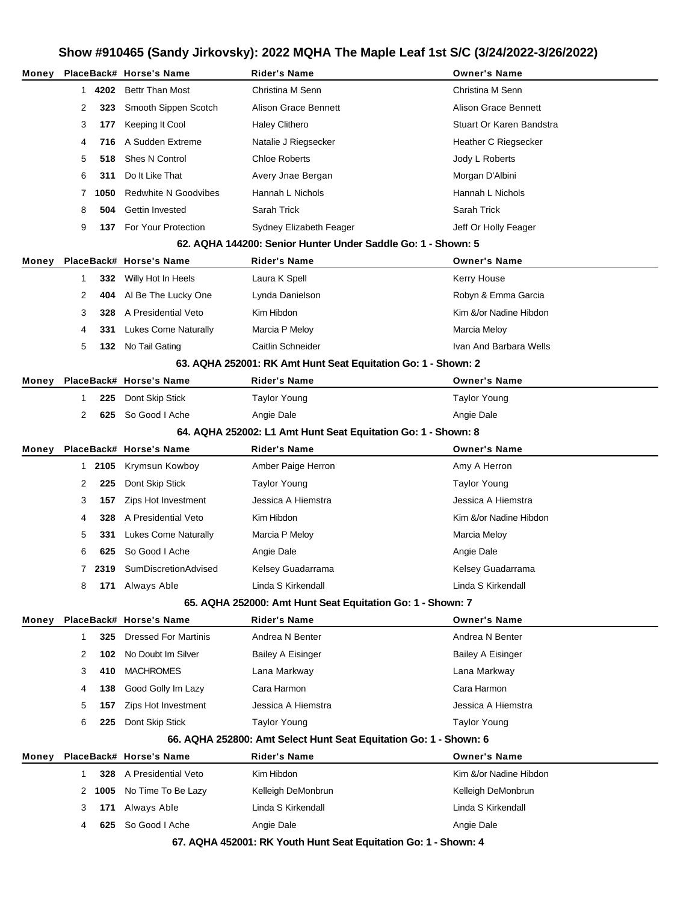| Money |              |      | PlaceBack# Horse's Name     | Rider's Name                                                      | <b>Owner's Name</b>         |
|-------|--------------|------|-----------------------------|-------------------------------------------------------------------|-----------------------------|
|       | $\mathbf{1}$ | 4202 | <b>Bettr Than Most</b>      | Christina M Senn                                                  | Christina M Senn            |
|       | 2            | 323  | Smooth Sippen Scotch        | Alison Grace Bennett                                              | <b>Alison Grace Bennett</b> |
|       | 3            | 177  | Keeping It Cool             | Haley Clithero                                                    | Stuart Or Karen Bandstra    |
|       | 4            | 716  | A Sudden Extreme            | Natalie J Riegsecker                                              | Heather C Riegsecker        |
|       | 5            | 518  | Shes N Control              | <b>Chloe Roberts</b>                                              | Jody L Roberts              |
|       | 6            | 311  | Do It Like That             | Avery Jnae Bergan                                                 | Morgan D'Albini             |
|       | 7            | 1050 | <b>Redwhite N Goodvibes</b> | Hannah L Nichols                                                  | Hannah L Nichols            |
|       | 8            | 504  | Gettin Invested             | Sarah Trick                                                       | Sarah Trick                 |
|       | 9            | 137  | For Your Protection         | Sydney Elizabeth Feager                                           | Jeff Or Holly Feager        |
|       |              |      |                             | 62. AQHA 144200: Senior Hunter Under Saddle Go: 1 - Shown: 5      |                             |
| Money |              |      | PlaceBack# Horse's Name     | <b>Rider's Name</b>                                               | <b>Owner's Name</b>         |
|       | 1            | 332  | Willy Hot In Heels          | Laura K Spell                                                     | Kerry House                 |
|       | 2            | 404  | Al Be The Lucky One         | Lynda Danielson                                                   | Robyn & Emma Garcia         |
|       | 3            | 328  | A Presidential Veto         | Kim Hibdon                                                        | Kim &/or Nadine Hibdon      |
|       | 4            | 331  | Lukes Come Naturally        | Marcia P Meloy                                                    | <b>Marcia Meloy</b>         |
|       | 5            | 132  | No Tail Gating              | Caitlin Schneider                                                 | Ivan And Barbara Wells      |
|       |              |      |                             | 63. AQHA 252001: RK Amt Hunt Seat Equitation Go: 1 - Shown: 2     |                             |
| Money |              |      | PlaceBack# Horse's Name     | Rider's Name                                                      | <b>Owner's Name</b>         |
|       | 1            | 225  | Dont Skip Stick             | <b>Taylor Young</b>                                               | <b>Taylor Young</b>         |
|       | 2            | 625  | So Good I Ache              | Angie Dale                                                        | Angie Dale                  |
|       |              |      |                             | 64. AQHA 252002: L1 Amt Hunt Seat Equitation Go: 1 - Shown: 8     |                             |
| Money |              |      | PlaceBack# Horse's Name     | Rider's Name                                                      | <b>Owner's Name</b>         |
|       | $\mathbf{1}$ | 2105 | Krymsun Kowboy              | Amber Paige Herron                                                | Amy A Herron                |
|       | 2            | 225  | Dont Skip Stick             | Taylor Young                                                      | Taylor Young                |
|       | 3            | 157  | Zips Hot Investment         | Jessica A Hiemstra                                                | Jessica A Hiemstra          |
|       | 4            | 328  | A Presidential Veto         | Kim Hibdon                                                        | Kim &/or Nadine Hibdon      |
|       | 5            | 331  | <b>Lukes Come Naturally</b> | Marcia P Meloy                                                    | <b>Marcia Meloy</b>         |
|       | 6            | 625  | So Good I Ache              | Angie Dale                                                        | Angie Dale                  |
|       | 7            |      | 2319 SumDiscretionAdvised   | Kelsey Guadarrama                                                 | Kelsey Guadarrama           |
|       | 8            |      | <b>171</b> Always Able      | Linda S Kirkendall                                                | Linda S Kirkendall          |
|       |              |      |                             | 65. AQHA 252000: Amt Hunt Seat Equitation Go: 1 - Shown: 7        |                             |
| Money |              |      | PlaceBack# Horse's Name     | <b>Rider's Name</b>                                               | <b>Owner's Name</b>         |
|       | 1            | 325  | <b>Dressed For Martinis</b> | Andrea N Benter                                                   | Andrea N Benter             |
|       | 2            | 102  | No Doubt Im Silver          | <b>Bailey A Eisinger</b>                                          | <b>Bailey A Eisinger</b>    |
|       | 3            | 410  | <b>MACHROMES</b>            | Lana Markway                                                      | Lana Markway                |
|       | 4            | 138  | Good Golly Im Lazy          | Cara Harmon                                                       | Cara Harmon                 |
|       | 5            | 157  | Zips Hot Investment         | Jessica A Hiemstra                                                | Jessica A Hiemstra          |
|       | 6            | 225  | Dont Skip Stick             | <b>Taylor Young</b>                                               | <b>Taylor Young</b>         |
|       |              |      |                             | 66. AQHA 252800: Amt Select Hunt Seat Equitation Go: 1 - Shown: 6 |                             |
| Money |              |      | PlaceBack# Horse's Name     | Rider's Name                                                      | <b>Owner's Name</b>         |
|       | 1            | 328  | A Presidential Veto         | Kim Hibdon                                                        | Kim &/or Nadine Hibdon      |
|       | 2            | 1005 | No Time To Be Lazy          | Kelleigh DeMonbrun                                                | Kelleigh DeMonbrun          |
|       | 3            | 171  | Always Able                 | Linda S Kirkendall                                                | Linda S Kirkendall          |
|       | 4            | 625  | So Good I Ache              | Angie Dale                                                        | Angie Dale                  |
|       |              |      |                             | 67. AQHA 452001: RK Youth Hunt Seat Equitation Go: 1 - Shown: 4   |                             |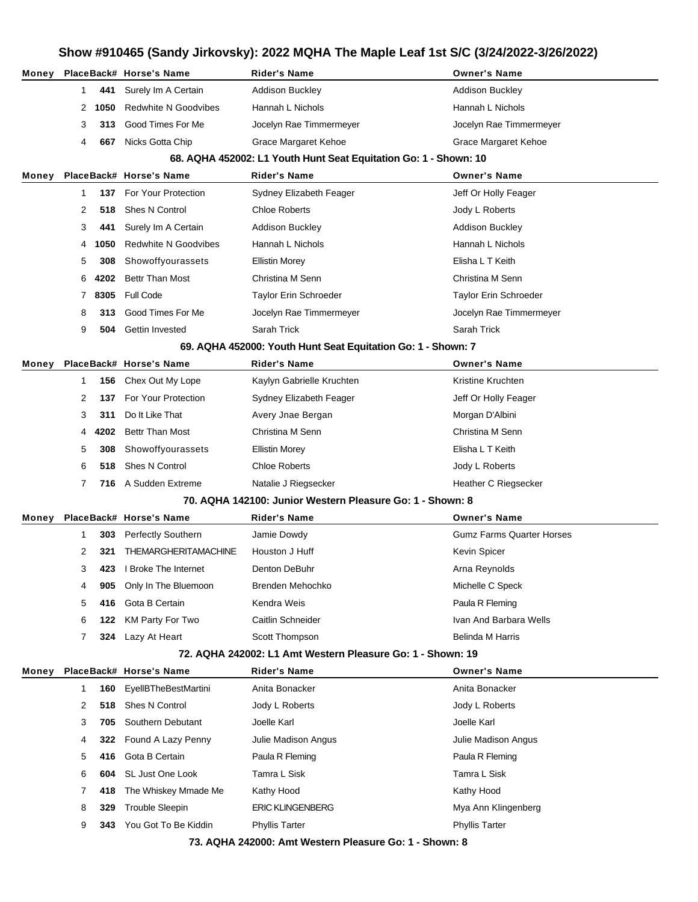|                | Show #910465 (Sandy Jirkovsky): 2022 MQHA The Maple Leaf 1st S/C (3/24/2022-3/26/2022) |      |                             |                                                                  |                                  |
|----------------|----------------------------------------------------------------------------------------|------|-----------------------------|------------------------------------------------------------------|----------------------------------|
| Money          |                                                                                        |      | PlaceBack# Horse's Name     | <b>Rider's Name</b>                                              | <b>Owner's Name</b>              |
|                | 1                                                                                      | 441  | Surely Im A Certain         | <b>Addison Buckley</b>                                           | <b>Addison Buckley</b>           |
|                | 2                                                                                      | 1050 | <b>Redwhite N Goodvibes</b> | Hannah L Nichols                                                 | Hannah L Nichols                 |
|                | 3                                                                                      | 313. | Good Times For Me           | Jocelyn Rae Timmermeyer                                          | Jocelyn Rae Timmermeyer          |
|                | 4                                                                                      | 667  | Nicks Gotta Chip            | Grace Margaret Kehoe                                             | Grace Margaret Kehoe             |
|                |                                                                                        |      |                             | 68. AQHA 452002: L1 Youth Hunt Seat Equitation Go: 1 - Shown: 10 |                                  |
| Money          |                                                                                        |      | PlaceBack# Horse's Name     | <b>Rider's Name</b>                                              | <b>Owner's Name</b>              |
|                | 1                                                                                      | 137  | For Your Protection         | Sydney Elizabeth Feager                                          | Jeff Or Holly Feager             |
|                | 2                                                                                      | 518  | Shes N Control              | <b>Chloe Roberts</b>                                             | Jody L Roberts                   |
|                | 3                                                                                      | 441  | Surely Im A Certain         | <b>Addison Buckley</b>                                           | <b>Addison Buckley</b>           |
|                | 4                                                                                      | 1050 | <b>Redwhite N Goodvibes</b> | Hannah L Nichols                                                 | Hannah L Nichols                 |
|                | 5                                                                                      | 308  | Showoffyourassets           | <b>Ellistin Morey</b>                                            | Elisha L T Keith                 |
|                | 6                                                                                      | 4202 | Bettr Than Most             | Christina M Senn                                                 | Christina M Senn                 |
|                | 7                                                                                      | 8305 | <b>Full Code</b>            | Taylor Erin Schroeder                                            | <b>Taylor Erin Schroeder</b>     |
|                | 8                                                                                      | 313. | Good Times For Me           | Jocelyn Rae Timmermeyer                                          | Jocelyn Rae Timmermeyer          |
|                | 9                                                                                      | 504  | Gettin Invested             | Sarah Trick                                                      | Sarah Trick                      |
|                |                                                                                        |      |                             | 69. AQHA 452000: Youth Hunt Seat Equitation Go: 1 - Shown: 7     |                                  |
| Money          |                                                                                        |      | PlaceBack# Horse's Name     | <b>Rider's Name</b>                                              | <b>Owner's Name</b>              |
|                | 1                                                                                      | 156  | Chex Out My Lope            | Kaylyn Gabrielle Kruchten                                        | Kristine Kruchten                |
|                | 2                                                                                      | 137  | For Your Protection         | Sydney Elizabeth Feager                                          | Jeff Or Holly Feager             |
|                | 3                                                                                      | 311  | Do It Like That             | Avery Jnae Bergan                                                | Morgan D'Albini                  |
|                | 4                                                                                      | 4202 | <b>Bettr Than Most</b>      | Christina M Senn                                                 | Christina M Senn                 |
|                | 5                                                                                      | 308  | Showoffyourassets           | <b>Ellistin Morey</b>                                            | Elisha L T Keith                 |
|                | 6                                                                                      | 518  | <b>Shes N Control</b>       | <b>Chloe Roberts</b>                                             | Jody L Roberts                   |
|                | 7                                                                                      | 716  | A Sudden Extreme            | Natalie J Riegsecker                                             | Heather C Riegsecker             |
|                |                                                                                        |      |                             | 70. AQHA 142100: Junior Western Pleasure Go: 1 - Shown: 8        |                                  |
|                |                                                                                        |      | PlaceBack# Horse's Name     | Rider's Name                                                     | <b>Owner's Name</b>              |
|                |                                                                                        |      |                             |                                                                  |                                  |
|                | 1                                                                                      | 303  | Perfectly Southern          | Jamie Dowdy                                                      | <b>Gumz Farms Quarter Horses</b> |
|                | 2                                                                                      | 321  | THEMARGHERITAMACHINE        | Houston J Huff                                                   | Kevin Spicer                     |
|                | 3                                                                                      | 423  | I Broke The Internet        | Denton DeBuhr                                                    | Arna Reynolds                    |
|                | 4                                                                                      | 905  | Only In The Bluemoon        | Brenden Mehochko                                                 | Michelle C Speck                 |
|                | 5                                                                                      | 416  | Gota B Certain              | Kendra Weis                                                      | Paula R Fleming                  |
|                | 6                                                                                      | 122  | <b>KM Party For Two</b>     | Caitlin Schneider                                                | Ivan And Barbara Wells           |
|                | 7                                                                                      | 324  | Lazy At Heart               | Scott Thompson                                                   | Belinda M Harris                 |
|                |                                                                                        |      |                             | 72. AQHA 242002: L1 Amt Western Pleasure Go: 1 - Shown: 19       |                                  |
|                |                                                                                        |      | PlaceBack# Horse's Name     | <b>Rider's Name</b>                                              | <b>Owner's Name</b>              |
|                | 1                                                                                      | 160  | <b>EyellBTheBestMartini</b> | Anita Bonacker                                                   | Anita Bonacker                   |
|                | 2                                                                                      | 518  | Shes N Control              | Jody L Roberts                                                   | Jody L Roberts                   |
|                | 3                                                                                      | 705  | Southern Debutant           | Joelle Karl                                                      | Joelle Karl                      |
|                | 4                                                                                      | 322  | Found A Lazy Penny          | Julie Madison Angus                                              | Julie Madison Angus              |
|                | 5                                                                                      | 416  | Gota B Certain              | Paula R Fleming                                                  | Paula R Fleming                  |
|                | 6                                                                                      | 604  | SL Just One Look            | Tamra L Sisk                                                     | Tamra L Sisk                     |
|                | 7                                                                                      | 418  | The Whiskey Mmade Me        | Kathy Hood                                                       | Kathy Hood                       |
| Money<br>Money | 8                                                                                      | 329  | <b>Trouble Sleepin</b>      | <b>ERIC KLINGENBERG</b>                                          | Mya Ann Klingenberg              |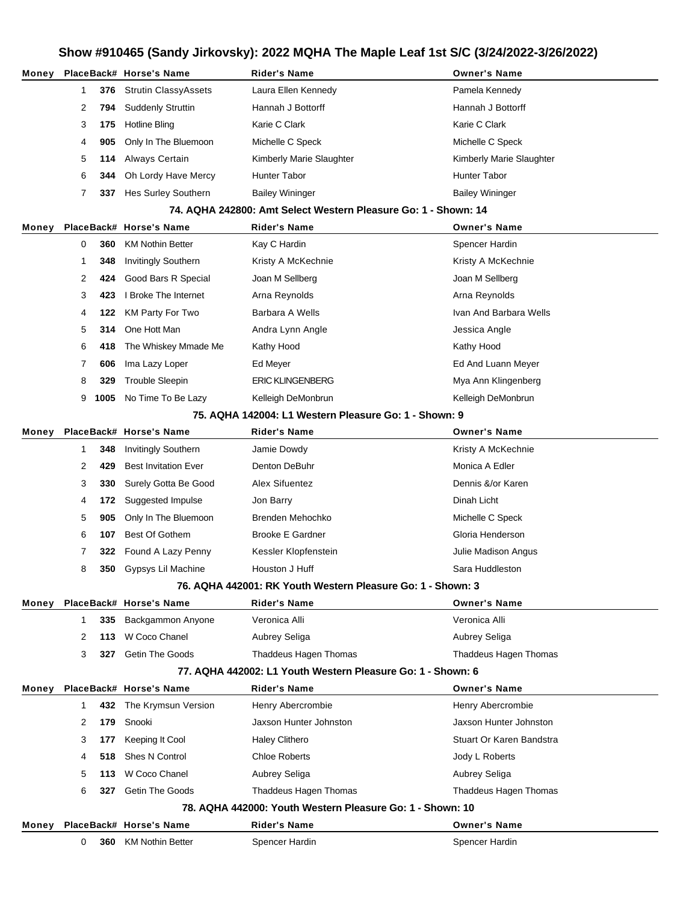| Money |              |      | PlaceBack# Horse's Name       | Rider's Name                                                   | <b>Owner's Name</b>      |
|-------|--------------|------|-------------------------------|----------------------------------------------------------------|--------------------------|
|       | 1            | 376  | <b>Strutin ClassyAssets</b>   | Laura Ellen Kennedy                                            | Pamela Kennedy           |
|       | 2            | 794  | <b>Suddenly Struttin</b>      | Hannah J Bottorff                                              | Hannah J Bottorff        |
|       | 3            | 175  | Hotline Bling                 | Karie C Clark                                                  | Karie C Clark            |
|       | 4            | 905  | Only In The Bluemoon          | Michelle C Speck                                               | Michelle C Speck         |
|       | 5            | 114  | Always Certain                | Kimberly Marie Slaughter                                       | Kimberly Marie Slaughter |
|       | 6            | 344  | Oh Lordy Have Mercy           | Hunter Tabor                                                   | Hunter Tabor             |
|       | 7            | 337  | Hes Surley Southern           | <b>Bailey Wininger</b>                                         | <b>Bailey Wininger</b>   |
|       |              |      |                               | 74. AQHA 242800: Amt Select Western Pleasure Go: 1 - Shown: 14 |                          |
| Money |              |      | PlaceBack# Horse's Name       | <b>Rider's Name</b>                                            | <b>Owner's Name</b>      |
|       | 0            | 360  | <b>KM Nothin Better</b>       | Kay C Hardin                                                   | Spencer Hardin           |
|       | 1            | 348  | <b>Invitingly Southern</b>    | Kristy A McKechnie                                             | Kristy A McKechnie       |
|       | 2            | 424  | Good Bars R Special           | Joan M Sellberg                                                | Joan M Sellberg          |
|       | 3            | 423  | I Broke The Internet          | Arna Reynolds                                                  | Arna Reynolds            |
|       | 4            | 122  | <b>KM Party For Two</b>       | Barbara A Wells                                                | Ivan And Barbara Wells   |
|       | 5            | 314  | One Hott Man                  | Andra Lynn Angle                                               | Jessica Angle            |
|       | 6            | 418  | The Whiskey Mmade Me          | Kathy Hood                                                     | Kathy Hood               |
|       | 7            | 606  | Ima Lazy Loper                | Ed Meyer                                                       | Ed And Luann Meyer       |
|       | 8            | 329  | <b>Trouble Sleepin</b>        | <b>ERIC KLINGENBERG</b>                                        | Mya Ann Klingenberg      |
|       | 9            | 1005 | No Time To Be Lazy            | Kelleigh DeMonbrun                                             | Kelleigh DeMonbrun       |
|       |              |      |                               | 75. AQHA 142004: L1 Western Pleasure Go: 1 - Shown: 9          |                          |
| Money |              |      | PlaceBack# Horse's Name       | Rider's Name                                                   | <b>Owner's Name</b>      |
|       | 1            | 348  | <b>Invitingly Southern</b>    | Jamie Dowdy                                                    | Kristy A McKechnie       |
|       | 2            | 429  | <b>Best Invitation Ever</b>   | Denton DeBuhr                                                  | Monica A Edler           |
|       | 3            | 330  | Surely Gotta Be Good          | Alex Sifuentez                                                 | Dennis &/or Karen        |
|       | 4            | 172  | Suggested Impulse             | Jon Barry                                                      | Dinah Licht              |
|       | 5            | 905  | Only In The Bluemoon          | Brenden Mehochko                                               | Michelle C Speck         |
|       | 6            | 107  | <b>Best Of Gothem</b>         | <b>Brooke E Gardner</b>                                        | Gloria Henderson         |
|       | 7            | 322  | Found A Lazy Penny            | Kessler Klopfenstein                                           | Julie Madison Angus      |
|       | 8            |      | <b>350</b> Gypsys Lil Machine | Houston J Huff                                                 | Sara Huddleston          |
|       |              |      |                               | 76. AQHA 442001: RK Youth Western Pleasure Go: 1 - Shown: 3    |                          |
| Money |              |      | PlaceBack# Horse's Name       | <b>Rider's Name</b>                                            | <b>Owner's Name</b>      |
|       | 1            | 335  | Backgammon Anyone             | Veronica Alli                                                  | Veronica Alli            |
|       | 2            | 113  | W Coco Chanel                 | Aubrey Seliga                                                  | Aubrey Seliga            |
|       | 3            | 327  | <b>Getin The Goods</b>        | Thaddeus Hagen Thomas                                          | Thaddeus Hagen Thomas    |
|       |              |      |                               | 77. AQHA 442002: L1 Youth Western Pleasure Go: 1 - Shown: 6    |                          |
| Money |              |      | PlaceBack# Horse's Name       | <b>Rider's Name</b>                                            | <b>Owner's Name</b>      |
|       | $\mathbf{1}$ | 432  | The Krymsun Version           | Henry Abercrombie                                              | Henry Abercrombie        |
|       | 2            | 179  | Snooki                        | Jaxson Hunter Johnston                                         | Jaxson Hunter Johnston   |
|       | 3            | 177  | Keeping It Cool               | <b>Haley Clithero</b>                                          | Stuart Or Karen Bandstra |
|       | 4            | 518  | Shes N Control                | <b>Chloe Roberts</b>                                           | Jody L Roberts           |
|       | 5            | 113  | W Coco Chanel                 | Aubrey Seliga                                                  | Aubrey Seliga            |
|       | 6            | 327  | <b>Getin The Goods</b>        | Thaddeus Hagen Thomas                                          | Thaddeus Hagen Thomas    |
|       |              |      |                               | 78. AQHA 442000: Youth Western Pleasure Go: 1 - Shown: 10      |                          |
| Money |              |      | PlaceBack# Horse's Name       | Rider's Name                                                   | <b>Owner's Name</b>      |
|       | 0            | 360  | <b>KM Nothin Better</b>       | Spencer Hardin                                                 | Spencer Hardin           |
|       |              |      |                               |                                                                |                          |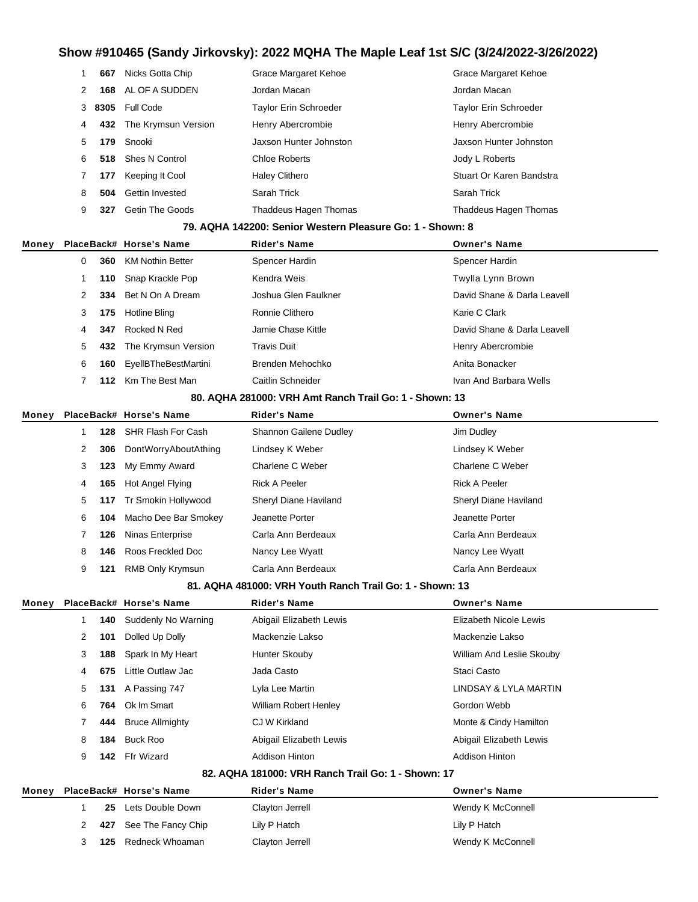|       |   |      | $10010100$ (Valia)        | $\frac{1}{2}$<br>, _,,, ,,, ,, ,, ,,                      |                              |
|-------|---|------|---------------------------|-----------------------------------------------------------|------------------------------|
|       | 1 | 667  | Nicks Gotta Chip          | <b>Grace Margaret Kehoe</b>                               | <b>Grace Margaret Kehoe</b>  |
|       | 2 | 168  | AL OF A SUDDEN            | Jordan Macan                                              | Jordan Macan                 |
|       | 3 | 8305 | <b>Full Code</b>          | <b>Taylor Erin Schroeder</b>                              | <b>Taylor Erin Schroeder</b> |
|       | 4 | 432  | The Krymsun Version       | Henry Abercrombie                                         | Henry Abercrombie            |
|       | 5 | 179  | Snooki                    | Jaxson Hunter Johnston                                    | Jaxson Hunter Johnston       |
|       | 6 | 518  | Shes N Control            | <b>Chloe Roberts</b>                                      | Jody L Roberts               |
|       | 7 | 177  | Keeping It Cool           | <b>Haley Clithero</b>                                     | Stuart Or Karen Bandstra     |
|       | 8 | 504  | Gettin Invested           | Sarah Trick                                               | Sarah Trick                  |
|       | 9 | 327  | <b>Getin The Goods</b>    | Thaddeus Hagen Thomas                                     | Thaddeus Hagen Thomas        |
|       |   |      |                           | 79. AQHA 142200: Senior Western Pleasure Go: 1 - Shown: 8 |                              |
| Money |   |      | PlaceBack# Horse's Name   | <b>Rider's Name</b>                                       | <b>Owner's Name</b>          |
|       | 0 | 360  | <b>KM Nothin Better</b>   | Spencer Hardin                                            | Spencer Hardin               |
|       | 1 | 110  | Snap Krackle Pop          | Kendra Weis                                               | Twylla Lynn Brown            |
|       | 2 | 334  | Bet N On A Dream          | Joshua Glen Faulkner                                      | David Shane & Darla Leavell  |
|       | 3 | 175  | <b>Hotline Bling</b>      | Ronnie Clithero                                           | Karie C Clark                |
|       | 4 | 347  | Rocked N Red              | Jamie Chase Kittle                                        | David Shane & Darla Leavell  |
|       | 5 | 432  | The Krymsun Version       | <b>Travis Duit</b>                                        | Henry Abercrombie            |
|       | 6 | 160  | EyellBTheBestMartini      | Brenden Mehochko                                          | Anita Bonacker               |
|       | 7 | 112  | Km The Best Man           | Caitlin Schneider                                         | Ivan And Barbara Wells       |
|       |   |      |                           | 80. AQHA 281000: VRH Amt Ranch Trail Go: 1 - Shown: 13    |                              |
| Money |   |      | PlaceBack# Horse's Name   | <b>Rider's Name</b>                                       | <b>Owner's Name</b>          |
|       | 1 | 128  | <b>SHR Flash For Cash</b> | Shannon Gailene Dudley                                    | Jim Dudley                   |
|       | 2 | 306  | DontWorryAboutAthing      | Lindsey K Weber                                           | Lindsey K Weber              |
|       | 3 | 123  | My Emmy Award             | Charlene C Weber                                          | Charlene C Weber             |
|       | 4 | 165  | Hot Angel Flying          | <b>Rick A Peeler</b>                                      | <b>Rick A Peeler</b>         |
|       | 5 | 117  | Tr Smokin Hollywood       | Sheryl Diane Haviland                                     | Sheryl Diane Haviland        |
|       | 6 | 104  | Macho Dee Bar Smokey      | Jeanette Porter                                           | Jeanette Porter              |
|       | 7 | 126  | Ninas Enterprise          | Carla Ann Berdeaux                                        | Carla Ann Berdeaux           |
|       | 8 | 146  | Roos Freckled Doc         | Nancy Lee Wyatt                                           | Nancy Lee Wyatt              |
|       | 9 |      | 121 RMB Only Krymsun      | Carla Ann Berdeaux                                        | Carla Ann Berdeaux           |
|       |   |      |                           | 81. AQHA 481000: VRH Youth Ranch Trail Go: 1 - Shown: 13  |                              |
| Money |   |      | PlaceBack# Horse's Name   | <b>Rider's Name</b>                                       | <b>Owner's Name</b>          |
|       | 1 | 140  | Suddenly No Warning       | Abigail Elizabeth Lewis                                   | Elizabeth Nicole Lewis       |
|       | 2 | 101  | Dolled Up Dolly           | Mackenzie Lakso                                           | Mackenzie Lakso              |
|       | 3 | 188  | Spark In My Heart         | Hunter Skouby                                             | William And Leslie Skouby    |
|       | 4 | 675  | Little Outlaw Jac         | Jada Casto                                                | Staci Casto                  |
|       | 5 | 131  | A Passing 747             | Lyla Lee Martin                                           | LINDSAY & LYLA MARTIN        |
|       | 6 | 764  | Ok Im Smart               | <b>William Robert Henley</b>                              | Gordon Webb                  |
|       | 7 | 444  | <b>Bruce Allmighty</b>    | CJ W Kirkland                                             | Monte & Cindy Hamilton       |
|       | 8 | 184  | <b>Buck Roo</b>           | Abigail Elizabeth Lewis                                   | Abigail Elizabeth Lewis      |
|       | 9 | 142  | <b>Ffr Wizard</b>         | <b>Addison Hinton</b>                                     | <b>Addison Hinton</b>        |
|       |   |      |                           | 82. AQHA 181000: VRH Ranch Trail Go: 1 - Shown: 17        |                              |
| Money |   |      | PlaceBack# Horse's Name   | <b>Rider's Name</b>                                       | <b>Owner's Name</b>          |
|       | 1 | 25   | Lets Double Down          | Clayton Jerrell                                           | Wendy K McConnell            |
|       | 2 | 427  | See The Fancy Chip        | Lily P Hatch                                              | Lily P Hatch                 |

- 
- **125** Redneck Whoaman Clayton Jerrell Connell Wendy K McConnell
-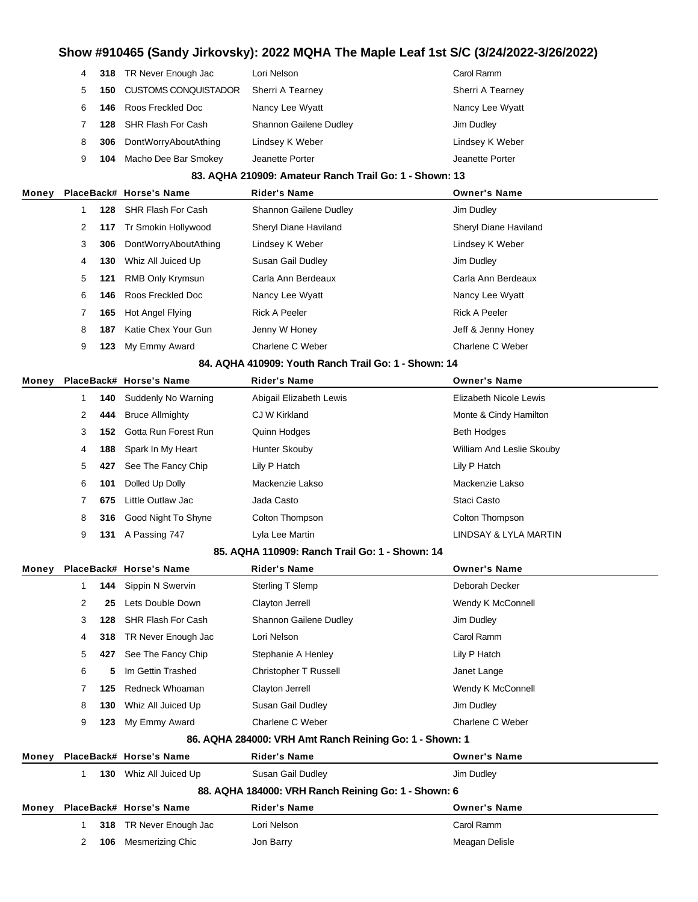| 4 |     | Lori Nelson                                                                                                                                       | Carol Ramm       |
|---|-----|---------------------------------------------------------------------------------------------------------------------------------------------------|------------------|
| 5 | 150 | Sherri A Tearney                                                                                                                                  | Sherri A Tearney |
|   | 146 | Nancy Lee Wyatt                                                                                                                                   | Nancy Lee Wyatt  |
|   | 128 | <b>Shannon Gailene Dudley</b>                                                                                                                     | Jim Dudley       |
| 8 | 306 | Lindsey K Weber                                                                                                                                   | Lindsey K Weber  |
| 9 | 104 | Jeanette Porter                                                                                                                                   | Jeanette Porter  |
|   |     | 318 TR Never Enough Jac<br><b>CUSTOMS CONQUISTADOR</b><br>Roos Freckled Doc<br>SHR Flash For Cash<br>DontWorryAboutAthing<br>Macho Dee Bar Smokey |                  |

#### **83. AQHA 210909: Amateur Ranch Trail Go: 1 - Shown: 13**

| Money |   |     | PlaceBack# Horse's Name | <b>Rider's Name</b>    | <b>Owner's Name</b>   |
|-------|---|-----|-------------------------|------------------------|-----------------------|
|       |   | 128 | SHR Flash For Cash      | Shannon Gailene Dudley | Jim Dudley            |
|       | 2 |     | 117 Tr Smokin Hollywood | Sheryl Diane Haviland  | Sheryl Diane Haviland |
|       | 3 | 306 | DontWorryAboutAthing    | Lindsey K Weber        | Lindsey K Weber       |
|       | 4 | 130 | Whiz All Juiced Up      | Susan Gail Dudley      | Jim Dudley            |
|       | 5 | 121 | RMB Only Krymsun        | Carla Ann Berdeaux     | Carla Ann Berdeaux    |
|       | 6 | 146 | Roos Freckled Doc       | Nancy Lee Wyatt        | Nancy Lee Wyatt       |
|       |   | 165 | Hot Angel Flying        | <b>Rick A Peeler</b>   | <b>Rick A Peeler</b>  |
|       | 8 | 187 | Katie Chex Your Gun     | Jenny W Honey          | Jeff & Jenny Honey    |
|       | 9 | 123 | My Emmy Award           | Charlene C Weber       | Charlene C Weber      |
|       |   |     |                         |                        |                       |

#### **84. AQHA 410909: Youth Ranch Trail Go: 1 - Shown: 14**

| Money |   |     | PlaceBack# Horse's Name | <b>Rider's Name</b>     | <b>Owner's Name</b>       |
|-------|---|-----|-------------------------|-------------------------|---------------------------|
|       |   | 140 | Suddenly No Warning     | Abigail Elizabeth Lewis | Elizabeth Nicole Lewis    |
|       | 2 | 444 | <b>Bruce Allmighty</b>  | CJ W Kirkland           | Monte & Cindy Hamilton    |
|       | 3 | 152 | Gotta Run Forest Run    | Quinn Hodges            | <b>Beth Hodges</b>        |
|       | 4 | 188 | Spark In My Heart       | Hunter Skouby           | William And Leslie Skouby |
|       | 5 | 427 | See The Fancy Chip      | Lily P Hatch            | Lily P Hatch              |
|       | 6 | 101 | Dolled Up Dolly         | Mackenzie Lakso         | Mackenzie Lakso           |
|       |   | 675 | Little Outlaw Jac       | Jada Casto              | Staci Casto               |
|       | 8 | 316 | Good Night To Shyne     | Colton Thompson         | Colton Thompson           |
|       | 9 | 131 | A Passing 747           | Lyla Lee Martin         | LINDSAY & LYLA MARTIN     |
|       |   |     |                         |                         |                           |

#### **85. AQHA 110909: Ranch Trail Go: 1 - Shown: 14**

| Money |   |     | PlaceBack# Horse's Name       | <b>Rider's Name</b>                                     | <b>Owner's Name</b> |  |
|-------|---|-----|-------------------------------|---------------------------------------------------------|---------------------|--|
|       |   | 144 | Sippin N Swervin              | Sterling T Slemp                                        | Deborah Decker      |  |
|       | 2 | 25  | Lets Double Down              | Clayton Jerrell                                         | Wendy K McConnell   |  |
|       | 3 | 128 | SHR Flash For Cash            | Shannon Gailene Dudley                                  | Jim Dudley          |  |
|       | 4 | 318 | TR Never Enough Jac           | Lori Nelson                                             | Carol Ramm          |  |
|       | 5 | 427 | See The Fancy Chip            | Stephanie A Henley                                      | Lily P Hatch        |  |
|       | 6 | 5.  | Im Gettin Trashed             | Christopher T Russell                                   | Janet Lange         |  |
|       |   | 125 | Redneck Whoaman               | Clayton Jerrell                                         | Wendy K McConnell   |  |
|       | 8 | 130 | Whiz All Juiced Up            | Susan Gail Dudley                                       | Jim Dudley          |  |
|       | 9 | 123 | My Emmy Award                 | Charlene C Weber                                        | Charlene C Weber    |  |
|       |   |     |                               | 86. AQHA 284000: VRH Amt Ranch Reining Go: 1 - Shown: 1 |                     |  |
|       |   |     | Money PlaceBack# Horse's Name | Didar's Nama                                            | Ownar's Nama        |  |

| Money                                               |  |     | PlaceBack# Horse's Name | Rider's Name        | Owner's Name        |  |
|-----------------------------------------------------|--|-----|-------------------------|---------------------|---------------------|--|
|                                                     |  | 130 | Whiz All Juiced Up      | Susan Gail Dudley   | Jim Dudley          |  |
| 88. AQHA 184000: VRH Ranch Reining Go: 1 - Shown: 6 |  |     |                         |                     |                     |  |
| Money                                               |  |     | PlaceBack# Horse's Name | <b>Rider's Name</b> | <b>Owner's Name</b> |  |
|                                                     |  |     | 318 TR Never Enough Jac | Lori Nelson         | Carol Ramm          |  |
|                                                     |  | 106 | Mesmerizing Chic        | Jon Barry           | Meagan Delisle      |  |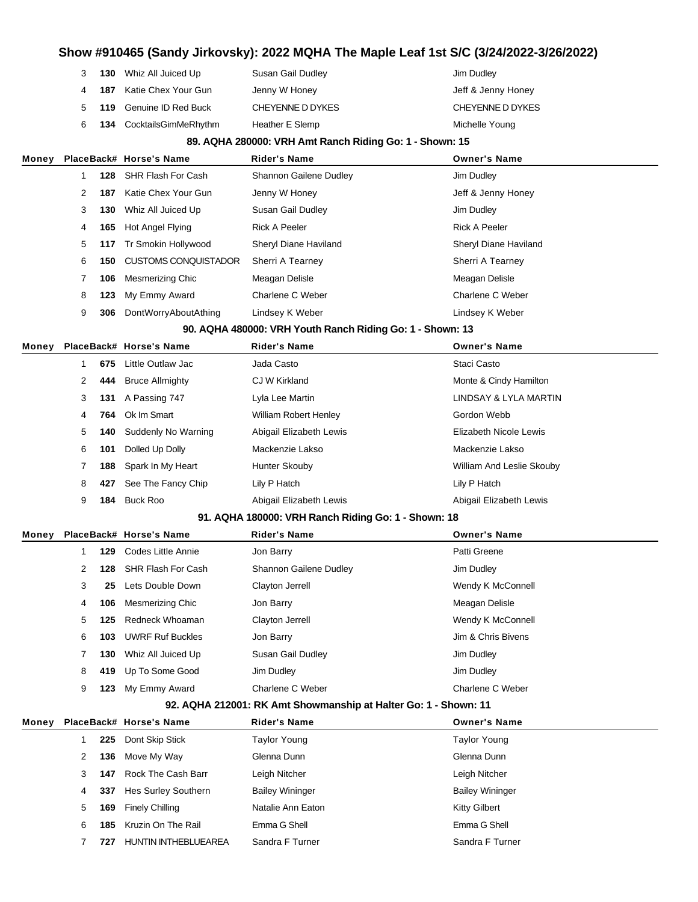|   | <b>130</b> Whiz All Juiced Up | Susan Gail Dudley | Jim Dudley         |
|---|-------------------------------|-------------------|--------------------|
|   | 4 187 Katie Chex Your Gun     | Jenny W Honey     | Jeff & Jenny Honey |
|   | 5 119 Genuine ID Red Buck     | CHEYENNE D DYKES  | CHEYENNE D DYKES   |
| 6 | 134 CocktailsGimMeRhythm      | Heather E Slemp   | Michelle Young     |

#### **89. AQHA 280000: VRH Amt Ranch Riding Go: 1 - Shown: 15**

| Money |   |     | PlaceBack# Horse's Name     | <b>Rider's Name</b>    | <b>Owner's Name</b>          |
|-------|---|-----|-----------------------------|------------------------|------------------------------|
|       |   | 128 | SHR Flash For Cash          | Shannon Gailene Dudley | Jim Dudley                   |
|       | 2 | 187 | Katie Chex Your Gun         | Jenny W Honey          | Jeff & Jenny Honey           |
|       | 3 | 130 | Whiz All Juiced Up          | Susan Gail Dudley      | Jim Dudley                   |
|       | 4 | 165 | Hot Angel Flying            | <b>Rick A Peeler</b>   | <b>Rick A Peeler</b>         |
|       | 5 | 117 | Tr Smokin Hollywood         | Sheryl Diane Haviland  | <b>Sheryl Diane Haviland</b> |
|       | 6 | 150 | <b>CUSTOMS CONQUISTADOR</b> | Sherri A Tearney       | Sherri A Tearney             |
|       |   | 106 | Mesmerizing Chic            | Meagan Delisle         | Meagan Delisle               |
|       | 8 | 123 | My Emmy Award               | Charlene C Weber       | Charlene C Weber             |
|       | 9 | 306 | DontWorryAboutAthing        | Lindsey K Weber        | Lindsey K Weber              |

#### **90. AQHA 480000: VRH Youth Ranch Riding Go: 1 - Shown: 13**

| Monev |   |     | PlaceBack# Horse's Name | <b>Rider's Name</b>          | <b>Owner's Name</b>       |
|-------|---|-----|-------------------------|------------------------------|---------------------------|
|       |   | 675 | Little Outlaw Jac       | Jada Casto                   | Staci Casto               |
|       | 2 |     | 444 Bruce Allmighty     | CJ W Kirkland                | Monte & Cindy Hamilton    |
|       | 3 |     | 131 A Passing 747       | Lyla Lee Martin              | LINDSAY & LYLA MARTIN     |
|       | 4 |     | 764 Ok Im Smart         | <b>William Robert Henley</b> | Gordon Webb               |
|       | 5 | 140 | Suddenly No Warning     | Abigail Elizabeth Lewis      | Elizabeth Nicole Lewis    |
|       | 6 | 101 | Dolled Up Dolly         | Mackenzie Lakso              | Mackenzie Lakso           |
|       |   | 188 | Spark In My Heart       | Hunter Skouby                | William And Leslie Skouby |
|       | 8 | 427 | See The Fancy Chip      | Lily P Hatch                 | Lily P Hatch              |
|       | 9 | 184 | Buck Roo                | Abigail Elizabeth Lewis      | Abigail Elizabeth Lewis   |

#### **91. AQHA 180000: VRH Ranch Riding Go: 1 - Shown: 18**

| Money |   |     | PlaceBack# Horse's Name   | <b>Rider's Name</b>           | <b>Owner's Name</b> |
|-------|---|-----|---------------------------|-------------------------------|---------------------|
|       |   | 129 | Codes Little Annie        | Jon Barry                     | Patti Greene        |
|       | 2 | 128 | <b>SHR Flash For Cash</b> | <b>Shannon Gailene Dudley</b> | Jim Dudley          |
|       | 3 | 25  | Lets Double Down          | Clayton Jerrell               | Wendy K McConnell   |
|       | 4 | 106 | Mesmerizing Chic          | Jon Barry                     | Meagan Delisle      |
|       | 5 | 125 | Redneck Whoaman           | Clayton Jerrell               | Wendy K McConnell   |
|       | 6 | 103 | <b>UWRF Ruf Buckles</b>   | Jon Barry                     | Jim & Chris Bivens  |
|       |   | 130 | Whiz All Juiced Up        | Susan Gail Dudley             | Jim Dudley          |
|       | 8 | 419 | Up To Some Good           | Jim Dudley                    | Jim Dudley          |
|       | 9 | 123 | My Emmy Award             | Charlene C Weber              | Charlene C Weber    |

#### **92. AQHA 212001: RK Amt Showmanship at Halter Go: 1 - Shown: 11**

| Monev |   |     | PlaceBack# Horse's Name     | <b>Rider's Name</b>    | <b>Owner's Name</b>    |
|-------|---|-----|-----------------------------|------------------------|------------------------|
|       |   | 225 | Dont Skip Stick             | Taylor Young           | Taylor Young           |
|       |   |     | 136 Move My Way             | Glenna Dunn            | Glenna Dunn            |
|       | 3 | 147 | Rock The Cash Barr          | Leigh Nitcher          | Leigh Nitcher          |
|       | 4 | 337 | Hes Surley Southern         | <b>Bailey Wininger</b> | <b>Bailey Wininger</b> |
|       | 5 |     | 169 Finely Chilling         | Natalie Ann Eaton      | <b>Kitty Gilbert</b>   |
|       | 6 | 185 | Kruzin On The Rail          | Emma G Shell           | Emma G Shell           |
|       |   | 727 | <b>HUNTIN INTHEBLUEAREA</b> | Sandra F Turner        | Sandra F Turner        |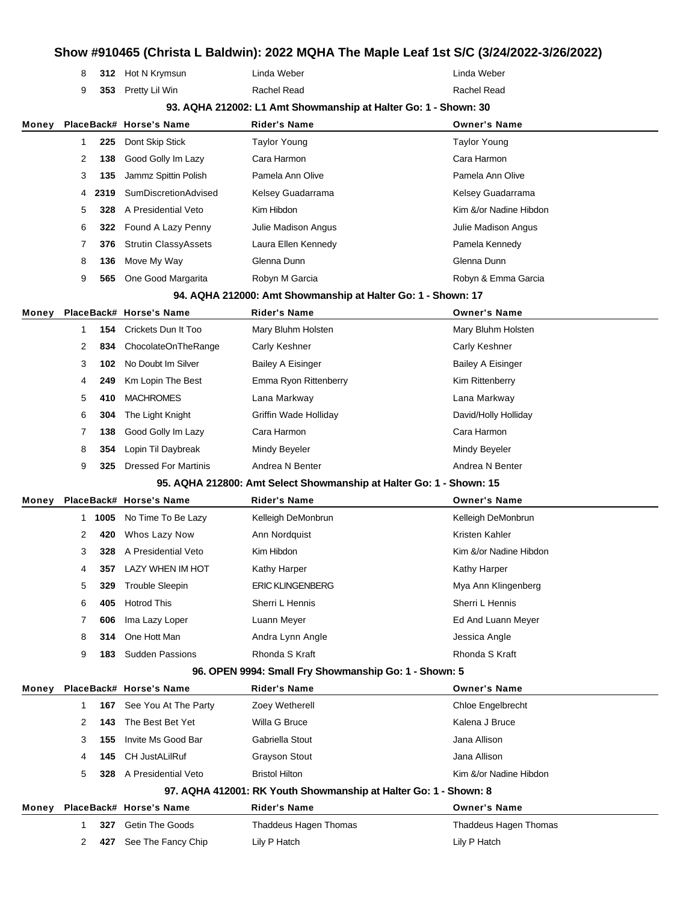# **Show #910465 (Christa L Baldwin): 2022 MQHA The Maple Leaf 1st S/C (3/24/2022-3/26/2022) 312** Hot N Krymsun Linda Weber Linda Weber **353** Pretty Lil Win Rachel Read Rachel Read **93. AQHA 212002: L1 Amt Showmanship at Halter Go: 1 - Shown: 30 Money PlaceBack# Horse's Name Rider's Name Owner's Name 225** Dont Skip Stick Taylor Young Taylor Young Taylor Young **138** Good Golly Im Lazy Cara Harmon Cara Harmon **135** Jammz Spittin Polish Pamela Ann Olive Pamela Ann Olive **2319** SumDiscretionAdvised Kelsey Guadarrama Kelsey Guadarrama Kelsey Guadarrama **328** A Presidential Veto Kim Hibdon Kim &/or Nadine Hibdon **322** Found A Lazy Penny Julie Madison Angus Julie Madison Angus **376** Strutin ClassyAssets Laura Ellen Kennedy **Pamela Kennedy** Pamela Kennedy **136** Move My Way **Glenna Dunn** Glenna Dunn Glenna Dunn **565** One Good Margarita **Robyn M Garcia** Robyn **M** Robyn & Emma Garcia **94. AQHA 212000: Amt Showmanship at Halter Go: 1 - Shown: 17 Money PlaceBack# Horse's Name Rider's Name Owner's Name 154** Crickets Dun It Too Mary Bluhm Holsten Mary Bluhm Holsten 2 834 ChocolateOnTheRange Carly Keshner Carly Carly Keshner **102** No Doubt Im Silver Bailey A Eisinger Bailey A Eisinger **249** Km Lopin The Best Emma Ryon Rittenberry **Emma Ryon Rittenberry** Kim Rittenberry **410** MACHROMES Lana Markway Lana Markway **304** The Light Knight Griffin Wade Holliday David/Holly Holliday **138** Good Golly Im Lazy Cara Harmon Cara Harmon Cara Harmon Cara Harmon **354** Lopin Til Daybreak Mindy Beyeler Mindy Beyeler Mindy Beyeler **325** Dressed For Martinis Andrea N Benter Andrea N Benter **95. AQHA 212800: Amt Select Showmanship at Halter Go: 1 - Shown: 15 Money PlaceBack# Horse's Name Rider's Name Owner's Name 1005** No Time To Be Lazy **Kelleigh DeMonbrun** Kelleigh DeMonbrun Kelleigh DeMonbrun **420** Whos Lazy Now Ann Nordquist **Anno 1999 12 Anno 2012** Kristen Kahler **328** A Presidential Veto Kim Hibdon Kim Book Kim &/or Nadine Hibdon **357** LAZY WHEN IM HOT Kathy Harper Kathy Harper Kathy Harper **329** Trouble Sleepin **ERIC KLINGENBERG** Mya Ann Klingenberg **405** Hotrod This Sherri L Hennis Sherri L Hennis **606** Ima Lazy Loper Luann Meyer Luann Meyer Ed And Luann Meyer **314** One Hott Man **Andra Lynn Angle Andra Lynn Angle** Jessica Angle **183** Sudden Passions **Rhonda S Kraft** Rhonda S Kraft Rhonda S Kraft Rhonda S Kraft **96. OPEN 9994: Small Fry Showmanship Go: 1 - Shown: 5 Money PlaceBack# Horse's Name Rider's Name Owner's Name 167** See You At The Party Zoey Wetherell Chloe Engelbrecht **143** The Best Bet Yet Willa G Bruce **Kalena J Bruce** Kalena J Bruce **155** Invite Ms Good Bar Gabriella Stout Gabriella Stout Jana Allison **145** CH JustALilRuf Grayson Stout Jana Allison **328** A Presidential Veto Bristol Hilton **Bristol Hilton** Kim &/or Nadine Hibdon **97. AQHA 412001: RK Youth Showmanship at Halter Go: 1 - Shown: 8 Money PlaceBack# Horse's Name Rider's Name Owner's Name 327** Getin The Goods **Thaddeus Hagen Thomas** Thomas Thaddeus Hagen Thomas **427** See The Fancy Chip Lily P Hatch Lily P Hatch Lily P Hatch Lily P Hatch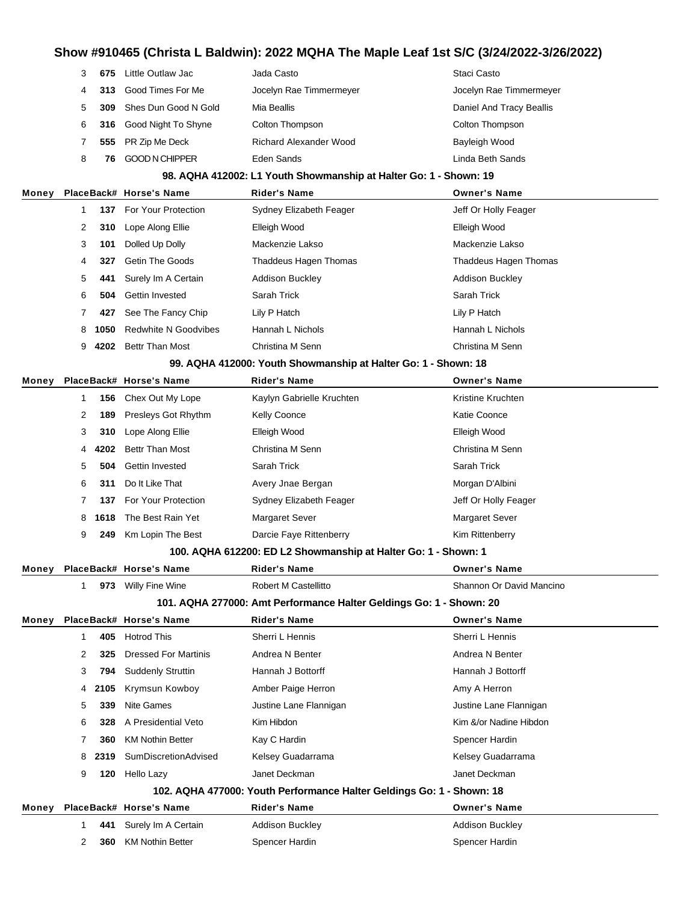|       | 3 | 675  | Little Outlaw Jac           | Jada Casto                                                            | Staci Casto              |
|-------|---|------|-----------------------------|-----------------------------------------------------------------------|--------------------------|
|       | 4 | 313  | Good Times For Me           | Jocelyn Rae Timmermeyer                                               | Jocelyn Rae Timmermeyer  |
|       | 5 | 309  | Shes Dun Good N Gold        | Mia Beallis                                                           | Daniel And Tracy Beallis |
|       | 6 | 316  | Good Night To Shyne         | Colton Thompson                                                       | Colton Thompson          |
|       | 7 | 555  | PR Zip Me Deck              | <b>Richard Alexander Wood</b>                                         | Bayleigh Wood            |
|       | 8 | 76   | <b>GOOD N CHIPPER</b>       | Eden Sands                                                            | Linda Beth Sands         |
|       |   |      |                             | 98. AQHA 412002: L1 Youth Showmanship at Halter Go: 1 - Shown: 19     |                          |
| Money |   |      | PlaceBack# Horse's Name     | <b>Rider's Name</b>                                                   | <b>Owner's Name</b>      |
|       | 1 |      | 137 For Your Protection     | Sydney Elizabeth Feager                                               | Jeff Or Holly Feager     |
|       | 2 | 310  | Lope Along Ellie            | Elleigh Wood                                                          | Elleigh Wood             |
|       | 3 | 101  | Dolled Up Dolly             | Mackenzie Lakso                                                       | Mackenzie Lakso          |
|       | 4 | 327  | <b>Getin The Goods</b>      | Thaddeus Hagen Thomas                                                 | Thaddeus Hagen Thomas    |
|       | 5 | 441  | Surely Im A Certain         | <b>Addison Buckley</b>                                                | <b>Addison Buckley</b>   |
|       | 6 | 504  | Gettin Invested             | Sarah Trick                                                           | Sarah Trick              |
|       | 7 | 427  | See The Fancy Chip          | Lily P Hatch                                                          | Lily P Hatch             |
|       | 8 | 1050 | <b>Redwhite N Goodvibes</b> | Hannah L Nichols                                                      | Hannah L Nichols         |
|       | 9 |      | 4202 Bettr Than Most        | Christina M Senn                                                      | Christina M Senn         |
|       |   |      |                             | 99. AQHA 412000: Youth Showmanship at Halter Go: 1 - Shown: 18        |                          |
| Money |   |      | PlaceBack# Horse's Name     | Rider's Name                                                          | <b>Owner's Name</b>      |
|       | 1 | 156  | Chex Out My Lope            | Kaylyn Gabrielle Kruchten                                             | Kristine Kruchten        |
|       | 2 | 189  | Presleys Got Rhythm         | <b>Kelly Coonce</b>                                                   | Katie Coonce             |
|       | 3 | 310  | Lope Along Ellie            | Elleigh Wood                                                          | Elleigh Wood             |
|       | 4 | 4202 | Bettr Than Most             | Christina M Senn                                                      | Christina M Senn         |
|       | 5 | 504  | Gettin Invested             | Sarah Trick                                                           | Sarah Trick              |
|       | 6 | 311  | Do It Like That             | Avery Jnae Bergan                                                     | Morgan D'Albini          |
|       | 7 | 137  | For Your Protection         | Sydney Elizabeth Feager                                               | Jeff Or Holly Feager     |
|       | 8 | 1618 | The Best Rain Yet           | <b>Margaret Sever</b>                                                 | <b>Margaret Sever</b>    |
|       | 9 | 249  | Km Lopin The Best           | Darcie Faye Rittenberry                                               | Kim Rittenberry          |
|       |   |      |                             | 100. AQHA 612200: ED L2 Showmanship at Halter Go: 1 - Shown: 1        |                          |
| Money |   |      | PlaceBack# Horse's Name     | <b>Rider's Name</b>                                                   | <b>Owner's Name</b>      |
|       | 1 |      | 973 Willy Fine Wine         | Robert M Castellitto                                                  | Shannon Or David Mancino |
|       |   |      |                             | 101. AQHA 277000: Amt Performance Halter Geldings Go: 1 - Shown: 20   |                          |
| Money |   |      | PlaceBack# Horse's Name     | <b>Rider's Name</b>                                                   | <b>Owner's Name</b>      |
|       | 1 | 405  | <b>Hotrod This</b>          | Sherri L Hennis                                                       | Sherri L Hennis          |
|       | 2 | 325  | <b>Dressed For Martinis</b> | Andrea N Benter                                                       | Andrea N Benter          |
|       | 3 | 794  | <b>Suddenly Struttin</b>    | Hannah J Bottorff                                                     | Hannah J Bottorff        |
|       | 4 | 2105 | Krymsun Kowboy              | Amber Paige Herron                                                    | Amy A Herron             |
|       | 5 | 339  | <b>Nite Games</b>           | Justine Lane Flannigan                                                | Justine Lane Flannigan   |
|       | 6 | 328  | A Presidential Veto         | Kim Hibdon                                                            | Kim &/or Nadine Hibdon   |
|       | 7 | 360  | <b>KM Nothin Better</b>     | Kay C Hardin                                                          | Spencer Hardin           |
|       | 8 | 2319 | SumDiscretionAdvised        | Kelsey Guadarrama                                                     | Kelsey Guadarrama        |
|       | 9 | 120  | Hello Lazy                  | Janet Deckman                                                         | Janet Deckman            |
|       |   |      |                             | 102. AQHA 477000: Youth Performance Halter Geldings Go: 1 - Shown: 18 |                          |
| Money |   |      | PlaceBack# Horse's Name     | <b>Rider's Name</b>                                                   | <b>Owner's Name</b>      |
|       | 1 | 441  | Surely Im A Certain         | <b>Addison Buckley</b>                                                | <b>Addison Buckley</b>   |
|       | 2 | 360  | <b>KM Nothin Better</b>     | Spencer Hardin                                                        | Spencer Hardin           |
|       |   |      |                             |                                                                       |                          |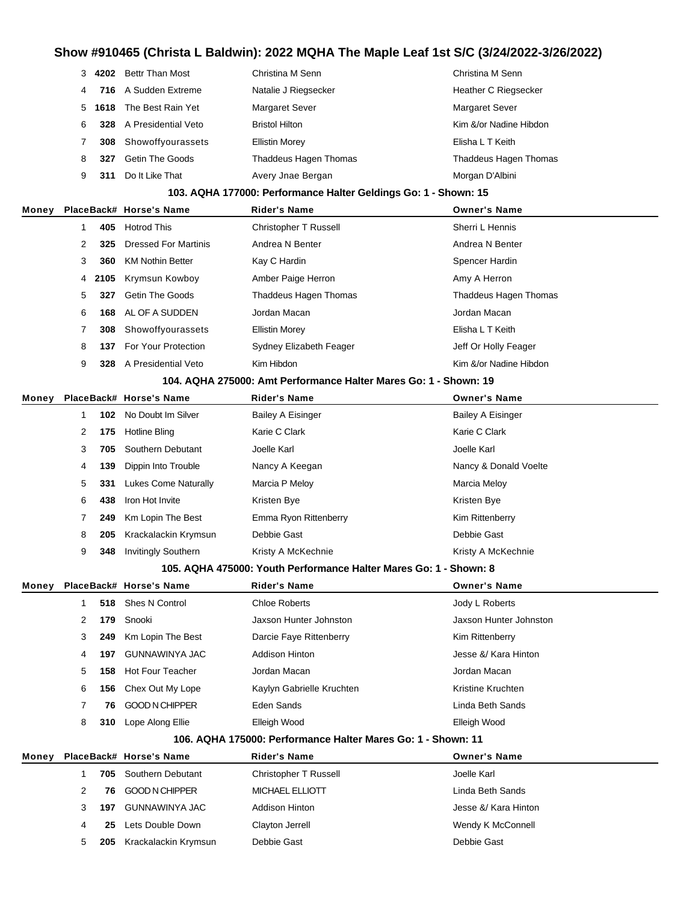|    |     | 4202 Bettr Than Most          | Christina M Senn             | Christina M Senn             |
|----|-----|-------------------------------|------------------------------|------------------------------|
| 4  |     | 716 A Sudden Extreme          | Natalie J Riegsecker         | <b>Heather C Riegsecker</b>  |
| 5. |     | <b>1618</b> The Best Rain Yet | <b>Margaret Sever</b>        | <b>Margaret Sever</b>        |
| 6  |     | 328 A Presidential Veto       | <b>Bristol Hilton</b>        | Kim &/or Nadine Hibdon       |
|    | 308 | Showoffyourassets             | <b>Ellistin Morey</b>        | Elisha L T Keith             |
| 8  | 327 | <b>Getin The Goods</b>        | <b>Thaddeus Hagen Thomas</b> | <b>Thaddeus Hagen Thomas</b> |
| 9  | 311 | Do It Like That               | Avery Jnae Bergan            | Morgan D'Albini              |

#### **103. AQHA 177000: Performance Halter Geldings Go: 1 - Shown: 15**

| Monev |   |     | PlaceBack# Horse's Name | <b>Rider's Name</b>          | <b>Owner's Name</b>    |
|-------|---|-----|-------------------------|------------------------------|------------------------|
|       |   | 405 | <b>Hotrod This</b>      | <b>Christopher T Russell</b> | Sherri L Hennis        |
|       |   | 325 | Dressed For Martinis    | Andrea N Benter              | Andrea N Benter        |
|       | 3 | 360 | <b>KM Nothin Better</b> | Kay C Hardin                 | Spencer Hardin         |
|       |   |     | 4 2105 Krymsun Kowboy   | Amber Paige Herron           | Amy A Herron           |
|       | 5 | 327 | <b>Getin The Goods</b>  | Thaddeus Hagen Thomas        | Thaddeus Hagen Thomas  |
|       | 6 | 168 | AL OF A SUDDEN          | Jordan Macan                 | Jordan Macan           |
|       |   | 308 | Showoffyourassets       | <b>Ellistin Morey</b>        | Elisha L T Keith       |
|       | 8 | 137 | For Your Protection     | Sydney Elizabeth Feager      | Jeff Or Holly Feager   |
|       | 9 | 328 | A Presidential Veto     | Kim Hibdon                   | Kim &/or Nadine Hibdon |
|       |   |     |                         |                              |                        |

#### **104. AQHA 275000: Amt Performance Halter Mares Go: 1 - Shown: 19**

| Money |   |     | PlaceBack# Horse's Name    | <b>Rider's Name</b>      | <b>Owner's Name</b>      |
|-------|---|-----|----------------------------|--------------------------|--------------------------|
|       |   | 102 | No Doubt Im Silver         | <b>Bailey A Eisinger</b> | <b>Bailey A Eisinger</b> |
|       | 2 | 175 | Hotline Bling              | Karie C Clark            | Karie C Clark            |
|       | 3 | 705 | Southern Debutant          | Joelle Karl              | Joelle Karl              |
|       | 4 | 139 | Dippin Into Trouble        | Nancy A Keegan           | Nancy & Donald Voelte    |
|       | 5 | 331 | Lukes Come Naturally       | Marcia P Meloy           | Marcia Meloy             |
|       | 6 | 438 | Iron Hot Invite            | Kristen Bye              | Kristen Bye              |
|       |   | 249 | Km Lopin The Best          | Emma Ryon Rittenberry    | Kim Rittenberry          |
|       | 8 | 205 | Krackalackin Krymsun       | Debbie Gast              | Debbie Gast              |
|       | 9 | 348 | <b>Invitingly Southern</b> | Kristy A McKechnie       | Kristy A McKechnie       |

#### **105. AQHA 475000: Youth Performance Halter Mares Go: 1 - Shown: 8**

| Money |   |     | PlaceBack# Horse's Name | <b>Rider's Name</b>       | <b>Owner's Name</b>    |
|-------|---|-----|-------------------------|---------------------------|------------------------|
|       |   | 518 | Shes N Control          | Chloe Roberts             | Jody L Roberts         |
|       | 2 | 179 | Snooki                  | Jaxson Hunter Johnston    | Jaxson Hunter Johnston |
|       | 3 | 249 | Km Lopin The Best       | Darcie Faye Rittenberry   | Kim Rittenberry        |
|       | 4 | 197 | GUNNAWINYA JAC          | Addison Hinton            | Jesse &/ Kara Hinton   |
|       | 5 | 158 | <b>Hot Four Teacher</b> | Jordan Macan              | Jordan Macan           |
|       | 6 | 156 | Chex Out My Lope        | Kaylyn Gabrielle Kruchten | Kristine Kruchten      |
|       |   | 76. | <b>GOOD N CHIPPER</b>   | Eden Sands                | Linda Beth Sands       |
|       | 8 | 310 | Lope Along Ellie        | Elleigh Wood              | Elleigh Wood           |

#### **106. AQHA 175000: Performance Halter Mares Go: 1 - Shown: 11**

| Money |   |     | PlaceBack# Horse's Name      | <b>Rider's Name</b>   | <b>Owner's Name</b>  |
|-------|---|-----|------------------------------|-----------------------|----------------------|
|       |   |     | <b>705</b> Southern Debutant | Christopher T Russell | Joelle Karl          |
|       |   | 76. | GOOD N CHIPPER               | MICHAEL ELLIOTT       | Linda Beth Sands     |
|       |   | 197 | GUNNAWINYA JAC               | Addison Hinton        | Jesse &/ Kara Hinton |
|       | 4 | 25. | Lets Double Down             | Clayton Jerrell       | Wendy K McConnell    |
|       | 5 | 205 | Krackalackin Krymsun         | Debbie Gast           | Debbie Gast          |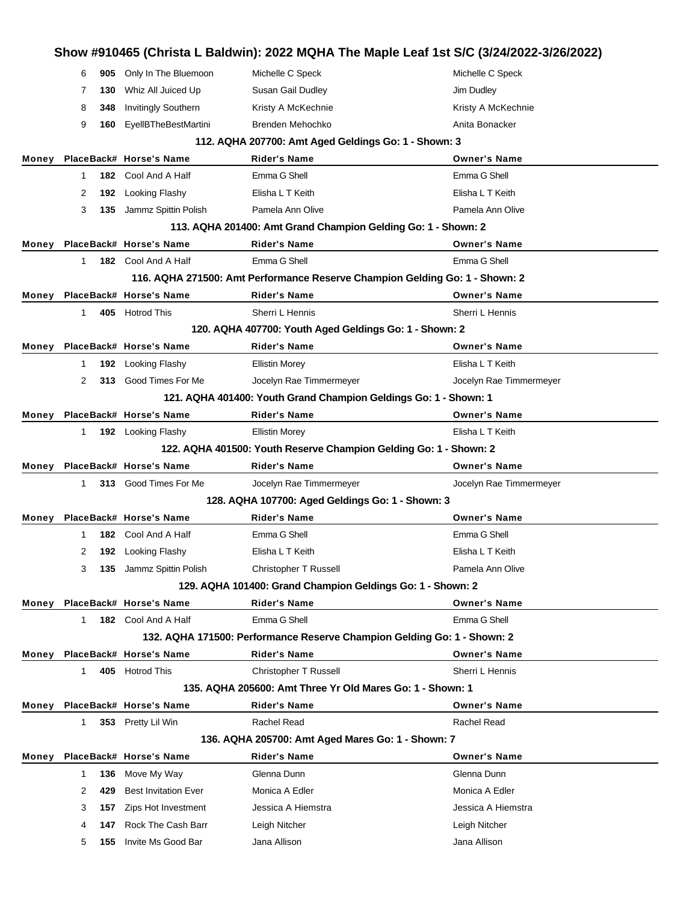|       | Show #910465 (Christa L Baldwin): 2022 MQHA The Maple Leaf 1st S/C (3/24/2022-3/26/2022) |     |                             |                                                                             |                         |  |
|-------|------------------------------------------------------------------------------------------|-----|-----------------------------|-----------------------------------------------------------------------------|-------------------------|--|
|       | 6                                                                                        | 905 | Only In The Bluemoon        | Michelle C Speck                                                            | Michelle C Speck        |  |
|       | 7                                                                                        | 130 | Whiz All Juiced Up          | Susan Gail Dudley                                                           | Jim Dudley              |  |
|       | 8                                                                                        | 348 | <b>Invitingly Southern</b>  | Kristy A McKechnie                                                          | Kristy A McKechnie      |  |
|       | 9                                                                                        | 160 | <b>EyellBTheBestMartini</b> | Brenden Mehochko                                                            | Anita Bonacker          |  |
|       |                                                                                          |     |                             | 112. AQHA 207700: Amt Aged Geldings Go: 1 - Shown: 3                        |                         |  |
| Money |                                                                                          |     | PlaceBack# Horse's Name     | <b>Rider's Name</b>                                                         | <b>Owner's Name</b>     |  |
|       | $\mathbf{1}$                                                                             |     | 182 Cool And A Half         | Emma G Shell                                                                | Emma G Shell            |  |
|       | 2                                                                                        | 192 | Looking Flashy              | Elisha L T Keith                                                            | Elisha L T Keith        |  |
|       | 3                                                                                        | 135 | Jammz Spittin Polish        | Pamela Ann Olive                                                            | Pamela Ann Olive        |  |
|       |                                                                                          |     |                             | 113. AQHA 201400: Amt Grand Champion Gelding Go: 1 - Shown: 2               |                         |  |
| Money |                                                                                          |     | PlaceBack# Horse's Name     | <b>Rider's Name</b>                                                         | <b>Owner's Name</b>     |  |
|       | 1                                                                                        |     | 182 Cool And A Half         | Emma G Shell                                                                | Emma G Shell            |  |
|       |                                                                                          |     |                             | 116. AQHA 271500: Amt Performance Reserve Champion Gelding Go: 1 - Shown: 2 |                         |  |
| Money |                                                                                          |     | PlaceBack# Horse's Name     | <b>Rider's Name</b>                                                         | <b>Owner's Name</b>     |  |
|       | $\mathbf 1$                                                                              |     | 405 Hotrod This             | Sherri L Hennis                                                             | Sherri L Hennis         |  |
|       |                                                                                          |     |                             | 120. AQHA 407700: Youth Aged Geldings Go: 1 - Shown: 2                      |                         |  |
| Money |                                                                                          |     | PlaceBack# Horse's Name     | <b>Rider's Name</b>                                                         | <b>Owner's Name</b>     |  |
|       | 1                                                                                        | 192 | Looking Flashy              | <b>Ellistin Morey</b>                                                       | Elisha L T Keith        |  |
|       | 2                                                                                        | 313 | Good Times For Me           | Jocelyn Rae Timmermeyer                                                     | Jocelyn Rae Timmermeyer |  |
|       |                                                                                          |     |                             | 121. AQHA 401400: Youth Grand Champion Geldings Go: 1 - Shown: 1            |                         |  |
| Money |                                                                                          |     | PlaceBack# Horse's Name     | <b>Rider's Name</b>                                                         | <b>Owner's Name</b>     |  |
|       | 1                                                                                        |     | 192 Looking Flashy          | <b>Ellistin Morey</b>                                                       | Elisha L T Keith        |  |
|       |                                                                                          |     |                             | 122. AQHA 401500: Youth Reserve Champion Gelding Go: 1 - Shown: 2           |                         |  |
|       |                                                                                          |     |                             |                                                                             |                         |  |
| Money |                                                                                          |     | PlaceBack# Horse's Name     | <b>Rider's Name</b>                                                         | <b>Owner's Name</b>     |  |
|       | $\mathbf 1$                                                                              |     | 313 Good Times For Me       | Jocelyn Rae Timmermeyer                                                     | Jocelyn Rae Timmermeyer |  |
|       |                                                                                          |     |                             | 128. AQHA 107700: Aged Geldings Go: 1 - Shown: 3                            |                         |  |
| Money |                                                                                          |     | PlaceBack# Horse's Name     | <b>Rider's Name</b>                                                         | <b>Owner's Name</b>     |  |
|       | 1                                                                                        |     | 182 Cool And A Half         | Emma G Shell                                                                | Emma G Shell            |  |
|       | 2                                                                                        |     | 192 Looking Flashy          | Elisha L T Keith                                                            | Elisha L T Keith        |  |
|       | 3                                                                                        | 135 | Jammz Spittin Polish        | <b>Christopher T Russell</b>                                                | Pamela Ann Olive        |  |
|       |                                                                                          |     |                             | 129. AQHA 101400: Grand Champion Geldings Go: 1 - Shown: 2                  |                         |  |
| Money |                                                                                          |     | PlaceBack# Horse's Name     | <b>Rider's Name</b>                                                         | <b>Owner's Name</b>     |  |
|       | $\mathbf{1}$                                                                             |     | 182 Cool And A Half         | Emma G Shell                                                                | Emma G Shell            |  |
|       |                                                                                          |     |                             | 132. AQHA 171500: Performance Reserve Champion Gelding Go: 1 - Shown: 2     |                         |  |
| Money |                                                                                          |     | PlaceBack# Horse's Name     | <b>Rider's Name</b>                                                         | <b>Owner's Name</b>     |  |
|       | $\mathbf 1$                                                                              |     | 405 Hotrod This             | Christopher T Russell                                                       | Sherri L Hennis         |  |
|       |                                                                                          |     |                             | 135. AQHA 205600: Amt Three Yr Old Mares Go: 1 - Shown: 1                   |                         |  |
| Money |                                                                                          |     | PlaceBack# Horse's Name     | <b>Rider's Name</b>                                                         | <b>Owner's Name</b>     |  |
|       | $\mathbf{1}$                                                                             |     | 353 Pretty Lil Win          | Rachel Read                                                                 | Rachel Read             |  |
|       |                                                                                          |     |                             | 136. AQHA 205700: Amt Aged Mares Go: 1 - Shown: 7                           |                         |  |
| Money |                                                                                          |     | PlaceBack# Horse's Name     | <b>Rider's Name</b>                                                         | <b>Owner's Name</b>     |  |
|       | 1                                                                                        | 136 | Move My Way                 | Glenna Dunn                                                                 | Glenna Dunn             |  |
|       | 2                                                                                        | 429 | <b>Best Invitation Ever</b> | Monica A Edler                                                              | Monica A Edler          |  |
|       | 3                                                                                        | 157 | Zips Hot Investment         | Jessica A Hiemstra                                                          | Jessica A Hiemstra      |  |
|       | 4                                                                                        | 147 | Rock The Cash Barr          | Leigh Nitcher                                                               | Leigh Nitcher           |  |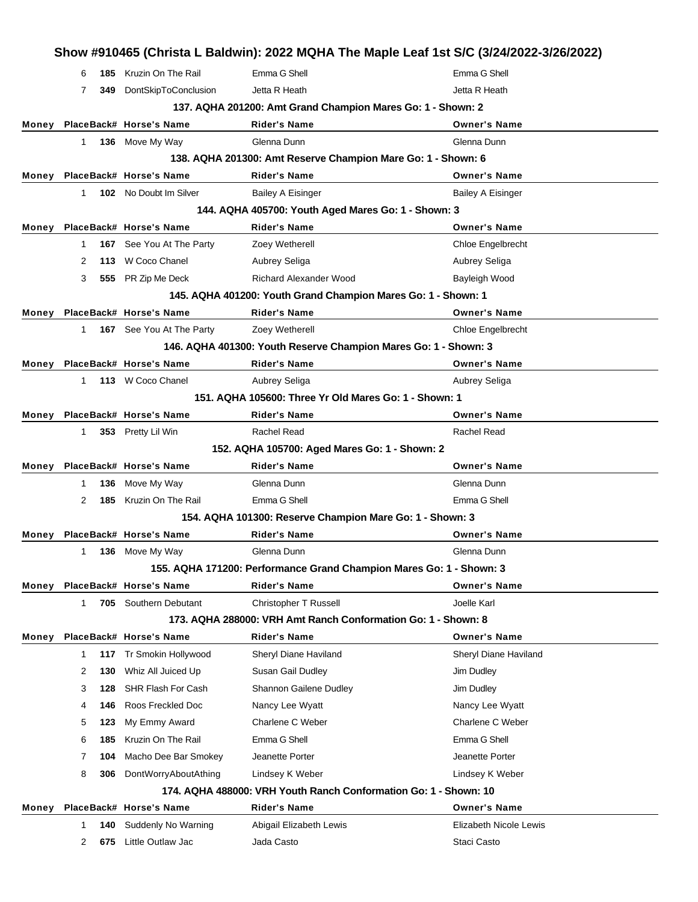| Emma G Shell<br>Emma G Shell<br><b>185</b> Kruzin On The Rail<br>6<br>DontSkipToConclusion<br>Jetta R Heath<br>Jetta R Heath<br>7<br>349<br>137. AQHA 201200: Amt Grand Champion Mares Go: 1 - Shown: 2<br>PlaceBack# Horse's Name<br><b>Rider's Name</b><br><b>Owner's Name</b><br>Monev<br>136 Move My Way<br>Glenna Dunn<br>Glenna Dunn<br>1.<br>138. AQHA 201300: Amt Reserve Champion Mare Go: 1 - Shown: 6<br>PlaceBack# Horse's Name<br><b>Rider's Name</b><br><b>Owner's Name</b><br>Monev<br><b>102</b> No Doubt Im Silver<br><b>Bailey A Eisinger</b><br>$\mathbf{1}$<br><b>Bailey A Eisinger</b><br>144. AQHA 405700: Youth Aged Mares Go: 1 - Shown: 3<br>PlaceBack# Horse's Name<br><b>Rider's Name</b><br><b>Owner's Name</b><br>Money<br>167 See You At The Party<br>Zoey Wetherell<br>Chloe Engelbrecht<br>$\mathbf{1}$<br>113 W Coco Chanel<br>Aubrey Seliga<br>Aubrey Seliga<br>2<br><b>Richard Alexander Wood</b><br>555 PR Zip Me Deck<br>Bayleigh Wood<br>3<br>145. AQHA 401200: Youth Grand Champion Mares Go: 1 - Shown: 1<br>PlaceBack# Horse's Name<br><b>Rider's Name</b><br><b>Owner's Name</b><br>Monev<br>167 See You At The Party<br>Zoey Wetherell<br>Chloe Engelbrecht<br>1<br>146. AQHA 401300: Youth Reserve Champion Mares Go: 1 - Shown: 3<br>PlaceBack# Horse's Name<br><b>Rider's Name</b><br><b>Owner's Name</b><br>Monev<br>113 W Coco Chanel<br>Aubrey Seliga<br>Aubrey Seliga<br>1.<br>151. AQHA 105600: Three Yr Old Mares Go: 1 - Shown: 1<br>PlaceBack# Horse's Name<br><b>Rider's Name</b><br><b>Owner's Name</b><br>Monev<br>353 Pretty Lil Win<br>Rachel Read<br><b>Rachel Read</b><br>1.<br>152. AQHA 105700: Aged Mares Go: 1 - Shown: 2<br>PlaceBack# Horse's Name<br><b>Rider's Name</b><br><b>Owner's Name</b><br>Monev<br>Move My Way<br>Glenna Dunn<br>Glenna Dunn<br>136<br>1<br>Kruzin On The Rail<br>Emma G Shell<br>Emma G Shell<br>2<br>185<br>154. AQHA 101300: Reserve Champion Mare Go: 1 - Shown: 3<br>PlaceBack# Horse's Name<br><b>Rider's Name</b><br><b>Owner's Name</b><br>Money<br>1 136 Move My Way<br>Glenna Dunn<br>Glenna Dunn<br>155. AQHA 171200: Performance Grand Champion Mares Go: 1 - Shown: 3<br>PlaceBack# Horse's Name<br><b>Rider's Name</b><br><b>Owner's Name</b><br>Monev<br><b>705</b> Southern Debutant<br>Christopher T Russell<br>Joelle Karl<br>1<br>173. AQHA 288000: VRH Amt Ranch Conformation Go: 1 - Shown: 8<br>PlaceBack# Horse's Name<br><b>Rider's Name</b><br><b>Owner's Name</b><br>Monev<br>Tr Smokin Hollywood<br>Sheryl Diane Haviland<br>Sheryl Diane Haviland<br>1<br>117<br>Whiz All Juiced Up<br>Susan Gail Dudley<br>2<br>Jim Dudley<br>130<br>SHR Flash For Cash<br>Shannon Gailene Dudley<br>Jim Dudley<br>3<br>128<br>Roos Freckled Doc<br>146<br>Nancy Lee Wyatt<br>Nancy Lee Wyatt<br>4<br>My Emmy Award<br>Charlene C Weber<br>Charlene C Weber<br>5<br>123<br>Kruzin On The Rail<br>Emma G Shell<br>Emma G Shell<br>6<br>185<br>Macho Dee Bar Smokey<br>Jeanette Porter<br>Jeanette Porter<br>7<br>104 |  |  | Show #910465 (Christa L Baldwin): 2022 MQHA The Maple Leaf 1st S/C (3/24/2022-3/26/2022) |
|-------------------------------------------------------------------------------------------------------------------------------------------------------------------------------------------------------------------------------------------------------------------------------------------------------------------------------------------------------------------------------------------------------------------------------------------------------------------------------------------------------------------------------------------------------------------------------------------------------------------------------------------------------------------------------------------------------------------------------------------------------------------------------------------------------------------------------------------------------------------------------------------------------------------------------------------------------------------------------------------------------------------------------------------------------------------------------------------------------------------------------------------------------------------------------------------------------------------------------------------------------------------------------------------------------------------------------------------------------------------------------------------------------------------------------------------------------------------------------------------------------------------------------------------------------------------------------------------------------------------------------------------------------------------------------------------------------------------------------------------------------------------------------------------------------------------------------------------------------------------------------------------------------------------------------------------------------------------------------------------------------------------------------------------------------------------------------------------------------------------------------------------------------------------------------------------------------------------------------------------------------------------------------------------------------------------------------------------------------------------------------------------------------------------------------------------------------------------------------------------------------------------------------------------------------------------------------------------------------------------------------------------------------------------------------------------------------------------------------------------------------------------------------------------------------------------------------------------------------------------------------------------------------------------------------------------------------------------------------------------------------------------------------|--|--|------------------------------------------------------------------------------------------|
|                                                                                                                                                                                                                                                                                                                                                                                                                                                                                                                                                                                                                                                                                                                                                                                                                                                                                                                                                                                                                                                                                                                                                                                                                                                                                                                                                                                                                                                                                                                                                                                                                                                                                                                                                                                                                                                                                                                                                                                                                                                                                                                                                                                                                                                                                                                                                                                                                                                                                                                                                                                                                                                                                                                                                                                                                                                                                                                                                                                                                               |  |  |                                                                                          |
|                                                                                                                                                                                                                                                                                                                                                                                                                                                                                                                                                                                                                                                                                                                                                                                                                                                                                                                                                                                                                                                                                                                                                                                                                                                                                                                                                                                                                                                                                                                                                                                                                                                                                                                                                                                                                                                                                                                                                                                                                                                                                                                                                                                                                                                                                                                                                                                                                                                                                                                                                                                                                                                                                                                                                                                                                                                                                                                                                                                                                               |  |  |                                                                                          |
|                                                                                                                                                                                                                                                                                                                                                                                                                                                                                                                                                                                                                                                                                                                                                                                                                                                                                                                                                                                                                                                                                                                                                                                                                                                                                                                                                                                                                                                                                                                                                                                                                                                                                                                                                                                                                                                                                                                                                                                                                                                                                                                                                                                                                                                                                                                                                                                                                                                                                                                                                                                                                                                                                                                                                                                                                                                                                                                                                                                                                               |  |  |                                                                                          |
|                                                                                                                                                                                                                                                                                                                                                                                                                                                                                                                                                                                                                                                                                                                                                                                                                                                                                                                                                                                                                                                                                                                                                                                                                                                                                                                                                                                                                                                                                                                                                                                                                                                                                                                                                                                                                                                                                                                                                                                                                                                                                                                                                                                                                                                                                                                                                                                                                                                                                                                                                                                                                                                                                                                                                                                                                                                                                                                                                                                                                               |  |  |                                                                                          |
|                                                                                                                                                                                                                                                                                                                                                                                                                                                                                                                                                                                                                                                                                                                                                                                                                                                                                                                                                                                                                                                                                                                                                                                                                                                                                                                                                                                                                                                                                                                                                                                                                                                                                                                                                                                                                                                                                                                                                                                                                                                                                                                                                                                                                                                                                                                                                                                                                                                                                                                                                                                                                                                                                                                                                                                                                                                                                                                                                                                                                               |  |  |                                                                                          |
|                                                                                                                                                                                                                                                                                                                                                                                                                                                                                                                                                                                                                                                                                                                                                                                                                                                                                                                                                                                                                                                                                                                                                                                                                                                                                                                                                                                                                                                                                                                                                                                                                                                                                                                                                                                                                                                                                                                                                                                                                                                                                                                                                                                                                                                                                                                                                                                                                                                                                                                                                                                                                                                                                                                                                                                                                                                                                                                                                                                                                               |  |  |                                                                                          |
|                                                                                                                                                                                                                                                                                                                                                                                                                                                                                                                                                                                                                                                                                                                                                                                                                                                                                                                                                                                                                                                                                                                                                                                                                                                                                                                                                                                                                                                                                                                                                                                                                                                                                                                                                                                                                                                                                                                                                                                                                                                                                                                                                                                                                                                                                                                                                                                                                                                                                                                                                                                                                                                                                                                                                                                                                                                                                                                                                                                                                               |  |  |                                                                                          |
|                                                                                                                                                                                                                                                                                                                                                                                                                                                                                                                                                                                                                                                                                                                                                                                                                                                                                                                                                                                                                                                                                                                                                                                                                                                                                                                                                                                                                                                                                                                                                                                                                                                                                                                                                                                                                                                                                                                                                                                                                                                                                                                                                                                                                                                                                                                                                                                                                                                                                                                                                                                                                                                                                                                                                                                                                                                                                                                                                                                                                               |  |  |                                                                                          |
|                                                                                                                                                                                                                                                                                                                                                                                                                                                                                                                                                                                                                                                                                                                                                                                                                                                                                                                                                                                                                                                                                                                                                                                                                                                                                                                                                                                                                                                                                                                                                                                                                                                                                                                                                                                                                                                                                                                                                                                                                                                                                                                                                                                                                                                                                                                                                                                                                                                                                                                                                                                                                                                                                                                                                                                                                                                                                                                                                                                                                               |  |  |                                                                                          |
|                                                                                                                                                                                                                                                                                                                                                                                                                                                                                                                                                                                                                                                                                                                                                                                                                                                                                                                                                                                                                                                                                                                                                                                                                                                                                                                                                                                                                                                                                                                                                                                                                                                                                                                                                                                                                                                                                                                                                                                                                                                                                                                                                                                                                                                                                                                                                                                                                                                                                                                                                                                                                                                                                                                                                                                                                                                                                                                                                                                                                               |  |  |                                                                                          |
|                                                                                                                                                                                                                                                                                                                                                                                                                                                                                                                                                                                                                                                                                                                                                                                                                                                                                                                                                                                                                                                                                                                                                                                                                                                                                                                                                                                                                                                                                                                                                                                                                                                                                                                                                                                                                                                                                                                                                                                                                                                                                                                                                                                                                                                                                                                                                                                                                                                                                                                                                                                                                                                                                                                                                                                                                                                                                                                                                                                                                               |  |  |                                                                                          |
|                                                                                                                                                                                                                                                                                                                                                                                                                                                                                                                                                                                                                                                                                                                                                                                                                                                                                                                                                                                                                                                                                                                                                                                                                                                                                                                                                                                                                                                                                                                                                                                                                                                                                                                                                                                                                                                                                                                                                                                                                                                                                                                                                                                                                                                                                                                                                                                                                                                                                                                                                                                                                                                                                                                                                                                                                                                                                                                                                                                                                               |  |  |                                                                                          |
|                                                                                                                                                                                                                                                                                                                                                                                                                                                                                                                                                                                                                                                                                                                                                                                                                                                                                                                                                                                                                                                                                                                                                                                                                                                                                                                                                                                                                                                                                                                                                                                                                                                                                                                                                                                                                                                                                                                                                                                                                                                                                                                                                                                                                                                                                                                                                                                                                                                                                                                                                                                                                                                                                                                                                                                                                                                                                                                                                                                                                               |  |  |                                                                                          |
|                                                                                                                                                                                                                                                                                                                                                                                                                                                                                                                                                                                                                                                                                                                                                                                                                                                                                                                                                                                                                                                                                                                                                                                                                                                                                                                                                                                                                                                                                                                                                                                                                                                                                                                                                                                                                                                                                                                                                                                                                                                                                                                                                                                                                                                                                                                                                                                                                                                                                                                                                                                                                                                                                                                                                                                                                                                                                                                                                                                                                               |  |  |                                                                                          |
|                                                                                                                                                                                                                                                                                                                                                                                                                                                                                                                                                                                                                                                                                                                                                                                                                                                                                                                                                                                                                                                                                                                                                                                                                                                                                                                                                                                                                                                                                                                                                                                                                                                                                                                                                                                                                                                                                                                                                                                                                                                                                                                                                                                                                                                                                                                                                                                                                                                                                                                                                                                                                                                                                                                                                                                                                                                                                                                                                                                                                               |  |  |                                                                                          |
|                                                                                                                                                                                                                                                                                                                                                                                                                                                                                                                                                                                                                                                                                                                                                                                                                                                                                                                                                                                                                                                                                                                                                                                                                                                                                                                                                                                                                                                                                                                                                                                                                                                                                                                                                                                                                                                                                                                                                                                                                                                                                                                                                                                                                                                                                                                                                                                                                                                                                                                                                                                                                                                                                                                                                                                                                                                                                                                                                                                                                               |  |  |                                                                                          |
|                                                                                                                                                                                                                                                                                                                                                                                                                                                                                                                                                                                                                                                                                                                                                                                                                                                                                                                                                                                                                                                                                                                                                                                                                                                                                                                                                                                                                                                                                                                                                                                                                                                                                                                                                                                                                                                                                                                                                                                                                                                                                                                                                                                                                                                                                                                                                                                                                                                                                                                                                                                                                                                                                                                                                                                                                                                                                                                                                                                                                               |  |  |                                                                                          |
|                                                                                                                                                                                                                                                                                                                                                                                                                                                                                                                                                                                                                                                                                                                                                                                                                                                                                                                                                                                                                                                                                                                                                                                                                                                                                                                                                                                                                                                                                                                                                                                                                                                                                                                                                                                                                                                                                                                                                                                                                                                                                                                                                                                                                                                                                                                                                                                                                                                                                                                                                                                                                                                                                                                                                                                                                                                                                                                                                                                                                               |  |  |                                                                                          |
|                                                                                                                                                                                                                                                                                                                                                                                                                                                                                                                                                                                                                                                                                                                                                                                                                                                                                                                                                                                                                                                                                                                                                                                                                                                                                                                                                                                                                                                                                                                                                                                                                                                                                                                                                                                                                                                                                                                                                                                                                                                                                                                                                                                                                                                                                                                                                                                                                                                                                                                                                                                                                                                                                                                                                                                                                                                                                                                                                                                                                               |  |  |                                                                                          |
|                                                                                                                                                                                                                                                                                                                                                                                                                                                                                                                                                                                                                                                                                                                                                                                                                                                                                                                                                                                                                                                                                                                                                                                                                                                                                                                                                                                                                                                                                                                                                                                                                                                                                                                                                                                                                                                                                                                                                                                                                                                                                                                                                                                                                                                                                                                                                                                                                                                                                                                                                                                                                                                                                                                                                                                                                                                                                                                                                                                                                               |  |  |                                                                                          |
|                                                                                                                                                                                                                                                                                                                                                                                                                                                                                                                                                                                                                                                                                                                                                                                                                                                                                                                                                                                                                                                                                                                                                                                                                                                                                                                                                                                                                                                                                                                                                                                                                                                                                                                                                                                                                                                                                                                                                                                                                                                                                                                                                                                                                                                                                                                                                                                                                                                                                                                                                                                                                                                                                                                                                                                                                                                                                                                                                                                                                               |  |  |                                                                                          |
|                                                                                                                                                                                                                                                                                                                                                                                                                                                                                                                                                                                                                                                                                                                                                                                                                                                                                                                                                                                                                                                                                                                                                                                                                                                                                                                                                                                                                                                                                                                                                                                                                                                                                                                                                                                                                                                                                                                                                                                                                                                                                                                                                                                                                                                                                                                                                                                                                                                                                                                                                                                                                                                                                                                                                                                                                                                                                                                                                                                                                               |  |  |                                                                                          |
|                                                                                                                                                                                                                                                                                                                                                                                                                                                                                                                                                                                                                                                                                                                                                                                                                                                                                                                                                                                                                                                                                                                                                                                                                                                                                                                                                                                                                                                                                                                                                                                                                                                                                                                                                                                                                                                                                                                                                                                                                                                                                                                                                                                                                                                                                                                                                                                                                                                                                                                                                                                                                                                                                                                                                                                                                                                                                                                                                                                                                               |  |  |                                                                                          |
|                                                                                                                                                                                                                                                                                                                                                                                                                                                                                                                                                                                                                                                                                                                                                                                                                                                                                                                                                                                                                                                                                                                                                                                                                                                                                                                                                                                                                                                                                                                                                                                                                                                                                                                                                                                                                                                                                                                                                                                                                                                                                                                                                                                                                                                                                                                                                                                                                                                                                                                                                                                                                                                                                                                                                                                                                                                                                                                                                                                                                               |  |  |                                                                                          |
|                                                                                                                                                                                                                                                                                                                                                                                                                                                                                                                                                                                                                                                                                                                                                                                                                                                                                                                                                                                                                                                                                                                                                                                                                                                                                                                                                                                                                                                                                                                                                                                                                                                                                                                                                                                                                                                                                                                                                                                                                                                                                                                                                                                                                                                                                                                                                                                                                                                                                                                                                                                                                                                                                                                                                                                                                                                                                                                                                                                                                               |  |  |                                                                                          |
|                                                                                                                                                                                                                                                                                                                                                                                                                                                                                                                                                                                                                                                                                                                                                                                                                                                                                                                                                                                                                                                                                                                                                                                                                                                                                                                                                                                                                                                                                                                                                                                                                                                                                                                                                                                                                                                                                                                                                                                                                                                                                                                                                                                                                                                                                                                                                                                                                                                                                                                                                                                                                                                                                                                                                                                                                                                                                                                                                                                                                               |  |  |                                                                                          |
|                                                                                                                                                                                                                                                                                                                                                                                                                                                                                                                                                                                                                                                                                                                                                                                                                                                                                                                                                                                                                                                                                                                                                                                                                                                                                                                                                                                                                                                                                                                                                                                                                                                                                                                                                                                                                                                                                                                                                                                                                                                                                                                                                                                                                                                                                                                                                                                                                                                                                                                                                                                                                                                                                                                                                                                                                                                                                                                                                                                                                               |  |  |                                                                                          |
|                                                                                                                                                                                                                                                                                                                                                                                                                                                                                                                                                                                                                                                                                                                                                                                                                                                                                                                                                                                                                                                                                                                                                                                                                                                                                                                                                                                                                                                                                                                                                                                                                                                                                                                                                                                                                                                                                                                                                                                                                                                                                                                                                                                                                                                                                                                                                                                                                                                                                                                                                                                                                                                                                                                                                                                                                                                                                                                                                                                                                               |  |  |                                                                                          |
|                                                                                                                                                                                                                                                                                                                                                                                                                                                                                                                                                                                                                                                                                                                                                                                                                                                                                                                                                                                                                                                                                                                                                                                                                                                                                                                                                                                                                                                                                                                                                                                                                                                                                                                                                                                                                                                                                                                                                                                                                                                                                                                                                                                                                                                                                                                                                                                                                                                                                                                                                                                                                                                                                                                                                                                                                                                                                                                                                                                                                               |  |  |                                                                                          |
|                                                                                                                                                                                                                                                                                                                                                                                                                                                                                                                                                                                                                                                                                                                                                                                                                                                                                                                                                                                                                                                                                                                                                                                                                                                                                                                                                                                                                                                                                                                                                                                                                                                                                                                                                                                                                                                                                                                                                                                                                                                                                                                                                                                                                                                                                                                                                                                                                                                                                                                                                                                                                                                                                                                                                                                                                                                                                                                                                                                                                               |  |  |                                                                                          |
|                                                                                                                                                                                                                                                                                                                                                                                                                                                                                                                                                                                                                                                                                                                                                                                                                                                                                                                                                                                                                                                                                                                                                                                                                                                                                                                                                                                                                                                                                                                                                                                                                                                                                                                                                                                                                                                                                                                                                                                                                                                                                                                                                                                                                                                                                                                                                                                                                                                                                                                                                                                                                                                                                                                                                                                                                                                                                                                                                                                                                               |  |  |                                                                                          |
|                                                                                                                                                                                                                                                                                                                                                                                                                                                                                                                                                                                                                                                                                                                                                                                                                                                                                                                                                                                                                                                                                                                                                                                                                                                                                                                                                                                                                                                                                                                                                                                                                                                                                                                                                                                                                                                                                                                                                                                                                                                                                                                                                                                                                                                                                                                                                                                                                                                                                                                                                                                                                                                                                                                                                                                                                                                                                                                                                                                                                               |  |  |                                                                                          |
|                                                                                                                                                                                                                                                                                                                                                                                                                                                                                                                                                                                                                                                                                                                                                                                                                                                                                                                                                                                                                                                                                                                                                                                                                                                                                                                                                                                                                                                                                                                                                                                                                                                                                                                                                                                                                                                                                                                                                                                                                                                                                                                                                                                                                                                                                                                                                                                                                                                                                                                                                                                                                                                                                                                                                                                                                                                                                                                                                                                                                               |  |  |                                                                                          |
|                                                                                                                                                                                                                                                                                                                                                                                                                                                                                                                                                                                                                                                                                                                                                                                                                                                                                                                                                                                                                                                                                                                                                                                                                                                                                                                                                                                                                                                                                                                                                                                                                                                                                                                                                                                                                                                                                                                                                                                                                                                                                                                                                                                                                                                                                                                                                                                                                                                                                                                                                                                                                                                                                                                                                                                                                                                                                                                                                                                                                               |  |  |                                                                                          |
|                                                                                                                                                                                                                                                                                                                                                                                                                                                                                                                                                                                                                                                                                                                                                                                                                                                                                                                                                                                                                                                                                                                                                                                                                                                                                                                                                                                                                                                                                                                                                                                                                                                                                                                                                                                                                                                                                                                                                                                                                                                                                                                                                                                                                                                                                                                                                                                                                                                                                                                                                                                                                                                                                                                                                                                                                                                                                                                                                                                                                               |  |  |                                                                                          |
|                                                                                                                                                                                                                                                                                                                                                                                                                                                                                                                                                                                                                                                                                                                                                                                                                                                                                                                                                                                                                                                                                                                                                                                                                                                                                                                                                                                                                                                                                                                                                                                                                                                                                                                                                                                                                                                                                                                                                                                                                                                                                                                                                                                                                                                                                                                                                                                                                                                                                                                                                                                                                                                                                                                                                                                                                                                                                                                                                                                                                               |  |  |                                                                                          |
|                                                                                                                                                                                                                                                                                                                                                                                                                                                                                                                                                                                                                                                                                                                                                                                                                                                                                                                                                                                                                                                                                                                                                                                                                                                                                                                                                                                                                                                                                                                                                                                                                                                                                                                                                                                                                                                                                                                                                                                                                                                                                                                                                                                                                                                                                                                                                                                                                                                                                                                                                                                                                                                                                                                                                                                                                                                                                                                                                                                                                               |  |  |                                                                                          |
|                                                                                                                                                                                                                                                                                                                                                                                                                                                                                                                                                                                                                                                                                                                                                                                                                                                                                                                                                                                                                                                                                                                                                                                                                                                                                                                                                                                                                                                                                                                                                                                                                                                                                                                                                                                                                                                                                                                                                                                                                                                                                                                                                                                                                                                                                                                                                                                                                                                                                                                                                                                                                                                                                                                                                                                                                                                                                                                                                                                                                               |  |  |                                                                                          |
|                                                                                                                                                                                                                                                                                                                                                                                                                                                                                                                                                                                                                                                                                                                                                                                                                                                                                                                                                                                                                                                                                                                                                                                                                                                                                                                                                                                                                                                                                                                                                                                                                                                                                                                                                                                                                                                                                                                                                                                                                                                                                                                                                                                                                                                                                                                                                                                                                                                                                                                                                                                                                                                                                                                                                                                                                                                                                                                                                                                                                               |  |  |                                                                                          |
|                                                                                                                                                                                                                                                                                                                                                                                                                                                                                                                                                                                                                                                                                                                                                                                                                                                                                                                                                                                                                                                                                                                                                                                                                                                                                                                                                                                                                                                                                                                                                                                                                                                                                                                                                                                                                                                                                                                                                                                                                                                                                                                                                                                                                                                                                                                                                                                                                                                                                                                                                                                                                                                                                                                                                                                                                                                                                                                                                                                                                               |  |  |                                                                                          |
|                                                                                                                                                                                                                                                                                                                                                                                                                                                                                                                                                                                                                                                                                                                                                                                                                                                                                                                                                                                                                                                                                                                                                                                                                                                                                                                                                                                                                                                                                                                                                                                                                                                                                                                                                                                                                                                                                                                                                                                                                                                                                                                                                                                                                                                                                                                                                                                                                                                                                                                                                                                                                                                                                                                                                                                                                                                                                                                                                                                                                               |  |  |                                                                                          |
| DontWorryAboutAthing<br>Lindsey K Weber<br>8<br>306<br>Lindsey K Weber                                                                                                                                                                                                                                                                                                                                                                                                                                                                                                                                                                                                                                                                                                                                                                                                                                                                                                                                                                                                                                                                                                                                                                                                                                                                                                                                                                                                                                                                                                                                                                                                                                                                                                                                                                                                                                                                                                                                                                                                                                                                                                                                                                                                                                                                                                                                                                                                                                                                                                                                                                                                                                                                                                                                                                                                                                                                                                                                                        |  |  |                                                                                          |
| 174, AQHA 488000: VRH Youth Ranch Conformation Go: 1 - Shown: 10                                                                                                                                                                                                                                                                                                                                                                                                                                                                                                                                                                                                                                                                                                                                                                                                                                                                                                                                                                                                                                                                                                                                                                                                                                                                                                                                                                                                                                                                                                                                                                                                                                                                                                                                                                                                                                                                                                                                                                                                                                                                                                                                                                                                                                                                                                                                                                                                                                                                                                                                                                                                                                                                                                                                                                                                                                                                                                                                                              |  |  |                                                                                          |
| <b>Rider's Name</b><br><b>Owner's Name</b><br>PlaceBack# Horse's Name<br>Money                                                                                                                                                                                                                                                                                                                                                                                                                                                                                                                                                                                                                                                                                                                                                                                                                                                                                                                                                                                                                                                                                                                                                                                                                                                                                                                                                                                                                                                                                                                                                                                                                                                                                                                                                                                                                                                                                                                                                                                                                                                                                                                                                                                                                                                                                                                                                                                                                                                                                                                                                                                                                                                                                                                                                                                                                                                                                                                                                |  |  |                                                                                          |
| Suddenly No Warning<br>Elizabeth Nicole Lewis<br>Abigail Elizabeth Lewis<br>1<br>140                                                                                                                                                                                                                                                                                                                                                                                                                                                                                                                                                                                                                                                                                                                                                                                                                                                                                                                                                                                                                                                                                                                                                                                                                                                                                                                                                                                                                                                                                                                                                                                                                                                                                                                                                                                                                                                                                                                                                                                                                                                                                                                                                                                                                                                                                                                                                                                                                                                                                                                                                                                                                                                                                                                                                                                                                                                                                                                                          |  |  |                                                                                          |
| Little Outlaw Jac<br>Jada Casto<br>Staci Casto<br>2<br>675                                                                                                                                                                                                                                                                                                                                                                                                                                                                                                                                                                                                                                                                                                                                                                                                                                                                                                                                                                                                                                                                                                                                                                                                                                                                                                                                                                                                                                                                                                                                                                                                                                                                                                                                                                                                                                                                                                                                                                                                                                                                                                                                                                                                                                                                                                                                                                                                                                                                                                                                                                                                                                                                                                                                                                                                                                                                                                                                                                    |  |  |                                                                                          |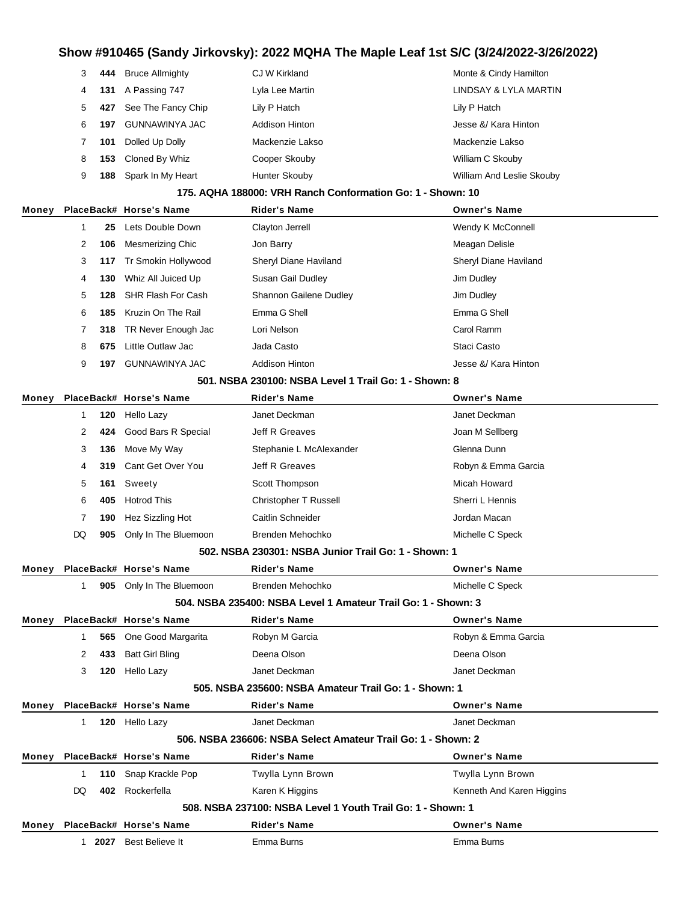| 3 |     | 444 Bruce Allmighty    | CJ W Kirkland   | Monte & Cindy Hamilton    |
|---|-----|------------------------|-----------------|---------------------------|
| 4 | 131 | A Passing 747          | Lyla Lee Martin | LINDSAY & LYLA MARTIN     |
| 5 |     | 427 See The Fancy Chip | Lily P Hatch    | Lily P Hatch              |
| 6 | 197 | GUNNAWINYA JAC         | Addison Hinton  | Jesse &/ Kara Hinton      |
|   | 101 | Dolled Up Dolly        | Mackenzie Lakso | Mackenzie Lakso           |
| 8 | 153 | Cloned By Whiz         | Cooper Skouby   | William C Skouby          |
| 9 | 188 | Spark In My Heart      | Hunter Skouby   | William And Leslie Skouby |

#### **175. AQHA 188000: VRH Ranch Conformation Go: 1 - Shown: 10**

| Money |    |     | PlaceBack# Horse's Name | <b>Rider's Name</b>                           | <b>Owner's Name</b>   |
|-------|----|-----|-------------------------|-----------------------------------------------|-----------------------|
|       |    | 25  | Lets Double Down        | Clayton Jerrell                               | Wendy K McConnell     |
|       | 2  | 106 | Mesmerizing Chic        | Jon Barry                                     | Meagan Delisle        |
|       | 3  | 117 | Tr Smokin Hollywood     | Sheryl Diane Haviland                         | Sheryl Diane Haviland |
|       | 4  | 130 | Whiz All Juiced Up      | Susan Gail Dudley                             | Jim Dudley            |
|       | 5. | 128 | SHR Flash For Cash      | Shannon Gailene Dudley                        | Jim Dudley            |
|       | 6  | 185 | Kruzin On The Rail      | Emma G Shell                                  | Emma G Shell          |
|       |    | 318 | TR Never Enough Jac     | Lori Nelson                                   | Carol Ramm            |
|       | 8  | 675 | Little Outlaw Jac       | Jada Casto                                    | Staci Casto           |
|       | 9  | 197 | <b>GUNNAWINYA JAC</b>   | <b>Addison Hinton</b>                         | Jesse &/ Kara Hinton  |
|       |    |     |                         | FA4 NODA 000400. NODA L LA T!! O. . 4 . OL O. |                       |

#### **501. NSBA 230100: NSBA Level 1 Trail Go: 1 - Shown: 8**

| Money |                      |     | PlaceBack# Horse's Name  | <b>Rider's Name</b>          | <b>Owner's Name</b> |
|-------|----------------------|-----|--------------------------|------------------------------|---------------------|
|       |                      | 120 | Hello Lazy               | Janet Deckman                | Janet Deckman       |
|       | $\mathbf{2}^{\circ}$ | 424 | Good Bars R Special      | Jeff R Greaves               | Joan M Sellberg     |
|       | 3                    | 136 | Move My Way              | Stephanie L McAlexander      | Glenna Dunn         |
|       | 4                    | 319 | Cant Get Over You        | Jeff R Greaves               | Robyn & Emma Garcia |
|       | 5                    | 161 | Sweety                   | Scott Thompson               | Micah Howard        |
|       | 6                    | 405 | <b>Hotrod This</b>       | <b>Christopher T Russell</b> | Sherri L Hennis     |
|       |                      | 190 | Hez Sizzling Hot         | Caitlin Schneider            | Jordan Macan        |
|       | DQ                   |     | 905 Only In The Bluemoon | Brenden Mehochko             | Michelle C Speck    |
|       |                      |     |                          |                              |                     |

#### **502. NSBA 230301: NSBA Junior Trail Go: 1 - Shown: 1**

| Money |     |      | PlaceBack# Horse's Name | <b>Rider's Name</b>                                           | <b>Owner's Name</b>       |
|-------|-----|------|-------------------------|---------------------------------------------------------------|---------------------------|
|       | 1.  | 905  | Only In The Bluemoon    | Brenden Mehochko                                              | Michelle C Speck          |
|       |     |      |                         | 504, NSBA 235400: NSBA Level 1 Amateur Trail Go: 1 - Shown: 3 |                           |
| Money |     |      | PlaceBack# Horse's Name | <b>Rider's Name</b>                                           | <b>Owner's Name</b>       |
|       |     | 565  | One Good Margarita      | Robyn M Garcia                                                | Robyn & Emma Garcia       |
|       | 2   | 433  | <b>Batt Girl Bling</b>  | Deena Olson                                                   | Deena Olson               |
|       | 3   | 120  | Hello Lazy              | Janet Deckman                                                 | Janet Deckman             |
|       |     |      |                         | 505. NSBA 235600: NSBA Amateur Trail Go: 1 - Shown: 1         |                           |
| Money |     |      | PlaceBack# Horse's Name | <b>Rider's Name</b>                                           | <b>Owner's Name</b>       |
|       | 1.  | 120  | Hello Lazy              | Janet Deckman                                                 | Janet Deckman             |
|       |     |      |                         | 506. NSBA 236606: NSBA Select Amateur Trail Go: 1 - Shown: 2  |                           |
| Money |     |      | PlaceBack# Horse's Name | <b>Rider's Name</b>                                           | <b>Owner's Name</b>       |
|       |     | 110  | Snap Krackle Pop        | Twylla Lynn Brown                                             | Twylla Lynn Brown         |
|       | DQ. | 402  | Rockerfella             | Karen K Higgins                                               | Kenneth And Karen Higgins |
|       |     |      |                         | 508, NSBA 237100: NSBA Level 1 Youth Trail Go: 1 - Shown: 1   |                           |
| Monev |     |      | PlaceBack# Horse's Name | <b>Rider's Name</b>                                           | <b>Owner's Name</b>       |
|       |     | 2027 | Best Believe It         | Emma Burns                                                    | Emma Burns                |
|       |     |      |                         |                                                               |                           |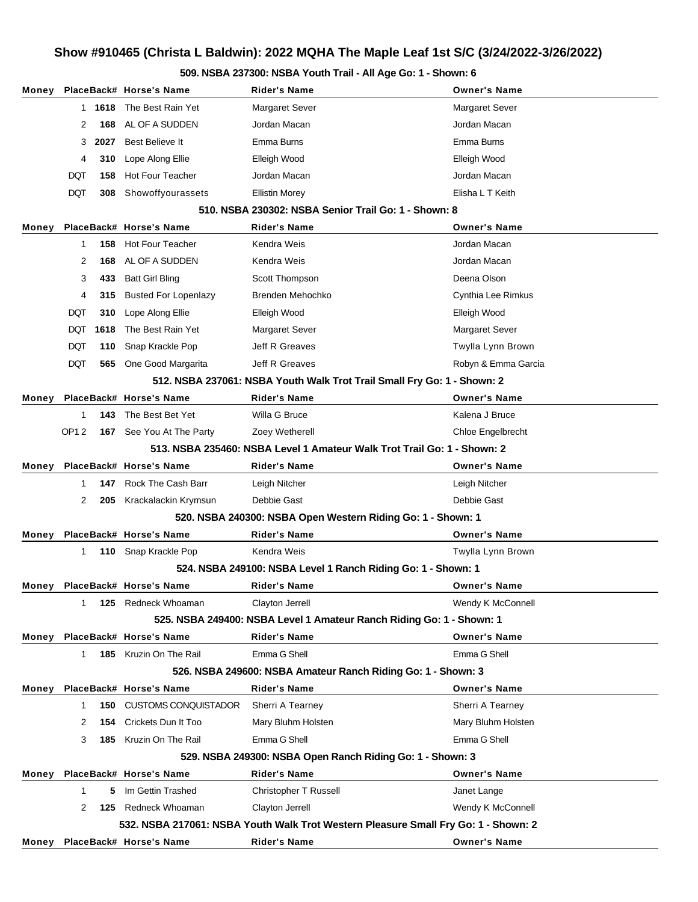### **509. NSBA 237300: NSBA Youth Trail - All Age Go: 1 - Shown: 6**

| Money |                |      | PlaceBack# Horse's Name       | <b>Rider's Name</b>                                                                | <b>Owner's Name</b> |
|-------|----------------|------|-------------------------------|------------------------------------------------------------------------------------|---------------------|
|       | 1.             | 1618 | The Best Rain Yet             | <b>Margaret Sever</b>                                                              | Margaret Sever      |
|       | 2              | 168  | AL OF A SUDDEN                | Jordan Macan                                                                       | Jordan Macan        |
|       | 3              | 2027 | Best Believe It               | Emma Burns                                                                         | Emma Burns          |
|       | 4              | 310  | Lope Along Ellie              | Elleigh Wood                                                                       | Elleigh Wood        |
|       | DQT            | 158  | <b>Hot Four Teacher</b>       | Jordan Macan                                                                       | Jordan Macan        |
|       | DQT            | 308  | Showoffyourassets             | <b>Ellistin Morey</b>                                                              | Elisha L T Keith    |
|       |                |      |                               | 510. NSBA 230302: NSBA Senior Trail Go: 1 - Shown: 8                               |                     |
| Money |                |      | PlaceBack# Horse's Name       | <b>Rider's Name</b>                                                                | <b>Owner's Name</b> |
|       | 1              | 158  | <b>Hot Four Teacher</b>       | Kendra Weis                                                                        | Jordan Macan        |
|       | 2              | 168  | AL OF A SUDDEN                | Kendra Weis                                                                        | Jordan Macan        |
|       | 3              | 433  | <b>Batt Girl Bling</b>        | Scott Thompson                                                                     | Deena Olson         |
|       | 4              | 315  | <b>Busted For Lopenlazy</b>   | Brenden Mehochko                                                                   | Cynthia Lee Rimkus  |
|       | DQT            | 310  | Lope Along Ellie              | Elleigh Wood                                                                       | Elleigh Wood        |
|       | DQT            | 1618 | The Best Rain Yet             | <b>Margaret Sever</b>                                                              | Margaret Sever      |
|       | DQT            | 110  | Snap Krackle Pop              | Jeff R Greaves                                                                     | Twylla Lynn Brown   |
|       | DQT            | 565  | One Good Margarita            | Jeff R Greaves                                                                     | Robyn & Emma Garcia |
|       |                |      |                               | 512. NSBA 237061: NSBA Youth Walk Trot Trail Small Fry Go: 1 - Shown: 2            |                     |
| Money |                |      | PlaceBack# Horse's Name       | <b>Rider's Name</b>                                                                | <b>Owner's Name</b> |
|       | 1              | 143  | The Best Bet Yet              | Willa G Bruce                                                                      | Kalena J Bruce      |
|       | <b>OP12</b>    |      | 167 See You At The Party      | Zoey Wetherell                                                                     | Chloe Engelbrecht   |
|       |                |      |                               | 513. NSBA 235460: NSBA Level 1 Amateur Walk Trot Trail Go: 1 - Shown: 2            |                     |
| Money |                |      | PlaceBack# Horse's Name       | <b>Rider's Name</b>                                                                | <b>Owner's Name</b> |
|       | 1              | 147  | Rock The Cash Barr            | Leigh Nitcher                                                                      | Leigh Nitcher       |
|       | $\overline{2}$ | 205  | Krackalackin Krymsun          | Debbie Gast                                                                        | Debbie Gast         |
|       |                |      |                               | 520. NSBA 240300: NSBA Open Western Riding Go: 1 - Shown: 1                        |                     |
| Money |                |      | PlaceBack# Horse's Name       | <b>Rider's Name</b>                                                                | <b>Owner's Name</b> |
|       | 1              |      | 110 Snap Krackle Pop          | Kendra Weis                                                                        | Twylla Lynn Brown   |
|       |                |      |                               | 524. NSBA 249100: NSBA Level 1 Ranch Riding Go: 1 - Shown: 1                       |                     |
| Monev |                |      | PlaceBack# Horse's Name       | Rider's Name                                                                       | <b>Owner's Name</b> |
|       | 1              | 125  | Redneck Whoaman               | Clayton Jerrell                                                                    | Wendy K McConnell   |
|       |                |      |                               | 525. NSBA 249400: NSBA Level 1 Amateur Ranch Riding Go: 1 - Shown: 1               |                     |
| Money |                |      | PlaceBack# Horse's Name       | <b>Rider's Name</b>                                                                | <b>Owner's Name</b> |
|       | 1              | 185  | Kruzin On The Rail            | Emma G Shell                                                                       | Emma G Shell        |
|       |                |      |                               | 526. NSBA 249600: NSBA Amateur Ranch Riding Go: 1 - Shown: 3                       |                     |
| Money |                |      | PlaceBack# Horse's Name       | <b>Rider's Name</b>                                                                | <b>Owner's Name</b> |
|       | 1              | 150  | <b>CUSTOMS CONQUISTADOR</b>   | Sherri A Tearney                                                                   | Sherri A Tearney    |
|       | 2              | 154  | Crickets Dun It Too           | Mary Bluhm Holsten                                                                 | Mary Bluhm Holsten  |
|       | 3              | 185  | Kruzin On The Rail            | Emma G Shell                                                                       | Emma G Shell        |
|       |                |      |                               | 529. NSBA 249300: NSBA Open Ranch Riding Go: 1 - Shown: 3                          |                     |
| Money |                |      | PlaceBack# Horse's Name       | <b>Rider's Name</b>                                                                | <b>Owner's Name</b> |
|       | 1              | 5    | Im Gettin Trashed             | Christopher T Russell                                                              | Janet Lange         |
|       | 2              | 125  | Redneck Whoaman               | Clayton Jerrell                                                                    | Wendy K McConnell   |
|       |                |      |                               | 532. NSBA 217061: NSBA Youth Walk Trot Western Pleasure Small Fry Go: 1 - Shown: 2 |                     |
|       |                |      | Money PlaceBack# Horse's Name | <b>Rider's Name</b>                                                                | <b>Owner's Name</b> |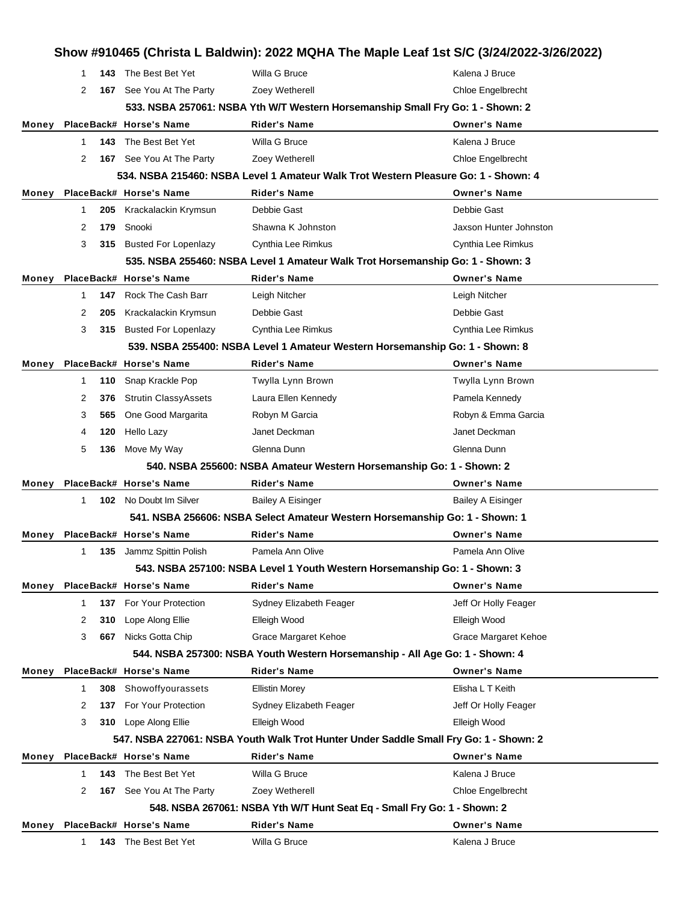|       |              |     |                             | Show #910465 (Christa L Baldwin): 2022 MQHA The Maple Leaf 1st S/C (3/24/2022-3/26/2022) |                          |
|-------|--------------|-----|-----------------------------|------------------------------------------------------------------------------------------|--------------------------|
|       | 1            | 143 | The Best Bet Yet            | Willa G Bruce                                                                            | Kalena J Bruce           |
|       | 2            |     | 167 See You At The Party    | Zoey Wetherell                                                                           | Chloe Engelbrecht        |
|       |              |     |                             | 533. NSBA 257061: NSBA Yth W/T Western Horsemanship Small Fry Go: 1 - Shown: 2           |                          |
| Money |              |     | PlaceBack# Horse's Name     | <b>Rider's Name</b>                                                                      | <b>Owner's Name</b>      |
|       | $\mathbf 1$  | 143 | The Best Bet Yet            | Willa G Bruce                                                                            | Kalena J Bruce           |
|       | 2            |     | 167 See You At The Party    | Zoey Wetherell                                                                           | Chloe Engelbrecht        |
|       |              |     |                             | 534. NSBA 215460: NSBA Level 1 Amateur Walk Trot Western Pleasure Go: 1 - Shown: 4       |                          |
| Money |              |     | PlaceBack# Horse's Name     | <b>Rider's Name</b>                                                                      | <b>Owner's Name</b>      |
|       | 1            | 205 | Krackalackin Krymsun        | Debbie Gast                                                                              | Debbie Gast              |
|       | 2            | 179 | Snooki                      | Shawna K Johnston                                                                        | Jaxson Hunter Johnston   |
|       | 3            |     | 315 Busted For Lopenlazy    | Cynthia Lee Rimkus                                                                       | Cynthia Lee Rimkus       |
|       |              |     |                             | 535. NSBA 255460: NSBA Level 1 Amateur Walk Trot Horsemanship Go: 1 - Shown: 3           |                          |
| Money |              |     | PlaceBack# Horse's Name     | <b>Rider's Name</b>                                                                      | <b>Owner's Name</b>      |
|       | $\mathbf 1$  | 147 | Rock The Cash Barr          | Leigh Nitcher                                                                            | Leigh Nitcher            |
|       | 2            | 205 | Krackalackin Krymsun        | Debbie Gast                                                                              | Debbie Gast              |
|       | 3            |     | 315 Busted For Lopenlazy    | Cynthia Lee Rimkus                                                                       | Cynthia Lee Rimkus       |
|       |              |     |                             | 539. NSBA 255400: NSBA Level 1 Amateur Western Horsemanship Go: 1 - Shown: 8             |                          |
| Money |              |     | PlaceBack# Horse's Name     | <b>Rider's Name</b>                                                                      | <b>Owner's Name</b>      |
|       | $\mathbf{1}$ | 110 | Snap Krackle Pop            | Twylla Lynn Brown                                                                        | Twylla Lynn Brown        |
|       | 2            | 376 | <b>Strutin ClassyAssets</b> | Laura Ellen Kennedy                                                                      | Pamela Kennedy           |
|       | 3            | 565 | One Good Margarita          | Robyn M Garcia                                                                           | Robyn & Emma Garcia      |
|       | 4            | 120 | <b>Hello Lazy</b>           | Janet Deckman                                                                            | Janet Deckman            |
|       | 5            | 136 | Move My Way                 | Glenna Dunn                                                                              | Glenna Dunn              |
|       |              |     |                             | 540. NSBA 255600: NSBA Amateur Western Horsemanship Go: 1 - Shown: 2                     |                          |
| Money |              |     | PlaceBack# Horse's Name     | <b>Rider's Name</b>                                                                      | <b>Owner's Name</b>      |
|       | $\mathbf 1$  | 102 | No Doubt Im Silver          | <b>Bailey A Eisinger</b>                                                                 | <b>Bailey A Eisinger</b> |
|       |              |     |                             | 541. NSBA 256606: NSBA Select Amateur Western Horsemanship Go: 1 - Shown: 1              |                          |
| Money |              |     | PlaceBack# Horse's Name     | <b>Rider's Name</b>                                                                      | <b>Owner's Name</b>      |
|       | 1            |     | 135 Jammz Spittin Polish    | Pamela Ann Olive                                                                         | Pamela Ann Olive         |
|       |              |     |                             | 543. NSBA 257100: NSBA Level 1 Youth Western Horsemanship Go: 1 - Shown: 3               |                          |
| Money |              |     | PlaceBack# Horse's Name     | <b>Rider's Name</b>                                                                      | <b>Owner's Name</b>      |
|       | $\mathbf{1}$ | 137 | For Your Protection         | Sydney Elizabeth Feager                                                                  | Jeff Or Holly Feager     |
|       | 2            | 310 | Lope Along Ellie            | Elleigh Wood                                                                             | Elleigh Wood             |
|       | 3            | 667 | Nicks Gotta Chip            | Grace Margaret Kehoe                                                                     | Grace Margaret Kehoe     |
|       |              |     |                             | 544. NSBA 257300: NSBA Youth Western Horsemanship - All Age Go: 1 - Shown: 4             |                          |
| Money |              |     | PlaceBack# Horse's Name     | Rider's Name                                                                             | <b>Owner's Name</b>      |
|       | 1            | 308 | Showoffyourassets           | <b>Ellistin Morey</b>                                                                    | Elisha L T Keith         |
|       | 2            | 137 | For Your Protection         | Sydney Elizabeth Feager                                                                  | Jeff Or Holly Feager     |
|       | 3            |     | 310 Lope Along Ellie        | Elleigh Wood                                                                             | Elleigh Wood             |
|       |              |     |                             | 547. NSBA 227061: NSBA Youth Walk Trot Hunter Under Saddle Small Fry Go: 1 - Shown: 2    |                          |
| Money |              |     | PlaceBack# Horse's Name     | <b>Rider's Name</b>                                                                      | <b>Owner's Name</b>      |
|       | $\mathbf 1$  | 143 | The Best Bet Yet            | Willa G Bruce                                                                            | Kalena J Bruce           |
|       | 2            |     | 167 See You At The Party    | Zoey Wetherell                                                                           | Chloe Engelbrecht        |
|       |              |     |                             | 548. NSBA 267061: NSBA Yth W/T Hunt Seat Eq - Small Fry Go: 1 - Shown: 2                 |                          |
| Money |              |     | PlaceBack# Horse's Name     | <b>Rider's Name</b>                                                                      | <b>Owner's Name</b>      |
|       | $\mathbf 1$  | 143 | The Best Bet Yet            | Willa G Bruce                                                                            | Kalena J Bruce           |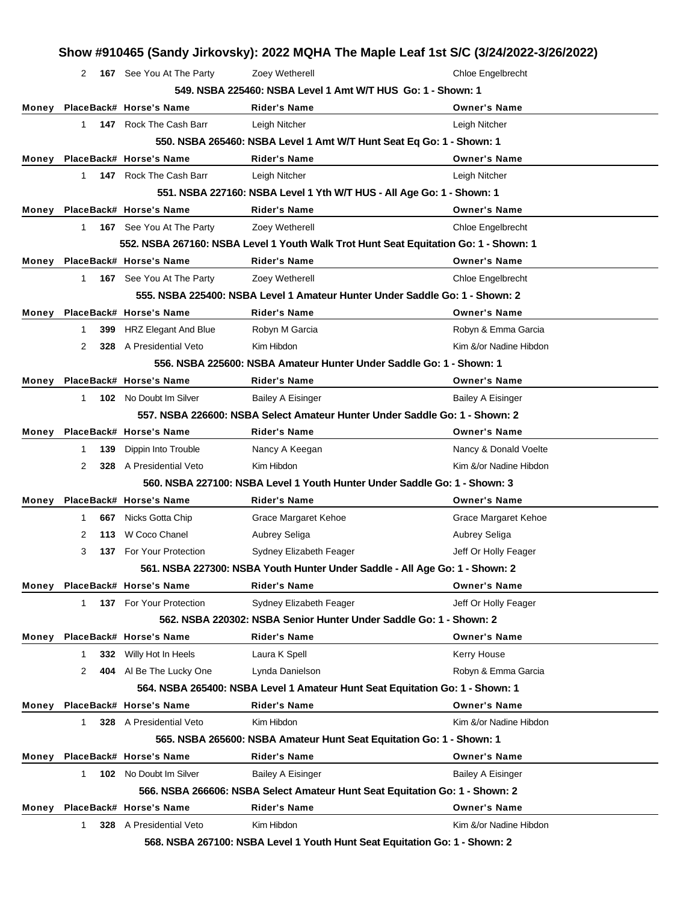|       |             |     |                                | Show #910465 (Sandy Jirkovsky): 2022 MQHA The Maple Leaf 1st S/C (3/24/2022-3/26/2022) |                          |
|-------|-------------|-----|--------------------------------|----------------------------------------------------------------------------------------|--------------------------|
|       | 2           |     | 167 See You At The Party       | Zoey Wetherell                                                                         | <b>Chloe Engelbrecht</b> |
|       |             |     |                                | 549. NSBA 225460: NSBA Level 1 Amt W/T HUS Go: 1 - Shown: 1                            |                          |
|       |             |     | Money PlaceBack# Horse's Name  | <b>Rider's Name</b>                                                                    | <b>Owner's Name</b>      |
|       | 1.          |     | 147 Rock The Cash Barr         | Leigh Nitcher                                                                          | Leigh Nitcher            |
|       |             |     |                                | 550. NSBA 265460: NSBA Level 1 Amt W/T Hunt Seat Eq Go: 1 - Shown: 1                   |                          |
|       |             |     | Money PlaceBack# Horse's Name  | <b>Rider's Name</b>                                                                    | <b>Owner's Name</b>      |
|       | 1           |     | 147 Rock The Cash Barr         | Leigh Nitcher                                                                          | Leigh Nitcher            |
|       |             |     |                                | 551. NSBA 227160: NSBA Level 1 Yth W/T HUS - All Age Go: 1 - Shown: 1                  |                          |
|       |             |     | Money PlaceBack# Horse's Name  | <b>Rider's Name</b>                                                                    | <b>Owner's Name</b>      |
|       | 1.          |     | 167 See You At The Party       | Zoey Wetherell                                                                         | <b>Chloe Engelbrecht</b> |
|       |             |     |                                | 552. NSBA 267160: NSBA Level 1 Youth Walk Trot Hunt Seat Equitation Go: 1 - Shown: 1   |                          |
| Money |             |     | PlaceBack# Horse's Name        | <b>Rider's Name</b>                                                                    | <b>Owner's Name</b>      |
|       | $\mathbf 1$ |     | 167 See You At The Party       | Zoey Wetherell                                                                         | Chloe Engelbrecht        |
|       |             |     |                                | 555. NSBA 225400: NSBA Level 1 Amateur Hunter Under Saddle Go: 1 - Shown: 2            |                          |
| Money |             |     | PlaceBack# Horse's Name        | <b>Rider's Name</b>                                                                    | <b>Owner's Name</b>      |
|       | 1           | 399 | HRZ Elegant And Blue           | Robyn M Garcia                                                                         | Robyn & Emma Garcia      |
|       | 2           |     | <b>328</b> A Presidential Veto | Kim Hibdon                                                                             | Kim &/or Nadine Hibdon   |
|       |             |     |                                | 556, NSBA 225600: NSBA Amateur Hunter Under Saddle Go: 1 - Shown: 1                    |                          |
| Money |             |     | PlaceBack# Horse's Name        | <b>Rider's Name</b>                                                                    | <b>Owner's Name</b>      |
|       | 1           |     | <b>102</b> No Doubt Im Silver  | <b>Bailey A Eisinger</b>                                                               | <b>Bailey A Eisinger</b> |
|       |             |     |                                | 557. NSBA 226600: NSBA Select Amateur Hunter Under Saddle Go: 1 - Shown: 2             |                          |
| Money |             |     | PlaceBack# Horse's Name        | Rider's Name                                                                           | <b>Owner's Name</b>      |
|       | 1           | 139 | Dippin Into Trouble            | Nancy A Keegan                                                                         | Nancy & Donald Voelte    |
|       | 2           |     | 328 A Presidential Veto        | Kim Hibdon                                                                             | Kim &/or Nadine Hibdon   |
|       |             |     |                                | 560, NSBA 227100: NSBA Level 1 Youth Hunter Under Saddle Go: 1 - Shown: 3              |                          |
| Money |             |     | PlaceBack# Horse's Name        | <b>Rider's Name</b>                                                                    | <b>Owner's Name</b>      |
|       | 1           | 667 | Nicks Gotta Chip               | Grace Margaret Kehoe                                                                   | Grace Margaret Kehoe     |
|       | 2           |     | 113 W Coco Chanel              | Aubrey Seliga                                                                          | Aubrey Seliga            |
|       | 3           |     | 137 For Your Protection        | Sydney Elizabeth Feager                                                                | Jeff Or Holly Feager     |
|       |             |     |                                | 561. NSBA 227300: NSBA Youth Hunter Under Saddle - All Age Go: 1 - Shown: 2            |                          |
|       |             |     | Money PlaceBack# Horse's Name  | <b>Rider's Name</b>                                                                    | <b>Owner's Name</b>      |
|       | 1           |     | 137 For Your Protection        | Sydney Elizabeth Feager                                                                | Jeff Or Holly Feager     |
|       |             |     |                                | 562, NSBA 220302: NSBA Senior Hunter Under Saddle Go: 1 - Shown: 2                     |                          |
| Money |             |     | PlaceBack# Horse's Name        | Rider's Name                                                                           | <b>Owner's Name</b>      |
|       | 1           |     | 332 Willy Hot In Heels         | Laura K Spell                                                                          | Kerry House              |
|       | 2           |     | 404 Al Be The Lucky One        | Lynda Danielson                                                                        | Robyn & Emma Garcia      |
|       |             |     |                                | 564. NSBA 265400: NSBA Level 1 Amateur Hunt Seat Equitation Go: 1 - Shown: 1           |                          |
| Money |             |     | PlaceBack# Horse's Name        | <b>Rider's Name</b>                                                                    | <b>Owner's Name</b>      |
|       | 1           |     | 328 A Presidential Veto        | Kim Hibdon                                                                             | Kim &/or Nadine Hibdon   |
|       |             |     |                                | 565. NSBA 265600: NSBA Amateur Hunt Seat Equitation Go: 1 - Shown: 1                   |                          |
| Money |             |     | PlaceBack# Horse's Name        | <b>Rider's Name</b>                                                                    | <b>Owner's Name</b>      |
|       | 1           |     | <b>102</b> No Doubt Im Silver  | <b>Bailey A Eisinger</b>                                                               | <b>Bailey A Eisinger</b> |
|       |             |     |                                | 566. NSBA 266606: NSBA Select Amateur Hunt Seat Equitation Go: 1 - Shown: 2            |                          |
| Monev |             |     | PlaceBack# Horse's Name        | <b>Rider's Name</b>                                                                    | <b>Owner's Name</b>      |
|       | 1           |     | 328 A Presidential Veto        | Kim Hibdon                                                                             | Kim &/or Nadine Hibdon   |
|       |             |     |                                | 568. NSBA 267100: NSBA Level 1 Youth Hunt Seat Equitation Go: 1 - Shown: 2             |                          |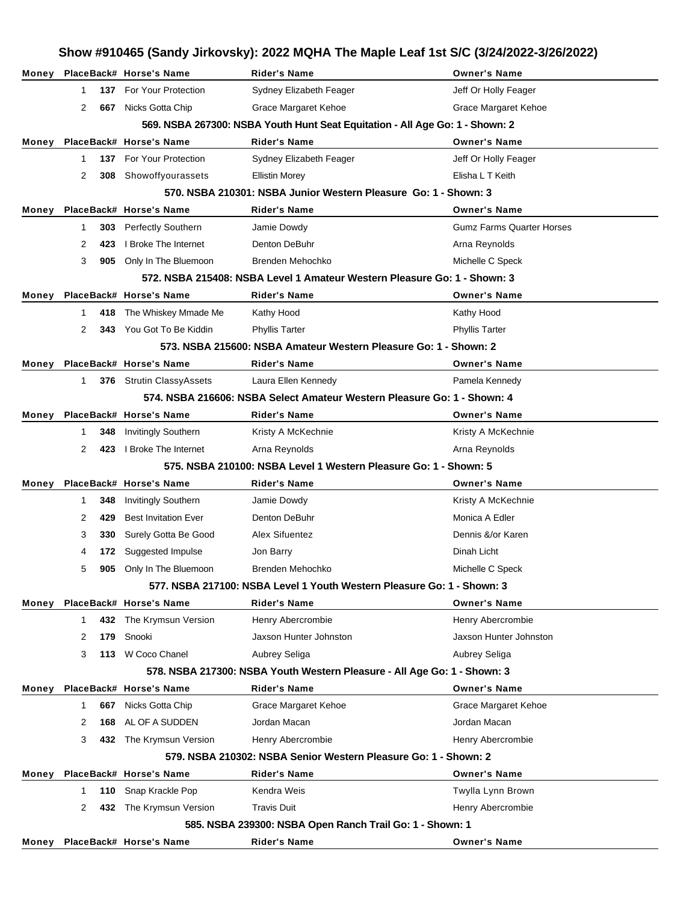|       | Show #910465 (Sandy Jirkovsky): 2022 MQHA The Maple Leaf 1st S/C (3/24/2022-3/26/2022) |     |                                                 |                                                                                                 |                                  |  |
|-------|----------------------------------------------------------------------------------------|-----|-------------------------------------------------|-------------------------------------------------------------------------------------------------|----------------------------------|--|
|       |                                                                                        |     | Money PlaceBack# Horse's Name                   | <b>Rider's Name</b>                                                                             | <b>Owner's Name</b>              |  |
|       | $\mathbf 1$                                                                            |     | 137 For Your Protection                         | Sydney Elizabeth Feager                                                                         | Jeff Or Holly Feager             |  |
|       | 2                                                                                      | 667 | Nicks Gotta Chip                                | Grace Margaret Kehoe                                                                            | <b>Grace Margaret Kehoe</b>      |  |
|       |                                                                                        |     |                                                 | 569. NSBA 267300: NSBA Youth Hunt Seat Equitation - All Age Go: 1 - Shown: 2                    |                                  |  |
| Money |                                                                                        |     | PlaceBack# Horse's Name                         | <b>Rider's Name</b>                                                                             | <b>Owner's Name</b>              |  |
|       | $\mathbf 1$                                                                            | 137 | <b>For Your Protection</b>                      | Sydney Elizabeth Feager                                                                         | Jeff Or Holly Feager             |  |
|       | 2                                                                                      | 308 | Showoffyourassets                               | <b>Ellistin Morey</b>                                                                           | Elisha L T Keith                 |  |
|       |                                                                                        |     |                                                 | 570. NSBA 210301: NSBA Junior Western Pleasure Go: 1 - Shown: 3                                 |                                  |  |
| Money |                                                                                        |     | PlaceBack# Horse's Name                         | <b>Rider's Name</b>                                                                             | <b>Owner's Name</b>              |  |
|       | $\mathbf 1$                                                                            | 303 | <b>Perfectly Southern</b>                       | Jamie Dowdy                                                                                     | <b>Gumz Farms Quarter Horses</b> |  |
|       | 2                                                                                      | 423 | I Broke The Internet                            | Denton DeBuhr                                                                                   | Arna Reynolds                    |  |
|       | 3                                                                                      | 905 | Only In The Bluemoon                            | Brenden Mehochko                                                                                | Michelle C Speck                 |  |
|       |                                                                                        |     |                                                 | 572. NSBA 215408: NSBA Level 1 Amateur Western Pleasure Go: 1 - Shown: 3                        |                                  |  |
| Money |                                                                                        |     | PlaceBack# Horse's Name                         | <b>Rider's Name</b>                                                                             | <b>Owner's Name</b>              |  |
|       | 1                                                                                      | 418 | The Whiskey Mmade Me                            | Kathy Hood                                                                                      | Kathy Hood                       |  |
|       | 2                                                                                      | 343 | You Got To Be Kiddin                            | <b>Phyllis Tarter</b>                                                                           | <b>Phyllis Tarter</b>            |  |
|       |                                                                                        |     |                                                 | 573, NSBA 215600: NSBA Amateur Western Pleasure Go: 1 - Shown: 2                                |                                  |  |
| Money |                                                                                        |     | PlaceBack# Horse's Name                         | <b>Rider's Name</b>                                                                             | <b>Owner's Name</b>              |  |
|       | 1                                                                                      | 376 | <b>Strutin ClassyAssets</b>                     | Laura Ellen Kennedy                                                                             | Pamela Kennedy                   |  |
|       |                                                                                        |     |                                                 | 574, NSBA 216606: NSBA Select Amateur Western Pleasure Go: 1 - Shown: 4                         |                                  |  |
|       |                                                                                        |     | Money PlaceBack# Horse's Name                   | <b>Rider's Name</b>                                                                             | <b>Owner's Name</b>              |  |
|       | 1                                                                                      | 348 | <b>Invitingly Southern</b>                      | Kristy A McKechnie                                                                              | Kristy A McKechnie               |  |
|       | 2                                                                                      | 423 | I Broke The Internet                            | Arna Reynolds                                                                                   | Arna Reynolds                    |  |
|       |                                                                                        |     |                                                 | 575. NSBA 210100: NSBA Level 1 Western Pleasure Go: 1 - Shown: 5                                |                                  |  |
| Money |                                                                                        |     | PlaceBack# Horse's Name                         | <b>Rider's Name</b>                                                                             | <b>Owner's Name</b>              |  |
|       | 1                                                                                      | 348 | <b>Invitingly Southern</b>                      | Jamie Dowdy                                                                                     | Kristy A McKechnie               |  |
|       | 2                                                                                      | 429 | <b>Best Invitation Ever</b>                     | Denton DeBuhr                                                                                   | Monica A Edler                   |  |
|       | 3                                                                                      | 330 | Surely Gotta Be Good                            | Alex Sifuentez                                                                                  | Dennis &/or Karen                |  |
|       | 4                                                                                      |     | <b>172</b> Suggested Impulse                    | Jon Barry                                                                                       | Dinah Licht                      |  |
|       | 5                                                                                      | 905 | Only In The Bluemoon                            | Brenden Mehochko                                                                                | Michelle C Speck                 |  |
|       |                                                                                        |     |                                                 | 577. NSBA 217100: NSBA Level 1 Youth Western Pleasure Go: 1 - Shown: 3                          |                                  |  |
|       |                                                                                        |     | Money PlaceBack# Horse's Name                   | <b>Rider's Name</b>                                                                             | <b>Owner's Name</b>              |  |
|       | 1                                                                                      |     | 432 The Krymsun Version                         | Henry Abercrombie                                                                               | Henry Abercrombie                |  |
|       | 2                                                                                      | 179 | Snooki                                          | Jaxson Hunter Johnston                                                                          | Jaxson Hunter Johnston           |  |
|       | 3                                                                                      |     | 113 W Coco Chanel                               | Aubrey Seliga                                                                                   | Aubrey Seliga                    |  |
|       |                                                                                        |     |                                                 | 578. NSBA 217300: NSBA Youth Western Pleasure - All Age Go: 1 - Shown: 3<br><b>Rider's Name</b> | <b>Owner's Name</b>              |  |
| Money | 1                                                                                      |     | PlaceBack# Horse's Name<br>667 Nicks Gotta Chip | Grace Margaret Kehoe                                                                            | Grace Margaret Kehoe             |  |
|       | 2                                                                                      | 168 | AL OF A SUDDEN                                  | Jordan Macan                                                                                    | Jordan Macan                     |  |
|       | 3                                                                                      |     | 432 The Krymsun Version                         | Henry Abercrombie                                                                               | Henry Abercrombie                |  |
|       |                                                                                        |     |                                                 | 579. NSBA 210302: NSBA Senior Western Pleasure Go: 1 - Shown: 2                                 |                                  |  |
|       |                                                                                        |     | Money PlaceBack# Horse's Name                   | <b>Rider's Name</b>                                                                             | <b>Owner's Name</b>              |  |
|       | 1                                                                                      | 110 | Snap Krackle Pop                                | Kendra Weis                                                                                     | Twylla Lynn Brown                |  |
|       | 2                                                                                      |     | 432 The Krymsun Version                         | <b>Travis Duit</b>                                                                              | Henry Abercrombie                |  |
|       |                                                                                        |     |                                                 | 585. NSBA 239300: NSBA Open Ranch Trail Go: 1 - Shown: 1                                        |                                  |  |
|       |                                                                                        |     | Money PlaceBack# Horse's Name                   | <b>Rider's Name</b>                                                                             | <b>Owner's Name</b>              |  |
|       |                                                                                        |     |                                                 |                                                                                                 |                                  |  |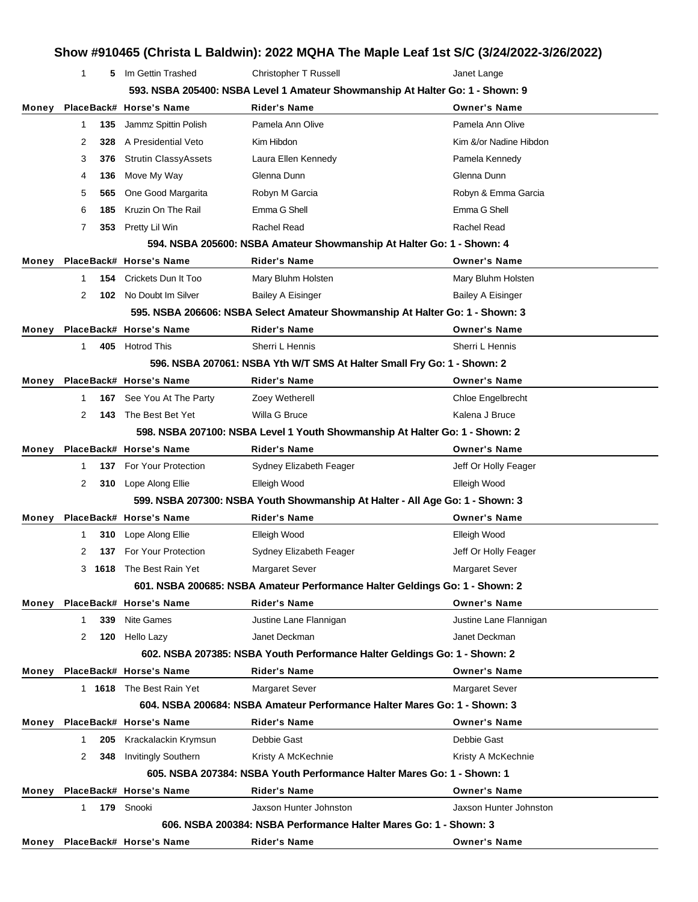1 **5** Im Gettin Trashed **Christopher T Russell Christopher T Russell** Janet Lange

|       | 593. NSBA 205400: NSBA Level 1 Amateur Showmanship At Halter Go: 1 - Shown: 9 |      |                               |                                                                               |                          |  |
|-------|-------------------------------------------------------------------------------|------|-------------------------------|-------------------------------------------------------------------------------|--------------------------|--|
|       |                                                                               |      | Money PlaceBack# Horse's Name | <b>Rider's Name</b>                                                           | <b>Owner's Name</b>      |  |
|       | 1                                                                             | 135  | Jammz Spittin Polish          | Pamela Ann Olive                                                              | Pamela Ann Olive         |  |
|       | 2                                                                             | 328  | A Presidential Veto           | Kim Hibdon                                                                    | Kim &/or Nadine Hibdon   |  |
|       | 3                                                                             | 376  | <b>Strutin ClassyAssets</b>   | Laura Ellen Kennedy                                                           | Pamela Kennedy           |  |
|       | 4                                                                             | 136  | Move My Way                   | Glenna Dunn                                                                   | Glenna Dunn              |  |
|       | 5                                                                             | 565  | One Good Margarita            | Robyn M Garcia                                                                | Robyn & Emma Garcia      |  |
|       | 6                                                                             | 185  | Kruzin On The Rail            | Emma G Shell                                                                  | Emma G Shell             |  |
|       | 7                                                                             |      | 353 Pretty Lil Win            | Rachel Read                                                                   | Rachel Read              |  |
|       |                                                                               |      |                               | 594. NSBA 205600: NSBA Amateur Showmanship At Halter Go: 1 - Shown: 4         |                          |  |
| Money |                                                                               |      | PlaceBack# Horse's Name       | <b>Rider's Name</b>                                                           | <b>Owner's Name</b>      |  |
|       | 1                                                                             |      | 154 Crickets Dun It Too       | Mary Bluhm Holsten                                                            | Mary Bluhm Holsten       |  |
|       | 2                                                                             |      | 102 No Doubt Im Silver        | <b>Bailey A Eisinger</b>                                                      | <b>Bailey A Eisinger</b> |  |
|       |                                                                               |      |                               | 595. NSBA 206606: NSBA Select Amateur Showmanship At Halter Go: 1 - Shown: 3  |                          |  |
| Money |                                                                               |      | PlaceBack# Horse's Name       | <b>Rider's Name</b>                                                           | <b>Owner's Name</b>      |  |
|       | $\mathbf{1}$                                                                  |      | 405 Hotrod This               | Sherri L Hennis                                                               | Sherri L Hennis          |  |
|       |                                                                               |      |                               | 596. NSBA 207061: NSBA Yth W/T SMS At Halter Small Fry Go: 1 - Shown: 2       |                          |  |
| Money |                                                                               |      | PlaceBack# Horse's Name       | <b>Rider's Name</b>                                                           | <b>Owner's Name</b>      |  |
|       | 1                                                                             |      | 167 See You At The Party      | Zoey Wetherell                                                                | Chloe Engelbrecht        |  |
|       | 2                                                                             | 143  | The Best Bet Yet              | Willa G Bruce                                                                 | Kalena J Bruce           |  |
|       |                                                                               |      |                               | 598. NSBA 207100: NSBA Level 1 Youth Showmanship At Halter Go: 1 - Shown: 2   |                          |  |
| Money |                                                                               |      | PlaceBack# Horse's Name       | <b>Rider's Name</b>                                                           | <b>Owner's Name</b>      |  |
|       | 1                                                                             |      | 137 For Your Protection       | Sydney Elizabeth Feager                                                       | Jeff Or Holly Feager     |  |
|       | 2                                                                             |      | 310 Lope Along Ellie          | Elleigh Wood                                                                  | Elleigh Wood             |  |
|       |                                                                               |      |                               | 599. NSBA 207300: NSBA Youth Showmanship At Halter - All Age Go: 1 - Shown: 3 |                          |  |
| Money |                                                                               |      | PlaceBack# Horse's Name       | <b>Rider's Name</b>                                                           | <b>Owner's Name</b>      |  |
|       | 1                                                                             | 310  | Lope Along Ellie              | Elleigh Wood                                                                  | Elleigh Wood             |  |
|       | 2                                                                             |      | 137 For Your Protection       | Sydney Elizabeth Feager                                                       | Jeff Or Holly Feager     |  |
|       | 3                                                                             | 1618 | The Best Rain Yet             | <b>Margaret Sever</b>                                                         | <b>Margaret Sever</b>    |  |
|       |                                                                               |      |                               | 601. NSBA 200685: NSBA Amateur Performance Halter Geldings Go: 1 - Shown: 2   |                          |  |
|       |                                                                               |      | Money PlaceBack# Horse's Name | <b>Rider's Name</b>                                                           | <b>Owner's Name</b>      |  |
|       | 1                                                                             | 339  | Nite Games                    | Justine Lane Flannigan                                                        | Justine Lane Flannigan   |  |
|       | 2                                                                             |      | 120 Hello Lazy                | Janet Deckman                                                                 | Janet Deckman            |  |
|       |                                                                               |      |                               | 602. NSBA 207385: NSBA Youth Performance Halter Geldings Go: 1 - Shown: 2     |                          |  |
| Money |                                                                               |      | PlaceBack# Horse's Name       | <b>Rider's Name</b>                                                           | <b>Owner's Name</b>      |  |
|       |                                                                               |      | 1 1618 The Best Rain Yet      | <b>Margaret Sever</b>                                                         | <b>Margaret Sever</b>    |  |
|       |                                                                               |      |                               | 604. NSBA 200684: NSBA Amateur Performance Halter Mares Go: 1 - Shown: 3      |                          |  |
|       |                                                                               |      | Money PlaceBack# Horse's Name | <b>Rider's Name</b>                                                           | <b>Owner's Name</b>      |  |
|       | 1                                                                             | 205  | Krackalackin Krymsun          | Debbie Gast                                                                   | Debbie Gast              |  |
|       | 2                                                                             | 348  | <b>Invitingly Southern</b>    | Kristy A McKechnie                                                            | Kristy A McKechnie       |  |
|       |                                                                               |      |                               | 605, NSBA 207384: NSBA Youth Performance Halter Mares Go: 1 - Shown: 1        |                          |  |
|       |                                                                               |      | Money PlaceBack# Horse's Name | <b>Rider's Name</b>                                                           | <b>Owner's Name</b>      |  |
|       | 1                                                                             |      | 179 Snooki                    | Jaxson Hunter Johnston                                                        | Jaxson Hunter Johnston   |  |
|       |                                                                               |      |                               | 606. NSBA 200384: NSBA Performance Halter Mares Go: 1 - Shown: 3              |                          |  |
|       |                                                                               |      | Money PlaceBack# Horse's Name | <b>Rider's Name</b>                                                           | <b>Owner's Name</b>      |  |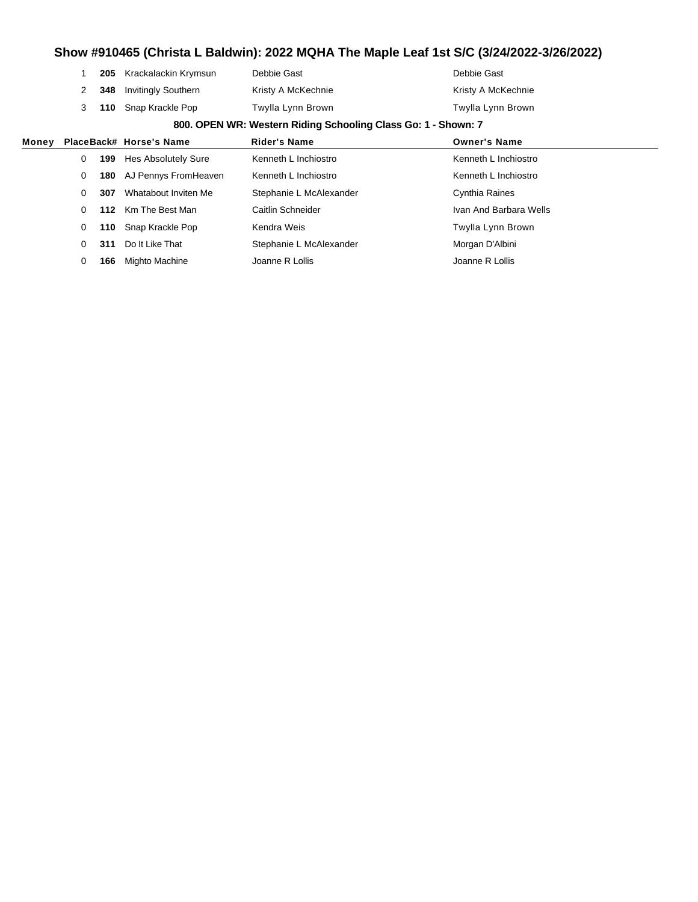**205** Krackalackin Krymsun Debbie Gast **Debbie Gast** Debbie Gast **348** Invitingly Southern Kristy A McKechnie Kristy A McKechnie Kristy A McKechnie **110** Snap Krackle Pop Twylla Lynn Brown Twylla Lynn Brown

#### **800. OPEN WR: Western Riding Schooling Class Go: 1 - Shown: 7**

| Money |   |     | PlaceBack# Horse's Name | <b>Rider's Name</b>     | <b>Owner's Name</b>    |
|-------|---|-----|-------------------------|-------------------------|------------------------|
|       | 0 | 199 | Hes Absolutely Sure     | Kenneth L Inchiostro    | Kenneth L Inchiostro   |
|       | 0 | 180 | AJ Pennys FromHeaven    | Kenneth L Inchiostro    | Kenneth L Inchiostro   |
|       | 0 | 307 | Whatabout Inviten Me    | Stephanie L McAlexander | Cynthia Raines         |
|       | 0 |     | 112 Km The Best Man     | Caitlin Schneider       | Ivan And Barbara Wells |
|       | 0 |     | 110 Snap Krackle Pop    | Kendra Weis             | Twylla Lynn Brown      |
|       | 0 | 311 | Do It Like That         | Stephanie L McAlexander | Morgan D'Albini        |
|       | 0 | 166 | Mighto Machine          | Joanne R Lollis         | Joanne R Lollis        |
|       |   |     |                         |                         |                        |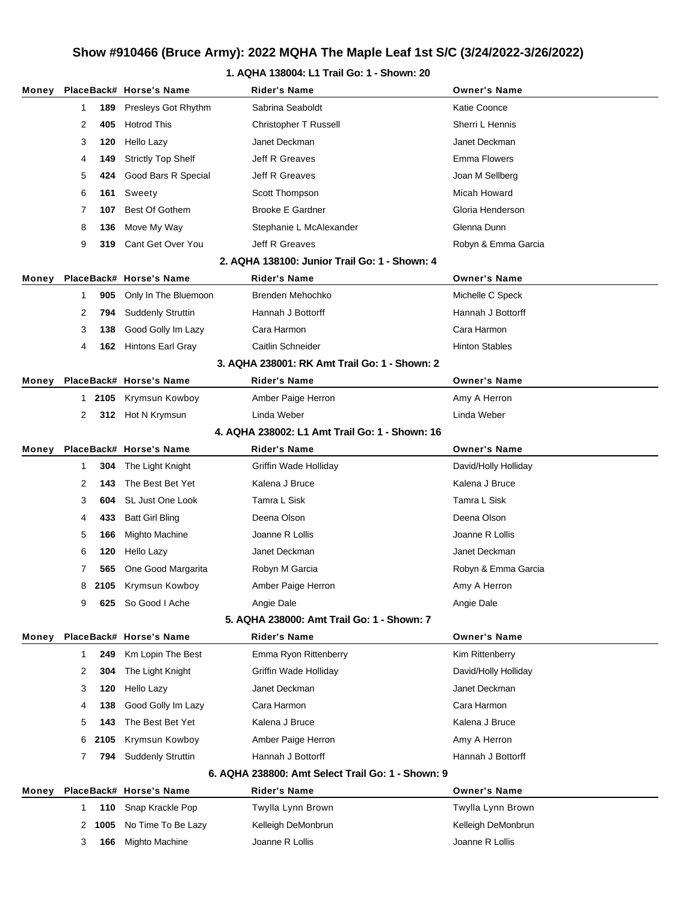### **1. AQHA 138004: L1 Trail Go: 1 - Shown: 20**

|       |   |        | Money PlaceBack# Horse's Name | <b>Rider's Name</b>                               | <b>Owner's Name</b>   |
|-------|---|--------|-------------------------------|---------------------------------------------------|-----------------------|
|       | 1 | 189    | Presleys Got Rhythm           | Sabrina Seaboldt                                  | Katie Coonce          |
|       | 2 | 405    | <b>Hotrod This</b>            | Christopher T Russell                             | Sherri L Hennis       |
|       | 3 | 120    | Hello Lazy                    | Janet Deckman                                     | Janet Deckman         |
|       | 4 | 149    | <b>Strictly Top Shelf</b>     | Jeff R Greaves                                    | Emma Flowers          |
|       | 5 | 424    | Good Bars R Special           | Jeff R Greaves                                    | Joan M Sellberg       |
|       | 6 | 161    | Sweety                        | Scott Thompson                                    | Micah Howard          |
|       | 7 | 107    | <b>Best Of Gothem</b>         | <b>Brooke E Gardner</b>                           | Gloria Henderson      |
|       | 8 | 136    | Move My Way                   | Stephanie L McAlexander                           | Glenna Dunn           |
|       | 9 | 319    | Cant Get Over You             | Jeff R Greaves                                    | Robyn & Emma Garcia   |
|       |   |        |                               | 2. AQHA 138100: Junior Trail Go: 1 - Shown: 4     |                       |
| Money |   |        | PlaceBack# Horse's Name       | <b>Rider's Name</b>                               | <b>Owner's Name</b>   |
|       | 1 | 905    | Only In The Bluemoon          | Brenden Mehochko                                  | Michelle C Speck      |
|       | 2 | 794    | <b>Suddenly Struttin</b>      | Hannah J Bottorff                                 | Hannah J Bottorff     |
|       | 3 | 138    | Good Golly Im Lazy            | Cara Harmon                                       | Cara Harmon           |
|       | 4 |        | <b>162</b> Hintons Earl Gray  | Caitlin Schneider                                 | <b>Hinton Stables</b> |
|       |   |        |                               | 3. AQHA 238001: RK Amt Trail Go: 1 - Shown: 2     |                       |
| Money |   |        | PlaceBack# Horse's Name       | <b>Rider's Name</b>                               | <b>Owner's Name</b>   |
|       |   | 1 2105 | Krymsun Kowboy                | Amber Paige Herron                                | Amy A Herron          |
|       | 2 |        | 312 Hot N Krymsun             | Linda Weber                                       | Linda Weber           |
|       |   |        |                               | 4. AQHA 238002: L1 Amt Trail Go: 1 - Shown: 16    |                       |
| Money |   |        | PlaceBack# Horse's Name       | Rider's Name                                      | <b>Owner's Name</b>   |
|       | 1 | 304    | The Light Knight              | Griffin Wade Holliday                             | David/Holly Holliday  |
|       | 2 | 143    | The Best Bet Yet              | Kalena J Bruce                                    | Kalena J Bruce        |
|       | 3 | 604    | SL Just One Look              | Tamra L Sisk                                      | Tamra L Sisk          |
|       | 4 | 433    | <b>Batt Girl Bling</b>        | Deena Olson                                       | Deena Olson           |
|       | 5 | 166    | Mighto Machine                | Joanne R Lollis                                   | Joanne R Lollis       |
|       | 6 | 120    | Hello Lazy                    | Janet Deckman                                     | Janet Deckman         |
|       | 7 | 565    | One Good Margarita            | Robyn M Garcia                                    | Robyn & Emma Garcia   |
|       | 8 | 2105   | Krymsun Kowboy                | Amber Paige Herron                                | Amy A Herron          |
|       | 9 | 625    | So Good I Ache                | Angie Dale                                        | Angie Dale            |
|       |   |        |                               | 5. AQHA 238000: Amt Trail Go: 1 - Shown: 7        |                       |
| Money |   |        | PlaceBack# Horse's Name       | <b>Rider's Name</b>                               | <b>Owner's Name</b>   |
|       | 1 | 249    | Km Lopin The Best             | Emma Ryon Rittenberry                             | Kim Rittenberry       |
|       | 2 | 304    | The Light Knight              | Griffin Wade Holliday                             | David/Holly Holliday  |
|       | 3 | 120    | Hello Lazy                    | Janet Deckman                                     | Janet Deckman         |
|       | 4 | 138    | Good Golly Im Lazy            | Cara Harmon                                       | Cara Harmon           |
|       | 5 | 143    | The Best Bet Yet              | Kalena J Bruce                                    | Kalena J Bruce        |
|       | 6 | 2105   | Krymsun Kowboy                | Amber Paige Herron                                | Amy A Herron          |
|       | 7 | 794    | <b>Suddenly Struttin</b>      | Hannah J Bottorff                                 | Hannah J Bottorff     |
|       |   |        |                               | 6. AQHA 238800: Amt Select Trail Go: 1 - Shown: 9 |                       |
| Money |   |        | PlaceBack# Horse's Name       | <b>Rider's Name</b>                               | <b>Owner's Name</b>   |
|       | 1 | 110    | Snap Krackle Pop              | Twylla Lynn Brown                                 | Twylla Lynn Brown     |
|       | 2 | 1005   | No Time To Be Lazy            | Kelleigh DeMonbrun                                | Kelleigh DeMonbrun    |
|       | 3 | 166    | Mighto Machine                | Joanne R Lollis                                   | Joanne R Lollis       |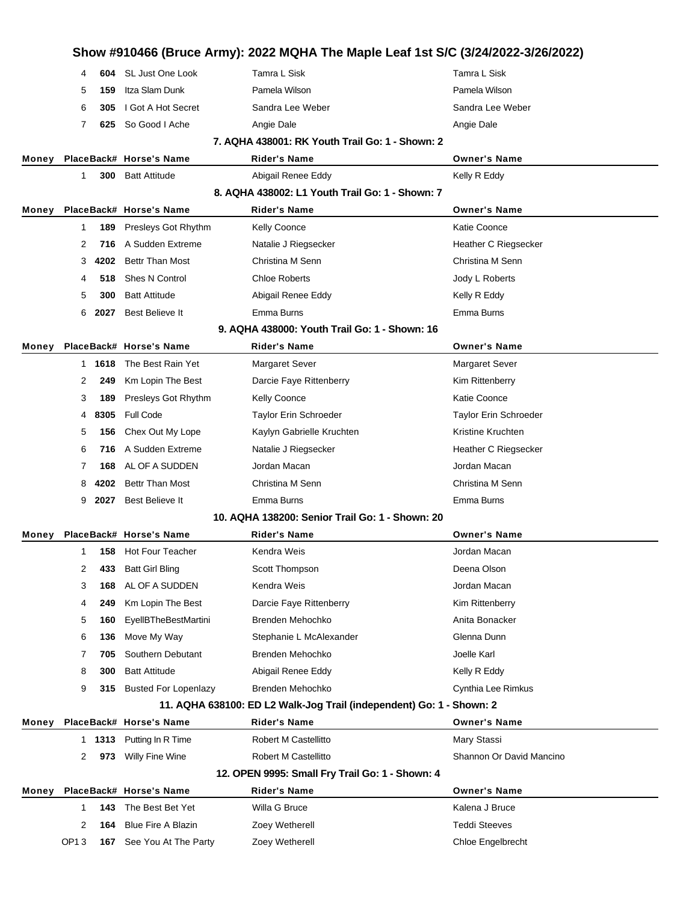|       |                  |        |                             |                                                                      | Show #910466 (Bruce Army): 2022 MQHA The Maple Leaf 1st S/C (3/24/2022-3/26/2022) |
|-------|------------------|--------|-----------------------------|----------------------------------------------------------------------|-----------------------------------------------------------------------------------|
|       | 4                | 604    | SL Just One Look            | Tamra L Sisk                                                         | Tamra L Sisk                                                                      |
|       | 5                | 159    | Itza Slam Dunk              | Pamela Wilson                                                        | Pamela Wilson                                                                     |
|       | 6                | 305    | I Got A Hot Secret          | Sandra Lee Weber                                                     | Sandra Lee Weber                                                                  |
|       | 7                | 625    | So Good I Ache              | Angie Dale                                                           | Angie Dale                                                                        |
|       |                  |        |                             | 7. AQHA 438001: RK Youth Trail Go: 1 - Shown: 2                      |                                                                                   |
| Money |                  |        | PlaceBack# Horse's Name     | Rider's Name                                                         | <b>Owner's Name</b>                                                               |
|       | 1                | 300    | <b>Batt Attitude</b>        | Abigail Renee Eddy                                                   | Kelly R Eddy                                                                      |
|       |                  |        |                             | 8. AQHA 438002: L1 Youth Trail Go: 1 - Shown: 7                      |                                                                                   |
| Money |                  |        | PlaceBack# Horse's Name     | <b>Rider's Name</b>                                                  | <b>Owner's Name</b>                                                               |
|       | 1                | 189    | Presleys Got Rhythm         | <b>Kelly Coonce</b>                                                  | <b>Katie Coonce</b>                                                               |
|       | 2                | 716    | A Sudden Extreme            | Natalie J Riegsecker                                                 | Heather C Riegsecker                                                              |
|       | 3                | 4202   | <b>Bettr Than Most</b>      | Christina M Senn                                                     | Christina M Senn                                                                  |
|       | 4                | 518    | Shes N Control              | <b>Chloe Roberts</b>                                                 | Jody L Roberts                                                                    |
|       | 5                | 300    | <b>Batt Attitude</b>        | Abigail Renee Eddy                                                   | Kelly R Eddy                                                                      |
|       | 6                | 2027   | Best Believe It             | Emma Burns                                                           | Emma Burns                                                                        |
|       |                  |        |                             | 9. AQHA 438000: Youth Trail Go: 1 - Shown: 16                        |                                                                                   |
| Money |                  |        | PlaceBack# Horse's Name     | <b>Rider's Name</b>                                                  | <b>Owner's Name</b>                                                               |
|       |                  | 1 1618 | The Best Rain Yet           | <b>Margaret Sever</b>                                                | <b>Margaret Sever</b>                                                             |
|       | 2                | 249    | Km Lopin The Best           | Darcie Faye Rittenberry                                              | Kim Rittenberry                                                                   |
|       | 3                | 189    | Presleys Got Rhythm         | <b>Kelly Coonce</b>                                                  | <b>Katie Coonce</b>                                                               |
|       | 4                | 8305   | <b>Full Code</b>            | Taylor Erin Schroeder                                                | Taylor Erin Schroeder                                                             |
|       | 5                | 156    | Chex Out My Lope            | Kaylyn Gabrielle Kruchten                                            | Kristine Kruchten                                                                 |
|       | 6                | 716    | A Sudden Extreme            | Natalie J Riegsecker                                                 | Heather C Riegsecker                                                              |
|       | 7                | 168    | AL OF A SUDDEN              | Jordan Macan                                                         | Jordan Macan                                                                      |
|       | 8                | 4202   | <b>Bettr Than Most</b>      | Christina M Senn                                                     | Christina M Senn                                                                  |
|       | 9                | 2027   | Best Believe It             | Emma Burns                                                           | Emma Burns                                                                        |
|       |                  |        |                             | 10. AQHA 138200: Senior Trail Go: 1 - Shown: 20                      |                                                                                   |
| Money |                  |        | PlaceBack# Horse's Name     | Rider's Name                                                         | <b>Owner's Name</b>                                                               |
|       | 1                | 158    | Hot Four Teacher            | Kendra Weis                                                          | Jordan Macan                                                                      |
|       | 2                | 433    | <b>Batt Girl Bling</b>      | Scott Thompson                                                       | Deena Olson                                                                       |
|       | 3                | 168    | AL OF A SUDDEN              | Kendra Weis                                                          | Jordan Macan                                                                      |
|       | 4                | 249    | Km Lopin The Best           | Darcie Faye Rittenberry                                              | Kim Rittenberry                                                                   |
|       | 5                | 160    | <b>EyellBTheBestMartini</b> | Brenden Mehochko                                                     | Anita Bonacker                                                                    |
|       | 6                | 136    | Move My Way                 | Stephanie L McAlexander                                              | Glenna Dunn                                                                       |
|       | 7                | 705    | Southern Debutant           | Brenden Mehochko                                                     | Joelle Karl                                                                       |
|       | 8                | 300    | <b>Batt Attitude</b>        | Abigail Renee Eddy                                                   | Kelly R Eddy                                                                      |
|       | 9                | 315    | <b>Busted For Lopenlazy</b> | Brenden Mehochko                                                     | Cynthia Lee Rimkus                                                                |
|       |                  |        |                             | 11. AQHA 638100: ED L2 Walk-Jog Trail (independent) Go: 1 - Shown: 2 |                                                                                   |
| Money |                  |        | PlaceBack# Horse's Name     | <b>Rider's Name</b>                                                  | <b>Owner's Name</b>                                                               |
|       |                  | 1 1313 | Putting In R Time           | Robert M Castellitto                                                 | Mary Stassi                                                                       |
|       | 2                | 973    | Willy Fine Wine             | Robert M Castellitto                                                 | Shannon Or David Mancino                                                          |
|       |                  |        |                             | 12. OPEN 9995: Small Fry Trail Go: 1 - Shown: 4                      |                                                                                   |
| Money |                  |        | PlaceBack# Horse's Name     | <b>Rider's Name</b>                                                  | <b>Owner's Name</b>                                                               |
|       | 1                | 143    | The Best Bet Yet            | Willa G Bruce                                                        | Kalena J Bruce                                                                    |
|       | 2                | 164    | <b>Blue Fire A Blazin</b>   | Zoey Wetherell                                                       | <b>Teddi Steeves</b>                                                              |
|       | OP <sub>13</sub> | 167    | See You At The Party        | Zoey Wetherell                                                       | Chloe Engelbrecht                                                                 |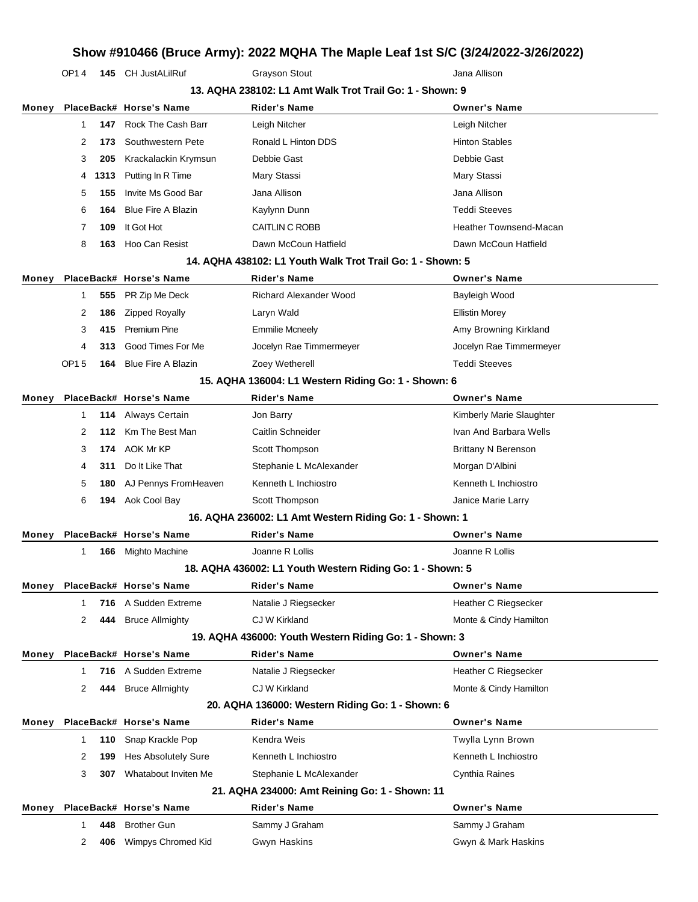OP1 4 **145** CH JustALilRuf Grayson Stout Grayson Stout Jana Allison

|       | 13. AQHA 238102: L1 Amt Walk Trot Trail Go: 1 - Shown: 9 |      |                            |                                                            |                               |  |
|-------|----------------------------------------------------------|------|----------------------------|------------------------------------------------------------|-------------------------------|--|
| Money |                                                          |      | PlaceBack# Horse's Name    | Rider's Name                                               | <b>Owner's Name</b>           |  |
|       | 1                                                        | 147  | Rock The Cash Barr         | Leigh Nitcher                                              | Leigh Nitcher                 |  |
|       | 2                                                        | 173  | Southwestern Pete          | Ronald L Hinton DDS                                        | <b>Hinton Stables</b>         |  |
|       | 3                                                        | 205  | Krackalackin Krymsun       | Debbie Gast                                                | Debbie Gast                   |  |
|       | 4                                                        | 1313 | Putting In R Time          | Mary Stassi                                                | Mary Stassi                   |  |
|       | 5                                                        | 155  | Invite Ms Good Bar         | Jana Allison                                               | Jana Allison                  |  |
|       | 6                                                        | 164  | <b>Blue Fire A Blazin</b>  | Kaylynn Dunn                                               | <b>Teddi Steeves</b>          |  |
|       | 7                                                        | 109  | It Got Hot                 | CAITLIN C ROBB                                             | <b>Heather Townsend-Macan</b> |  |
|       | 8                                                        | 163  | Hoo Can Resist             | Dawn McCoun Hatfield                                       | Dawn McCoun Hatfield          |  |
|       |                                                          |      |                            | 14. AQHA 438102: L1 Youth Walk Trot Trail Go: 1 - Shown: 5 |                               |  |
| Money |                                                          |      | PlaceBack# Horse's Name    | Rider's Name                                               | <b>Owner's Name</b>           |  |
|       | 1                                                        | 555  | PR Zip Me Deck             | <b>Richard Alexander Wood</b>                              | Bayleigh Wood                 |  |
|       | 2                                                        | 186  | <b>Zipped Royally</b>      | Laryn Wald                                                 | <b>Ellistin Morey</b>         |  |
|       | 3                                                        | 415  | Premium Pine               | <b>Emmilie Mcneely</b>                                     | Amy Browning Kirkland         |  |
|       | 4                                                        | 313  | Good Times For Me          | Jocelyn Rae Timmermeyer                                    | Jocelyn Rae Timmermeyer       |  |
|       | OP15                                                     | 164  | <b>Blue Fire A Blazin</b>  | Zoey Wetherell                                             | <b>Teddi Steeves</b>          |  |
|       |                                                          |      |                            | 15. AQHA 136004: L1 Western Riding Go: 1 - Shown: 6        |                               |  |
| Money |                                                          |      | PlaceBack# Horse's Name    | <b>Rider's Name</b>                                        | <b>Owner's Name</b>           |  |
|       | 1                                                        | 114  | Always Certain             | Jon Barry                                                  | Kimberly Marie Slaughter      |  |
|       | 2                                                        | 112  | Km The Best Man            | Caitlin Schneider                                          | Ivan And Barbara Wells        |  |
|       | 3                                                        |      | 174 AOK Mr KP              | Scott Thompson                                             | <b>Brittany N Berenson</b>    |  |
|       | 4                                                        | 311  | Do It Like That            | Stephanie L McAlexander                                    | Morgan D'Albini               |  |
|       | 5                                                        | 180  | AJ Pennys FromHeaven       | Kenneth L Inchiostro                                       | Kenneth L Inchiostro          |  |
|       | 6                                                        | 194  | Aok Cool Bay               | Scott Thompson                                             | Janice Marie Larry            |  |
|       |                                                          |      |                            | 16. AQHA 236002: L1 Amt Western Riding Go: 1 - Shown: 1    |                               |  |
| Money |                                                          |      | PlaceBack# Horse's Name    | <b>Rider's Name</b>                                        | <b>Owner's Name</b>           |  |
|       | 1                                                        | 166  | Mighto Machine             | Joanne R Lollis                                            | Joanne R Lollis               |  |
|       |                                                          |      |                            | 18. AQHA 436002: L1 Youth Western Riding Go: 1 - Shown: 5  |                               |  |
| Money |                                                          |      | PlaceBack# Horse's Name    | <b>Rider's Name</b>                                        | <b>Owner's Name</b>           |  |
|       | 1                                                        | 716  | A Sudden Extreme           | Natalie J Riegsecker                                       | Heather C Riegsecker          |  |
|       | 2                                                        | 444  | <b>Bruce Allmighty</b>     | CJ W Kirkland                                              | Monte & Cindy Hamilton        |  |
|       |                                                          |      |                            | 19. AQHA 436000: Youth Western Riding Go: 1 - Shown: 3     |                               |  |
| Money |                                                          |      | PlaceBack# Horse's Name    | <b>Rider's Name</b>                                        | <b>Owner's Name</b>           |  |
|       | 1                                                        | 716  | A Sudden Extreme           | Natalie J Riegsecker                                       | <b>Heather C Riegsecker</b>   |  |
|       | 2                                                        | 444  | <b>Bruce Allmighty</b>     | CJ W Kirkland                                              | Monte & Cindy Hamilton        |  |
|       |                                                          |      |                            | 20. AQHA 136000: Western Riding Go: 1 - Shown: 6           |                               |  |
| Money |                                                          |      | PlaceBack# Horse's Name    | <b>Rider's Name</b>                                        | <b>Owner's Name</b>           |  |
|       | 1                                                        | 110  | Snap Krackle Pop           | Kendra Weis                                                | Twylla Lynn Brown             |  |
|       | 2                                                        | 199  | <b>Hes Absolutely Sure</b> | Kenneth L Inchiostro                                       | Kenneth L Inchiostro          |  |
|       | 3                                                        | 307  | Whatabout Inviten Me       | Stephanie L McAlexander                                    | Cynthia Raines                |  |
|       |                                                          |      |                            | 21. AQHA 234000: Amt Reining Go: 1 - Shown: 11             |                               |  |
| Money |                                                          |      | PlaceBack# Horse's Name    | Rider's Name                                               | <b>Owner's Name</b>           |  |
|       | 1                                                        | 448  | <b>Brother Gun</b>         | Sammy J Graham                                             | Sammy J Graham                |  |
|       | 2                                                        | 406  | Wimpys Chromed Kid         | Gwyn Haskins                                               | Gwyn & Mark Haskins           |  |
|       |                                                          |      |                            |                                                            |                               |  |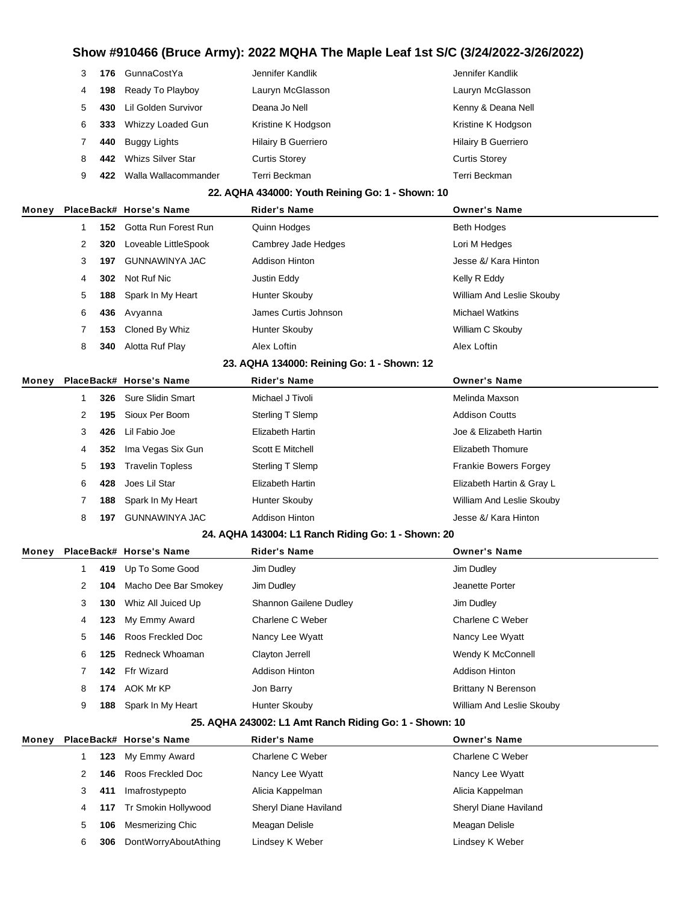|   | 176 | GunnaCostYa          | Jennifer Kandlik           | Jennifer Kandlik           |
|---|-----|----------------------|----------------------------|----------------------------|
| 4 | 198 | Ready To Playboy     | Lauryn McGlasson           | Lauryn McGlasson           |
| 5 | 430 | Lil Golden Survivor  | Deana Jo Nell              | Kenny & Deana Nell         |
| 6 | 333 | Whizzy Loaded Gun    | Kristine K Hodgson         | Kristine K Hodgson         |
|   | 440 | Buggy Lights         | <b>Hilairy B Guerriero</b> | <b>Hilairy B Guerriero</b> |
| 8 | 442 | Whizs Silver Star    | <b>Curtis Storey</b>       | <b>Curtis Storey</b>       |
| 9 |     | Walla Wallacommander | Terri Beckman              | Terri Beckman              |

#### **22. AQHA 434000: Youth Reining Go: 1 - Shown: 10**

| Money |   |     | PlaceBack# Horse's Name  | <b>Rider's Name</b>   | <b>Owner's Name</b>       |
|-------|---|-----|--------------------------|-----------------------|---------------------------|
|       |   |     | 152 Gotta Run Forest Run | Quinn Hodges          | <b>Beth Hodges</b>        |
|       | 2 | 320 | Loveable LittleSpook     | Cambrey Jade Hedges   | Lori M Hedges             |
|       | 3 | 197 | GUNNAWINYA JAC           | <b>Addison Hinton</b> | Jesse &/ Kara Hinton      |
|       | 4 | 302 | Not Ruf Nic              | Justin Eddy           | Kelly R Eddy              |
|       | 5 | 188 | Spark In My Heart        | Hunter Skouby         | William And Leslie Skouby |
|       | 6 |     | 436 Avyanna              | James Curtis Johnson  | <b>Michael Watkins</b>    |
|       |   |     | 153 Cloned By Whiz       | Hunter Skouby         | William C Skouby          |
|       | 8 | 340 | Alotta Ruf Play          | Alex Loftin           | Alex Loftin               |
|       |   |     |                          |                       |                           |

#### **23. AQHA 134000: Reining Go: 1 - Shown: 12**

| Monev |              |     | PlaceBack# Horse's Name | <b>Rider's Name</b>     | <b>Owner's Name</b>          |
|-------|--------------|-----|-------------------------|-------------------------|------------------------------|
|       |              |     | 326 Sure Slidin Smart   | Michael J Tivoli        | Melinda Maxson               |
|       | $\mathbf{2}$ | 195 | Sioux Per Boom          | Sterling T Slemp        | <b>Addison Coutts</b>        |
|       | 3            | 426 | Lil Fabio Joe           | Elizabeth Hartin        | Joe & Elizabeth Hartin       |
|       | 4            |     | 352 Ima Vegas Six Gun   | Scott E Mitchell        | Elizabeth Thomure            |
|       | 5            | 193 | <b>Travelin Topless</b> | Sterling T Slemp        | <b>Frankie Bowers Forgey</b> |
|       | 6            | 428 | Joes Lil Star           | <b>Elizabeth Hartin</b> | Elizabeth Hartin & Gray L    |
|       |              |     | 188 Spark In My Heart   | Hunter Skouby           | William And Leslie Skouby    |
|       | 8            | 197 | GUNNAWINYA JAC          | <b>Addison Hinton</b>   | Jesse &/ Kara Hinton         |

#### **24. AQHA 143004: L1 Ranch Riding Go: 1 - Shown: 20**

| Monev |    |     | PlaceBack# Horse's Name | <b>Rider's Name</b>    | <b>Owner's Name</b>        |
|-------|----|-----|-------------------------|------------------------|----------------------------|
|       |    |     | 419 Up To Some Good     | Jim Dudley             | Jim Dudley                 |
|       |    | 104 | Macho Dee Bar Smokey    | Jim Dudley             | Jeanette Porter            |
|       | 3  | 130 | Whiz All Juiced Up      | Shannon Gailene Dudley | Jim Dudley                 |
|       | 4  |     | 123 My Emmy Award       | Charlene C Weber       | Charlene C Weber           |
|       | 5. | 146 | Roos Freckled Doc       | Nancy Lee Wyatt        | Nancy Lee Wyatt            |
|       | 6  | 125 | Redneck Whoaman         | Clayton Jerrell        | Wendy K McConnell          |
|       |    | 142 | Ffr Wizard              | <b>Addison Hinton</b>  | <b>Addison Hinton</b>      |
|       | 8  |     | 174 AOK Mr KP           | Jon Barry              | <b>Brittany N Berenson</b> |
|       | 9  | 188 | Spark In My Heart       | Hunter Skouby          | William And Leslie Skouby  |

#### **25. AQHA 243002: L1 Amt Ranch Riding Go: 1 - Shown: 10**

| Money |    |     | PlaceBack# Horse's Name | <b>Rider's Name</b>   | <b>Owner's Name</b>   |
|-------|----|-----|-------------------------|-----------------------|-----------------------|
|       |    |     | 123 My Emmy Award       | Charlene C Weber      | Charlene C Weber      |
|       |    | 146 | Roos Freckled Doc       | Nancy Lee Wyatt       | Nancy Lee Wyatt       |
|       |    | 411 | Imafrostypepto          | Alicia Kappelman      | Alicia Kappelman      |
|       | 4  |     | 117 Tr Smokin Hollywood | Sheryl Diane Haviland | Sheryl Diane Haviland |
|       | 5. | 106 | Mesmerizing Chic        | Meagan Delisle        | Meagan Delisle        |
|       | 6  | 306 | DontWorryAboutAthing    | Lindsey K Weber       | Lindsey K Weber       |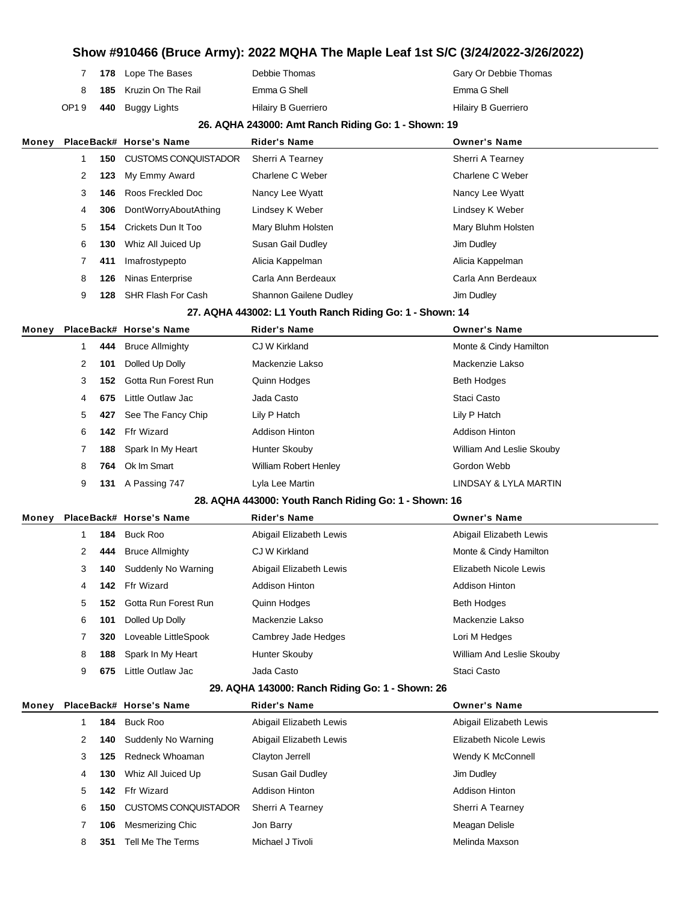|      |     | 7 178 Lope The Bases          | Debbie Thomas       | Gary Or Debbie Thomas |
|------|-----|-------------------------------|---------------------|-----------------------|
|      |     | <b>185</b> Kruzin On The Rail | Emma G Shell        | Emma G Shell          |
| OP19 | 440 | Buggy Lights                  | Hilairy B Guerriero | Hilairy B Guerriero   |

#### **26. AQHA 243000: Amt Ranch Riding Go: 1 - Shown: 19**

| Monev |   |     | PlaceBack# Horse's Name     | <b>Rider's Name</b>                                      | <b>Owner's Name</b>    |
|-------|---|-----|-----------------------------|----------------------------------------------------------|------------------------|
|       | 1 | 150 | <b>CUSTOMS CONQUISTADOR</b> | Sherri A Tearney                                         | Sherri A Tearney       |
|       | 2 | 123 | My Emmy Award               | Charlene C Weber                                         | Charlene C Weber       |
|       | 3 | 146 | Roos Freckled Doc           | Nancy Lee Wyatt                                          | Nancy Lee Wyatt        |
|       | 4 | 306 | DontWorryAboutAthing        | Lindsey K Weber                                          | Lindsey K Weber        |
|       | 5 | 154 | Crickets Dun It Too         | Mary Bluhm Holsten                                       | Mary Bluhm Holsten     |
|       | 6 | 130 | Whiz All Juiced Up          | Susan Gail Dudley                                        | Jim Dudley             |
|       |   | 411 | Imafrostypepto              | Alicia Kappelman                                         | Alicia Kappelman       |
|       | 8 | 126 | Ninas Enterprise            | Carla Ann Berdeaux                                       | Carla Ann Berdeaux     |
|       | 9 | 128 | <b>SHR Flash For Cash</b>   | Shannon Gailene Dudley                                   | Jim Dudley             |
|       |   |     |                             | 27. AQHA 443002: L1 Youth Ranch Riding Go: 1 - Shown: 14 |                        |
| Monev |   |     | PlaceBack# Horse's Name     | <b>Rider's Name</b>                                      | <b>Owner's Name</b>    |
|       |   | 444 | <b>Bruce Allmighty</b>      | CJ W Kirkland                                            | Monte & Cindy Hamilton |
|       | 2 | 101 | Dolled Up Dolly             | Mackenzie Lakso                                          | Mackenzie Lakso        |
|       | 3 | 152 | Gotta Run Forest Run        | Quinn Hodges                                             | <b>Beth Hodges</b>     |

|   | 675 | Little Outlaw Jac      | Jada Casto                   | Staci Casto               |
|---|-----|------------------------|------------------------------|---------------------------|
| 5 |     | 427 See The Fancy Chip | Lily P Hatch                 | Lily P Hatch              |
| 6 |     | 142 Ffr Wizard         | Addison Hinton               | Addison Hinton            |
|   |     | 188 Spark In My Heart  | Hunter Skouby                | William And Leslie Skouby |
| 8 | 764 | Ok Im Smart            | <b>William Robert Henley</b> | Gordon Webb               |
|   | 131 | A Passing 747          | Lyla Lee Martin              | LINDSAY & LYLA MARTIN     |

#### **28. AQHA 443000: Youth Ranch Riding Go: 1 - Shown: 16**

| Monev |   |     | PlaceBack# Horse's Name | <b>Rider's Name</b>     | <b>Owner's Name</b>       |
|-------|---|-----|-------------------------|-------------------------|---------------------------|
|       |   | 184 | Buck Roo                | Abigail Elizabeth Lewis | Abigail Elizabeth Lewis   |
|       | 2 | 444 | <b>Bruce Allmighty</b>  | CJ W Kirkland           | Monte & Cindy Hamilton    |
|       | 3 | 140 | Suddenly No Warning     | Abigail Elizabeth Lewis | Elizabeth Nicole Lewis    |
|       | 4 | 142 | Ffr Wizard              | <b>Addison Hinton</b>   | Addison Hinton            |
|       | 5 | 152 | Gotta Run Forest Run    | Quinn Hodges            | <b>Beth Hodges</b>        |
|       | 6 | 101 | Dolled Up Dolly         | Mackenzie Lakso         | Mackenzie Lakso           |
|       |   | 320 | Loveable LittleSpook    | Cambrey Jade Hedges     | Lori M Hedges             |
|       | 8 | 188 | Spark In My Heart       | Hunter Skouby           | William And Leslie Skouby |
|       | 9 | 675 | Little Outlaw Jac       | Jada Casto              | Staci Casto               |
|       |   |     |                         |                         |                           |

#### **29. AQHA 143000: Ranch Riding Go: 1 - Shown: 26**

| Money |       |     | PlaceBack# Horse's Name     | <b>Rider's Name</b>     | <b>Owner's Name</b>     |
|-------|-------|-----|-----------------------------|-------------------------|-------------------------|
|       |       | 184 | Buck Roo                    | Abigail Elizabeth Lewis | Abigail Elizabeth Lewis |
|       | 2     | 140 | Suddenly No Warning         | Abigail Elizabeth Lewis | Elizabeth Nicole Lewis  |
|       | 3     | 125 | Redneck Whoaman             | Clayton Jerrell         | Wendy K McConnell       |
|       | 4     | 130 | Whiz All Juiced Up          | Susan Gail Dudley       | Jim Dudley              |
|       | $5 -$ | 142 | Ffr Wizard                  | Addison Hinton          | <b>Addison Hinton</b>   |
|       | 6     | 150 | <b>CUSTOMS CONQUISTADOR</b> | Sherri A Tearney        | Sherri A Tearney        |
|       |       | 106 | Mesmerizing Chic            | Jon Barry               | Meagan Delisle          |
|       | 8     | 351 | Tell Me The Terms           | Michael J Tivoli        | Melinda Maxson          |
|       |       |     |                             |                         |                         |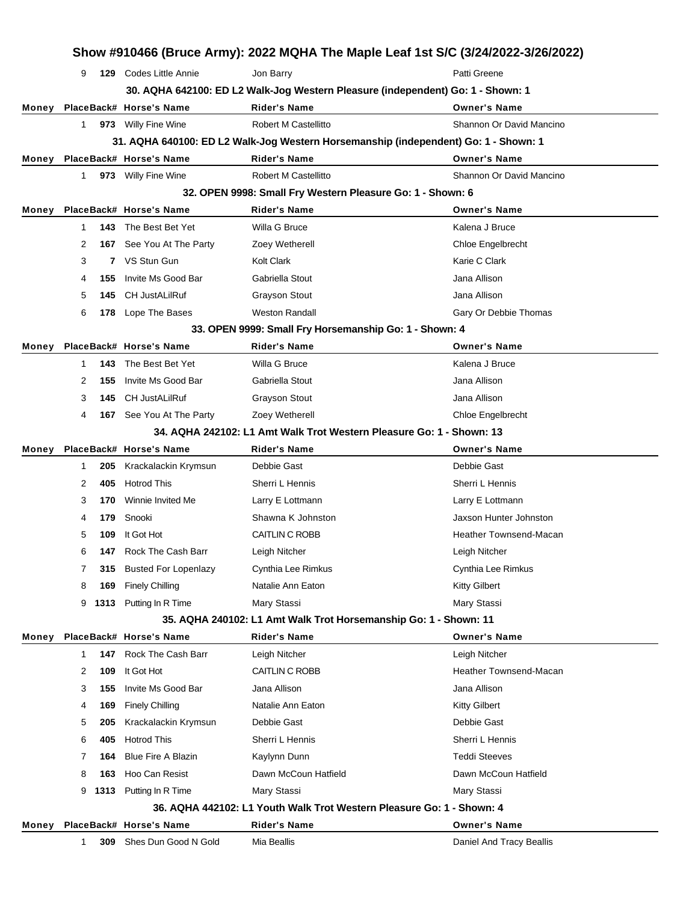|       | Show #910466 (Bruce Army): 2022 MQHA The Maple Leaf 1st S/C (3/24/2022-3/26/2022) |      |                               |                                                                                     |                               |  |
|-------|-----------------------------------------------------------------------------------|------|-------------------------------|-------------------------------------------------------------------------------------|-------------------------------|--|
|       | 9                                                                                 |      | 129 Codes Little Annie        | Jon Barry                                                                           | Patti Greene                  |  |
|       |                                                                                   |      |                               | 30. AQHA 642100: ED L2 Walk-Jog Western Pleasure (independent) Go: 1 - Shown: 1     |                               |  |
| Money |                                                                                   |      | PlaceBack# Horse's Name       | <b>Rider's Name</b>                                                                 | <b>Owner's Name</b>           |  |
|       | 1                                                                                 |      | 973 Willy Fine Wine           | <b>Robert M Castellitto</b>                                                         | Shannon Or David Mancino      |  |
|       |                                                                                   |      |                               | 31. AQHA 640100: ED L2 Walk-Jog Western Horsemanship (independent) Go: 1 - Shown: 1 |                               |  |
| Money |                                                                                   |      | PlaceBack# Horse's Name       | <b>Rider's Name</b>                                                                 | <b>Owner's Name</b>           |  |
|       | 1.                                                                                |      | 973 Willy Fine Wine           | Robert M Castellitto                                                                | Shannon Or David Mancino      |  |
|       |                                                                                   |      |                               | 32. OPEN 9998: Small Fry Western Pleasure Go: 1 - Shown: 6                          |                               |  |
| Money |                                                                                   |      | PlaceBack# Horse's Name       | <b>Rider's Name</b>                                                                 | <b>Owner's Name</b>           |  |
|       | 1                                                                                 | 143  | The Best Bet Yet              | Willa G Bruce                                                                       | Kalena J Bruce                |  |
|       | 2                                                                                 |      | 167 See You At The Party      | Zoey Wetherell                                                                      | Chloe Engelbrecht             |  |
|       | 3                                                                                 | 7    | VS Stun Gun                   | Kolt Clark                                                                          | Karie C Clark                 |  |
|       | 4                                                                                 | 155  | Invite Ms Good Bar            | Gabriella Stout                                                                     | Jana Allison                  |  |
|       | 5                                                                                 | 145  | <b>CH JustALilRuf</b>         | <b>Grayson Stout</b>                                                                | Jana Allison                  |  |
|       | 6                                                                                 | 178  | Lope The Bases                | <b>Weston Randall</b>                                                               | Gary Or Debbie Thomas         |  |
|       |                                                                                   |      |                               | 33. OPEN 9999: Small Fry Horsemanship Go: 1 - Shown: 4                              |                               |  |
| Money |                                                                                   |      | PlaceBack# Horse's Name       | <b>Rider's Name</b>                                                                 | <b>Owner's Name</b>           |  |
|       | 1.                                                                                | 143  | The Best Bet Yet              | Willa G Bruce                                                                       | Kalena J Bruce                |  |
|       | 2                                                                                 | 155  | Invite Ms Good Bar            | Gabriella Stout                                                                     | Jana Allison                  |  |
|       | 3                                                                                 | 145  | <b>CH JustALilRuf</b>         | <b>Grayson Stout</b>                                                                | Jana Allison                  |  |
|       | 4                                                                                 |      | 167 See You At The Party      | Zoey Wetherell                                                                      | Chloe Engelbrecht             |  |
|       |                                                                                   |      |                               | 34. AQHA 242102: L1 Amt Walk Trot Western Pleasure Go: 1 - Shown: 13                |                               |  |
| Money |                                                                                   |      | PlaceBack# Horse's Name       | Rider's Name                                                                        | <b>Owner's Name</b>           |  |
|       | 1                                                                                 | 205  | Krackalackin Krymsun          | Debbie Gast                                                                         | Debbie Gast                   |  |
|       | 2                                                                                 | 405  | <b>Hotrod This</b>            | Sherri L Hennis                                                                     | Sherri L Hennis               |  |
|       | 3                                                                                 | 170  | Winnie Invited Me             | Larry E Lottmann                                                                    | Larry E Lottmann              |  |
|       | 4                                                                                 | 179  | Snooki                        | Shawna K Johnston                                                                   | Jaxson Hunter Johnston        |  |
|       | 5                                                                                 | 109  | It Got Hot                    | CAITLIN C ROBB                                                                      | Heather Townsend-Macan        |  |
|       | 6                                                                                 |      | <b>147</b> Rock The Cash Barr | Leigh Nitcher                                                                       | Leigh Nitcher                 |  |
|       | 7                                                                                 | 315  | <b>Busted For Lopenlazy</b>   | Cynthia Lee Rimkus                                                                  | Cynthia Lee Rimkus            |  |
|       | 8                                                                                 | 169  | <b>Finely Chilling</b>        | Natalie Ann Eaton                                                                   | Kitty Gilbert                 |  |
|       | 9                                                                                 |      | 1313 Putting In R Time        | Mary Stassi                                                                         | Mary Stassi                   |  |
|       |                                                                                   |      |                               | 35. AQHA 240102: L1 Amt Walk Trot Horsemanship Go: 1 - Shown: 11                    |                               |  |
| Money |                                                                                   |      | PlaceBack# Horse's Name       | <b>Rider's Name</b>                                                                 | <b>Owner's Name</b>           |  |
|       | 1                                                                                 | 147  | Rock The Cash Barr            | Leigh Nitcher                                                                       | Leigh Nitcher                 |  |
|       | 2                                                                                 | 109  | It Got Hot                    | CAITLIN C ROBB                                                                      | <b>Heather Townsend-Macan</b> |  |
|       | 3                                                                                 | 155  | Invite Ms Good Bar            | Jana Allison                                                                        | Jana Allison                  |  |
|       | 4                                                                                 | 169  | <b>Finely Chilling</b>        | Natalie Ann Eaton                                                                   | <b>Kitty Gilbert</b>          |  |
|       | 5                                                                                 | 205  | Krackalackin Krymsun          | Debbie Gast                                                                         | Debbie Gast                   |  |
|       | 6                                                                                 | 405  | <b>Hotrod This</b>            | Sherri L Hennis                                                                     | Sherri L Hennis               |  |
|       | 7                                                                                 | 164  | <b>Blue Fire A Blazin</b>     | Kaylynn Dunn                                                                        | <b>Teddi Steeves</b>          |  |
|       | 8                                                                                 | 163  | Hoo Can Resist                | Dawn McCoun Hatfield                                                                | Dawn McCoun Hatfield          |  |
|       | 9                                                                                 | 1313 | Putting In R Time             | Mary Stassi                                                                         | Mary Stassi                   |  |
|       |                                                                                   |      |                               | 36. AQHA 442102: L1 Youth Walk Trot Western Pleasure Go: 1 - Shown: 4               |                               |  |
| Money |                                                                                   |      | PlaceBack# Horse's Name       | <b>Rider's Name</b>                                                                 | <b>Owner's Name</b>           |  |
|       | 1                                                                                 | 309  | Shes Dun Good N Gold          | Mia Beallis                                                                         | Daniel And Tracy Beallis      |  |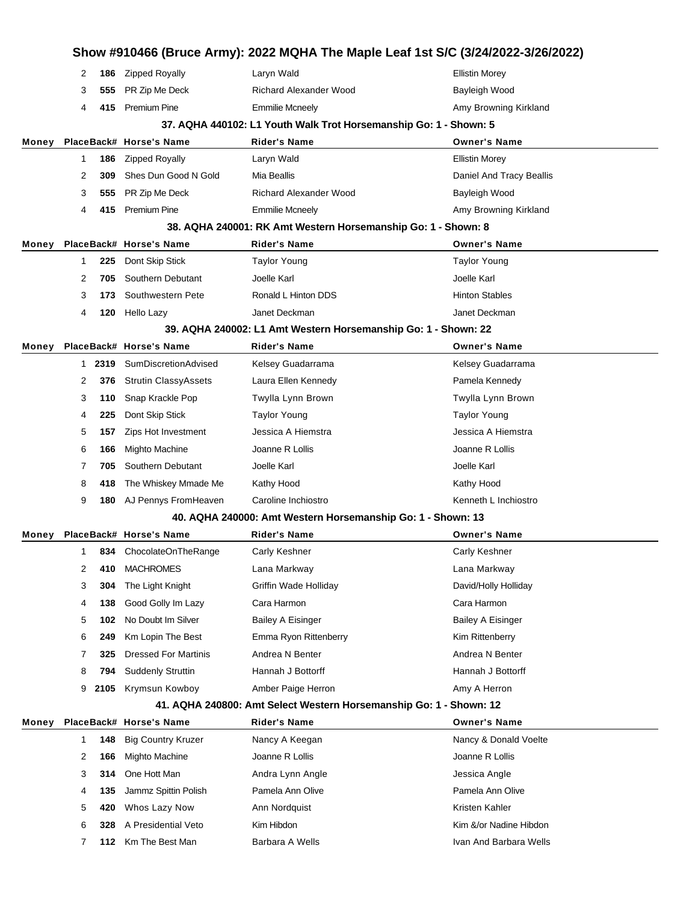|       | Show #910466 (Bruce Army): 2022 MQHA The Maple Leaf 1st S/C (3/24/2022-3/26/2022) |      |                             |                                                                    |                          |
|-------|-----------------------------------------------------------------------------------|------|-----------------------------|--------------------------------------------------------------------|--------------------------|
|       | 2                                                                                 | 186  | <b>Zipped Royally</b>       | Laryn Wald                                                         | <b>Ellistin Morey</b>    |
|       | 3                                                                                 | 555  | PR Zip Me Deck              | <b>Richard Alexander Wood</b>                                      | Bayleigh Wood            |
|       | 4                                                                                 | 415  | <b>Premium Pine</b>         | <b>Emmilie Mcneely</b>                                             | Amy Browning Kirkland    |
|       |                                                                                   |      |                             | 37. AQHA 440102: L1 Youth Walk Trot Horsemanship Go: 1 - Shown: 5  |                          |
| Money |                                                                                   |      | PlaceBack# Horse's Name     | Rider's Name                                                       | <b>Owner's Name</b>      |
|       | 1                                                                                 | 186  | <b>Zipped Royally</b>       | Laryn Wald                                                         | <b>Ellistin Morey</b>    |
|       | 2                                                                                 | 309  | Shes Dun Good N Gold        | Mia Beallis                                                        | Daniel And Tracy Beallis |
|       | 3                                                                                 | 555  | PR Zip Me Deck              | <b>Richard Alexander Wood</b>                                      | Bayleigh Wood            |
|       | 4                                                                                 | 415  | <b>Premium Pine</b>         | <b>Emmilie Mcneely</b>                                             | Amy Browning Kirkland    |
|       |                                                                                   |      |                             | 38. AQHA 240001: RK Amt Western Horsemanship Go: 1 - Shown: 8      |                          |
| Money |                                                                                   |      | PlaceBack# Horse's Name     | Rider's Name                                                       | <b>Owner's Name</b>      |
|       | 1                                                                                 | 225  | Dont Skip Stick             | <b>Taylor Young</b>                                                | <b>Taylor Young</b>      |
|       | 2                                                                                 | 705  | Southern Debutant           | Joelle Karl                                                        | Joelle Karl              |
|       | 3                                                                                 | 173  | Southwestern Pete           | Ronald L Hinton DDS                                                | <b>Hinton Stables</b>    |
|       | 4                                                                                 | 120  | Hello Lazy                  | Janet Deckman                                                      | Janet Deckman            |
|       |                                                                                   |      |                             | 39. AQHA 240002: L1 Amt Western Horsemanship Go: 1 - Shown: 22     |                          |
| Money |                                                                                   |      | PlaceBack# Horse's Name     | Rider's Name                                                       | <b>Owner's Name</b>      |
|       | 1                                                                                 | 2319 | SumDiscretionAdvised        | Kelsey Guadarrama                                                  | Kelsey Guadarrama        |
|       | 2                                                                                 | 376  | <b>Strutin ClassyAssets</b> | Laura Ellen Kennedy                                                | Pamela Kennedy           |
|       | 3                                                                                 | 110  | Snap Krackle Pop            | Twylla Lynn Brown                                                  | Twylla Lynn Brown        |
|       | 4                                                                                 | 225  | Dont Skip Stick             | Taylor Young                                                       | Taylor Young             |
|       | 5                                                                                 | 157  | Zips Hot Investment         | Jessica A Hiemstra                                                 | Jessica A Hiemstra       |
|       | 6                                                                                 | 166  | <b>Mighto Machine</b>       | Joanne R Lollis                                                    | Joanne R Lollis          |
|       | 7                                                                                 | 705  | Southern Debutant           | Joelle Karl                                                        | Joelle Karl              |
|       | 8                                                                                 | 418  | The Whiskey Mmade Me        | Kathy Hood                                                         | Kathy Hood               |
|       | 9                                                                                 | 180  | AJ Pennys FromHeaven        | Caroline Inchiostro                                                | Kenneth L Inchiostro     |
|       |                                                                                   |      |                             | 40. AQHA 240000: Amt Western Horsemanship Go: 1 - Shown: 13        |                          |
| Money |                                                                                   |      | PlaceBack# Horse's Name     | Rider's Name                                                       | <b>Owner's Name</b>      |
|       | $\mathbf{1}$                                                                      |      | 834 ChocolateOnTheRange     | Carly Keshner                                                      | Carly Keshner            |
|       | 2                                                                                 | 410  | <b>MACHROMES</b>            | Lana Markway                                                       | Lana Markway             |
|       | 3                                                                                 | 304  | The Light Knight            | <b>Griffin Wade Holliday</b>                                       | David/Holly Holliday     |
|       | 4                                                                                 | 138  | Good Golly Im Lazy          | Cara Harmon                                                        | Cara Harmon              |
|       | 5                                                                                 | 102  | No Doubt Im Silver          | <b>Bailey A Eisinger</b>                                           | <b>Bailey A Eisinger</b> |
|       | 6                                                                                 | 249  | Km Lopin The Best           | Emma Ryon Rittenberry                                              | Kim Rittenberry          |
|       | 7                                                                                 | 325  | <b>Dressed For Martinis</b> | Andrea N Benter                                                    | Andrea N Benter          |
|       | 8                                                                                 | 794  | <b>Suddenly Struttin</b>    | Hannah J Bottorff                                                  | Hannah J Bottorff        |
|       | 9                                                                                 | 2105 | Krymsun Kowboy              | Amber Paige Herron                                                 | Amy A Herron             |
|       |                                                                                   |      |                             | 41. AQHA 240800: Amt Select Western Horsemanship Go: 1 - Shown: 12 |                          |
| Money |                                                                                   |      | PlaceBack# Horse's Name     | Rider's Name                                                       | <b>Owner's Name</b>      |
|       | 1                                                                                 | 148  | <b>Big Country Kruzer</b>   | Nancy A Keegan                                                     | Nancy & Donald Voelte    |
|       | 2                                                                                 | 166  | <b>Mighto Machine</b>       | Joanne R Lollis                                                    | Joanne R Lollis          |
|       | 3                                                                                 | 314  | One Hott Man                | Andra Lynn Angle                                                   | Jessica Angle            |
|       | 4                                                                                 | 135  | Jammz Spittin Polish        | Pamela Ann Olive                                                   | Pamela Ann Olive         |
|       | 5                                                                                 | 420  | Whos Lazy Now               | Ann Nordquist                                                      | Kristen Kahler           |
|       | 6                                                                                 | 328  | A Presidential Veto         | Kim Hibdon                                                         | Kim &/or Nadine Hibdon   |
|       | 7                                                                                 | 112  | Km The Best Man             | Barbara A Wells                                                    | Ivan And Barbara Wells   |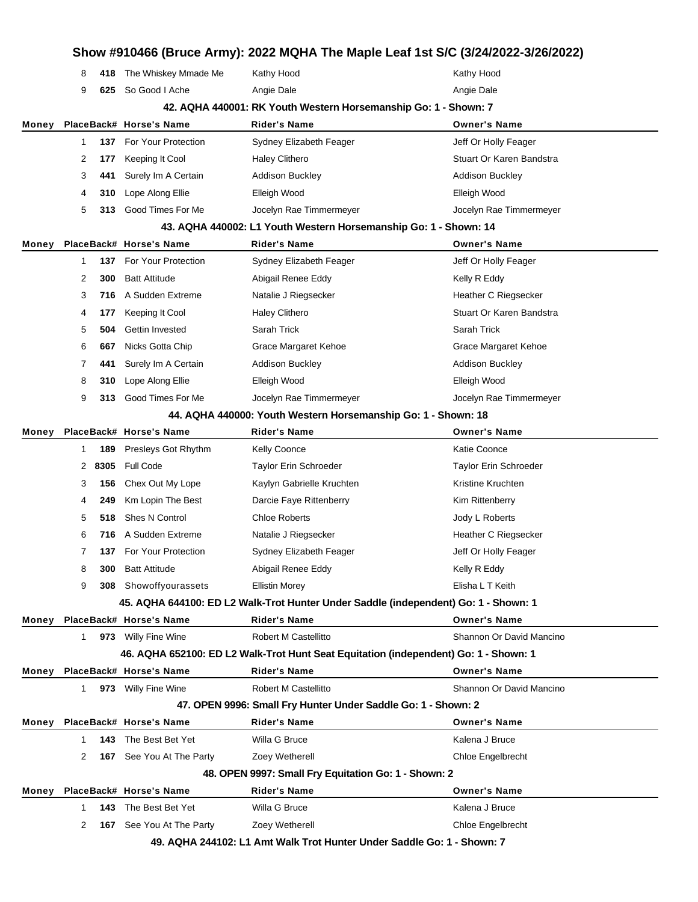|       | Show #910466 (Bruce Army): 2022 MQHA The Maple Leaf 1st S/C (3/24/2022-3/26/2022) |      |                                 |                                                                                      |                          |  |  |
|-------|-----------------------------------------------------------------------------------|------|---------------------------------|--------------------------------------------------------------------------------------|--------------------------|--|--|
|       | 8                                                                                 |      | 418 The Whiskey Mmade Me        | Kathy Hood                                                                           | Kathy Hood               |  |  |
|       | 9                                                                                 | 625  | So Good I Ache                  | Angie Dale                                                                           | Angie Dale               |  |  |
|       |                                                                                   |      |                                 | 42. AQHA 440001: RK Youth Western Horsemanship Go: 1 - Shown: 7                      |                          |  |  |
| Money |                                                                                   |      | PlaceBack# Horse's Name         | Rider's Name                                                                         | <b>Owner's Name</b>      |  |  |
|       | 1                                                                                 |      | 137 For Your Protection         | Sydney Elizabeth Feager                                                              | Jeff Or Holly Feager     |  |  |
|       | 2                                                                                 | 177  | Keeping It Cool                 | Haley Clithero                                                                       | Stuart Or Karen Bandstra |  |  |
|       | 3                                                                                 | 441  | Surely Im A Certain             | Addison Buckley                                                                      | <b>Addison Buckley</b>   |  |  |
|       | 4                                                                                 | 310  | Lope Along Ellie                | Elleigh Wood                                                                         | Elleigh Wood             |  |  |
|       | 5                                                                                 | 313  | Good Times For Me               | Jocelyn Rae Timmermeyer                                                              | Jocelyn Rae Timmermeyer  |  |  |
|       |                                                                                   |      |                                 | 43. AQHA 440002: L1 Youth Western Horsemanship Go: 1 - Shown: 14                     |                          |  |  |
| Money |                                                                                   |      | PlaceBack# Horse's Name         | Rider's Name                                                                         | <b>Owner's Name</b>      |  |  |
|       | $\mathbf{1}$                                                                      | 137  | <b>For Your Protection</b>      | Sydney Elizabeth Feager                                                              | Jeff Or Holly Feager     |  |  |
|       | 2                                                                                 | 300  | <b>Batt Attitude</b>            | Abigail Renee Eddy                                                                   | Kelly R Eddy             |  |  |
|       | 3                                                                                 | 716  | A Sudden Extreme                | Natalie J Riegsecker                                                                 | Heather C Riegsecker     |  |  |
|       | 4                                                                                 | 177  | Keeping It Cool                 | Haley Clithero                                                                       | Stuart Or Karen Bandstra |  |  |
|       | 5                                                                                 | 504  | Gettin Invested                 | Sarah Trick                                                                          | Sarah Trick              |  |  |
|       | 6                                                                                 | 667  | Nicks Gotta Chip                | <b>Grace Margaret Kehoe</b>                                                          | Grace Margaret Kehoe     |  |  |
|       | 7                                                                                 | 441  | Surely Im A Certain             | <b>Addison Buckley</b>                                                               | Addison Buckley          |  |  |
|       | 8                                                                                 | 310  | Lope Along Ellie                | Elleigh Wood                                                                         | Elleigh Wood             |  |  |
|       | 9                                                                                 | 313  | Good Times For Me               | Jocelyn Rae Timmermeyer                                                              | Jocelyn Rae Timmermeyer  |  |  |
|       |                                                                                   |      |                                 | 44. AQHA 440000: Youth Western Horsemanship Go: 1 - Shown: 18                        |                          |  |  |
| Money |                                                                                   |      | PlaceBack# Horse's Name         | <b>Rider's Name</b>                                                                  | <b>Owner's Name</b>      |  |  |
|       | 1                                                                                 | 189  | Presleys Got Rhythm             | Kelly Coonce                                                                         | Katie Coonce             |  |  |
|       | 2                                                                                 | 8305 | <b>Full Code</b>                | Taylor Erin Schroeder                                                                | Taylor Erin Schroeder    |  |  |
|       | 3                                                                                 | 156  | Chex Out My Lope                | Kaylyn Gabrielle Kruchten                                                            | Kristine Kruchten        |  |  |
|       | 4                                                                                 | 249  | Km Lopin The Best               | Darcie Faye Rittenberry                                                              | Kim Rittenberry          |  |  |
|       | 5                                                                                 | 518  | Shes N Control                  | <b>Chloe Roberts</b>                                                                 | Jody L Roberts           |  |  |
|       | 6                                                                                 | 716  | A Sudden Extreme                | Natalie J Riegsecker                                                                 | Heather C Riegsecker     |  |  |
|       | 7                                                                                 |      | <b>137</b> For Your Protection  | Sydney Elizabeth Feager                                                              | Jeff Or Holly Feager     |  |  |
|       | 8                                                                                 | 300  | <b>Batt Attitude</b>            | Abigail Renee Eddy                                                                   | Kelly R Eddy             |  |  |
|       | 9                                                                                 |      | 308 Showoffyourassets           | <b>Ellistin Morey</b>                                                                | Elisha L T Keith         |  |  |
|       |                                                                                   |      |                                 | 45. AQHA 644100: ED L2 Walk-Trot Hunter Under Saddle (independent) Go: 1 - Shown: 1  |                          |  |  |
|       |                                                                                   |      | Money PlaceBack# Horse's Name   | <b>Rider's Name</b>                                                                  | <b>Owner's Name</b>      |  |  |
|       |                                                                                   |      | 1 973 Willy Fine Wine           | Robert M Castellitto                                                                 | Shannon Or David Mancino |  |  |
|       |                                                                                   |      |                                 | 46. AQHA 652100: ED L2 Walk-Trot Hunt Seat Equitation (independent) Go: 1 - Shown: 1 |                          |  |  |
|       |                                                                                   |      | Money PlaceBack# Horse's Name   | <b>Rider's Name</b><br><b>Robert M Castellitto</b>                                   | <b>Owner's Name</b>      |  |  |
|       |                                                                                   |      | 1 973 Willy Fine Wine           |                                                                                      | Shannon Or David Mancino |  |  |
|       |                                                                                   |      | Money PlaceBack# Horse's Name   | 47. OPEN 9996: Small Fry Hunter Under Saddle Go: 1 - Shown: 2<br><b>Rider's Name</b> | <b>Owner's Name</b>      |  |  |
|       | 1                                                                                 |      | 143 The Best Bet Yet            | Willa G Bruce                                                                        | Kalena J Bruce           |  |  |
|       |                                                                                   |      |                                 |                                                                                      |                          |  |  |
|       | 2                                                                                 |      | <b>167</b> See You At The Party | Zoey Wetherell                                                                       | Chloe Engelbrecht        |  |  |
|       |                                                                                   |      | Money PlaceBack# Horse's Name   | 48. OPEN 9997: Small Fry Equitation Go: 1 - Shown: 2<br><b>Rider's Name</b>          | <b>Owner's Name</b>      |  |  |
|       | 1                                                                                 |      | 143 The Best Bet Yet            | Willa G Bruce                                                                        | Kalena J Bruce           |  |  |
|       | 2                                                                                 |      | <b>167</b> See You At The Party | Zoey Wetherell                                                                       | Chloe Engelbrecht        |  |  |
|       |                                                                                   |      |                                 | 49. AQHA 244102: L1 Amt Walk Trot Hunter Under Saddle Go: 1 - Shown: 7               |                          |  |  |
|       |                                                                                   |      |                                 |                                                                                      |                          |  |  |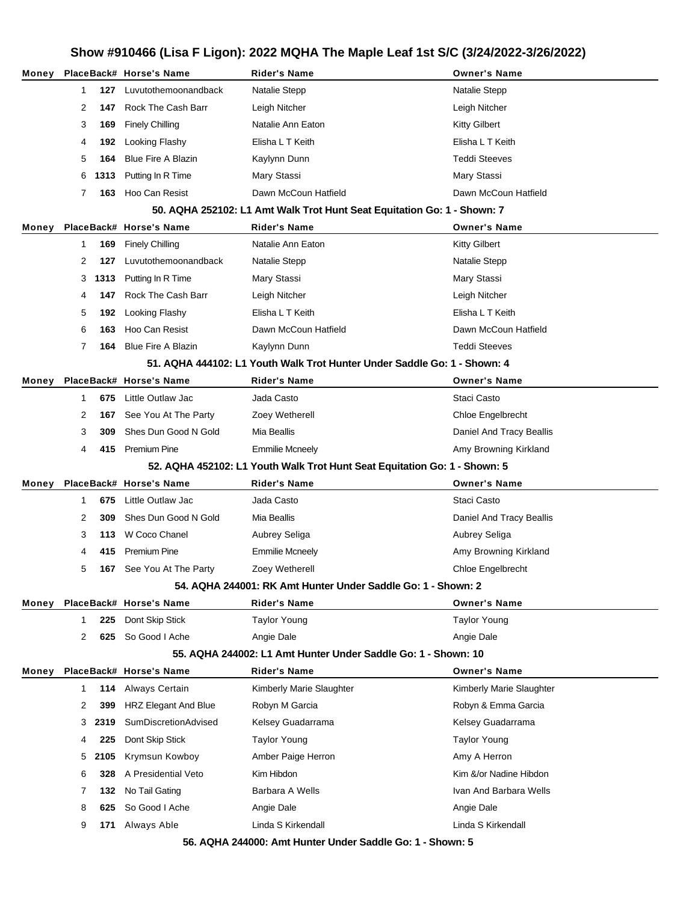| Money |   |      | PlaceBack# Horse's Name   | <b>Rider's Name</b>                                                           | <b>Owner's Name</b>      |
|-------|---|------|---------------------------|-------------------------------------------------------------------------------|--------------------------|
|       | 1 | 127  | Luvutothemoonandback      | Natalie Stepp                                                                 | Natalie Stepp            |
|       | 2 | 147  | Rock The Cash Barr        | Leigh Nitcher                                                                 | Leigh Nitcher            |
|       | 3 | 169  | <b>Finely Chilling</b>    | Natalie Ann Eaton                                                             | <b>Kitty Gilbert</b>     |
|       | 4 | 192  | Looking Flashy            | Elisha L T Keith                                                              | Elisha L T Keith         |
|       | 5 | 164  | <b>Blue Fire A Blazin</b> | Kaylynn Dunn                                                                  | <b>Teddi Steeves</b>     |
|       | 6 | 1313 | Putting In R Time         | Mary Stassi                                                                   | Mary Stassi              |
|       | 7 | 163  | Hoo Can Resist            | Dawn McCoun Hatfield                                                          | Dawn McCoun Hatfield     |
|       |   |      |                           | 50. AQHA 252102: L1 Amt Walk Trot Hunt Seat Equitation Go: 1 - Shown: 7       |                          |
| Money |   |      | PlaceBack# Horse's Name   | <b>Rider's Name</b>                                                           | <b>Owner's Name</b>      |
|       | 1 | 169  | <b>Finely Chilling</b>    | Natalie Ann Eaton                                                             | <b>Kitty Gilbert</b>     |
|       | 2 | 127  | Luvutothemoonandback      | Natalie Stepp                                                                 | Natalie Stepp            |
|       | 3 | 1313 | Putting In R Time         | Mary Stassi                                                                   | Mary Stassi              |
|       | 4 | 147  | Rock The Cash Barr        | Leigh Nitcher                                                                 | Leigh Nitcher            |
|       | 5 | 192  | Looking Flashy            | Elisha L T Keith                                                              | Elisha L T Keith         |
|       | 6 | 163  | Hoo Can Resist            | Dawn McCoun Hatfield                                                          | Dawn McCoun Hatfield     |
|       | 7 | 164  | <b>Blue Fire A Blazin</b> | Kaylynn Dunn                                                                  | <b>Teddi Steeves</b>     |
|       |   |      |                           | 51, AQHA 444102: L1 Youth Walk Trot Hunter Under Saddle Go: 1 - Shown: 4      |                          |
| Money |   |      | PlaceBack# Horse's Name   | <b>Rider's Name</b>                                                           | <b>Owner's Name</b>      |
|       | 1 | 675  | Little Outlaw Jac         | Jada Casto                                                                    | Staci Casto              |
|       | 2 | 167  | See You At The Party      | Zoey Wetherell                                                                | Chloe Engelbrecht        |
|       | 3 | 309  | Shes Dun Good N Gold      | Mia Beallis                                                                   | Daniel And Tracy Beallis |
|       | 4 | 415  | <b>Premium Pine</b>       | <b>Emmilie Mcneely</b>                                                        | Amy Browning Kirkland    |
|       |   |      |                           | 52. AQHA 452102: L1 Youth Walk Trot Hunt Seat Equitation Go: 1 - Shown: 5     |                          |
| Money |   |      | PlaceBack# Horse's Name   | <b>Rider's Name</b>                                                           | <b>Owner's Name</b>      |
|       | 1 | 675  | Little Outlaw Jac         | Jada Casto                                                                    | Staci Casto              |
|       | 2 | 309  | Shes Dun Good N Gold      | Mia Beallis                                                                   | Daniel And Tracy Beallis |
|       | 3 | 113  | W Coco Chanel             | Aubrey Seliga                                                                 | Aubrey Seliga            |
|       | 4 | 415  | Premium Pine              | <b>Emmilie Mcneely</b>                                                        | Amy Browning Kirkland    |
|       | 5 | 167  | See You At The Party      | Zoey Wetherell                                                                | Chloe Engelbrecht        |
|       |   |      |                           | 54. AQHA 244001: RK Amt Hunter Under Saddle Go: 1 - Shown: 2                  |                          |
| Money |   |      | PlaceBack# Horse's Name   | <b>Rider's Name</b>                                                           | <b>Owner's Name</b>      |
|       | 1 | 225  | Dont Skip Stick           | <b>Taylor Young</b>                                                           | <b>Taylor Young</b>      |
|       | 2 | 625  | So Good I Ache            | Angie Dale                                                                    | Angie Dale               |
|       |   |      |                           | 55. AQHA 244002: L1 Amt Hunter Under Saddle Go: 1 - Shown: 10                 |                          |
| Money |   |      | PlaceBack# Horse's Name   | Rider's Name                                                                  | <b>Owner's Name</b>      |
|       | 1 | 114  | Always Certain            | Kimberly Marie Slaughter                                                      | Kimberly Marie Slaughter |
|       | 2 | 399  | HRZ Elegant And Blue      | Robyn M Garcia                                                                | Robyn & Emma Garcia      |
|       | 3 | 2319 | SumDiscretionAdvised      | Kelsey Guadarrama                                                             | Kelsey Guadarrama        |
|       | 4 | 225  | Dont Skip Stick           | <b>Taylor Young</b>                                                           | <b>Taylor Young</b>      |
|       | 5 | 2105 | Krymsun Kowboy            | Amber Paige Herron                                                            | Amy A Herron             |
|       | 6 | 328  | A Presidential Veto       | Kim Hibdon                                                                    | Kim &/or Nadine Hibdon   |
|       | 7 | 132  | No Tail Gating            | Barbara A Wells                                                               | Ivan And Barbara Wells   |
|       | 8 | 625  | So Good I Ache            | Angie Dale                                                                    | Angie Dale               |
|       | 9 | 171  | Always Able               | Linda S Kirkendall<br>EC AOUA 244000; Amt Hunter Under Saddle Court, Shown; E | Linda S Kirkendall       |

**56. AQHA 244000: Amt Hunter Under Saddle Go: 1 - Shown: 5**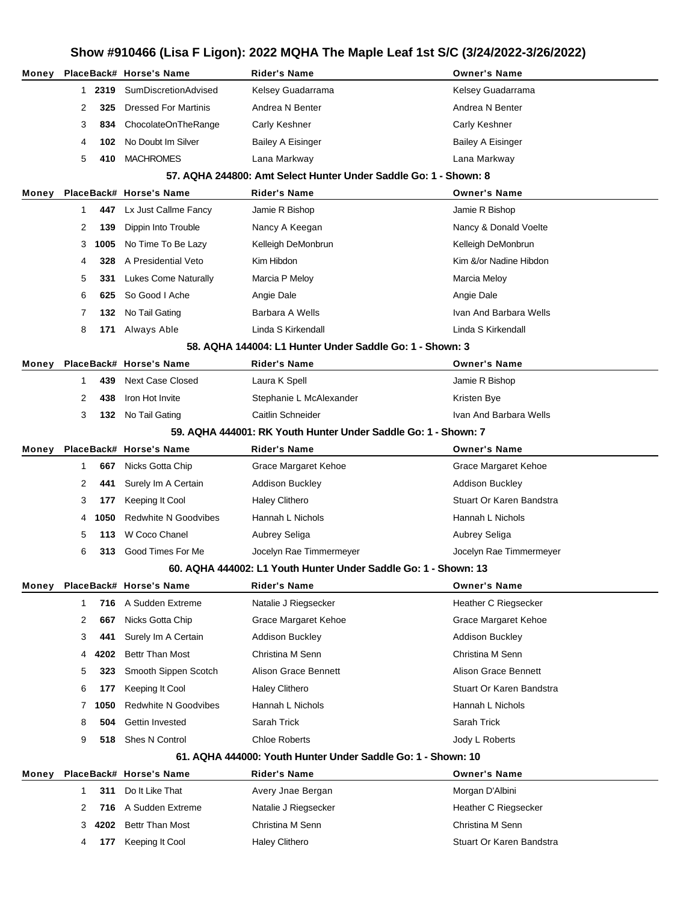# **Show #910466 (Lisa F Ligon): 2022 MQHA The Maple Leaf 1st S/C (3/24/2022-3/26/2022) Money PlaceBack# Horse's Name Rider's Name Owner's Name 2319** SumDiscretionAdvised Kelsey Guadarrama Kelsey Guadarrama **325** Dressed For Martinis Andrea N Benter Andrea N Benter **834** ChocolateOnTheRange Carly Keshner Carly Keshner **102** No Doubt Im Silver **Bailey A Eisinger** Bailey A Eisinger **410** MACHROMES Lana Markway Lana Markway **57. AQHA 244800: Amt Select Hunter Under Saddle Go: 1 - Shown: 8 Money PlaceBack# Horse's Name Rider's Name Owner's Name** Lx Just Callme Fancy Jamie R Bishop **Jamie R Bishop** Jamie R Bishop **139** Dippin Into Trouble Nancy A Keegan Nancy A Consumer Nancy & Donald Voelte **1005** No Time To Be Lazy Kelleigh DeMonbrun Kelleigh DeMonbrun **328** A Presidential Veto Kim Hibdon Kim &/or Nadine Hibdon **331** Lukes Come Naturally Marcia P Meloy Marcia Meloy Marcia Meloy **625** So Good I Ache Angie Dale Angie Dale **132** No Tail Gating **Barbara A Wells** Ivan And Barbara Wells **Ivan And Barbara Wells 171** Always Able **Linda S Kirkendall** Linda S Kirkendall Linda S Kirkendall **58. AQHA 144004: L1 Hunter Under Saddle Go: 1 - Shown: 3 Money PlaceBack# Horse's Name Rider's Name Owner's Name 439** Next Case Closed Laura K Spell **Laura Communist Communist Communist Communist Communist Communist Communist Communist Communist Communist Communist Communist Communist Communist Communist Communist Communist Commun** 2 438 Iron Hot Invite **Stephanie L McAlexander** Stephanie L McAlexander Kristen Bye **3 132** No Tail Gating **Caitlin Schneider Ivan And Barbara Wells Ivan And Barbara Wells 59. AQHA 444001: RK Youth Hunter Under Saddle Go: 1 - Shown: 7 Money PlaceBack# Horse's Name Rider's Name Owner's Name 667** Nicks Gotta Chip **Grace Margaret Kehoe** Grace Margaret Kehoe Grace Margaret Kehoe **441** Surely Im A Certain **Addison Buckley Addition Buckley** Addison Buckley **177** Keeping It Cool **Haley Clithero** Stuart Or Karen Bandstra **1050** Redwhite N Goodvibes Hannah L Nichols Hannah L Nichols Hannah L Nichols **113** W Coco Chanel **Aubrey Seliga** Aubrey Seliga **313** Good Times For Me Jocelyn Rae Timmermeyer Jocelyn Rae Timmermeyer **60. AQHA 444002: L1 Youth Hunter Under Saddle Go: 1 - Shown: 13 Money PlaceBack# Horse's Name Rider's Name Owner's Name 716** A Sudden Extreme **Natalie J Riegsecker Heather C Riegsecker Heather C Riegsecker 667** Nicks Gotta Chip Grace Margaret Kehoe Grace Margaret Kehoe **441** Surely Im A Certain **Addison Buckley Addison Buckley** Addison Buckley **4202** Bettr Than Most Christina M Senn Christina M Senn **323** Smooth Sippen Scotch Alison Grace Bennett Alison Grace Bennett **177** Keeping It Cool **Haley Clithero Stuart Or Karen Bandstra** Stuart Or Karen Bandstra **1050** Redwhite N Goodvibes Hannah L Nichols Hannah L Nichols Hannah L Nichols **504** Gettin Invested Sarah Trick Sarah Trick **518** Shes N Control Chloe Roberts Jody L Roberts **61. AQHA 444000: Youth Hunter Under Saddle Go: 1 - Shown: 10 Money PlaceBack# Horse's Name Rider's Name Owner's Name 311** Do It Like That **Avery Jnae Bergan** Morgan Morgan D'Albini 2 716 A Sudden Extreme **Natalie J Riegsecker** Heather C Riegsecker **4202** Bettr Than Most Christina M Senn Christina M Senn **177** Keeping It Cool **Haley Clithero Stuart Or Karen Bandstra** Stuart Or Karen Bandstra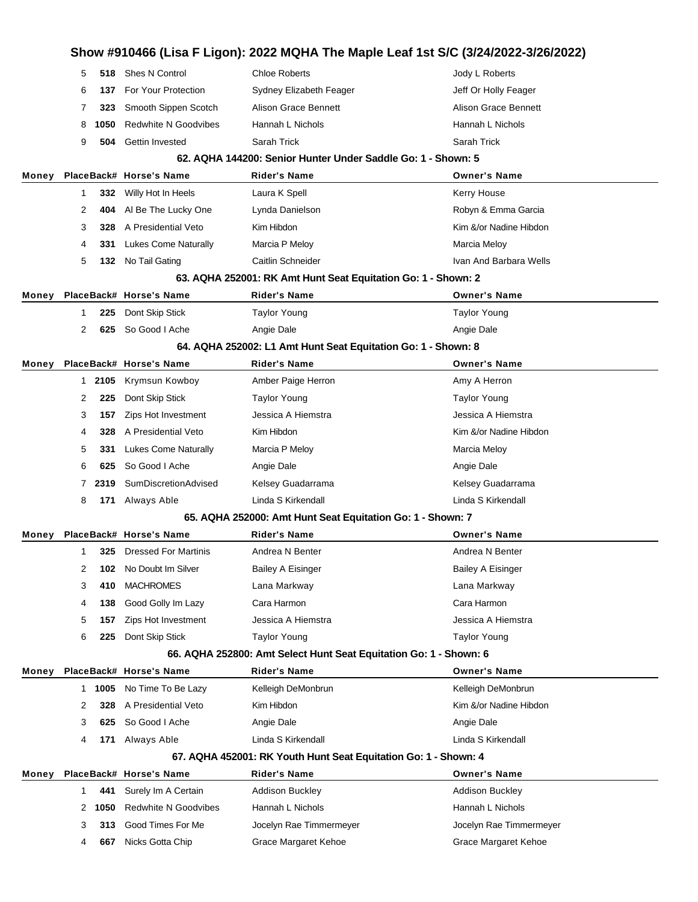|       | 5            | 518  | Shes N Control              | <b>Chloe Roberts</b>                                              | Jody L Roberts              |
|-------|--------------|------|-----------------------------|-------------------------------------------------------------------|-----------------------------|
|       | 6            | 137  | For Your Protection         | Sydney Elizabeth Feager                                           | Jeff Or Holly Feager        |
|       | 7            | 323  | Smooth Sippen Scotch        | Alison Grace Bennett                                              | <b>Alison Grace Bennett</b> |
|       | 8            | 1050 | <b>Redwhite N Goodvibes</b> | Hannah L Nichols                                                  | Hannah L Nichols            |
|       | 9            | 504  | Gettin Invested             | Sarah Trick                                                       | Sarah Trick                 |
|       |              |      |                             | 62. AQHA 144200: Senior Hunter Under Saddle Go: 1 - Shown: 5      |                             |
| Money |              |      | PlaceBack# Horse's Name     | <b>Rider's Name</b>                                               | <b>Owner's Name</b>         |
|       | 1            | 332  | Willy Hot In Heels          | Laura K Spell                                                     | Kerry House                 |
|       | 2            | 404  | Al Be The Lucky One         | Lynda Danielson                                                   | Robyn & Emma Garcia         |
|       | 3            | 328  | A Presidential Veto         | Kim Hibdon                                                        | Kim &/or Nadine Hibdon      |
|       | 4            | 331  | <b>Lukes Come Naturally</b> | Marcia P Meloy                                                    | Marcia Meloy                |
|       | 5            | 132  | No Tail Gating              | Caitlin Schneider                                                 | Ivan And Barbara Wells      |
|       |              |      |                             | 63. AQHA 252001: RK Amt Hunt Seat Equitation Go: 1 - Shown: 2     |                             |
| Money |              |      | PlaceBack# Horse's Name     | Rider's Name                                                      | <b>Owner's Name</b>         |
|       | 1            | 225  | Dont Skip Stick             | <b>Taylor Young</b>                                               | <b>Taylor Young</b>         |
|       | 2            | 625  | So Good I Ache              | Angie Dale                                                        | Angie Dale                  |
|       |              |      |                             | 64. AQHA 252002: L1 Amt Hunt Seat Equitation Go: 1 - Shown: 8     |                             |
| Money |              |      | PlaceBack# Horse's Name     | Rider's Name                                                      | <b>Owner's Name</b>         |
|       | $\mathbf{1}$ | 2105 | Krymsun Kowboy              | Amber Paige Herron                                                | Amy A Herron                |
|       | 2            | 225  | Dont Skip Stick             | <b>Taylor Young</b>                                               | <b>Taylor Young</b>         |
|       | 3            | 157  | Zips Hot Investment         | Jessica A Hiemstra                                                | Jessica A Hiemstra          |
|       | 4            | 328  | A Presidential Veto         | Kim Hibdon                                                        | Kim &/or Nadine Hibdon      |
|       | 5            | 331  | Lukes Come Naturally        | Marcia P Meloy                                                    | Marcia Meloy                |
|       | 6            | 625  | So Good I Ache              | Angie Dale                                                        | Angie Dale                  |
|       | 7            | 2319 | SumDiscretionAdvised        | Kelsey Guadarrama                                                 | Kelsey Guadarrama           |
|       | 8            | 171  | Always Able                 | Linda S Kirkendall                                                | Linda S Kirkendall          |
|       |              |      |                             | 65. AQHA 252000: Amt Hunt Seat Equitation Go: 1 - Shown: 7        |                             |
| Money |              |      | PlaceBack# Horse's Name     | Rider's Name                                                      | <b>Owner's Name</b>         |
|       | 1            | 325  | <b>Dressed For Martinis</b> | Andrea N Benter                                                   | Andrea N Benter             |
|       | 2            | 102  | No Doubt Im Silver          | Bailey A Eisinger                                                 | Bailey A Eisinger           |
|       | 3            | 410  | <b>MACHROMES</b>            | Lana Markway                                                      | Lana Markway                |
|       | 4            | 138  | Good Golly Im Lazy          | Cara Harmon                                                       | Cara Harmon                 |
|       | 5            | 157  | Zips Hot Investment         | Jessica A Hiemstra                                                | Jessica A Hiemstra          |
|       | 6            | 225  | Dont Skip Stick             | <b>Taylor Young</b>                                               | <b>Taylor Young</b>         |
|       |              |      |                             | 66. AQHA 252800: Amt Select Hunt Seat Equitation Go: 1 - Shown: 6 |                             |
| Money |              |      | PlaceBack# Horse's Name     | Rider's Name                                                      | <b>Owner's Name</b>         |
|       | 1            | 1005 | No Time To Be Lazy          | Kelleigh DeMonbrun                                                | Kelleigh DeMonbrun          |
|       | 2            | 328  | A Presidential Veto         | Kim Hibdon                                                        | Kim &/or Nadine Hibdon      |
|       | 3            | 625  | So Good I Ache              | Angie Dale                                                        | Angie Dale                  |
|       | 4            | 171  | Always Able                 | Linda S Kirkendall                                                | Linda S Kirkendall          |
|       |              |      |                             | 67. AQHA 452001: RK Youth Hunt Seat Equitation Go: 1 - Shown: 4   |                             |
| Money |              |      | PlaceBack# Horse's Name     | Rider's Name                                                      | <b>Owner's Name</b>         |
|       | 1            | 441  | Surely Im A Certain         | <b>Addison Buckley</b>                                            | Addison Buckley             |
|       | 2            | 1050 | <b>Redwhite N Goodvibes</b> | Hannah L Nichols                                                  | Hannah L Nichols            |
|       | 3            | 313  | Good Times For Me           | Jocelyn Rae Timmermeyer                                           | Jocelyn Rae Timmermeyer     |
|       | 4            | 667  | Nicks Gotta Chip            | Grace Margaret Kehoe                                              | Grace Margaret Kehoe        |
|       |              |      |                             |                                                                   |                             |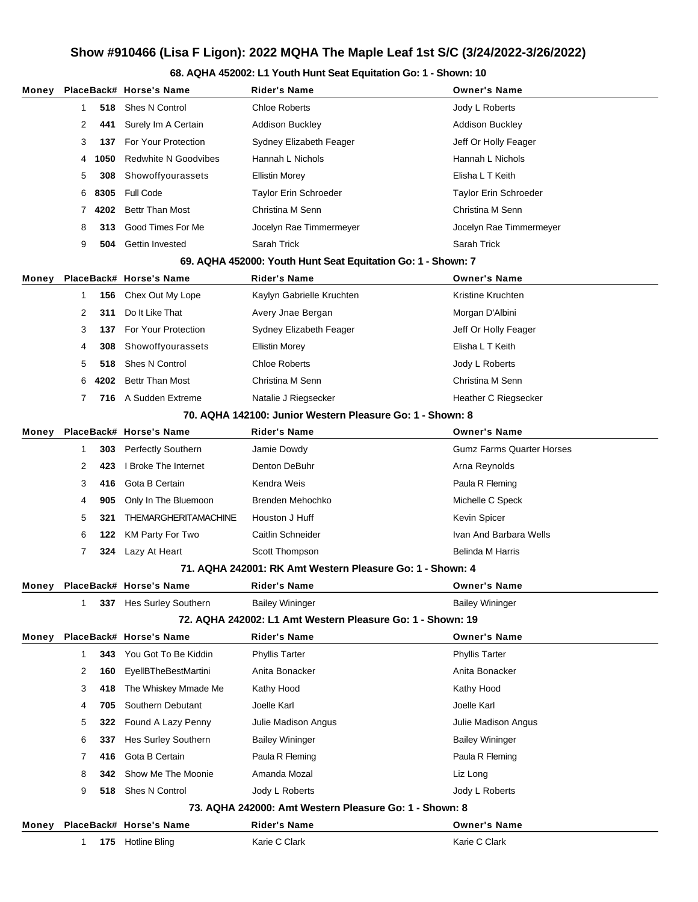#### **68. AQHA 452002: L1 Youth Hunt Seat Equitation Go: 1 - Shown: 10**

| Money |   |      | PlaceBack# Horse's Name     | Rider's Name                                                 | <b>Owner's Name</b>              |
|-------|---|------|-----------------------------|--------------------------------------------------------------|----------------------------------|
|       | 1 | 518  | Shes N Control              | <b>Chloe Roberts</b>                                         | Jody L Roberts                   |
|       | 2 | 441  | Surely Im A Certain         | <b>Addison Buckley</b>                                       | <b>Addison Buckley</b>           |
|       | 3 | 137  | For Your Protection         | Sydney Elizabeth Feager                                      | Jeff Or Holly Feager             |
|       | 4 | 1050 | <b>Redwhite N Goodvibes</b> | Hannah L Nichols                                             | Hannah L Nichols                 |
|       | 5 | 308  | Showoffyourassets           | <b>Ellistin Morey</b>                                        | Elisha L T Keith                 |
|       | 6 | 8305 | <b>Full Code</b>            | Taylor Erin Schroeder                                        | <b>Taylor Erin Schroeder</b>     |
|       | 7 | 4202 | <b>Bettr Than Most</b>      | Christina M Senn                                             | Christina M Senn                 |
|       | 8 | 313  | Good Times For Me           | Jocelyn Rae Timmermeyer                                      | Jocelyn Rae Timmermeyer          |
|       | 9 | 504  | Gettin Invested             | Sarah Trick                                                  | Sarah Trick                      |
|       |   |      |                             | 69. AQHA 452000: Youth Hunt Seat Equitation Go: 1 - Shown: 7 |                                  |
| Money |   |      | PlaceBack# Horse's Name     | Rider's Name                                                 | <b>Owner's Name</b>              |
|       | 1 | 156  | Chex Out My Lope            | Kaylyn Gabrielle Kruchten                                    | Kristine Kruchten                |
|       | 2 | 311  | Do It Like That             | Avery Jnae Bergan                                            | Morgan D'Albini                  |
|       | 3 | 137  | For Your Protection         | Sydney Elizabeth Feager                                      | Jeff Or Holly Feager             |
|       | 4 | 308  | Showoffyourassets           | <b>Ellistin Morey</b>                                        | Elisha L T Keith                 |
|       | 5 | 518  | Shes N Control              | <b>Chloe Roberts</b>                                         | Jody L Roberts                   |
|       | 6 | 4202 | <b>Bettr Than Most</b>      | Christina M Senn                                             | Christina M Senn                 |
|       | 7 | 716  | A Sudden Extreme            | Natalie J Riegsecker                                         | Heather C Riegsecker             |
|       |   |      |                             | 70. AQHA 142100: Junior Western Pleasure Go: 1 - Shown: 8    |                                  |
| Money |   |      | PlaceBack# Horse's Name     | Rider's Name                                                 | <b>Owner's Name</b>              |
|       | 1 | 303  | <b>Perfectly Southern</b>   | Jamie Dowdy                                                  | <b>Gumz Farms Quarter Horses</b> |
|       | 2 | 423  | I Broke The Internet        | Denton DeBuhr                                                | Arna Reynolds                    |
|       | 3 | 416  | Gota B Certain              | Kendra Weis                                                  | Paula R Fleming                  |
|       | 4 | 905  | Only In The Bluemoon        | Brenden Mehochko                                             | Michelle C Speck                 |
|       | 5 | 321  | <b>THEMARGHERITAMACHINE</b> | Houston J Huff                                               | Kevin Spicer                     |
|       | 6 | 122  | KM Party For Two            | Caitlin Schneider                                            | Ivan And Barbara Wells           |
|       | 7 |      | 324 Lazy At Heart           | Scott Thompson                                               | <b>Belinda M Harris</b>          |
|       |   |      |                             | 71. AQHA 242001: RK Amt Western Pleasure Go: 1 - Shown: 4    |                                  |
| Money |   |      | PlaceBack# Horse's Name     | Rider's Name                                                 | <b>Owner's Name</b>              |
|       | 1 |      | 337 Hes Surley Southern     | <b>Bailey Wininger</b>                                       | <b>Bailey Wininger</b>           |
|       |   |      |                             | 72. AQHA 242002: L1 Amt Western Pleasure Go: 1 - Shown: 19   |                                  |
| Money |   |      | PlaceBack# Horse's Name     | Rider's Name                                                 | <b>Owner's Name</b>              |
|       | 1 | 343  | You Got To Be Kiddin        | <b>Phyllis Tarter</b>                                        | <b>Phyllis Tarter</b>            |
|       | 2 | 160  | <b>EyellBTheBestMartini</b> | Anita Bonacker                                               | Anita Bonacker                   |
|       | 3 | 418  | The Whiskey Mmade Me        | Kathy Hood                                                   | Kathy Hood                       |
|       | 4 | 705  | Southern Debutant           | Joelle Karl                                                  | Joelle Karl                      |
|       | 5 | 322  | Found A Lazy Penny          | Julie Madison Angus                                          | Julie Madison Angus              |
|       | 6 | 337  | Hes Surley Southern         | <b>Bailey Wininger</b>                                       | <b>Bailey Wininger</b>           |
|       | 7 | 416  | Gota B Certain              | Paula R Fleming                                              | Paula R Fleming                  |
|       | 8 | 342  | Show Me The Moonie          | Amanda Mozal                                                 | Liz Long                         |
|       | 9 | 518  | Shes N Control              | Jody L Roberts                                               | Jody L Roberts                   |
|       |   |      |                             | 73. AQHA 242000: Amt Western Pleasure Go: 1 - Shown: 8       |                                  |
| Money |   |      | PlaceBack# Horse's Name     | <b>Rider's Name</b>                                          | <b>Owner's Name</b>              |
|       | 1 |      | 175 Hotline Bling           | Karie C Clark                                                | Karie C Clark                    |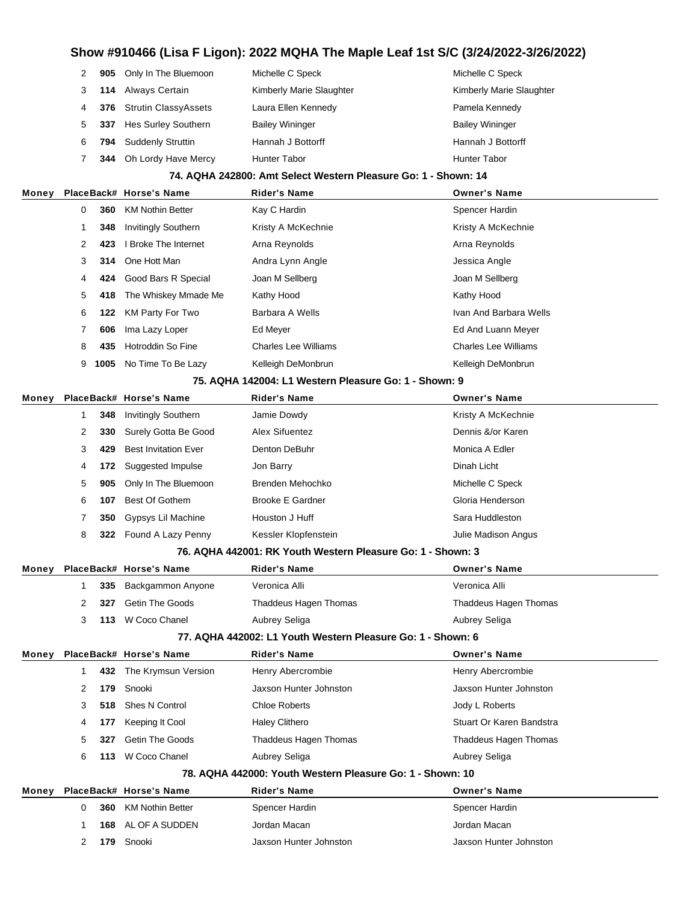|   |     | 905 Only In The Bluemoon   | Michelle C Speck         | Michelle C Speck         |
|---|-----|----------------------------|--------------------------|--------------------------|
|   |     | 114 Always Certain         | Kimberly Marie Slaughter | Kimberly Marie Slaughter |
| 4 |     | 376 Strutin ClassyAssets   | Laura Ellen Kennedy      | Pamela Kennedy           |
| 5 | 337 | <b>Hes Surley Southern</b> | <b>Bailey Wininger</b>   | <b>Bailey Wininger</b>   |
| 6 | 794 | <b>Suddenly Struttin</b>   | Hannah J Bottorff        | Hannah J Bottorff        |
|   | 344 | Oh Lordy Have Mercy        | <b>Hunter Tabor</b>      | Hunter Tabor             |

#### **74. AQHA 242800: Amt Select Western Pleasure Go: 1 - Shown: 14**

| Money |   |      | PlaceBack# Horse's Name    | <b>Rider's Name</b>         | <b>Owner's Name</b>         |
|-------|---|------|----------------------------|-----------------------------|-----------------------------|
|       | 0 | 360  | <b>KM Nothin Better</b>    | Kay C Hardin                | Spencer Hardin              |
|       |   | 348  | <b>Invitingly Southern</b> | Kristy A McKechnie          | Kristy A McKechnie          |
|       | 2 | 423  | I Broke The Internet       | Arna Reynolds               | Arna Reynolds               |
|       | 3 | 314  | One Hott Man               | Andra Lynn Angle            | Jessica Angle               |
|       | 4 | 424  | Good Bars R Special        | Joan M Sellberg             | Joan M Sellberg             |
|       | 5 | 418  | The Whiskey Mmade Me       | Kathy Hood                  | Kathy Hood                  |
|       | 6 | 122  | KM Party For Two           | Barbara A Wells             | Ivan And Barbara Wells      |
|       |   | 606  | Ima Lazy Loper             | Ed Meyer                    | Ed And Luann Meyer          |
|       | 8 | 435  | Hotroddin So Fine          | <b>Charles Lee Williams</b> | <b>Charles Lee Williams</b> |
|       | 9 | 1005 | No Time To Be Lazy         | Kelleigh DeMonbrun          | Kelleigh DeMonbrun          |
|       |   |      |                            |                             |                             |

#### **75. AQHA 142004: L1 Western Pleasure Go: 1 - Shown: 9**

| Money |   |     | PlaceBack# Horse's Name     | <b>Rider's Name</b>     | <b>Owner's Name</b> |  |
|-------|---|-----|-----------------------------|-------------------------|---------------------|--|
|       |   | 348 | <b>Invitingly Southern</b>  | Jamie Dowdy             | Kristy A McKechnie  |  |
|       | 2 | 330 | Surely Gotta Be Good        | Alex Sifuentez          | Dennis &/or Karen   |  |
|       | 3 | 429 | <b>Best Invitation Ever</b> | Denton DeBuhr           | Monica A Edler      |  |
|       | 4 | 172 | Suggested Impulse           | Jon Barry               | Dinah Licht         |  |
|       | 5 | 905 | Only In The Bluemoon        | Brenden Mehochko        | Michelle C Speck    |  |
|       | 6 | 107 | Best Of Gothem              | <b>Brooke E Gardner</b> | Gloria Henderson    |  |
|       |   | 350 | Gypsys Lil Machine          | Houston J Huff          | Sara Huddleston     |  |
|       | 8 |     | 322 Found A Lazy Penny      | Kessler Klopfenstein    | Julie Madison Angus |  |

#### **76. AQHA 442001: RK Youth Western Pleasure Go: 1 - Shown: 3**

| Money |    |     | PlaceBack# Horse's Name | <b>Rider's Name</b>                                         | <b>Owner's Name</b>      |
|-------|----|-----|-------------------------|-------------------------------------------------------------|--------------------------|
|       |    | 335 | Backgammon Anyone       | Veronica Alli                                               | Veronica Alli            |
|       | 2  | 327 | <b>Getin The Goods</b>  | Thaddeus Hagen Thomas                                       | Thaddeus Hagen Thomas    |
|       | 3  | 113 | W Coco Chanel           | Aubrey Seliga                                               | Aubrey Seliga            |
|       |    |     |                         | 77. AQHA 442002: L1 Youth Western Pleasure Go: 1 - Shown: 6 |                          |
| Money |    |     | PlaceBack# Horse's Name | <b>Rider's Name</b>                                         | <b>Owner's Name</b>      |
|       | 1  | 432 | The Krymsun Version     | Henry Abercrombie                                           | Henry Abercrombie        |
|       | 2  | 179 | Snooki                  | Jaxson Hunter Johnston                                      | Jaxson Hunter Johnston   |
|       | 3  | 518 | Shes N Control          | <b>Chloe Roberts</b>                                        | Jody L Roberts           |
|       | 4  | 177 | Keeping It Cool         | <b>Haley Clithero</b>                                       | Stuart Or Karen Bandstra |
|       | 5. | 327 | Getin The Goods         | Thaddeus Hagen Thomas                                       | Thaddeus Hagen Thomas    |
|       | 6  | 113 | W Coco Chanel           | Aubrey Seliga                                               | Aubrey Seliga            |
|       |    |     |                         | 78. AQHA 442000: Youth Western Pleasure Go: 1 - Shown: 10   |                          |
| Money |    |     | PlaceBack# Horse's Name | <b>Rider's Name</b>                                         | <b>Owner's Name</b>      |
|       | 0  | 360 | <b>KM Nothin Better</b> | Spencer Hardin                                              | Spencer Hardin           |
|       |    | 168 | AL OF A SUDDEN          | Jordan Macan                                                | Jordan Macan             |

**179** Snooki Jaxson Hunter Johnston Jaxson Hunter Johnston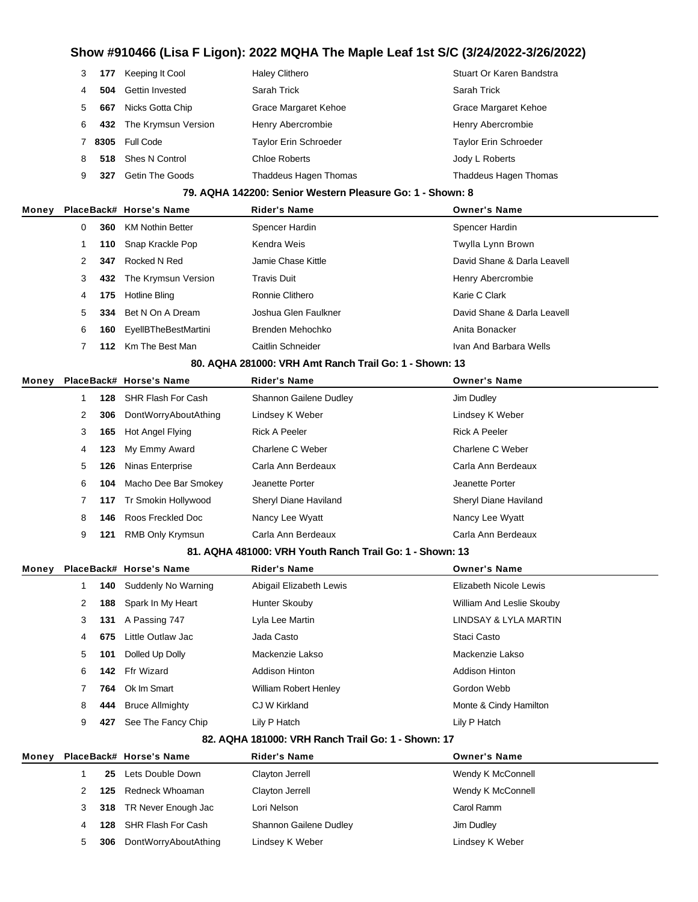|   | 177  | Keeping It Cool     | <b>Haley Clithero</b>        | Stuart Or Karen Bandstra     |
|---|------|---------------------|------------------------------|------------------------------|
|   | 504  | Gettin Invested     | Sarah Trick                  | Sarah Trick                  |
| 5 | 667  | Nicks Gotta Chip    | Grace Margaret Kehoe         | Grace Margaret Kehoe         |
| 6 | 432  | The Krymsun Version | Henry Abercrombie            | Henry Abercrombie            |
|   | 8305 | Full Code           | <b>Taylor Erin Schroeder</b> | <b>Taylor Erin Schroeder</b> |
| 8 | 518  | Shes N Control      | Chloe Roberts                | Jody L Roberts               |
| 9 | 327  | Getin The Goods     | <b>Thaddeus Hagen Thomas</b> | <b>Thaddeus Hagen Thomas</b> |

#### **79. AQHA 142200: Senior Western Pleasure Go: 1 - Shown: 8**

| Money |    |     | PlaceBack# Horse's Name | <b>Rider's Name</b>  | <b>Owner's Name</b>         |
|-------|----|-----|-------------------------|----------------------|-----------------------------|
|       | 0  | 360 | <b>KM Nothin Better</b> | Spencer Hardin       | Spencer Hardin              |
|       |    |     | 110 Snap Krackle Pop    | Kendra Weis          | Twylla Lynn Brown           |
|       |    | 347 | Rocked N Red            | Jamie Chase Kittle   | David Shane & Darla Leavell |
|       | 3  | 432 | The Krymsun Version     | <b>Travis Duit</b>   | Henry Abercrombie           |
|       | 4  | 175 | Hotline Bling           | Ronnie Clithero      | Karie C Clark               |
|       | 5. | 334 | Bet N On A Dream        | Joshua Glen Faulkner | David Shane & Darla Leavell |
|       | 6  | 160 | EyellBTheBestMartini    | Brenden Mehochko     | Anita Bonacker              |
|       |    | 112 | Km The Best Man         | Caitlin Schneider    | Ivan And Barbara Wells      |
|       |    |     |                         |                      |                             |

#### **80. AQHA 281000: VRH Amt Ranch Trail Go: 1 - Shown: 13**

| Monev |   |     | PlaceBack# Horse's Name | <b>Rider's Name</b>    | <b>Owner's Name</b>   |
|-------|---|-----|-------------------------|------------------------|-----------------------|
|       |   | 128 | SHR Flash For Cash      | Shannon Gailene Dudley | Jim Dudley            |
|       | 2 | 306 | DontWorryAboutAthing    | Lindsey K Weber        | Lindsey K Weber       |
|       | 3 | 165 | Hot Angel Flying        | <b>Rick A Peeler</b>   | <b>Rick A Peeler</b>  |
|       | 4 | 123 | My Emmy Award           | Charlene C Weber       | Charlene C Weber      |
|       | 5 | 126 | Ninas Enterprise        | Carla Ann Berdeaux     | Carla Ann Berdeaux    |
|       | 6 | 104 | Macho Dee Bar Smokey    | Jeanette Porter        | Jeanette Porter       |
|       |   |     | 117 Tr Smokin Hollywood | Sheryl Diane Haviland  | Sheryl Diane Haviland |
|       | 8 | 146 | Roos Freckled Doc       | Nancy Lee Wyatt        | Nancy Lee Wyatt       |
|       | 9 | 121 | RMB Only Krymsun        | Carla Ann Berdeaux     | Carla Ann Berdeaux    |

#### **81. AQHA 481000: VRH Youth Ranch Trail Go: 1 - Shown: 13**

| Money |   |     | PlaceBack# Horse's Name | <b>Rider's Name</b>          | <b>Owner's Name</b>       |
|-------|---|-----|-------------------------|------------------------------|---------------------------|
|       |   | 140 | Suddenly No Warning     | Abigail Elizabeth Lewis      | Elizabeth Nicole Lewis    |
|       | 2 | 188 | Spark In My Heart       | Hunter Skouby                | William And Leslie Skouby |
|       | 3 | 131 | A Passing 747           | Lyla Lee Martin              | LINDSAY & LYLA MARTIN     |
|       | 4 | 675 | Little Outlaw Jac       | Jada Casto                   | Staci Casto               |
|       | 5 | 101 | Dolled Up Dolly         | Mackenzie Lakso              | Mackenzie Lakso           |
|       | 6 | 142 | Ffr Wizard              | <b>Addison Hinton</b>        | <b>Addison Hinton</b>     |
|       |   | 764 | Ok Im Smart             | <b>William Robert Henley</b> | Gordon Webb               |
|       | 8 | 444 | <b>Bruce Allmighty</b>  | CJ W Kirkland                | Monte & Cindy Hamilton    |
|       | 9 | 427 | See The Fancy Chip      | Lily P Hatch                 | Lily P Hatch              |

#### **82. AQHA 181000: VRH Ranch Trail Go: 1 - Shown: 17**

| Money |     | PlaceBack# Horse's Name | <b>Rider's Name</b>    | <b>Owner's Name</b> |
|-------|-----|-------------------------|------------------------|---------------------|
|       | 25. | Lets Double Down        | Clayton Jerrell        | Wendy K McConnell   |
|       | 125 | Redneck Whoaman         | Clayton Jerrell        | Wendy K McConnell   |
|       |     | 318 TR Never Enough Jac | Lori Nelson            | Carol Ramm          |
|       | 128 | SHR Flash For Cash      | Shannon Gailene Dudley | Jim Dudley          |
|       | 306 | DontWorryAboutAthing    | Lindsey K Weber        | Lindsey K Weber     |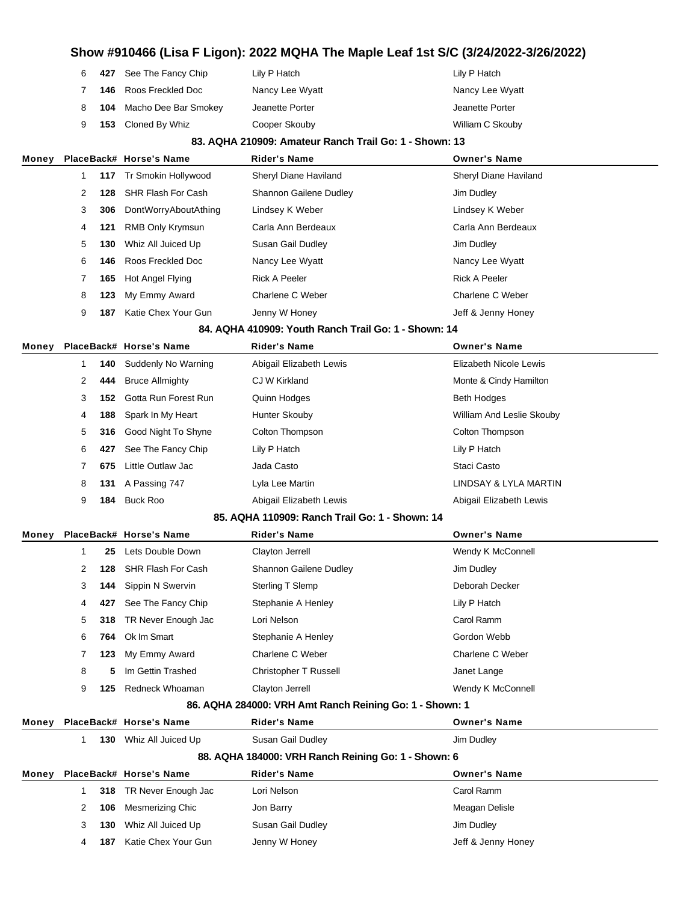|  | Lily P Hatch                                                                                             | Lily P Hatch     |
|--|----------------------------------------------------------------------------------------------------------|------------------|
|  | Nancy Lee Wyatt                                                                                          | Nancy Lee Wyatt  |
|  | Jeanette Porter                                                                                          | Jeanette Porter  |
|  | Cooper Skouby                                                                                            | William C Skouby |
|  | 427 See The Fancy Chip<br>146 Roos Freckled Doc<br><b>104</b> Macho Dee Bar Smokey<br>153 Cloned By Whiz |                  |

#### **83. AQHA 210909: Amateur Ranch Trail Go: 1 - Shown: 13**

| Money |   |     | PlaceBack# Horse's Name | <b>Rider's Name</b>           | <b>Owner's Name</b>   |  |
|-------|---|-----|-------------------------|-------------------------------|-----------------------|--|
|       |   |     | 117 Tr Smokin Hollywood | Sheryl Diane Haviland         | Sheryl Diane Haviland |  |
|       | 2 | 128 | SHR Flash For Cash      | <b>Shannon Gailene Dudley</b> | Jim Dudley            |  |
|       | 3 | 306 | DontWorryAboutAthing    | Lindsey K Weber               | Lindsey K Weber       |  |
|       | 4 | 121 | <b>RMB Only Krymsun</b> | Carla Ann Berdeaux            | Carla Ann Berdeaux    |  |
|       | 5 | 130 | Whiz All Juiced Up      | Susan Gail Dudley             | Jim Dudley            |  |
|       | 6 | 146 | Roos Freckled Doc       | Nancy Lee Wyatt               | Nancy Lee Wyatt       |  |
|       |   | 165 | Hot Angel Flying        | <b>Rick A Peeler</b>          | Rick A Peeler         |  |
|       | 8 | 123 | My Emmy Award           | Charlene C Weber              | Charlene C Weber      |  |
|       | 9 | 187 | Katie Chex Your Gun     | Jenny W Honey                 | Jeff & Jenny Honey    |  |
|       |   |     |                         |                               |                       |  |

#### **84. AQHA 410909: Youth Ranch Trail Go: 1 - Shown: 14**

| Money |   |     | PlaceBack# Horse's Name  | <b>Rider's Name</b>     | <b>Owner's Name</b>       |
|-------|---|-----|--------------------------|-------------------------|---------------------------|
|       |   | 140 | Suddenly No Warning      | Abigail Elizabeth Lewis | Elizabeth Nicole Lewis    |
|       | 2 | 444 | <b>Bruce Allmighty</b>   | CJ W Kirkland           | Monte & Cindy Hamilton    |
|       | 3 |     | 152 Gotta Run Forest Run | Quinn Hodges            | <b>Beth Hodges</b>        |
|       | 4 | 188 | Spark In My Heart        | Hunter Skouby           | William And Leslie Skouby |
|       | 5 |     | 316 Good Night To Shyne  | Colton Thompson         | <b>Colton Thompson</b>    |
|       | 6 | 427 | See The Fancy Chip       | Lily P Hatch            | Lily P Hatch              |
|       |   | 675 | Little Outlaw Jac        | Jada Casto              | Staci Casto               |
|       | 8 |     | 131 A Passing 747        | Lyla Lee Martin         | LINDSAY & LYLA MARTIN     |
|       | 9 | 184 | Buck Roo                 | Abigail Elizabeth Lewis | Abigail Elizabeth Lewis   |
|       |   |     |                          |                         |                           |

#### **85. AQHA 110909: Ranch Trail Go: 1 - Shown: 14**

| Money |                |     | PlaceBack# Horse's Name | <b>Rider's Name</b>          | <b>Owner's Name</b> |  |
|-------|----------------|-----|-------------------------|------------------------------|---------------------|--|
|       |                | 25  | Lets Double Down        | Clayton Jerrell              | Wendy K McConnell   |  |
|       | 2              | 128 | SHR Flash For Cash      | Shannon Gailene Dudley       | Jim Dudley          |  |
|       | 3              | 144 | Sippin N Swervin        | <b>Sterling T Slemp</b>      | Deborah Decker      |  |
|       | 4              | 427 | See The Fancy Chip      | Stephanie A Henley           | Lily P Hatch        |  |
|       | 5 <sup>5</sup> | 318 | TR Never Enough Jac     | Lori Nelson                  | Carol Ramm          |  |
|       | 6              |     | 764 Ok Im Smart         | Stephanie A Henley           | Gordon Webb         |  |
|       |                | 123 | My Emmy Award           | Charlene C Weber             | Charlene C Weber    |  |
|       | 8              | 5.  | Im Gettin Trashed       | <b>Christopher T Russell</b> | Janet Lange         |  |
|       | 9              | 125 | Redneck Whoaman         | Clayton Jerrell              | Wendy K McConnell   |  |
|       |                |     |                         |                              |                     |  |

#### **86. AQHA 284000: VRH Amt Ranch Reining Go: 1 - Shown: 1**

| Money |                      |     | PlaceBack# Horse's Name | <b>Rider's Name</b>                                 | <b>Owner's Name</b> |  |
|-------|----------------------|-----|-------------------------|-----------------------------------------------------|---------------------|--|
|       |                      | 130 | Whiz All Juiced Up      | Susan Gail Dudley                                   | Jim Dudley          |  |
|       |                      |     |                         | 88. AQHA 184000: VRH Ranch Reining Go: 1 - Shown: 6 |                     |  |
| Money |                      |     | PlaceBack# Horse's Name | <b>Rider's Name</b>                                 | <b>Owner's Name</b> |  |
|       |                      | 318 | TR Never Enough Jac     | Lori Nelson                                         | Carol Ramm          |  |
|       | $\mathbf{2}^{\circ}$ | 106 | Mesmerizing Chic        | Jon Barry                                           | Meagan Delisle      |  |
|       | 3                    | 130 | Whiz All Juiced Up      | Susan Gail Dudley                                   | Jim Dudley          |  |
|       | 4                    | 187 | Katie Chex Your Gun     | Jenny W Honey                                       | Jeff & Jenny Honey  |  |
|       |                      |     |                         |                                                     |                     |  |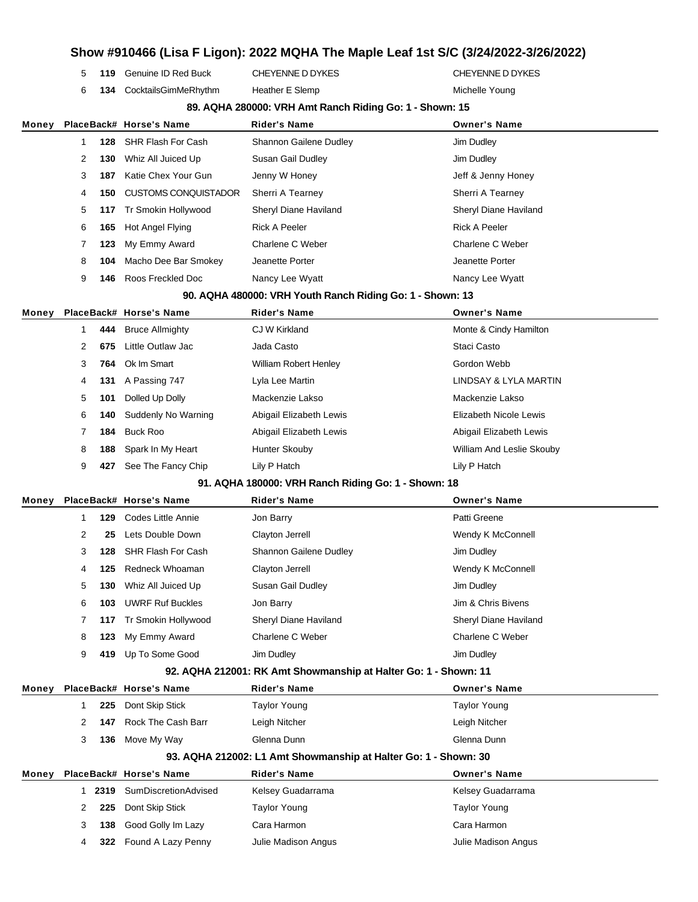# **Show #910466 (Lisa F Ligon): 2022 MQHA The Maple Leaf 1st S/C (3/24/2022-3/26/2022) 119** Genuine ID Red Buck CHEYENNE D DYKES CHEYENNE D DYKES **134** CocktailsGimMeRhythm Heather E Slemp Michelle Young **89. AQHA 280000: VRH Amt Ranch Riding Go: 1 - Shown: 15 Money PlaceBack# Horse's Name Rider's Name Owner's Name 128** SHR Flash For Cash Shannon Gailene Dudley Shannon Gailene Dudley **130** Whiz All Juiced Up Susan Gail Dudley Susan Gail All June 10 Jim Dudley **187** Katie Chex Your Gun Jenny W Honey Jeff & Jenny Honey **150** CUSTOMS CONQUISTADOR Sherri A Tearney Sherri A Tearney **117** Tr Smokin Hollywood Sheryl Diane Haviland Sheryl Diane Haviland **165** Hot Angel Flying **Rick A Peeler Rick A Peeler** Rick A Peeler **123** My Emmy Award **Charlene C Weber** Charlene C Weber Charlene C Weber **104** Macho Dee Bar Smokey Jeanette Porter Jeanette Porter **146** Roos Freckled Doc Nancy Lee Wyatt Nancy Lee Wyatt **90. AQHA 480000: VRH Youth Ranch Riding Go: 1 - Shown: 13 Money PlaceBack# Horse's Name Rider's Name Owner's Name 444** Bruce Allmighty **CJ W Kirkland** CG Alleman Monte & Cindy Hamilton **675** Little Outlaw Jac **Casto** Jada Casto **Casto** Staci Casto **764** Ok Im Smart **Milliam Robert Henley Gordon Webb** Gordon Webb **131** A Passing 747 Lyla Lee Martin LINDSAY & LYLA MARTIN **101** Dolled Up Dolly Mackenzie Lakso Mackenzie Lakso **140** Suddenly No Warning Abigail Elizabeth Lewis Elizabeth Nicole Lewis **184** Buck Roo **Abigail Elizabeth Lewis** Abigail Elizabeth Lewis Abigail Elizabeth Lewis **188** Spark In My Heart Hunter Skouby **Milliam And Leslie Skouby** William And Leslie Skouby **427** See The Fancy Chip Lily P Hatch Lily P Hatch **91. AQHA 180000: VRH Ranch Riding Go: 1 - Shown: 18 Money PlaceBack# Horse's Name Rider's Name Owner's Name 129** Codes Little Annie **Container Container Jon Barry Container Container Patti Greene 25** Lets Double Down Clayton Jerrell Connell Wendy K McConnell **128** SHR Flash For Cash Shannon Gailene Dudley Jim Dudley **125** Redneck Whoaman Clayton Jerrell Wendy K McConnell **130** Whiz All Juiced Up Susan Gail Dudley Susan Gail All June 10 Jim Dudley **103** UWRF Ruf Buckles Jon Barry Jim & Chris Bivens **117** Tr Smokin Hollywood Sheryl Diane Haviland Sheryl Diane Haviland **123** My Emmy Award **Charlene C Weber** Charlene C Weber Charlene C Weber **419** Up To Some Good Jim Dudley Jim Dudley **92. AQHA 212001: RK Amt Showmanship at Halter Go: 1 - Shown: 11 Money PlaceBack# Horse's Name Rider's Name Owner's Name 225** Dont Skip Stick Taylor Young Taylor Young Taylor Young **147** Rock The Cash Barr Leigh Nitcher Leigh Nitcher **136** Move My Way Glenna Dunn Glenna Dunn **93. AQHA 212002: L1 Amt Showmanship at Halter Go: 1 - Shown: 30 Money PlaceBack# Horse's Name Rider's Name Owner's Name 2319** SumDiscretionAdvised Kelsey Guadarrama Kelsey Guadarrama **225** Dont Skip Stick Taylor Young Taylor Young Taylor Young **138** Good Golly Im Lazy Cara Harmon Cara Harmon **322** Found A Lazy Penny Julie Madison Angus Julie Madison Angus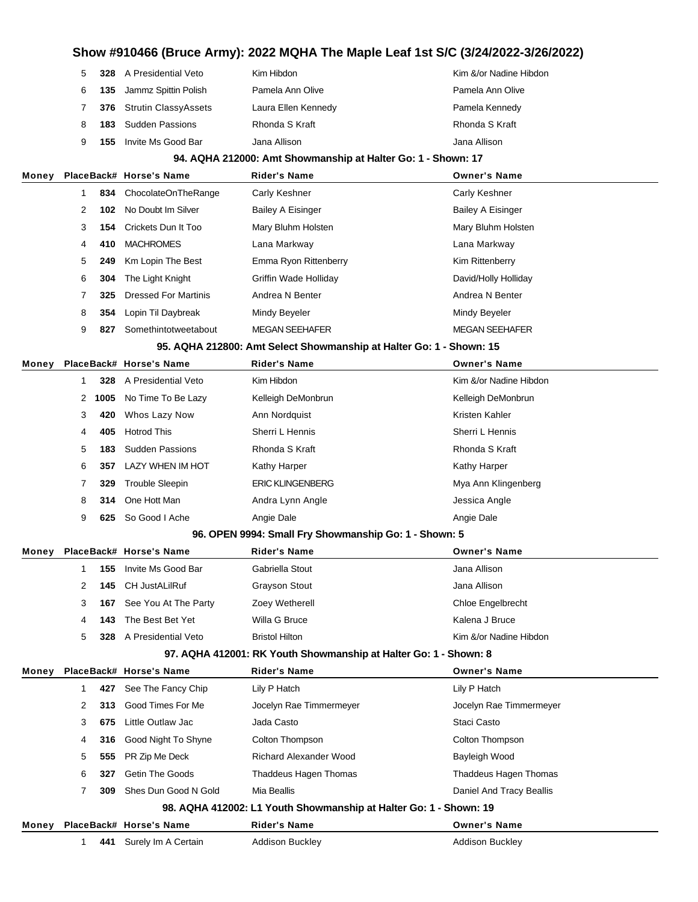|       | 5 |      | <b>328</b> A Presidential Veto | Kim Hibdon                                                          | Kim &/or Nadine Hibdon   |
|-------|---|------|--------------------------------|---------------------------------------------------------------------|--------------------------|
|       | 6 | 135  | Jammz Spittin Polish           | Pamela Ann Olive                                                    | Pamela Ann Olive         |
|       | 7 | 376  | <b>Strutin ClassyAssets</b>    | Laura Ellen Kennedy                                                 | Pamela Kennedy           |
|       | 8 | 183  | <b>Sudden Passions</b>         | Rhonda S Kraft                                                      | Rhonda S Kraft           |
|       | 9 | 155  | Invite Ms Good Bar             | Jana Allison                                                        | Jana Allison             |
|       |   |      |                                | 94. AQHA 212000: Amt Showmanship at Halter Go: 1 - Shown: 17        |                          |
| Money |   |      | PlaceBack# Horse's Name        | <b>Rider's Name</b>                                                 | <b>Owner's Name</b>      |
|       | 1 | 834  | ChocolateOnTheRange            | Carly Keshner                                                       | Carly Keshner            |
|       | 2 | 102  | No Doubt Im Silver             | <b>Bailey A Eisinger</b>                                            | <b>Bailey A Eisinger</b> |
|       | 3 | 154  | Crickets Dun It Too            | Mary Bluhm Holsten                                                  | Mary Bluhm Holsten       |
|       | 4 | 410  | <b>MACHROMES</b>               | Lana Markway                                                        | Lana Markway             |
|       | 5 | 249  | Km Lopin The Best              | Emma Ryon Rittenberry                                               | Kim Rittenberry          |
|       | 6 | 304  | The Light Knight               | Griffin Wade Holliday                                               | David/Holly Holliday     |
|       | 7 | 325  | <b>Dressed For Martinis</b>    | Andrea N Benter                                                     | Andrea N Benter          |
|       | 8 | 354  | Lopin Til Daybreak             | Mindy Beyeler                                                       | Mindy Beyeler            |
|       | 9 | 827  | Somethintotweetabout           | <b>MEGAN SEEHAFER</b>                                               | <b>MEGAN SEEHAFER</b>    |
|       |   |      |                                | 95. AQHA 212800: Amt Select Showmanship at Halter Go: 1 - Shown: 15 |                          |
| Money |   |      | PlaceBack# Horse's Name        | <b>Rider's Name</b>                                                 | <b>Owner's Name</b>      |
|       | 1 | 328  | A Presidential Veto            | Kim Hibdon                                                          | Kim &/or Nadine Hibdon   |
|       | 2 | 1005 | No Time To Be Lazy             | Kelleigh DeMonbrun                                                  | Kelleigh DeMonbrun       |
|       | 3 | 420  | Whos Lazy Now                  | Ann Nordquist                                                       | Kristen Kahler           |
|       | 4 | 405  | <b>Hotrod This</b>             | Sherri L Hennis                                                     | Sherri L Hennis          |
|       | 5 | 183  | <b>Sudden Passions</b>         | Rhonda S Kraft                                                      | Rhonda S Kraft           |
|       | 6 | 357  | LAZY WHEN IM HOT               | Kathy Harper                                                        | Kathy Harper             |
|       | 7 | 329  | <b>Trouble Sleepin</b>         | <b>ERIC KLINGENBERG</b>                                             | Mya Ann Klingenberg      |
|       | 8 | 314  | One Hott Man                   | Andra Lynn Angle                                                    | Jessica Angle            |
|       | 9 | 625  | So Good I Ache                 | Angie Dale                                                          | Angie Dale               |
|       |   |      |                                | 96. OPEN 9994: Small Fry Showmanship Go: 1 - Shown: 5               |                          |
| Money |   |      | PlaceBack# Horse's Name        | <b>Rider's Name</b>                                                 | <b>Owner's Name</b>      |
|       | 1 |      | 155 Invite Ms Good Bar         | Gabriella Stout                                                     | Jana Allison             |
|       | 2 | 145  | <b>CH JustALilRuf</b>          | Grayson Stout                                                       | Jana Allison             |
|       | 3 | 167  | See You At The Party           | Zoey Wetherell                                                      | Chloe Engelbrecht        |
|       | 4 | 143  | The Best Bet Yet               | Willa G Bruce                                                       | Kalena J Bruce           |
|       | 5 | 328  | A Presidential Veto            | <b>Bristol Hilton</b>                                               | Kim &/or Nadine Hibdon   |
|       |   |      |                                | 97. AQHA 412001: RK Youth Showmanship at Halter Go: 1 - Shown: 8    |                          |
| Money |   |      | PlaceBack# Horse's Name        | <b>Rider's Name</b>                                                 | <b>Owner's Name</b>      |
|       | 1 | 427  | See The Fancy Chip             | Lily P Hatch                                                        | Lily P Hatch             |
|       | 2 | 313  | Good Times For Me              | Jocelyn Rae Timmermeyer                                             | Jocelyn Rae Timmermeyer  |
|       | 3 | 675  | Little Outlaw Jac              | Jada Casto                                                          | Staci Casto              |
|       | 4 | 316  | Good Night To Shyne            | Colton Thompson                                                     | Colton Thompson          |
|       | 5 | 555  | PR Zip Me Deck                 | Richard Alexander Wood                                              | Bayleigh Wood            |
|       | 6 | 327  | Getin The Goods                | Thaddeus Hagen Thomas                                               | Thaddeus Hagen Thomas    |
|       | 7 | 309  | Shes Dun Good N Gold           | Mia Beallis                                                         | Daniel And Tracy Beallis |
|       |   |      |                                | 98. AQHA 412002: L1 Youth Showmanship at Halter Go: 1 - Shown: 19   |                          |
| Money |   |      | PlaceBack# Horse's Name        | <b>Rider's Name</b>                                                 | <b>Owner's Name</b>      |
|       | 1 | 441  | Surely Im A Certain            | Addison Buckley                                                     | Addison Buckley          |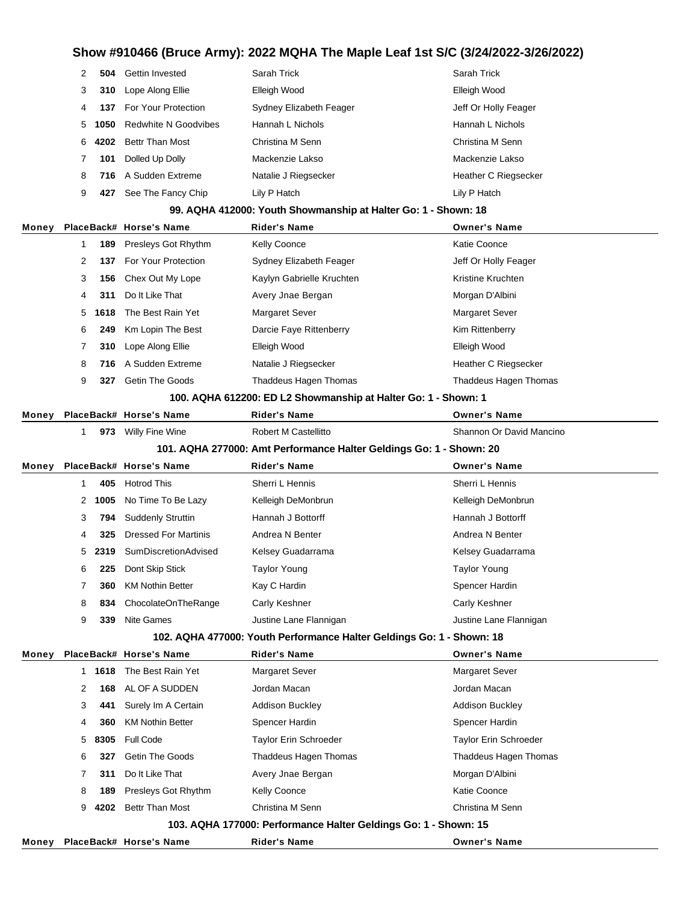| $\mathbf{2}$ | 504    | <b>Gettin Invested</b>      | Sarah Trick             | Sarah Trick          |
|--------------|--------|-----------------------------|-------------------------|----------------------|
| 3            | 310    | Lope Along Ellie            | Elleigh Wood            | Elleigh Wood         |
| 4            | 137    | For Your Protection         | Sydney Elizabeth Feager | Jeff Or Holly Feager |
| 5            | 1050   | <b>Redwhite N Goodvibes</b> | Hannah L Nichols        | Hannah L Nichols     |
|              | 6 4202 | Bettr Than Most             | Christina M Senn        | Christina M Senn     |
|              | 101    | Dolled Up Dolly             | Mackenzie Lakso         | Mackenzie Lakso      |
| 8            | 716    | A Sudden Extreme            | Natalie J Riegsecker    | Heather C Riegsecker |
| 9            | 427    | See The Fancy Chip          | Lily P Hatch            | Lily P Hatch         |
|              |        |                             |                         |                      |

#### **99. AQHA 412000: Youth Showmanship at Halter Go: 1 - Shown: 18**

| Money |                      |        | PlaceBack# Horse's Name | <b>Rider's Name</b>       | <b>Owner's Name</b>   |  |
|-------|----------------------|--------|-------------------------|---------------------------|-----------------------|--|
|       |                      | 189    | Presleys Got Rhythm     | <b>Kelly Coonce</b>       | Katie Coonce          |  |
|       | $\mathbf{2}^{\circ}$ | 137    | For Your Protection     | Sydney Elizabeth Feager   | Jeff Or Holly Feager  |  |
|       | 3                    | 156    | Chex Out My Lope        | Kaylyn Gabrielle Kruchten | Kristine Kruchten     |  |
|       | 4                    | 311    | Do It Like That         | Avery Jnae Bergan         | Morgan D'Albini       |  |
|       |                      | 5 1618 | The Best Rain Yet       | <b>Margaret Sever</b>     | <b>Margaret Sever</b> |  |
|       | 6                    | 249    | Km Lopin The Best       | Darcie Faye Rittenberry   | Kim Rittenberry       |  |
|       |                      | 310    | Lope Along Ellie        | Elleigh Wood              | Elleigh Wood          |  |
|       | 8                    | 716    | A Sudden Extreme        | Natalie J Riegsecker      | Heather C Riegsecker  |  |
|       | 9                    | 327    | <b>Getin The Goods</b>  | Thaddeus Hagen Thomas     | Thaddeus Hagen Thomas |  |
|       |                      |        |                         |                           |                       |  |

#### **100. AQHA 612200: ED L2 Showmanship at Halter Go: 1 - Shown: 1**

| Money |     | PlaceBack# Horse's Name | Rider's Name         | Owner's Name             |
|-------|-----|-------------------------|----------------------|--------------------------|
|       | 973 | Willy Fine Wine         | Robert M Castellitto | Shannon Or David Mancino |

#### **101. AQHA 277000: Amt Performance Halter Geldings Go: 1 - Shown: 20**

| Money |    |      | PlaceBack# Horse's Name                                               | <b>Rider's Name</b>                                             | <b>Owner's Name</b>    |  |  |
|-------|----|------|-----------------------------------------------------------------------|-----------------------------------------------------------------|------------------------|--|--|
|       | 1  | 405  | <b>Hotrod This</b>                                                    | Sherri L Hennis                                                 | Sherri L Hennis        |  |  |
|       | 2  | 1005 | No Time To Be Lazy                                                    | Kelleigh DeMonbrun                                              | Kelleigh DeMonbrun     |  |  |
|       | 3  | 794  | <b>Suddenly Struttin</b>                                              | Hannah J Bottorff                                               | Hannah J Bottorff      |  |  |
|       | 4  | 325  | <b>Dressed For Martinis</b>                                           | Andrea N Benter                                                 | Andrea N Benter        |  |  |
|       | 5  | 2319 | SumDiscretionAdvised                                                  | Kelsey Guadarrama                                               | Kelsey Guadarrama      |  |  |
|       | 6  | 225  | Dont Skip Stick                                                       | <b>Taylor Young</b>                                             | <b>Taylor Young</b>    |  |  |
|       | 7  | 360  | <b>KM Nothin Better</b>                                               | Kay C Hardin                                                    | Spencer Hardin         |  |  |
|       | 8  | 834  | ChocolateOnTheRange                                                   | Carly Keshner                                                   | Carly Keshner          |  |  |
|       | 9  | 339  | <b>Nite Games</b>                                                     | Justine Lane Flannigan                                          | Justine Lane Flannigan |  |  |
|       |    |      | 102. AQHA 477000: Youth Performance Halter Geldings Go: 1 - Shown: 18 |                                                                 |                        |  |  |
| Money |    |      | PlaceBack# Horse's Name                                               | <b>Rider's Name</b>                                             | <b>Owner's Name</b>    |  |  |
|       | 1. | 1618 | The Best Rain Yet                                                     | <b>Margaret Sever</b>                                           | <b>Margaret Sever</b>  |  |  |
|       | 2  | 168  | AL OF A SUDDEN                                                        | Jordan Macan                                                    | Jordan Macan           |  |  |
|       | 3  | 441  | Surely Im A Certain                                                   | <b>Addison Buckley</b>                                          | <b>Addison Buckley</b> |  |  |
|       | 4  | 360  | <b>KM Nothin Better</b>                                               | Spencer Hardin                                                  | Spencer Hardin         |  |  |
|       | 5  | 8305 | <b>Full Code</b>                                                      | Taylor Erin Schroeder                                           | Taylor Erin Schroeder  |  |  |
|       | 6  | 327  | <b>Getin The Goods</b>                                                | Thaddeus Hagen Thomas                                           | Thaddeus Hagen Thomas  |  |  |
|       | 7  | 311  | Do It Like That                                                       | Avery Jnae Bergan                                               | Morgan D'Albini        |  |  |
|       | 8  | 189  | Presleys Got Rhythm                                                   | <b>Kelly Coonce</b>                                             | Katie Coonce           |  |  |
|       | 9  | 4202 | <b>Bettr Than Most</b>                                                | Christina M Senn                                                | Christina M Senn       |  |  |
|       |    |      |                                                                       | 103. AQHA 177000: Performance Halter Geldings Go: 1 - Shown: 15 |                        |  |  |
| Money |    |      | PlaceBack# Horse's Name                                               | <b>Rider's Name</b>                                             | <b>Owner's Name</b>    |  |  |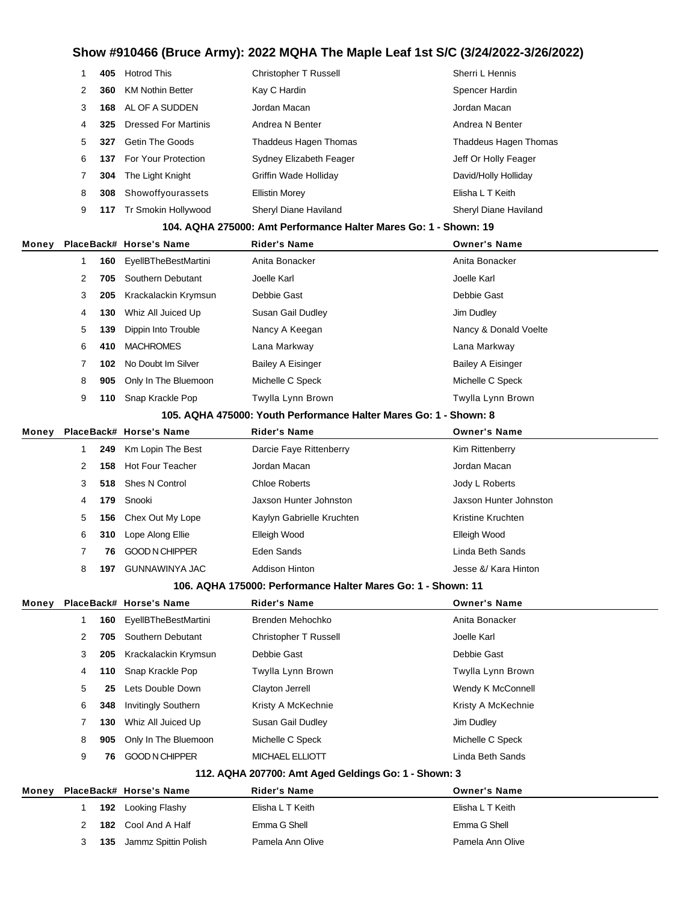|       | 1 | 405  | <b>Hotrod This</b>          | <b>Christopher T Russell</b>                                      | Sherri L Hennis          |
|-------|---|------|-----------------------------|-------------------------------------------------------------------|--------------------------|
|       | 2 | 360  | <b>KM Nothin Better</b>     | Kay C Hardin                                                      | Spencer Hardin           |
|       | 3 | 168  | AL OF A SUDDEN              | Jordan Macan                                                      | Jordan Macan             |
|       | 4 | 325  | <b>Dressed For Martinis</b> | Andrea N Benter                                                   | Andrea N Benter          |
|       | 5 | 327  | <b>Getin The Goods</b>      | Thaddeus Hagen Thomas                                             | Thaddeus Hagen Thomas    |
|       | 6 | 137  | For Your Protection         | Sydney Elizabeth Feager                                           | Jeff Or Holly Feager     |
|       | 7 | 304  | The Light Knight            | <b>Griffin Wade Holliday</b>                                      | David/Holly Holliday     |
|       | 8 | 308  | Showoffyourassets           | <b>Ellistin Morey</b>                                             | Elisha L T Keith         |
|       | 9 | 117  | Tr Smokin Hollywood         | Sheryl Diane Haviland                                             | Sheryl Diane Haviland    |
|       |   |      |                             | 104. AQHA 275000: Amt Performance Halter Mares Go: 1 - Shown: 19  |                          |
| Money |   |      | PlaceBack# Horse's Name     | <b>Rider's Name</b>                                               | <b>Owner's Name</b>      |
|       | 1 | 160  | <b>EyellBTheBestMartini</b> | Anita Bonacker                                                    | Anita Bonacker           |
|       | 2 | 705  | Southern Debutant           | Joelle Karl                                                       | Joelle Karl              |
|       | 3 | 205  | Krackalackin Krymsun        | Debbie Gast                                                       | Debbie Gast              |
|       | 4 | 130  | Whiz All Juiced Up          | Susan Gail Dudley                                                 | Jim Dudley               |
|       | 5 | 139  | Dippin Into Trouble         | Nancy A Keegan                                                    | Nancy & Donald Voelte    |
|       | 6 | 410  | <b>MACHROMES</b>            | Lana Markway                                                      | Lana Markway             |
|       | 7 | 102  | No Doubt Im Silver          | <b>Bailey A Eisinger</b>                                          | <b>Bailey A Eisinger</b> |
|       | 8 | 905  | Only In The Bluemoon        | Michelle C Speck                                                  | Michelle C Speck         |
|       | 9 | 110  | Snap Krackle Pop            | Twylla Lynn Brown                                                 | Twylla Lynn Brown        |
|       |   |      |                             | 105. AQHA 475000: Youth Performance Halter Mares Go: 1 - Shown: 8 |                          |
| Money |   |      | PlaceBack# Horse's Name     | Rider's Name                                                      | <b>Owner's Name</b>      |
|       | 1 | 249  | Km Lopin The Best           | Darcie Faye Rittenberry                                           | Kim Rittenberry          |
|       | 2 | 158  | <b>Hot Four Teacher</b>     | Jordan Macan                                                      | Jordan Macan             |
|       | 3 | 518  | Shes N Control              | <b>Chloe Roberts</b>                                              | Jody L Roberts           |
|       | 4 | 179  | Snooki                      | Jaxson Hunter Johnston                                            | Jaxson Hunter Johnston   |
|       | 5 | 156  | Chex Out My Lope            | Kaylyn Gabrielle Kruchten                                         | Kristine Kruchten        |
|       | 6 | 310  | Lope Along Ellie            | Elleigh Wood                                                      | Elleigh Wood             |
|       | 7 | 76   | <b>GOOD N CHIPPER</b>       | Eden Sands                                                        | Linda Beth Sands         |
|       | 8 | 197. | <b>GUNNAWINYA JAC</b>       | Addison Hinton                                                    | Jesse &/ Kara Hinton     |
|       |   |      |                             | 106. AQHA 175000: Performance Halter Mares Go: 1 - Shown: 11      |                          |
| Money |   |      | PlaceBack# Horse's Name     | <b>Rider's Name</b>                                               | <b>Owner's Name</b>      |
|       | 1 | 160  | <b>EyellBTheBestMartini</b> | Brenden Mehochko                                                  | Anita Bonacker           |
|       | 2 | 705  | Southern Debutant           | Christopher T Russell                                             | Joelle Karl              |
|       | 3 | 205  | Krackalackin Krymsun        | Debbie Gast                                                       | Debbie Gast              |
|       | 4 | 110  | Snap Krackle Pop            | Twylla Lynn Brown                                                 | Twylla Lynn Brown        |
|       | 5 | 25   | Lets Double Down            | Clayton Jerrell                                                   | Wendy K McConnell        |
|       | 6 | 348  | <b>Invitingly Southern</b>  | Kristy A McKechnie                                                | Kristy A McKechnie       |
|       | 7 | 130  | Whiz All Juiced Up          | Susan Gail Dudley                                                 | Jim Dudley               |
|       | 8 | 905  | Only In The Bluemoon        | Michelle C Speck                                                  | Michelle C Speck         |
|       | 9 | 76   | <b>GOOD N CHIPPER</b>       | MICHAEL ELLIOTT                                                   | Linda Beth Sands         |
|       |   |      |                             | 112. AQHA 207700: Amt Aged Geldings Go: 1 - Shown: 3              |                          |
| Money |   |      | PlaceBack# Horse's Name     | <b>Rider's Name</b>                                               | <b>Owner's Name</b>      |
|       | 1 | 192  | Looking Flashy              | Elisha L T Keith                                                  | Elisha L T Keith         |
|       | 2 | 182  | Cool And A Half             | Emma G Shell                                                      | Emma G Shell             |
|       | 3 | 135  | Jammz Spittin Polish        | Pamela Ann Olive                                                  | Pamela Ann Olive         |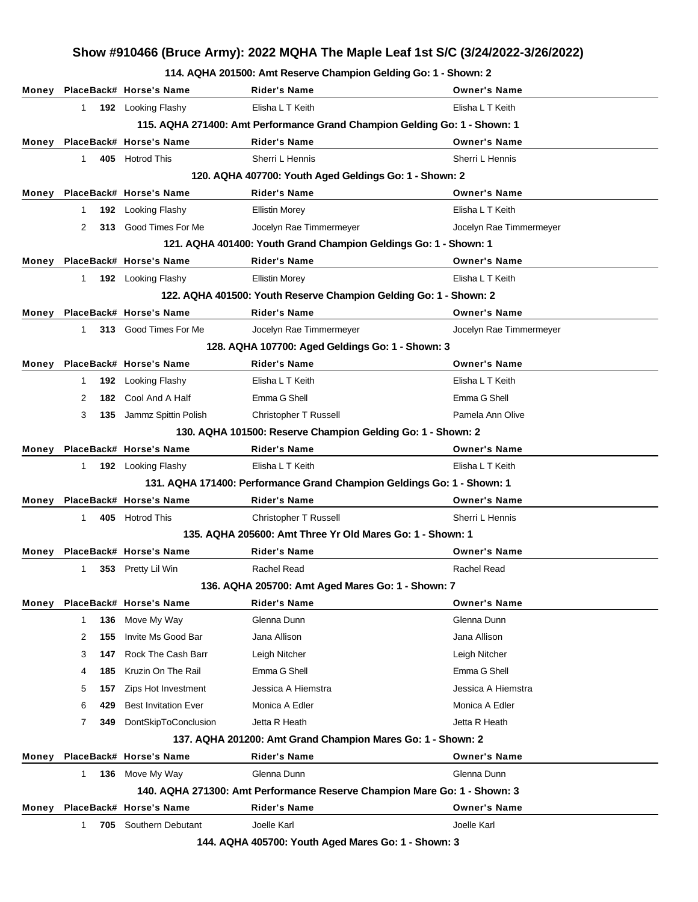**114. AQHA 201500: Amt Reserve Champion Gelding Go: 1 - Shown: 2**

|       |              |     |                               | TT4. AWITA ZUTJUU. AIIIL NESERE UHAHIIPIUH GEIGHIIG GU. T - SHOWII. Z     |                         |
|-------|--------------|-----|-------------------------------|---------------------------------------------------------------------------|-------------------------|
|       |              |     | Money PlaceBack# Horse's Name | <b>Rider's Name</b>                                                       | <b>Owner's Name</b>     |
|       | $\mathbf{1}$ |     | 192 Looking Flashy            | Elisha L T Keith                                                          | Elisha L T Keith        |
|       |              |     |                               | 115. AQHA 271400: Amt Performance Grand Champion Gelding Go: 1 - Shown: 1 |                         |
| Money |              |     | PlaceBack# Horse's Name       | <b>Rider's Name</b>                                                       | <b>Owner's Name</b>     |
|       | $\mathbf{1}$ |     | 405 Hotrod This               | Sherri L Hennis                                                           | Sherri L Hennis         |
|       |              |     |                               | 120. AQHA 407700: Youth Aged Geldings Go: 1 - Shown: 2                    |                         |
| Money |              |     | PlaceBack# Horse's Name       | <b>Rider's Name</b>                                                       | <b>Owner's Name</b>     |
|       | $\mathbf{1}$ |     | 192 Looking Flashy            | <b>Ellistin Morey</b>                                                     | Elisha L T Keith        |
|       | 2            |     | 313 Good Times For Me         | Jocelyn Rae Timmermeyer                                                   | Jocelyn Rae Timmermeyer |
|       |              |     |                               | 121. AQHA 401400: Youth Grand Champion Geldings Go: 1 - Shown: 1          |                         |
| Money |              |     | PlaceBack# Horse's Name       | <b>Rider's Name</b>                                                       | <b>Owner's Name</b>     |
|       | $\mathbf{1}$ |     | 192 Looking Flashy            | <b>Ellistin Morey</b>                                                     | Elisha L T Keith        |
|       |              |     |                               | 122. AQHA 401500: Youth Reserve Champion Gelding Go: 1 - Shown: 2         |                         |
| Money |              |     | PlaceBack# Horse's Name       | <b>Rider's Name</b>                                                       | <b>Owner's Name</b>     |
|       | $\mathbf{1}$ |     | 313 Good Times For Me         | Jocelyn Rae Timmermeyer                                                   | Jocelyn Rae Timmermeyer |
|       |              |     |                               | 128. AQHA 107700: Aged Geldings Go: 1 - Shown: 3                          |                         |
| Money |              |     | PlaceBack# Horse's Name       | <b>Rider's Name</b>                                                       | <b>Owner's Name</b>     |
|       | $\mathbf{1}$ |     | 192 Looking Flashy            | Elisha L T Keith                                                          | Elisha L T Keith        |
|       | 2            |     | 182 Cool And A Half           | Emma G Shell                                                              | Emma G Shell            |
|       | 3            |     | 135 Jammz Spittin Polish      | Christopher T Russell                                                     | Pamela Ann Olive        |
|       |              |     |                               | 130. AQHA 101500: Reserve Champion Gelding Go: 1 - Shown: 2               |                         |
| Money |              |     | PlaceBack# Horse's Name       | <b>Rider's Name</b>                                                       | <b>Owner's Name</b>     |
|       | $\mathbf{1}$ |     | 192 Looking Flashy            | Elisha L T Keith                                                          | Elisha L T Keith        |
|       |              |     |                               | 131. AQHA 171400: Performance Grand Champion Geldings Go: 1 - Shown: 1    |                         |
| Money |              |     | PlaceBack# Horse's Name       | <b>Rider's Name</b>                                                       | <b>Owner's Name</b>     |
|       | $\mathbf{1}$ |     | 405 Hotrod This               | Christopher T Russell                                                     | Sherri L Hennis         |
|       |              |     |                               | 135. AQHA 205600: Amt Three Yr Old Mares Go: 1 - Shown: 1                 |                         |
| Money |              |     | PlaceBack# Horse's Name       | <b>Rider's Name</b>                                                       | <b>Owner's Name</b>     |
|       | $\mathbf{1}$ |     | 353 Pretty Lil Win            | Rachel Read                                                               | Rachel Read             |
|       |              |     |                               | 136. AQHA 205700: Amt Aged Mares Go: 1 - Shown: 7                         |                         |
| Money |              |     | PlaceBack# Horse's Name       | Rider's Name                                                              | <b>Owner's Name</b>     |
|       | $\mathbf{1}$ | 136 | Move My Way                   | Glenna Dunn                                                               | Glenna Dunn             |
|       | 2            | 155 | Invite Ms Good Bar            | Jana Allison                                                              | Jana Allison            |
|       | 3            | 147 | Rock The Cash Barr            | Leigh Nitcher                                                             | Leigh Nitcher           |
|       | 4            | 185 | Kruzin On The Rail            | Emma G Shell                                                              | Emma G Shell            |
|       | 5            | 157 | Zips Hot Investment           | Jessica A Hiemstra                                                        | Jessica A Hiemstra      |
|       | 6            | 429 | <b>Best Invitation Ever</b>   | Monica A Edler                                                            | Monica A Edler          |
|       | 7            | 349 | DontSkipToConclusion          | Jetta R Heath                                                             | Jetta R Heath           |
|       |              |     |                               | 137. AQHA 201200: Amt Grand Champion Mares Go: 1 - Shown: 2               |                         |
| Money |              |     | PlaceBack# Horse's Name       | <b>Rider's Name</b>                                                       | <b>Owner's Name</b>     |
|       | 1            | 136 | Move My Way                   | Glenna Dunn                                                               | Glenna Dunn             |
|       |              |     |                               | 140. AQHA 271300: Amt Performance Reserve Champion Mare Go: 1 - Shown: 3  |                         |
| Money |              |     | PlaceBack# Horse's Name       | <b>Rider's Name</b>                                                       | <b>Owner's Name</b>     |
|       | $\mathbf 1$  | 705 | Southern Debutant             | Joelle Karl                                                               | Joelle Karl             |
|       |              |     |                               | 144. AQHA 405700: Youth Aged Mares Go: 1 - Shown: 3                       |                         |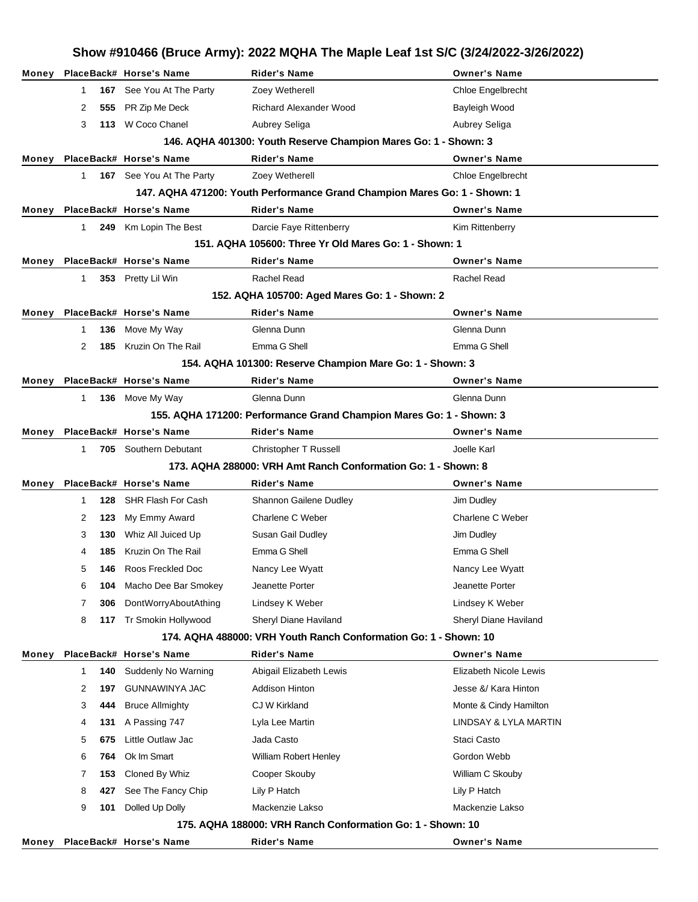|       | Show #910466 (Bruce Army): 2022 MQHA The Maple Leaf 1st S/C (3/24/2022-3/26/2022) |     |                               |                                                                           |                        |  |  |
|-------|-----------------------------------------------------------------------------------|-----|-------------------------------|---------------------------------------------------------------------------|------------------------|--|--|
| Money |                                                                                   |     | PlaceBack# Horse's Name       | <b>Rider's Name</b>                                                       | <b>Owner's Name</b>    |  |  |
|       | $\mathbf{1}$                                                                      | 167 | See You At The Party          | Zoey Wetherell                                                            | Chloe Engelbrecht      |  |  |
|       | 2                                                                                 |     | 555 PR Zip Me Deck            | <b>Richard Alexander Wood</b>                                             | Bayleigh Wood          |  |  |
|       | 3                                                                                 |     | 113 W Coco Chanel             | Aubrey Seliga                                                             | Aubrey Seliga          |  |  |
|       |                                                                                   |     |                               | 146. AQHA 401300: Youth Reserve Champion Mares Go: 1 - Shown: 3           |                        |  |  |
| Money |                                                                                   |     | PlaceBack# Horse's Name       | <b>Rider's Name</b>                                                       | <b>Owner's Name</b>    |  |  |
|       | $1 \quad$                                                                         |     | 167 See You At The Party      | Zoey Wetherell                                                            | Chloe Engelbrecht      |  |  |
|       |                                                                                   |     |                               | 147. AQHA 471200: Youth Performance Grand Champion Mares Go: 1 - Shown: 1 |                        |  |  |
|       |                                                                                   |     | Money PlaceBack# Horse's Name | <b>Rider's Name</b>                                                       | <b>Owner's Name</b>    |  |  |
|       | 1                                                                                 |     | 249 Km Lopin The Best         | Darcie Faye Rittenberry                                                   | Kim Rittenberry        |  |  |
|       |                                                                                   |     |                               | 151, AQHA 105600: Three Yr Old Mares Go: 1 - Shown: 1                     |                        |  |  |
| Money |                                                                                   |     | PlaceBack# Horse's Name       | <b>Rider's Name</b>                                                       | <b>Owner's Name</b>    |  |  |
|       | $\mathbf{1}$                                                                      |     | 353 Pretty Lil Win            | Rachel Read                                                               | Rachel Read            |  |  |
|       |                                                                                   |     |                               | 152. AQHA 105700: Aged Mares Go: 1 - Shown: 2                             |                        |  |  |
| Money |                                                                                   |     | PlaceBack# Horse's Name       | <b>Rider's Name</b>                                                       | <b>Owner's Name</b>    |  |  |
|       | $\mathbf 1$                                                                       | 136 | Move My Way                   | Glenna Dunn                                                               | Glenna Dunn            |  |  |
|       | 2                                                                                 | 185 | Kruzin On The Rail            | Emma G Shell                                                              | Emma G Shell           |  |  |
|       |                                                                                   |     |                               | 154. AQHA 101300: Reserve Champion Mare Go: 1 - Shown: 3                  |                        |  |  |
| Money |                                                                                   |     | PlaceBack# Horse's Name       | <b>Rider's Name</b>                                                       | <b>Owner's Name</b>    |  |  |
|       | $\mathbf{1}$                                                                      |     | 136 Move My Way               | Glenna Dunn                                                               | Glenna Dunn            |  |  |
|       |                                                                                   |     |                               | 155. AQHA 171200: Performance Grand Champion Mares Go: 1 - Shown: 3       |                        |  |  |
| Money |                                                                                   |     | PlaceBack# Horse's Name       | <b>Rider's Name</b>                                                       | <b>Owner's Name</b>    |  |  |
|       | $\mathbf 1$                                                                       |     | 705 Southern Debutant         | Christopher T Russell                                                     | Joelle Karl            |  |  |
|       |                                                                                   |     |                               | 173. AQHA 288000: VRH Amt Ranch Conformation Go: 1 - Shown: 8             |                        |  |  |
| Money |                                                                                   |     | PlaceBack# Horse's Name       | <b>Rider's Name</b>                                                       | <b>Owner's Name</b>    |  |  |
|       | 1                                                                                 | 128 | SHR Flash For Cash            | Shannon Gailene Dudley                                                    | Jim Dudley             |  |  |
|       | 2                                                                                 | 123 | My Emmy Award                 | Charlene C Weber                                                          | Charlene C Weber       |  |  |
|       | 3                                                                                 |     | 130 Whiz All Juiced Up        | Susan Gail Dudley                                                         | Jim Dudley             |  |  |
|       | 4                                                                                 |     | <b>185</b> Kruzin On The Rail | Emma G Shell                                                              | Emma G Shell           |  |  |
|       | 5                                                                                 | 146 | Roos Freckled Doc             | Nancy Lee Wyatt                                                           | Nancy Lee Wyatt        |  |  |
|       | 6                                                                                 | 104 | Macho Dee Bar Smokey          | Jeanette Porter                                                           | Jeanette Porter        |  |  |
|       | 7                                                                                 | 306 | DontWorryAboutAthing          | Lindsey K Weber                                                           | Lindsey K Weber        |  |  |
|       | 8                                                                                 | 117 | Tr Smokin Hollywood           | Sheryl Diane Haviland                                                     | Sheryl Diane Haviland  |  |  |
|       |                                                                                   |     |                               | 174, AQHA 488000: VRH Youth Ranch Conformation Go: 1 - Shown: 10          |                        |  |  |
| Money |                                                                                   |     | PlaceBack# Horse's Name       | <b>Rider's Name</b>                                                       | <b>Owner's Name</b>    |  |  |
|       | $\mathbf{1}$                                                                      | 140 | Suddenly No Warning           | Abigail Elizabeth Lewis                                                   | Elizabeth Nicole Lewis |  |  |
|       | 2                                                                                 | 197 | <b>GUNNAWINYA JAC</b>         | <b>Addison Hinton</b>                                                     | Jesse &/ Kara Hinton   |  |  |
|       | 3                                                                                 | 444 | <b>Bruce Allmighty</b>        | CJ W Kirkland                                                             | Monte & Cindy Hamilton |  |  |
|       | 4                                                                                 | 131 | A Passing 747                 | Lyla Lee Martin                                                           | LINDSAY & LYLA MARTIN  |  |  |
|       | 5                                                                                 | 675 | Little Outlaw Jac             | Jada Casto                                                                | Staci Casto            |  |  |
|       | 6                                                                                 | 764 | Ok Im Smart                   | William Robert Henley                                                     | Gordon Webb            |  |  |
|       | 7                                                                                 | 153 | Cloned By Whiz                | Cooper Skouby                                                             | William C Skouby       |  |  |
|       | 8                                                                                 | 427 | See The Fancy Chip            | Lily P Hatch                                                              | Lily P Hatch           |  |  |
|       | 9                                                                                 | 101 | Dolled Up Dolly               | Mackenzie Lakso                                                           | Mackenzie Lakso        |  |  |
|       |                                                                                   |     |                               | 175. AQHA 188000: VRH Ranch Conformation Go: 1 - Shown: 10                |                        |  |  |
| Money |                                                                                   |     | PlaceBack# Horse's Name       | <b>Rider's Name</b>                                                       | <b>Owner's Name</b>    |  |  |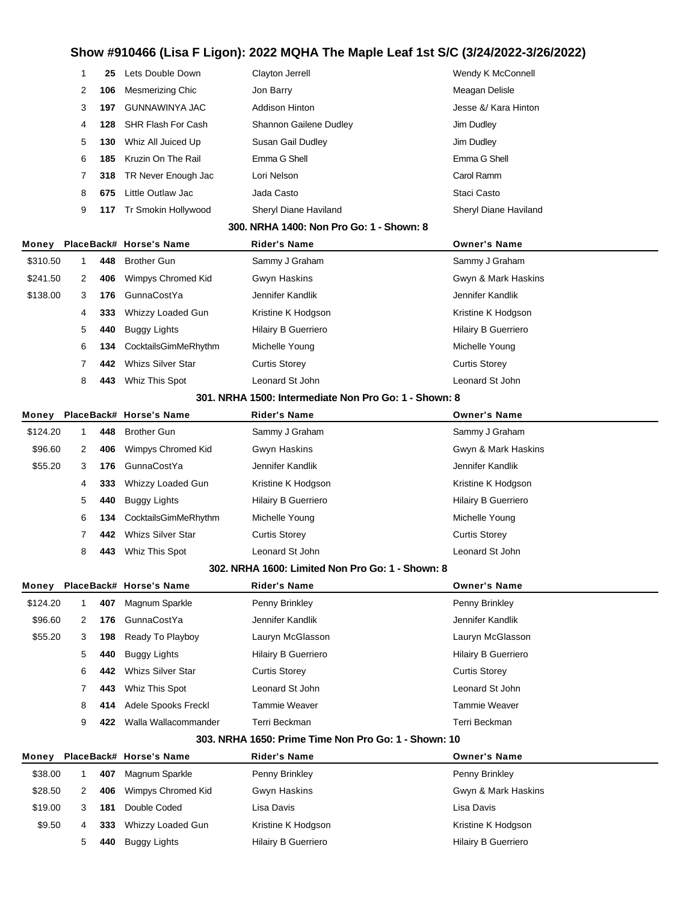|          | 1            | 25  | Lets Double Down          | Clayton Jerrell                                       | Wendy K McConnell          |
|----------|--------------|-----|---------------------------|-------------------------------------------------------|----------------------------|
|          | 2            | 106 | <b>Mesmerizing Chic</b>   | Jon Barry                                             | Meagan Delisle             |
|          | 3            | 197 | GUNNAWINYA JAC            | <b>Addison Hinton</b>                                 | Jesse &/ Kara Hinton       |
|          | 4            | 128 | <b>SHR Flash For Cash</b> | Shannon Gailene Dudley                                | Jim Dudley                 |
|          | 5            | 130 | Whiz All Juiced Up        | Susan Gail Dudley                                     | Jim Dudley                 |
|          | 6            | 185 | Kruzin On The Rail        | Emma G Shell                                          | Emma G Shell               |
|          | 7            | 318 | TR Never Enough Jac       | Lori Nelson                                           | Carol Ramm                 |
|          | 8            | 675 | Little Outlaw Jac         | Jada Casto                                            | Staci Casto                |
|          | 9            | 117 | Tr Smokin Hollywood       | Sheryl Diane Haviland                                 | Sheryl Diane Haviland      |
|          |              |     |                           | 300. NRHA 1400: Non Pro Go: 1 - Shown: 8              |                            |
| Money    |              |     | PlaceBack# Horse's Name   | Rider's Name                                          | Owner's Name               |
| \$310.50 | 1            | 448 | <b>Brother Gun</b>        | Sammy J Graham                                        | Sammy J Graham             |
| \$241.50 | 2            | 406 | Wimpys Chromed Kid        | Gwyn Haskins                                          | Gwyn & Mark Haskins        |
| \$138.00 | 3            | 176 | GunnaCostYa               | Jennifer Kandlik                                      | Jennifer Kandlik           |
|          | 4            | 333 | Whizzy Loaded Gun         | Kristine K Hodgson                                    | Kristine K Hodgson         |
|          | 5            | 440 | <b>Buggy Lights</b>       | <b>Hilairy B Guerriero</b>                            | <b>Hilairy B Guerriero</b> |
|          | 6            | 134 | CocktailsGimMeRhythm      | Michelle Young                                        | Michelle Young             |
|          | 7            | 442 | <b>Whizs Silver Star</b>  | <b>Curtis Storey</b>                                  | <b>Curtis Storey</b>       |
|          | 8            | 443 | Whiz This Spot            | Leonard St John                                       | Leonard St John            |
|          |              |     |                           | 301. NRHA 1500: Intermediate Non Pro Go: 1 - Shown: 8 |                            |
| Money    |              |     | PlaceBack# Horse's Name   | Rider's Name                                          | Owner's Name               |
| \$124.20 | 1            | 448 | <b>Brother Gun</b>        | Sammy J Graham                                        | Sammy J Graham             |
| \$96.60  | 2            | 406 | Wimpys Chromed Kid        | Gwyn Haskins                                          | Gwyn & Mark Haskins        |
| \$55.20  | 3            | 176 | GunnaCostYa               | Jennifer Kandlik                                      | Jennifer Kandlik           |
|          | 4            | 333 | Whizzy Loaded Gun         | Kristine K Hodgson                                    | Kristine K Hodgson         |
|          | 5            | 440 | <b>Buggy Lights</b>       | <b>Hilairy B Guerriero</b>                            | <b>Hilairy B Guerriero</b> |
|          | 6            | 134 | CocktailsGimMeRhythm      | Michelle Young                                        | Michelle Young             |
|          | 7            | 442 | <b>Whizs Silver Star</b>  | <b>Curtis Storey</b>                                  | <b>Curtis Storey</b>       |
|          | 8            | 443 | Whiz This Spot            | Leonard St John                                       | Leonard St John            |
|          |              |     |                           | 302. NRHA 1600: Limited Non Pro Go: 1 - Shown: 8      |                            |
| Money    |              |     | PlaceBack# Horse's Name   | <b>Rider's Name</b>                                   | <b>Owner's Name</b>        |
| \$124.20 | $\mathbf{1}$ | 407 | Magnum Sparkle            | Penny Brinkley                                        | Penny Brinkley             |
| \$96.60  | 2            | 176 | GunnaCostYa               | Jennifer Kandlik                                      | Jennifer Kandlik           |
| \$55.20  | 3            | 198 | Ready To Playboy          | Lauryn McGlasson                                      | Lauryn McGlasson           |
|          | 5            | 440 | <b>Buggy Lights</b>       | <b>Hilairy B Guerriero</b>                            | <b>Hilairy B Guerriero</b> |
|          | 6            | 442 | <b>Whizs Silver Star</b>  | <b>Curtis Storey</b>                                  | <b>Curtis Storey</b>       |
|          | 7            | 443 | Whiz This Spot            | Leonard St John                                       | Leonard St John            |
|          | 8            | 414 | Adele Spooks Freckl       | <b>Tammie Weaver</b>                                  | <b>Tammie Weaver</b>       |
|          | 9            | 422 | Walla Wallacommander      | Terri Beckman                                         | Terri Beckman              |
|          |              |     |                           | 303. NRHA 1650: Prime Time Non Pro Go: 1 - Shown: 10  |                            |
| Money    |              |     | PlaceBack# Horse's Name   | Rider's Name                                          | <b>Owner's Name</b>        |
| \$38.00  | $\mathbf 1$  | 407 | Magnum Sparkle            | Penny Brinkley                                        | Penny Brinkley             |
| \$28.50  | 2            | 406 | Wimpys Chromed Kid        | Gwyn Haskins                                          | Gwyn & Mark Haskins        |
| \$19.00  | 3            | 181 | Double Coded              | Lisa Davis                                            | Lisa Davis                 |
| \$9.50   | 4            | 333 | Whizzy Loaded Gun         | Kristine K Hodgson                                    | Kristine K Hodgson         |
|          | 5            | 440 | <b>Buggy Lights</b>       | Hilairy B Guerriero                                   | Hilairy B Guerriero        |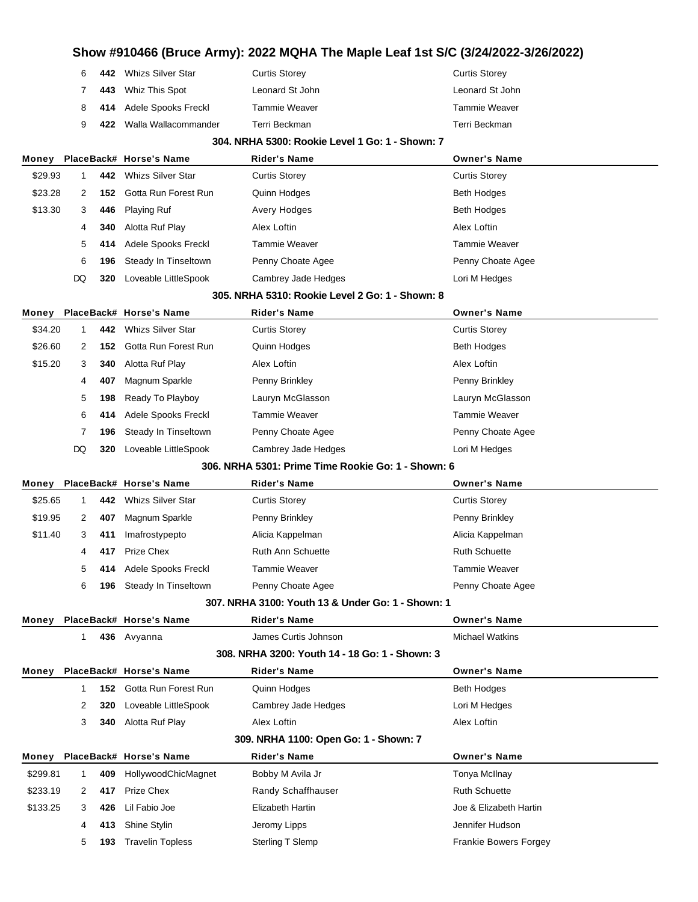| 6            | 442 Whizs Silver Star     | Curtis Storey   | Curtis Storey   |
|--------------|---------------------------|-----------------|-----------------|
| <sup>7</sup> | 443 Whiz This Spot        | Leonard St John | Leonard St John |
|              | 8 414 Adele Spooks Freckl | Tammie Weaver   | Tammie Weaver   |
| 9            | 422 Walla Wallacommander  | Terri Beckman   | Terri Beckman   |

#### **304. NRHA 5300: Rookie Level 1 Go: 1 - Shown: 7**

| Money                                              |              |     | PlaceBack# Horse's Name  | <b>Rider's Name</b>                               | <b>Owner's Name</b>          |  |
|----------------------------------------------------|--------------|-----|--------------------------|---------------------------------------------------|------------------------------|--|
| \$29.93                                            | 1            | 442 | <b>Whizs Silver Star</b> | <b>Curtis Storey</b>                              | <b>Curtis Storey</b>         |  |
| \$23.28                                            | 2            | 152 | Gotta Run Forest Run     | Quinn Hodges                                      | Beth Hodges                  |  |
| \$13.30                                            | 3            | 446 | <b>Playing Ruf</b>       | Avery Hodges                                      | Beth Hodges                  |  |
|                                                    | 4            | 340 | Alotta Ruf Play          | Alex Loftin                                       | Alex Loftin                  |  |
|                                                    | 5            | 414 | Adele Spooks Freckl      | <b>Tammie Weaver</b>                              | Tammie Weaver                |  |
|                                                    | 6            | 196 | Steady In Tinseltown     | Penny Choate Agee                                 | Penny Choate Agee            |  |
|                                                    | DQ           | 320 | Loveable LittleSpook     | Cambrey Jade Hedges                               | Lori M Hedges                |  |
|                                                    |              |     |                          | 305, NRHA 5310: Rookie Level 2 Go: 1 - Shown: 8   |                              |  |
| Money                                              |              |     | PlaceBack# Horse's Name  | Rider's Name                                      | <b>Owner's Name</b>          |  |
| \$34.20                                            | 1            | 442 | <b>Whizs Silver Star</b> | <b>Curtis Storey</b>                              | <b>Curtis Storey</b>         |  |
| \$26.60                                            | 2            | 152 | Gotta Run Forest Run     | Quinn Hodges                                      | Beth Hodges                  |  |
| \$15.20                                            | 3            | 340 | Alotta Ruf Play          | Alex Loftin                                       | Alex Loftin                  |  |
|                                                    | 4            | 407 | Magnum Sparkle           | Penny Brinkley                                    | Penny Brinkley               |  |
|                                                    | 5            | 198 | Ready To Playboy         | Lauryn McGlasson                                  | Lauryn McGlasson             |  |
|                                                    | 6            | 414 | Adele Spooks Freckl      | <b>Tammie Weaver</b>                              | Tammie Weaver                |  |
|                                                    | 7            | 196 | Steady In Tinseltown     | Penny Choate Agee                                 | Penny Choate Agee            |  |
|                                                    | DQ           | 320 | Loveable LittleSpook     | Cambrey Jade Hedges                               | Lori M Hedges                |  |
| 306. NRHA 5301: Prime Time Rookie Go: 1 - Shown: 6 |              |     |                          |                                                   |                              |  |
| Money                                              |              |     | PlaceBack# Horse's Name  | Rider's Name                                      | <b>Owner's Name</b>          |  |
| \$25.65                                            | $\mathbf{1}$ | 442 | <b>Whizs Silver Star</b> | <b>Curtis Storey</b>                              | <b>Curtis Storey</b>         |  |
| \$19.95                                            | 2            | 407 | Magnum Sparkle           | Penny Brinkley                                    | Penny Brinkley               |  |
| \$11.40                                            | 3            | 411 | Imafrostypepto           | Alicia Kappelman                                  | Alicia Kappelman             |  |
|                                                    | 4            | 417 | Prize Chex               | <b>Ruth Ann Schuette</b>                          | <b>Ruth Schuette</b>         |  |
|                                                    | 5            | 414 | Adele Spooks Freckl      | <b>Tammie Weaver</b>                              | Tammie Weaver                |  |
|                                                    | 6            | 196 | Steady In Tinseltown     | Penny Choate Agee                                 | Penny Choate Agee            |  |
|                                                    |              |     |                          | 307. NRHA 3100: Youth 13 & Under Go: 1 - Shown: 1 |                              |  |
| Money                                              |              |     | PlaceBack# Horse's Name  | Rider's Name                                      | <b>Owner's Name</b>          |  |
|                                                    | 1            |     | 436 Avyanna              | James Curtis Johnson                              | <b>Michael Watkins</b>       |  |
|                                                    |              |     |                          | 308. NRHA 3200: Youth 14 - 18 Go: 1 - Shown: 3    |                              |  |
| Money                                              |              |     | PlaceBack# Horse's Name  | <b>Rider's Name</b>                               | <b>Owner's Name</b>          |  |
|                                                    | 1            | 152 | Gotta Run Forest Run     | Quinn Hodges                                      | Beth Hodges                  |  |
|                                                    | 2            | 320 | Loveable LittleSpook     | Cambrey Jade Hedges                               | Lori M Hedges                |  |
|                                                    | 3            | 340 | Alotta Ruf Play          | Alex Loftin                                       | Alex Loftin                  |  |
|                                                    |              |     |                          | 309. NRHA 1100: Open Go: 1 - Shown: 7             |                              |  |
| Money                                              |              |     | PlaceBack# Horse's Name  | <b>Rider's Name</b>                               | <b>Owner's Name</b>          |  |
| \$299.81                                           | 1            | 409 | HollywoodChicMagnet      | Bobby M Avila Jr                                  | <b>Tonya Mclinay</b>         |  |
| \$233.19                                           | 2            | 417 | Prize Chex               | Randy Schaffhauser                                | <b>Ruth Schuette</b>         |  |
| \$133.25                                           | 3            | 426 | Lil Fabio Joe            | Elizabeth Hartin                                  | Joe & Elizabeth Hartin       |  |
|                                                    | 4            | 413 | Shine Stylin             | Jeromy Lipps                                      | Jennifer Hudson              |  |
|                                                    | 5            | 193 | <b>Travelin Topless</b>  | Sterling T Slemp                                  | <b>Frankie Bowers Forgey</b> |  |
|                                                    |              |     |                          |                                                   |                              |  |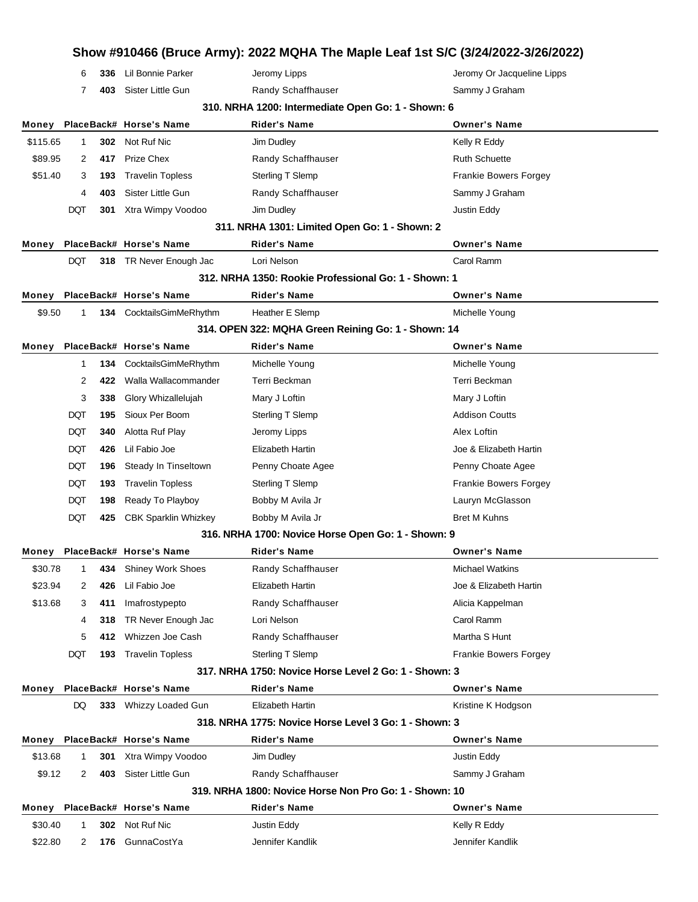|                  |                                                    |            |                                                     |                                                                           | Show #910466 (Bruce Army): 2022 MQHA The Maple Leaf 1st S/C (3/24/2022-3/26/2022) |  |
|------------------|----------------------------------------------------|------------|-----------------------------------------------------|---------------------------------------------------------------------------|-----------------------------------------------------------------------------------|--|
|                  | 6                                                  | 336        | Lil Bonnie Parker                                   | Jeromy Lipps                                                              | Jeromy Or Jacqueline Lipps                                                        |  |
|                  | 7                                                  | 403        | Sister Little Gun                                   | Randy Schaffhauser                                                        | Sammy J Graham                                                                    |  |
|                  | 310. NRHA 1200: Intermediate Open Go: 1 - Shown: 6 |            |                                                     |                                                                           |                                                                                   |  |
| Money            |                                                    |            | PlaceBack# Horse's Name                             | <b>Rider's Name</b>                                                       | <b>Owner's Name</b>                                                               |  |
| \$115.65         | $\mathbf{1}$                                       | 302        | Not Ruf Nic                                         | Jim Dudley                                                                | Kelly R Eddy                                                                      |  |
| \$89.95          | 2                                                  | 417        | Prize Chex                                          | Randy Schaffhauser                                                        | <b>Ruth Schuette</b>                                                              |  |
| \$51.40          | 3                                                  | 193        | <b>Travelin Topless</b>                             | Sterling T Slemp                                                          | <b>Frankie Bowers Forgey</b>                                                      |  |
|                  | 4                                                  | 403        | Sister Little Gun                                   | Randy Schaffhauser                                                        | Sammy J Graham                                                                    |  |
|                  | DQT                                                | 301        | Xtra Wimpy Voodoo                                   | Jim Dudley                                                                | Justin Eddy                                                                       |  |
|                  |                                                    |            |                                                     | 311. NRHA 1301: Limited Open Go: 1 - Shown: 2                             |                                                                                   |  |
| Money            |                                                    |            | PlaceBack# Horse's Name                             | <b>Rider's Name</b>                                                       | <b>Owner's Name</b>                                                               |  |
|                  | <b>DQT</b>                                         |            | 318 TR Never Enough Jac                             | Lori Nelson                                                               | Carol Ramm                                                                        |  |
|                  |                                                    |            |                                                     | 312. NRHA 1350: Rookie Professional Go: 1 - Shown: 1                      |                                                                                   |  |
| Money            |                                                    |            | PlaceBack# Horse's Name                             | Rider's Name                                                              | <b>Owner's Name</b>                                                               |  |
| \$9.50           | 1                                                  |            | 134 CocktailsGimMeRhythm                            | Heather E Slemp                                                           | Michelle Young                                                                    |  |
|                  |                                                    |            |                                                     | 314. OPEN 322: MQHA Green Reining Go: 1 - Shown: 14                       |                                                                                   |  |
| Money            |                                                    |            | PlaceBack# Horse's Name                             | <b>Rider's Name</b>                                                       | <b>Owner's Name</b>                                                               |  |
|                  | 1                                                  | 134        | CocktailsGimMeRhythm                                | Michelle Young                                                            | Michelle Young                                                                    |  |
|                  | 2                                                  | 422        | Walla Wallacommander                                | Terri Beckman                                                             | Terri Beckman                                                                     |  |
|                  | 3                                                  | 338        | Glory Whizallelujah                                 | Mary J Loftin                                                             | Mary J Loftin<br><b>Addison Coutts</b>                                            |  |
|                  | DQT<br>DQT                                         | 195<br>340 | Sioux Per Boom<br>Alotta Ruf Play                   | Sterling T Slemp                                                          | Alex Loftin                                                                       |  |
|                  | DQT                                                | 426        | Lil Fabio Joe                                       | Jeromy Lipps<br>Elizabeth Hartin                                          | Joe & Elizabeth Hartin                                                            |  |
|                  | <b>DQT</b>                                         | 196        | Steady In Tinseltown                                | Penny Choate Agee                                                         | Penny Choate Agee                                                                 |  |
|                  | <b>DQT</b>                                         | 193        | <b>Travelin Topless</b>                             | Sterling T Slemp                                                          | <b>Frankie Bowers Forgey</b>                                                      |  |
|                  |                                                    | 198        | Ready To Playboy                                    | Bobby M Avila Jr                                                          | Lauryn McGlasson                                                                  |  |
|                  |                                                    |            |                                                     |                                                                           |                                                                                   |  |
|                  | DQT                                                |            |                                                     |                                                                           |                                                                                   |  |
|                  | DQT                                                | 425        | <b>CBK Sparklin Whizkey</b>                         | Bobby M Avila Jr                                                          | <b>Bret M Kuhns</b>                                                               |  |
|                  |                                                    |            |                                                     | 316. NRHA 1700: Novice Horse Open Go: 1 - Shown: 9<br><b>Rider's Name</b> | <b>Owner's Name</b>                                                               |  |
| Money<br>\$30.78 | $\mathbf{1}$                                       | 434        | PlaceBack# Horse's Name<br><b>Shiney Work Shoes</b> | Randy Schaffhauser                                                        | <b>Michael Watkins</b>                                                            |  |
| \$23.94          | 2                                                  | 426        | Lil Fabio Joe                                       | Elizabeth Hartin                                                          | Joe & Elizabeth Hartin                                                            |  |
| \$13.68          | 3                                                  | 411        | Imafrostypepto                                      | Randy Schaffhauser                                                        | Alicia Kappelman                                                                  |  |
|                  | 4                                                  | 318        | TR Never Enough Jac                                 | Lori Nelson                                                               | Carol Ramm                                                                        |  |
|                  | 5                                                  | 412        | Whizzen Joe Cash                                    | Randy Schaffhauser                                                        | Martha S Hunt                                                                     |  |
|                  | DQT                                                | 193        | <b>Travelin Topless</b>                             | Sterling T Slemp                                                          | <b>Frankie Bowers Forgey</b>                                                      |  |
|                  |                                                    |            |                                                     | 317, NRHA 1750: Novice Horse Level 2 Go: 1 - Shown: 3                     |                                                                                   |  |
| Money            |                                                    |            | PlaceBack# Horse's Name                             | <b>Rider's Name</b>                                                       | <b>Owner's Name</b>                                                               |  |
|                  | DQ                                                 |            | 333 Whizzy Loaded Gun                               | Elizabeth Hartin                                                          | Kristine K Hodgson                                                                |  |
|                  |                                                    |            |                                                     | 318. NRHA 1775: Novice Horse Level 3 Go: 1 - Shown: 3                     |                                                                                   |  |
|                  |                                                    |            | Money PlaceBack# Horse's Name                       | Rider's Name                                                              | <b>Owner's Name</b>                                                               |  |
| \$13.68          | $\mathbf{1}$                                       | 301        | Xtra Wimpy Voodoo                                   | Jim Dudley                                                                | Justin Eddy                                                                       |  |
| \$9.12           | 2                                                  | 403        | Sister Little Gun                                   | Randy Schaffhauser                                                        | Sammy J Graham                                                                    |  |
|                  |                                                    |            |                                                     | 319. NRHA 1800: Novice Horse Non Pro Go: 1 - Shown: 10                    |                                                                                   |  |
|                  |                                                    |            | Money PlaceBack# Horse's Name                       | Rider's Name                                                              | <b>Owner's Name</b>                                                               |  |
| \$30.40          | $\mathbf{1}$                                       |            | 302 Not Ruf Nic                                     | Justin Eddy                                                               | Kelly R Eddy                                                                      |  |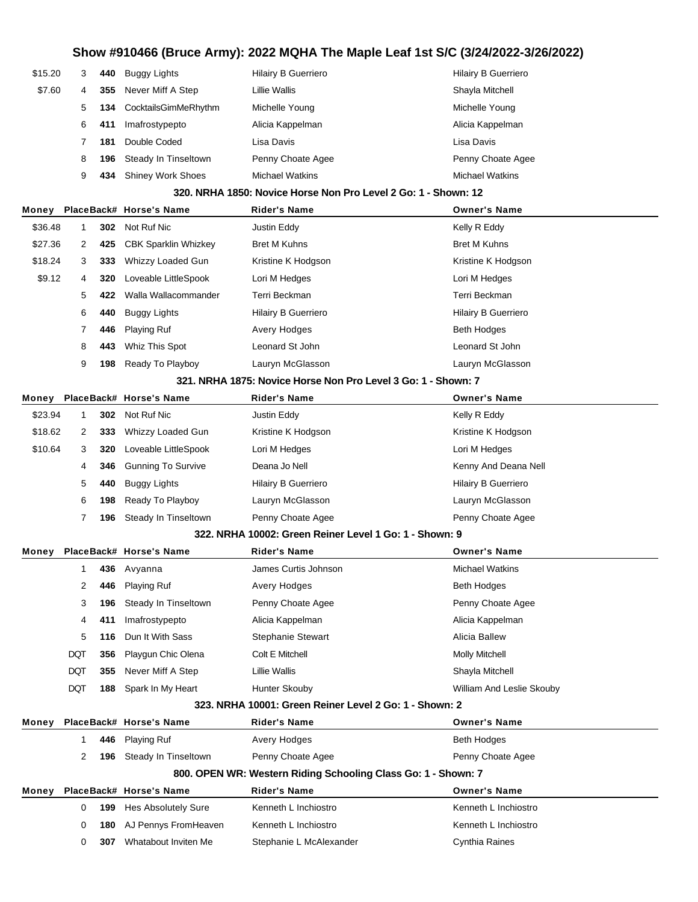| \$15.20 | 3 | 440 | Buggy Lights             | <b>Hilairy B Guerriero</b> | <b>Hilairy B Guerriero</b> |
|---------|---|-----|--------------------------|----------------------------|----------------------------|
| \$7.60  | 4 | 355 | Never Miff A Step        | Lillie Wallis              | Shayla Mitchell            |
|         | 5 | 134 | CocktailsGimMeRhythm     | Michelle Young             | Michelle Young             |
|         | 6 | 411 | Imafrostypepto           | Alicia Kappelman           | Alicia Kappelman           |
|         |   | 181 | Double Coded             | Lisa Davis                 | Lisa Davis                 |
|         | 8 | 196 | Steady In Tinseltown     | Penny Choate Agee          | Penny Choate Agee          |
|         | 9 | 434 | <b>Shiney Work Shoes</b> | <b>Michael Watkins</b>     | <b>Michael Watkins</b>     |
|         |   |     |                          |                            |                            |

#### **320. NRHA 1850: Novice Horse Non Pro Level 2 Go: 1 - Shown: 12**

| Money        |     |                             | <b>Rider's Name</b>                    | <b>Owner's Name</b>        |
|--------------|-----|-----------------------------|----------------------------------------|----------------------------|
| \$36.48      | 302 |                             | Justin Eddy                            | Kelly R Eddy               |
| \$27.36<br>2 | 425 | <b>CBK Sparklin Whizkey</b> | <b>Bret M Kuhns</b>                    | <b>Bret M Kuhns</b>        |
| \$18.24<br>3 | 333 | Whizzy Loaded Gun           | Kristine K Hodgson                     | Kristine K Hodgson         |
| \$9.12<br>4  | 320 | Loveable LittleSpook        | Lori M Hedges                          | Lori M Hedges              |
| 5            | 422 | Walla Wallacommander        | Terri Beckman                          | Terri Beckman              |
| 6            | 440 | Buggy Lights                | <b>Hilairy B Guerriero</b>             | <b>Hilairy B Guerriero</b> |
|              | 446 | <b>Playing Ruf</b>          | Avery Hodges                           | <b>Beth Hodges</b>         |
| 8            | 443 | Whiz This Spot              | Leonard St John                        | Leonard St John            |
| 9            | 198 | Ready To Playboy            | Lauryn McGlasson                       | Lauryn McGlasson           |
|              |     |                             | PlaceBack# Horse's Name<br>Not Ruf Nic |                            |

#### **321. NRHA 1875: Novice Horse Non Pro Level 3 Go: 1 - Shown: 7**

| Money   |   |     | PlaceBack# Horse's Name   | <b>Rider's Name</b>        | <b>Owner's Name</b>        |
|---------|---|-----|---------------------------|----------------------------|----------------------------|
| \$23.94 |   | 302 | Not Ruf Nic               | Justin Eddy                | Kelly R Eddy               |
| \$18.62 |   | 333 | Whizzy Loaded Gun         | Kristine K Hodgson         | Kristine K Hodgson         |
| \$10.64 | 3 | 320 | Loveable LittleSpook      | Lori M Hedges              | Lori M Hedges              |
|         | 4 | 346 | <b>Gunning To Survive</b> | Deana Jo Nell              | Kenny And Deana Nell       |
|         | 5 | 440 | Buggy Lights              | <b>Hilairy B Guerriero</b> | <b>Hilairy B Guerriero</b> |
|         | 6 | 198 | Ready To Playboy          | Lauryn McGlasson           | Lauryn McGlasson           |
|         |   | 196 | Steady In Tinseltown      | Penny Choate Agee          | Penny Choate Agee          |

#### **322. NRHA 10002: Green Reiner Level 1 Go: 1 - Shown: 9**

| Money |            |     | PlaceBack# Horse's Name | <b>Rider's Name</b>      | <b>Owner's Name</b>       |
|-------|------------|-----|-------------------------|--------------------------|---------------------------|
|       |            | 436 | Avyanna                 | James Curtis Johnson     | <b>Michael Watkins</b>    |
|       | 2          | 446 | <b>Playing Ruf</b>      | Avery Hodges             | Beth Hodges               |
|       | 3          | 196 | Steady In Tinseltown    | Penny Choate Agee        | Penny Choate Agee         |
|       | 4          | 411 | Imafrostypepto          | Alicia Kappelman         | Alicia Kappelman          |
|       | 5          | 116 | Dun It With Sass        | <b>Stephanie Stewart</b> | Alicia Ballew             |
|       | DQT        | 356 | Playgun Chic Olena      | Colt E Mitchell          | <b>Molly Mitchell</b>     |
|       | <b>DQT</b> | 355 | Never Miff A Step       | Lillie Wallis            | Shayla Mitchell           |
|       | DQT        | 188 | Spark In My Heart       | Hunter Skouby            | William And Leslie Skouby |

#### **323. NRHA 10001: Green Reiner Level 2 Go: 1 - Shown: 2**

| Playing Ruf<br><b>Beth Hodges</b><br>446<br>Avery Hodges<br>Steady In Tinseltown<br>Penny Choate Agee<br>Penny Choate Agee<br>196<br>800. OPEN WR: Western Riding Schooling Class Go: 1 - Shown: 7 |  |  |  |  |  |  |  |  |
|----------------------------------------------------------------------------------------------------------------------------------------------------------------------------------------------------|--|--|--|--|--|--|--|--|
|                                                                                                                                                                                                    |  |  |  |  |  |  |  |  |
|                                                                                                                                                                                                    |  |  |  |  |  |  |  |  |
|                                                                                                                                                                                                    |  |  |  |  |  |  |  |  |
| Monev<br>PlaceBack# Horse's Name<br><b>Rider's Name</b><br><b>Owner's Name</b>                                                                                                                     |  |  |  |  |  |  |  |  |
| Kenneth L Inchiostro<br>Kenneth L Inchiostro<br><b>Hes Absolutely Sure</b><br>199<br>0                                                                                                             |  |  |  |  |  |  |  |  |
|                                                                                                                                                                                                    |  |  |  |  |  |  |  |  |
| AJ Pennys FromHeaven<br>Kenneth L Inchiostro<br>Kenneth L Inchiostro<br>180<br>0                                                                                                                   |  |  |  |  |  |  |  |  |
|                                                                                                                                                                                                    |  |  |  |  |  |  |  |  |
|                                                                                                                                                                                                    |  |  |  |  |  |  |  |  |
|                                                                                                                                                                                                    |  |  |  |  |  |  |  |  |
|                                                                                                                                                                                                    |  |  |  |  |  |  |  |  |
|                                                                                                                                                                                                    |  |  |  |  |  |  |  |  |